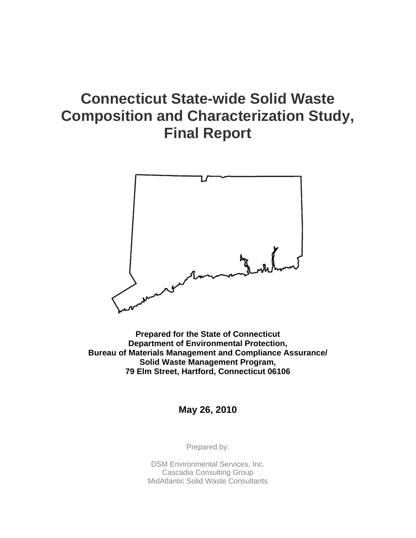# **Connecticut State-wide Solid Waste Composition and Characterization Study, Final Report**



**Prepared for the State of Connecticut Department of Environmental Protection, Bureau of Materials Management and Compliance Assurance/ Solid Waste Management Program, 79 Elm Street, Hartford, Connecticut 06106** 

**May 26, 2010** 

Prepared by:

DSM Environmental Services, Inc. Cascadia Consulting Group MidAtlantic Solid Waste Consultants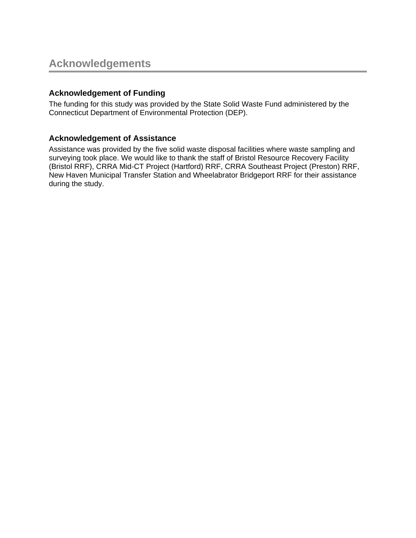## **Acknowledgement of Funding**

The funding for this study was provided by the State Solid Waste Fund administered by the Connecticut Department of Environmental Protection (DEP).

### **Acknowledgement of Assistance**

Assistance was provided by the five solid waste disposal facilities where waste sampling and surveying took place. We would like to thank the staff of Bristol Resource Recovery Facility (Bristol RRF), CRRA Mid-CT Project (Hartford) RRF, CRRA Southeast Project (Preston) RRF, New Haven Municipal Transfer Station and Wheelabrator Bridgeport RRF for their assistance during the study.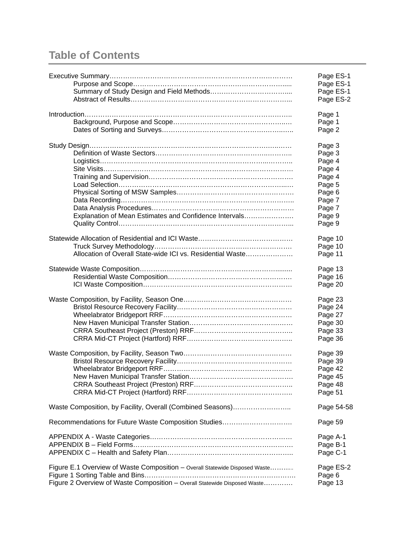## **Table of Contents**

|                                                                             | Page ES-1<br>Page ES-1 |
|-----------------------------------------------------------------------------|------------------------|
|                                                                             | Page ES-1              |
|                                                                             | Page ES-2              |
|                                                                             | Page 1                 |
|                                                                             | Page 1                 |
|                                                                             | Page 2                 |
|                                                                             | Page 3                 |
|                                                                             | Page 3                 |
|                                                                             | Page 4                 |
|                                                                             | Page 4                 |
|                                                                             | Page 4                 |
|                                                                             | Page 5                 |
|                                                                             | Page 6                 |
|                                                                             | Page 7                 |
|                                                                             | Page 7                 |
| Explanation of Mean Estimates and Confidence Intervals                      | Page 9                 |
|                                                                             | Page 9                 |
|                                                                             | Page 10                |
|                                                                             | Page 10                |
| Allocation of Overall State-wide ICI vs. Residential Waste                  | Page 11                |
|                                                                             | Page 13                |
|                                                                             | Page 16                |
|                                                                             | Page 20                |
|                                                                             | Page 23                |
|                                                                             | Page 24                |
|                                                                             | Page 27                |
|                                                                             | Page 30                |
|                                                                             | Page 33                |
|                                                                             | Page 36                |
|                                                                             | Page 39                |
|                                                                             | Page 39                |
|                                                                             | Page 42                |
|                                                                             | Page 45                |
|                                                                             | Page 48                |
|                                                                             | Page 51                |
| Waste Composition, by Facility, Overall (Combined Seasons)                  | Page 54-58             |
| Recommendations for Future Waste Composition Studies                        | Page 59                |
|                                                                             | Page A-1               |
|                                                                             | Page B-1               |
|                                                                             | Page C-1               |
| Figure E.1 Overview of Waste Composition - Overall Statewide Disposed Waste | Page ES-2              |
|                                                                             | Page 6                 |
| Figure 2 Overview of Waste Composition - Overall Statewide Disposed Waste   | Page 13                |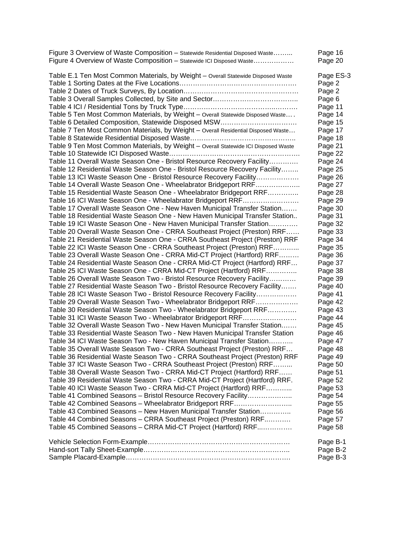| Figure 3 Overview of Waste Composition - Statewide Residential Disposed Waste       | Page 16   |
|-------------------------------------------------------------------------------------|-----------|
| Figure 4 Overview of Waste Composition - Statewide ICI Disposed Waste               | Page 20   |
| Table E.1 Ten Most Common Materials, by Weight - Overall Statewide Disposed Waste   | Page ES-3 |
|                                                                                     | Page 2    |
|                                                                                     | Page 2    |
|                                                                                     | Page 6    |
|                                                                                     | Page 11   |
| Table 5 Ten Most Common Materials, by Weight - Overall Statewide Disposed Waste     | Page 14   |
| Table 6 Detailed Composition, Statewide Disposed MSW                                | Page 15   |
| Table 7 Ten Most Common Materials, by Weight - Overall Residential Disposed Waste   | Page 17   |
|                                                                                     | Page 18   |
| Table 9 Ten Most Common Materials, by Weight - Overall Statewide ICI Disposed Waste | Page 21   |
|                                                                                     | Page 22   |
| Table 11 Overall Waste Season One - Bristol Resource Recovery Facility              | Page 24   |
| Table 12 Residential Waste Season One - Bristol Resource Recovery Facility          | Page 25   |
| Table 13 ICI Waste Season One - Bristol Resource Recovery Facility                  | Page 26   |
| Table 14 Overall Waste Season One - Wheelabrator Bridgeport RRF                     | Page 27   |
| Table 15 Residential Waste Season One - Wheelabrator Bridgeport RRF                 | Page 28   |
| Table 16 ICI Waste Season One - Wheelabrator Bridgeport RRF                         | Page 29   |
| Table 17 Overall Waste Season One - New Haven Municipal Transfer Station            | Page 30   |
| Table 18 Residential Waste Season One - New Haven Municipal Transfer Station        | Page 31   |
| Table 19 ICI Waste Season One - New Haven Municipal Transfer Station                | Page 32   |
| Table 20 Overall Waste Season One - CRRA Southeast Project (Preston) RRF            | Page 33   |
| Table 21 Residential Waste Season One - CRRA Southeast Project (Preston) RRF        | Page 34   |
| Table 22 ICI Waste Season One - CRRA Southeast Project (Preston) RRF                | Page 35   |
| Table 23 Overall Waste Season One - CRRA Mid-CT Project (Hartford) RRF              | Page 36   |
| Table 24 Residential Waste Season One - CRRA Mid-CT Project (Hartford) RRF          | Page 37   |
| Table 25 ICI Waste Season One - CRRA Mid-CT Project (Hartford) RRF                  | Page 38   |
| Table 26 Overall Waste Season Two - Bristol Resource Recovery Facility              | Page 39   |
| Table 27 Residential Waste Season Two - Bristol Resource Recovery Facility          | Page 40   |
| Table 28 ICI Waste Season Two - Bristol Resource Recovery Facility                  | Page 41   |
| Table 29 Overall Waste Season Two - Wheelabrator Bridgeport RRF                     | Page 42   |
| Table 30 Residential Waste Season Two - Wheelabrator Bridgeport RRF                 | Page 43   |
| Table 31 ICI Waste Season Two - Wheelabrator Bridgeport RRF                         | Page 44   |
| Table 32 Overall Waste Season Two - New Haven Municipal Transfer Station            | Page 45   |
| Table 33 Residential Waste Season Two - New Haven Municipal Transfer Station        | Page 46   |
| Table 34 ICI Waste Season Two - New Haven Municipal Transfer Station                | Page 47   |
| Table 35 Overall Waste Season Two - CRRA Southeast Project (Preston) RRF            | Page 48   |
| Table 36 Residential Waste Season Two - CRRA Southeast Project (Preston) RRF        | Page 49   |
| Table 37 ICI Waste Season Two - CRRA Southeast Project (Preston) RRF                | Page 50   |
| Table 38 Overall Waste Season Two - CRRA Mid-CT Project (Hartford) RRF              | Page 51   |
| Table 39 Residential Waste Season Two - CRRA Mid-CT Project (Hartford) RRF.         | Page 52   |
| Table 40 ICI Waste Season Two - CRRA Mid-CT Project (Hartford) RRF                  | Page 53   |
| Table 41 Combined Seasons - Bristol Resource Recovery Facility                      | Page 54   |
| Table 42 Combined Seasons - Wheelabrator Bridgeport RRF                             | Page 55   |
| Table 43 Combined Seasons - New Haven Municipal Transfer Station                    | Page 56   |
| Table 44 Combined Seasons - CRRA Southeast Project (Preston) RRF                    | Page 57   |
| Table 45 Combined Seasons - CRRA Mid-CT Project (Hartford) RRF                      | Page 58   |
|                                                                                     | Page B-1  |
|                                                                                     | Page B-2  |
|                                                                                     | Page B-3  |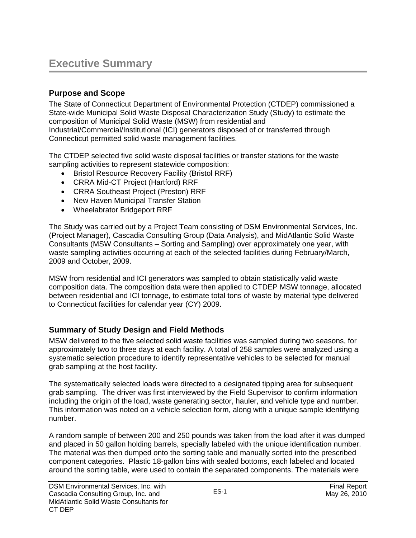## **Executive Summary**

## **Purpose and Scope**

The State of Connecticut Department of Environmental Protection (CTDEP) commissioned a State-wide Municipal Solid Waste Disposal Characterization Study (Study) to estimate the composition of Municipal Solid Waste (MSW) from residential and Industrial/Commercial/Institutional (ICI) generators disposed of or transferred through Connecticut permitted solid waste management facilities.

The CTDEP selected five solid waste disposal facilities or transfer stations for the waste sampling activities to represent statewide composition:

- Bristol Resource Recovery Facility (Bristol RRF)
- CRRA Mid-CT Project (Hartford) RRF
- CRRA Southeast Project (Preston) RRF
- New Haven Municipal Transfer Station
- Wheelabrator Bridgeport RRF

The Study was carried out by a Project Team consisting of DSM Environmental Services, Inc. (Project Manager), Cascadia Consulting Group (Data Analysis), and MidAtlantic Solid Waste Consultants (MSW Consultants – Sorting and Sampling) over approximately one year, with waste sampling activities occurring at each of the selected facilities during February/March, 2009 and October, 2009.

MSW from residential and ICI generators was sampled to obtain statistically valid waste composition data. The composition data were then applied to CTDEP MSW tonnage, allocated between residential and ICI tonnage, to estimate total tons of waste by material type delivered to Connecticut facilities for calendar year (CY) 2009.

## **Summary of Study Design and Field Methods**

MSW delivered to the five selected solid waste facilities was sampled during two seasons, for approximately two to three days at each facility. A total of 258 samples were analyzed using a systematic selection procedure to identify representative vehicles to be selected for manual grab sampling at the host facility.

The systematically selected loads were directed to a designated tipping area for subsequent grab sampling. The driver was first interviewed by the Field Supervisor to confirm information including the origin of the load, waste generating sector, hauler, and vehicle type and number. This information was noted on a vehicle selection form, along with a unique sample identifying number.

A random sample of between 200 and 250 pounds was taken from the load after it was dumped and placed in 50 gallon holding barrels, specially labeled with the unique identification number. The material was then dumped onto the sorting table and manually sorted into the prescribed component categories. Plastic 18-gallon bins with sealed bottoms, each labeled and located around the sorting table, were used to contain the separated components. The materials were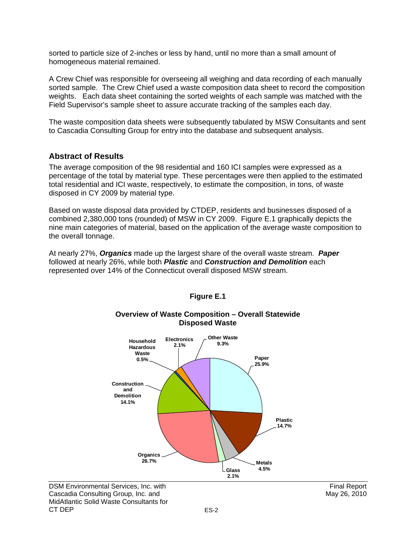sorted to particle size of 2-inches or less by hand, until no more than a small amount of homogeneous material remained.

A Crew Chief was responsible for overseeing all weighing and data recording of each manually sorted sample. The Crew Chief used a waste composition data sheet to record the composition weights. Each data sheet containing the sorted weights of each sample was matched with the Field Supervisor's sample sheet to assure accurate tracking of the samples each day.

The waste composition data sheets were subsequently tabulated by MSW Consultants and sent to Cascadia Consulting Group for entry into the database and subsequent analysis.

#### **Abstract of Results**

The average composition of the 98 residential and 160 ICI samples were expressed as a percentage of the total by material type. These percentages were then applied to the estimated total residential and ICI waste, respectively, to estimate the composition, in tons, of waste disposed in CY 2009 by material type.

Based on waste disposal data provided by CTDEP, residents and businesses disposed of a combined 2,380,000 tons (rounded) of MSW in CY 2009. Figure E.1 graphically depicts the nine main categories of material, based on the application of the average waste composition to the overall tonnage.

At nearly 27%, *Organics* made up the largest share of the overall waste stream. *Paper* followed at nearly 26%, while both *Plastic* and *Construction and Demolition* each represented over 14% of the Connecticut overall disposed MSW stream.



#### **Figure E.1**

#### **Overview of Waste Composition – Overall Statewide Disposed Waste**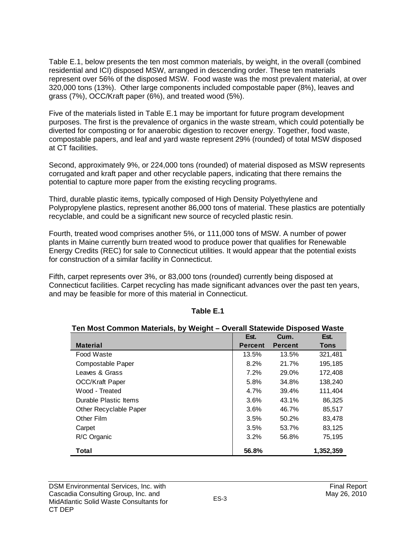Table E.1, below presents the ten most common materials, by weight, in the overall (combined residential and ICI) disposed MSW, arranged in descending order. These ten materials represent over 56% of the disposed MSW. Food waste was the most prevalent material, at over 320,000 tons (13%). Other large components included compostable paper (8%), leaves and grass (7%), OCC/Kraft paper (6%), and treated wood (5%).

Five of the materials listed in Table E.1 may be important for future program development purposes. The first is the prevalence of organics in the waste stream, which could potentially be diverted for composting or for anaerobic digestion to recover energy. Together, food waste, compostable papers, and leaf and yard waste represent 29% (rounded) of total MSW disposed at CT facilities.

Second, approximately 9%, or 224,000 tons (rounded) of material disposed as MSW represents corrugated and kraft paper and other recyclable papers, indicating that there remains the potential to capture more paper from the existing recycling programs.

Third, durable plastic items, typically composed of High Density Polyethylene and Polypropylene plastics, represent another 86,000 tons of material. These plastics are potentially recyclable, and could be a significant new source of recycled plastic resin.

Fourth, treated wood comprises another 5%, or 111,000 tons of MSW. A number of power plants in Maine currently burn treated wood to produce power that qualifies for Renewable Energy Credits (REC) for sale to Connecticut utilities. It would appear that the potential exists for construction of a similar facility in Connecticut.

Fifth, carpet represents over 3%, or 83,000 tons (rounded) currently being disposed at Connecticut facilities. Carpet recycling has made significant advances over the past ten years, and may be feasible for more of this material in Connecticut.

| $151$ must communitate lais, by weight $-$ overall claiswide bisposed waste |                |                |           |  |  |  |  |  |  |
|-----------------------------------------------------------------------------|----------------|----------------|-----------|--|--|--|--|--|--|
|                                                                             | Est.           | Cum.           | Est.      |  |  |  |  |  |  |
| <b>Material</b>                                                             | <b>Percent</b> | <b>Percent</b> | Tons      |  |  |  |  |  |  |
| Food Waste                                                                  | 13.5%          | 13.5%          | 321,481   |  |  |  |  |  |  |
| Compostable Paper                                                           | 8.2%           | 21.7%          | 195,185   |  |  |  |  |  |  |
| Leaves & Grass                                                              | 7.2%           | 29.0%          | 172,408   |  |  |  |  |  |  |
| <b>OCC/Kraft Paper</b>                                                      | 5.8%           | 34.8%          | 138,240   |  |  |  |  |  |  |
| Wood - Treated                                                              | 4.7%           | 39.4%          | 111,404   |  |  |  |  |  |  |
| Durable Plastic Items                                                       | 3.6%           | 43.1%          | 86,325    |  |  |  |  |  |  |
| Other Recyclable Paper                                                      | 3.6%           | 46.7%          | 85,517    |  |  |  |  |  |  |
| Other Film                                                                  | 3.5%           | 50.2%          | 83,478    |  |  |  |  |  |  |
| Carpet                                                                      | 3.5%           | 53.7%          | 83,125    |  |  |  |  |  |  |
| R/C Organic                                                                 | 3.2%           | 56.8%          | 75,195    |  |  |  |  |  |  |
| Total                                                                       | 56.8%          |                | 1,352,359 |  |  |  |  |  |  |

#### **Table E.1**

**Ten Most Common Materials, by Weight – Overall Statewide Disposed Waste**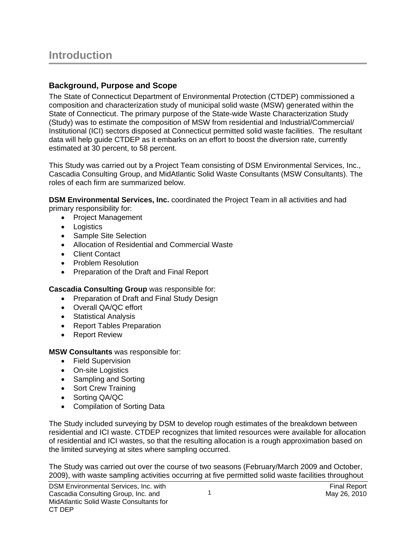## **Background, Purpose and Scope**

The State of Connecticut Department of Environmental Protection (CTDEP) commissioned a composition and characterization study of municipal solid waste (MSW) generated within the State of Connecticut. The primary purpose of the State-wide Waste Characterization Study (Study) was to estimate the composition of MSW from residential and Industrial/Commercial/ Institutional (ICI) sectors disposed at Connecticut permitted solid waste facilities. The resultant data will help guide CTDEP as it embarks on an effort to boost the diversion rate, currently estimated at 30 percent, to 58 percent.

This Study was carried out by a Project Team consisting of DSM Environmental Services, Inc., Cascadia Consulting Group, and MidAtlantic Solid Waste Consultants (MSW Consultants). The roles of each firm are summarized below.

**DSM Environmental Services, Inc.** coordinated the Project Team in all activities and had primary responsibility for:

- Project Management
- Logistics
- Sample Site Selection
- Allocation of Residential and Commercial Waste
- Client Contact
- Problem Resolution
- Preparation of the Draft and Final Report

## **Cascadia Consulting Group** was responsible for:

- Preparation of Draft and Final Study Design
- Overall QA/QC effort
- Statistical Analysis
- Report Tables Preparation
- Report Review

#### **MSW Consultants** was responsible for:

- Field Supervision
- On-site Logistics
- Sampling and Sorting
- Sort Crew Training
- Sorting QA/QC
- Compilation of Sorting Data

The Study included surveying by DSM to develop rough estimates of the breakdown between residential and ICI waste. CTDEP recognizes that limited resources were available for allocation of residential and ICI wastes, so that the resulting allocation is a rough approximation based on the limited surveying at sites where sampling occurred.

The Study was carried out over the course of two seasons (February/March 2009 and October, 2009), with waste sampling activities occurring at five permitted solid waste facilities throughout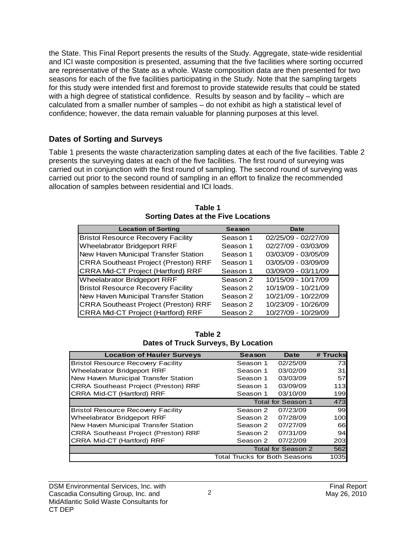the State. This Final Report presents the results of the Study. Aggregate, state-wide residential and ICI waste composition is presented, assuming that the five facilities where sorting occurred are representative of the State as a whole. Waste composition data are then presented for two seasons for each of the five facilities participating in the Study. Note that the sampling targets for this study were intended first and foremost to provide statewide results that could be stated with a high degree of statistical confidence. Results by season and by facility – which are calculated from a smaller number of samples – do not exhibit as high a statistical level of confidence; however, the data remain valuable for planning purposes at this level.

## **Dates of Sorting and Surveys**

Table 1 presents the waste characterization sampling dates at each of the five facilities. Table 2 presents the surveying dates at each of the five facilities. The first round of surveying was carried out in conjunction with the first round of sampling. The second round of surveying was carried out prior to the second round of sampling in an effort to finalize the recommended allocation of samples between residential and ICI loads.

| <b>Location of Sorting</b>                  | Season   | Date                |
|---------------------------------------------|----------|---------------------|
| <b>Bristol Resource Recovery Facility</b>   | Season 1 | 02/25/09 - 02/27/09 |
| Wheelabrator Bridgeport RRF                 | Season 1 | 02/27/09 - 03/03/09 |
| New Haven Municipal Transfer Station        | Season 1 | 03/03/09 - 03/05/09 |
| <b>CRRA Southeast Project (Preston) RRF</b> | Season 1 | 03/05/09 - 03/09/09 |
| <b>CRRA Mid-CT Project (Hartford) RRF</b>   | Season 1 | 03/09/09 - 03/11/09 |
| Wheelabrator Bridgeport RRF                 | Season 2 | 10/15/09 - 10/17/09 |
| <b>Bristol Resource Recovery Facility</b>   | Season 2 | 10/19/09 - 10/21/09 |
| New Haven Municipal Transfer Station        | Season 2 | 10/21/09 - 10/22/09 |
| <b>CRRA Southeast Project (Preston) RRF</b> | Season 2 | 10/23/09 - 10/26/09 |
| <b>CRRA Mid-CT Project (Hartford) RRF</b>   | Season 2 | 10/27/09 - 10/29/09 |

**Table 1 Sorting Dates at the Five Locations** 

| Table 2                                    |
|--------------------------------------------|
| <b>Dates of Truck Surveys, By Location</b> |

| <b>Location of Hauler Surveys</b>           | Season                               | Date               | # Trucks |
|---------------------------------------------|--------------------------------------|--------------------|----------|
| <b>Bristol Resource Recovery Facility</b>   | Season 1                             | 02/25/09           | 73       |
| <b>Wheelabrator Bridgeport RRF</b>          | Season 1                             | 03/02/09           | 31       |
| New Haven Municipal Transfer Station        | Season 1                             | 03/03/09           | 57       |
| <b>CRRA Southeast Project (Preston) RRF</b> | Season 1                             | 03/09/09           | 113      |
| CRRA Mid-CT (Hartford) RRF                  | Season 1                             | 03/10/09           | 199      |
|                                             |                                      | Total for Season 1 | 473      |
| <b>Bristol Resource Recovery Facility</b>   | Season 2                             | 07/23/09           | 99       |
| Wheelabrator Bridgeport RRF                 | Season 2                             | 07/28/09           | 100      |
| New Haven Municipal Transfer Station        | Season 2                             | 07/27/09           | 661      |
| <b>CRRA Southeast Project (Preston) RRF</b> | Season 2                             | 07/31/09           | 94       |
| CRRA Mid-CT (Hartford) RRF                  | Season 2                             | 07/22/09           | 203      |
|                                             |                                      | Total for Season 2 | 562      |
|                                             | <b>Total Trucks for Both Seasons</b> |                    | 1035     |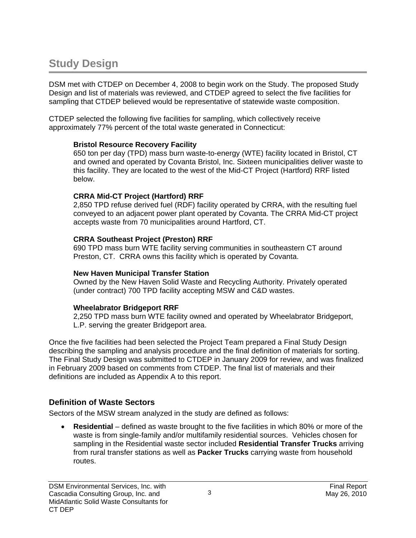## **Study Design**

DSM met with CTDEP on December 4, 2008 to begin work on the Study. The proposed Study Design and list of materials was reviewed, and CTDEP agreed to select the five facilities for sampling that CTDEP believed would be representative of statewide waste composition.

CTDEP selected the following five facilities for sampling, which collectively receive approximately 77% percent of the total waste generated in Connecticut:

#### **Bristol Resource Recovery Facility**

650 ton per day (TPD) mass burn waste-to-energy (WTE) facility located in Bristol, CT and owned and operated by Covanta Bristol, Inc. Sixteen municipalities deliver waste to this facility. They are located to the west of the Mid-CT Project (Hartford) RRF listed below.

#### **CRRA Mid-CT Project (Hartford) RRF**

2,850 TPD refuse derived fuel (RDF) facility operated by CRRA, with the resulting fuel conveyed to an adjacent power plant operated by Covanta. The CRRA Mid-CT project accepts waste from 70 municipalities around Hartford, CT.

#### **CRRA Southeast Project (Preston) RRF**

690 TPD mass burn WTE facility serving communities in southeastern CT around Preston, CT. CRRA owns this facility which is operated by Covanta.

#### **New Haven Municipal Transfer Station**

Owned by the New Haven Solid Waste and Recycling Authority. Privately operated (under contract) 700 TPD facility accepting MSW and C&D wastes.

#### **Wheelabrator Bridgeport RRF**

2,250 TPD mass burn WTE facility owned and operated by Wheelabrator Bridgeport, L.P. serving the greater Bridgeport area.

Once the five facilities had been selected the Project Team prepared a Final Study Design describing the sampling and analysis procedure and the final definition of materials for sorting. The Final Study Design was submitted to CTDEP in January 2009 for review, and was finalized in February 2009 based on comments from CTDEP. The final list of materials and their definitions are included as Appendix A to this report.

## **Definition of Waste Sectors**

Sectors of the MSW stream analyzed in the study are defined as follows:

• **Residential** – defined as waste brought to the five facilities in which 80% or more of the waste is from single-family and/or multifamily residential sources. Vehicles chosen for sampling in the Residential waste sector included **Residential Transfer Trucks** arriving from rural transfer stations as well as **Packer Trucks** carrying waste from household routes.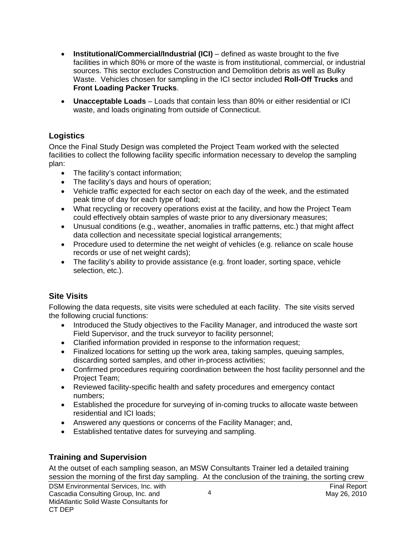- **Institutional/Commercial/Industrial (ICI)** defined as waste brought to the five facilities in which 80% or more of the waste is from institutional, commercial, or industrial sources. This sector excludes Construction and Demolition debris as well as Bulky Waste. Vehicles chosen for sampling in the ICI sector included **Roll-Off Trucks** and **Front Loading Packer Trucks**.
- **Unacceptable Loads**  Loads that contain less than 80% or either residential or ICI waste, and loads originating from outside of Connecticut.

## **Logistics**

Once the Final Study Design was completed the Project Team worked with the selected facilities to collect the following facility specific information necessary to develop the sampling plan:

- The facility's contact information;
- The facility's days and hours of operation;
- Vehicle traffic expected for each sector on each day of the week, and the estimated peak time of day for each type of load;
- What recycling or recovery operations exist at the facility, and how the Project Team could effectively obtain samples of waste prior to any diversionary measures;
- Unusual conditions (e.g., weather, anomalies in traffic patterns, etc.) that might affect data collection and necessitate special logistical arrangements;
- Procedure used to determine the net weight of vehicles (e.g. reliance on scale house records or use of net weight cards);
- The facility's ability to provide assistance (e.g. front loader, sorting space, vehicle selection, etc.).

## **Site Visits**

Following the data requests, site visits were scheduled at each facility. The site visits served the following crucial functions:

- Introduced the Study objectives to the Facility Manager, and introduced the waste sort Field Supervisor, and the truck surveyor to facility personnel;
- Clarified information provided in response to the information request;
- Finalized locations for setting up the work area, taking samples, queuing samples, discarding sorted samples, and other in-process activities;
- Confirmed procedures requiring coordination between the host facility personnel and the Project Team;
- Reviewed facility-specific health and safety procedures and emergency contact numbers;
- Established the procedure for surveying of in-coming trucks to allocate waste between residential and ICI loads;
- Answered any questions or concerns of the Facility Manager; and,
- Established tentative dates for surveying and sampling.

## **Training and Supervision**

DSM Environmental Services, Inc. with Final Report Final Report Final Report Cascadia Consulting Group, Inc. and May 26, 2010 May 26, 2010 MidAtlantic Solid Waste Consultants for CT DEP 4 At the outset of each sampling season, an MSW Consultants Trainer led a detailed training session the morning of the first day sampling. At the conclusion of the training, the sorting crew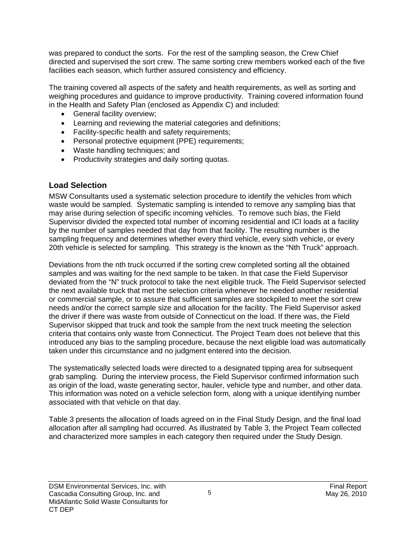was prepared to conduct the sorts. For the rest of the sampling season, the Crew Chief directed and supervised the sort crew. The same sorting crew members worked each of the five facilities each season, which further assured consistency and efficiency.

The training covered all aspects of the safety and health requirements, as well as sorting and weighing procedures and guidance to improve productivity. Training covered information found in the Health and Safety Plan (enclosed as Appendix C) and included:

- General facility overview;
- Learning and reviewing the material categories and definitions;
- Facility-specific health and safety requirements;
- Personal protective equipment (PPE) requirements;
- Waste handling techniques; and
- Productivity strategies and daily sorting quotas.

## **Load Selection**

MSW Consultants used a systematic selection procedure to identify the vehicles from which waste would be sampled. Systematic sampling is intended to remove any sampling bias that may arise during selection of specific incoming vehicles. To remove such bias, the Field Supervisor divided the expected total number of incoming residential and ICI loads at a facility by the number of samples needed that day from that facility. The resulting number is the sampling frequency and determines whether every third vehicle, every sixth vehicle, or every 20th vehicle is selected for sampling. This strategy is the known as the "Nth Truck" approach.

Deviations from the nth truck occurred if the sorting crew completed sorting all the obtained samples and was waiting for the next sample to be taken. In that case the Field Supervisor deviated from the "N" truck protocol to take the next eligible truck. The Field Supervisor selected the next available truck that met the selection criteria whenever he needed another residential or commercial sample, or to assure that sufficient samples are stockpiled to meet the sort crew needs and/or the correct sample size and allocation for the facility. The Field Supervisor asked the driver if there was waste from outside of Connecticut on the load. If there was, the Field Supervisor skipped that truck and took the sample from the next truck meeting the selection criteria that contains only waste from Connecticut. The Project Team does not believe that this introduced any bias to the sampling procedure, because the next eligible load was automatically taken under this circumstance and no judgment entered into the decision.

The systematically selected loads were directed to a designated tipping area for subsequent grab sampling. During the interview process, the Field Supervisor confirmed information such as origin of the load, waste generating sector, hauler, vehicle type and number, and other data. This information was noted on a vehicle selection form, along with a unique identifying number associated with that vehicle on that day.

Table 3 presents the allocation of loads agreed on in the Final Study Design, and the final load allocation after all sampling had occurred. As illustrated by Table 3, the Project Team collected and characterized more samples in each category then required under the Study Design.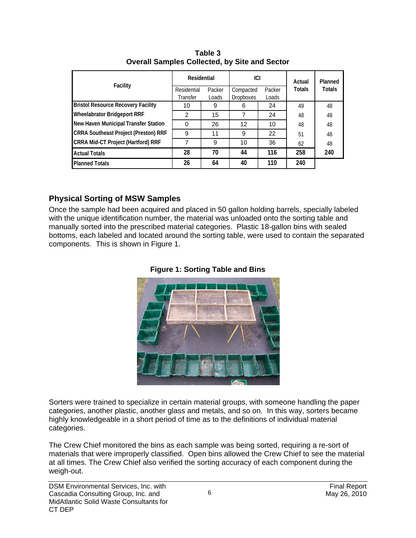|                                             | Residential |        | ici              |        | Actual        | Planned       |
|---------------------------------------------|-------------|--------|------------------|--------|---------------|---------------|
| Facility                                    | Residential | Packer | Compacted        | Packer | <b>Totals</b> | <b>Totals</b> |
|                                             | Transfer    | Loads  | <b>Dropboxes</b> | Loads  |               |               |
| <b>Bristol Resource Recovery Facility</b>   | 10          | 9      | 6                | 24     | 49            | 48            |
| <b>Wheelabrator Bridgeport RRF</b>          | 2           | 15     |                  | 24     | 48            | 48            |
| New Haven Municipal Transfer Station        | $\Omega$    | 26     | 12               | 10     | 48            | 48            |
| <b>CRRA Southeast Project (Preston) RRF</b> | 9           | 11     | 9                | 22     | 51            | 48            |
| CRRA Mid-CT Project (Hartford) RRF          |             | 9      | 10               | 36     | 62            | 48            |
| <b>Actual Totals</b>                        | 28          | 70     | 44               | 116    | 258           | 240           |
| <b>Planned Totals</b>                       | 26          | 64     | 40               | 110    | 240           |               |

**Table 3 Overall Samples Collected, by Site and Sector** 

## **Physical Sorting of MSW Samples**

Once the sample had been acquired and placed in 50 gallon holding barrels, specially labeled with the unique identification number, the material was unloaded onto the sorting table and manually sorted into the prescribed material categories. Plastic 18-gallon bins with sealed bottoms, each labeled and located around the sorting table, were used to contain the separated components. This is shown in Figure 1.





Sorters were trained to specialize in certain material groups, with someone handling the paper categories, another plastic, another glass and metals, and so on. In this way, sorters became highly knowledgeable in a short period of time as to the definitions of individual material categories.

The Crew Chief monitored the bins as each sample was being sorted, requiring a re-sort of materials that were improperly classified. Open bins allowed the Crew Chief to see the material at all times. The Crew Chief also verified the sorting accuracy of each component during the weigh-out.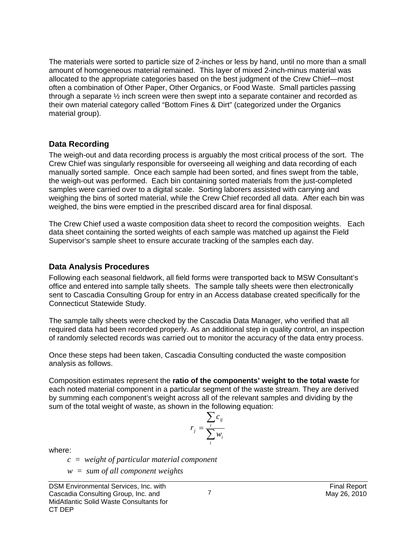The materials were sorted to particle size of 2-inches or less by hand, until no more than a small amount of homogeneous material remained. This layer of mixed 2-inch-minus material was allocated to the appropriate categories based on the best judgment of the Crew Chief—most often a combination of Other Paper, Other Organics, or Food Waste. Small particles passing through a separate ½ inch screen were then swept into a separate container and recorded as their own material category called "Bottom Fines & Dirt" (categorized under the Organics material group).

### **Data Recording**

The weigh-out and data recording process is arguably the most critical process of the sort. The Crew Chief was singularly responsible for overseeing all weighing and data recording of each manually sorted sample. Once each sample had been sorted, and fines swept from the table, the weigh-out was performed. Each bin containing sorted materials from the just-completed samples were carried over to a digital scale. Sorting laborers assisted with carrying and weighing the bins of sorted material, while the Crew Chief recorded all data. After each bin was weighed, the bins were emptied in the prescribed discard area for final disposal.

The Crew Chief used a waste composition data sheet to record the composition weights. Each data sheet containing the sorted weights of each sample was matched up against the Field Supervisor's sample sheet to ensure accurate tracking of the samples each day.

## **Data Analysis Procedures**

Following each seasonal fieldwork, all field forms were transported back to MSW Consultant's office and entered into sample tally sheets. The sample tally sheets were then electronically sent to Cascadia Consulting Group for entry in an Access database created specifically for the Connecticut Statewide Study.

The sample tally sheets were checked by the Cascadia Data Manager, who verified that all required data had been recorded properly. As an additional step in quality control, an inspection of randomly selected records was carried out to monitor the accuracy of the data entry process.

Once these steps had been taken, Cascadia Consulting conducted the waste composition analysis as follows.

Composition estimates represent the **ratio of the components' weight to the total waste** for each noted material component in a particular segment of the waste stream. They are derived by summing each component's weight across all of the relevant samples and dividing by the sum of the total weight of waste, as shown in the following equation:

$$
r_j = \frac{\sum_i c_{ij}}{\sum_i w_i}
$$

where:

 *c = weight of particular material component* 

 *w = sum of all component weights*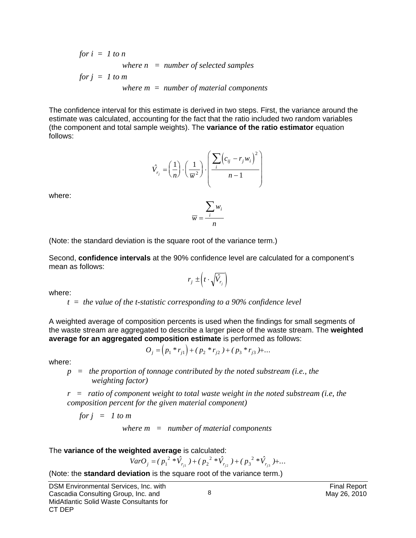for 
$$
i = 1
$$
 to  $n$   
where  $n =$  number of selected samples  
for  $j = 1$  to  $m$   
where  $m =$  number of material components

The confidence interval for this estimate is derived in two steps. First, the variance around the estimate was calculated, accounting for the fact that the ratio included two random variables (the component and total sample weights). The **variance of the ratio estimator** equation follows:

$$
\hat{V}_{r_j} = \left(\frac{1}{n}\right) \cdot \left(\frac{1}{\overline{w}^2}\right) \cdot \left(\frac{\sum_i \left(c_{ij} - r_j w_i\right)^2}{n - 1}\right)
$$

*w*

*i*

*n*

where:

(Note: the standard deviation is the square root of the variance term.)

Second, **confidence intervals** at the 90% confidence level are calculated for a component's mean as follows:

*w*

 $=$  $\frac{i}{i}$ ∑

$$
r_j \pm \left(t \cdot \sqrt{\hat{V}_{r_j}}\right)
$$

where:

 *t = the value of the t-statistic corresponding to a 90% confidence level* 

A weighted average of composition percents is used when the findings for small segments of the waste stream are aggregated to describe a larger piece of the waste stream. The **weighted average for an aggregated composition estimate** is performed as follows:

$$
O_j = (p_1 * r_{j1}) + (p_2 * r_{j2}) + (p_3 * r_{j3}) + \dots
$$

where:

 *p = the proportion of tonnage contributed by the noted substream (i.e., the weighting factor)* 

*r = ratio of component weight to total waste weight in the noted substream (i.e, the composition percent for the given material component)* 

*for j = 1 to m* 

 *where m = number of material components* 

#### The **variance of the weighted average** is calculated:

 $VarO_j = (p_1^{2} * \hat{V}_{r_{j1}}) + (p_2^{2} * \hat{V}_{r_{j2}}) + (p_3^{2} * \hat{V}_{r_{j3}}) + ...$ 1'  $I_1$   $I_2$   $I_{j2}$   $I_3$   $I_{j3}$ 

(Note: the **standard deviation** is the square root of the variance term.)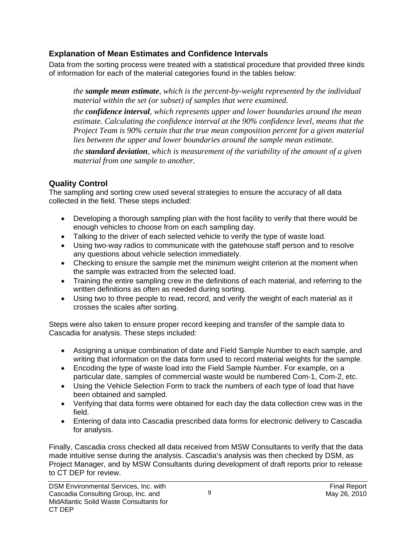## **Explanation of Mean Estimates and Confidence Intervals**

Data from the sorting process were treated with a statistical procedure that provided three kinds of information for each of the material categories found in the tables below:

*the sample mean estimate, which is the percent-by-weight represented by the individual material within the set (or subset) of samples that were examined.* 

*the confidence interval, which represents upper and lower boundaries around the mean estimate. Calculating the confidence interval at the 90% confidence level, means that the Project Team is 90% certain that the true mean composition percent for a given material lies between the upper and lower boundaries around the sample mean estimate.* 

*the standard deviation, which is measurement of the variability of the amount of a given material from one sample to another.*

## **Quality Control**

The sampling and sorting crew used several strategies to ensure the accuracy of all data collected in the field. These steps included:

- Developing a thorough sampling plan with the host facility to verify that there would be enough vehicles to choose from on each sampling day.
- Talking to the driver of each selected vehicle to verify the type of waste load.
- Using two-way radios to communicate with the gatehouse staff person and to resolve any questions about vehicle selection immediately.
- Checking to ensure the sample met the minimum weight criterion at the moment when the sample was extracted from the selected load.
- Training the entire sampling crew in the definitions of each material, and referring to the written definitions as often as needed during sorting.
- Using two to three people to read, record, and verify the weight of each material as it crosses the scales after sorting.

Steps were also taken to ensure proper record keeping and transfer of the sample data to Cascadia for analysis. These steps included:

- Assigning a unique combination of date and Field Sample Number to each sample, and writing that information on the data form used to record material weights for the sample.
- Encoding the type of waste load into the Field Sample Number. For example, on a particular date, samples of commercial waste would be numbered Com-1, Com-2, etc.
- Using the Vehicle Selection Form to track the numbers of each type of load that have been obtained and sampled.
- Verifying that data forms were obtained for each day the data collection crew was in the field.
- Entering of data into Cascadia prescribed data forms for electronic delivery to Cascadia for analysis.

Finally, Cascadia cross checked all data received from MSW Consultants to verify that the data made intuitive sense during the analysis. Cascadia's analysis was then checked by DSM, as Project Manager, and by MSW Consultants during development of draft reports prior to release to CT DEP for review.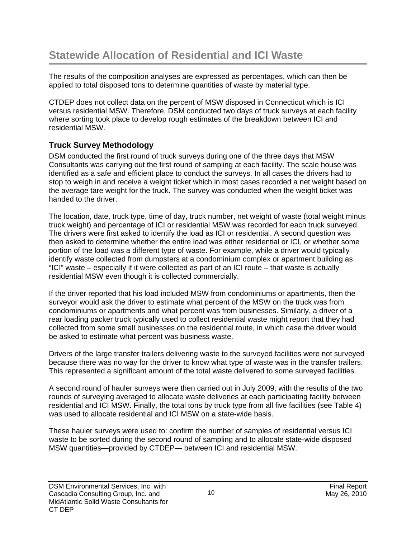The results of the composition analyses are expressed as percentages, which can then be applied to total disposed tons to determine quantities of waste by material type.

CTDEP does not collect data on the percent of MSW disposed in Connecticut which is ICI versus residential MSW. Therefore, DSM conducted two days of truck surveys at each facility where sorting took place to develop rough estimates of the breakdown between ICI and residential MSW.

## **Truck Survey Methodology**

DSM conducted the first round of truck surveys during one of the three days that MSW Consultants was carrying out the first round of sampling at each facility. The scale house was identified as a safe and efficient place to conduct the surveys. In all cases the drivers had to stop to weigh in and receive a weight ticket which in most cases recorded a net weight based on the average tare weight for the truck. The survey was conducted when the weight ticket was handed to the driver.

The location, date, truck type, time of day, truck number, net weight of waste (total weight minus truck weight) and percentage of ICI or residential MSW was recorded for each truck surveyed. The drivers were first asked to identify the load as ICI or residential. A second question was then asked to determine whether the entire load was either residential or ICI, or whether some portion of the load was a different type of waste. For example, while a driver would typically identify waste collected from dumpsters at a condominium complex or apartment building as "ICI" waste – especially if it were collected as part of an ICI route – that waste is actually residential MSW even though it is collected commercially.

If the driver reported that his load included MSW from condominiums or apartments, then the surveyor would ask the driver to estimate what percent of the MSW on the truck was from condominiums or apartments and what percent was from businesses. Similarly, a driver of a rear loading packer truck typically used to collect residential waste might report that they had collected from some small businesses on the residential route, in which case the driver would be asked to estimate what percent was business waste.

Drivers of the large transfer trailers delivering waste to the surveyed facilities were not surveyed because there was no way for the driver to know what type of waste was in the transfer trailers. This represented a significant amount of the total waste delivered to some surveyed facilities.

A second round of hauler surveys were then carried out in July 2009, with the results of the two rounds of surveying averaged to allocate waste deliveries at each participating facility between residential and ICI MSW. Finally, the total tons by truck type from all five facilities (see Table 4) was used to allocate residential and ICI MSW on a state-wide basis.

These hauler surveys were used to: confirm the number of samples of residential versus ICI waste to be sorted during the second round of sampling and to allocate state-wide disposed MSW quantities—provided by CTDEP— between ICI and residential MSW.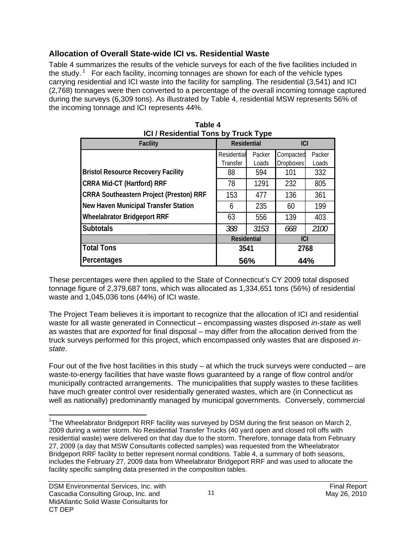## **Allocation of Overall State-wide ICI vs. Residential Waste**

Table 4 summarizes the results of the vehicle surveys for each of the five facilities included in the study.<sup>1</sup> For each facility, incoming tonnages are shown for each of the vehicle types carrying residential and ICI waste into the facility for sampling. The residential (3,541) and ICI (2,768) tonnages were then converted to a percentage of the overall incoming tonnage captured during the surveys (6,309 tons). As illustrated by Table 4, residential MSW represents 56% of the incoming tonnage and ICI represents 44%.

| <b>IGT/Residential Tons by Truck Type</b>      |                    |        |                  |        |  |  |  |  |
|------------------------------------------------|--------------------|--------|------------------|--------|--|--|--|--|
| <b>Facility</b>                                | <b>Residential</b> |        | <b>ICI</b>       |        |  |  |  |  |
|                                                | Residential        | Packer | Compacted        | Packer |  |  |  |  |
|                                                | Transfer           | Loads  | <b>Dropboxes</b> | Loads  |  |  |  |  |
| <b>Bristol Resource Recovery Facility</b>      | 88                 | 594    | 101              | 332    |  |  |  |  |
| <b>CRRA Mid-CT (Hartford) RRF</b>              | 78                 | 1291   | 232              | 805    |  |  |  |  |
| <b>CRRA Southeastern Project (Preston) RRF</b> | 153                | 477    | 136              | 361    |  |  |  |  |
| <b>New Haven Municipal Transfer Station</b>    | 6                  | 235    | 60               | 199    |  |  |  |  |
| <b>Wheelabrator Bridgeport RRF</b>             | 63                 | 556    | 139              | 403    |  |  |  |  |
| <b>Subtotals</b>                               | 388                | 3153   | 668              | 2100   |  |  |  |  |
|                                                | <b>Residential</b> |        | <b>ICI</b>       |        |  |  |  |  |
| <b>Total Tons</b>                              | 3541               |        | 2768             |        |  |  |  |  |
| Percentages                                    | 56%                |        | 44%              |        |  |  |  |  |

| Table 4                                     |  |  |  |  |  |
|---------------------------------------------|--|--|--|--|--|
| <b>ICI / Residential Tons by Truck Type</b> |  |  |  |  |  |

These percentages were then applied to the State of Connecticut's CY 2009 total disposed tonnage figure of 2,379,687 tons, which was allocated as 1,334,651 tons (56%) of residential waste and 1,045,036 tons (44%) of ICI waste.

The Project Team believes it is important to recognize that the allocation of ICI and residential waste for all waste generated in Connecticut – encompassing wastes disposed *in-state* as well as wastes that are *exported* for final disposal – may differ from the allocation derived from the truck surveys performed for this project, which encompassed only wastes that are disposed *instate*.

Four out of the five host facilities in this study – at which the truck surveys were conducted – are waste-to-energy facilities that have waste flows guaranteed by a range of flow control and/or municipally contracted arrangements. The municipalities that supply wastes to these facilities have much greater control over residentially generated wastes, which are (in Connecticut as well as nationally) predominantly managed by municipal governments. Conversely, commercial

11

 $\overline{a}$ <sup>1</sup>The Wheelabrator Bridgeport RRF facility was surveyed by DSM during the first season on March 2, 2009 during a winter storm. No Residential Transfer Trucks (40 yard open and closed roll offs with residential waste) were delivered on that day due to the storm. Therefore, tonnage data from February 27, 2009 (a day that MSW Consultants collected samples) was requested from the Wheelabrator Bridgeport RRF facility to better represent normal conditions. Table 4, a summary of both seasons, includes the February 27, 2009 data from Wheelabrator Bridgeport RRF and was used to allocate the facility specific sampling data presented in the composition tables.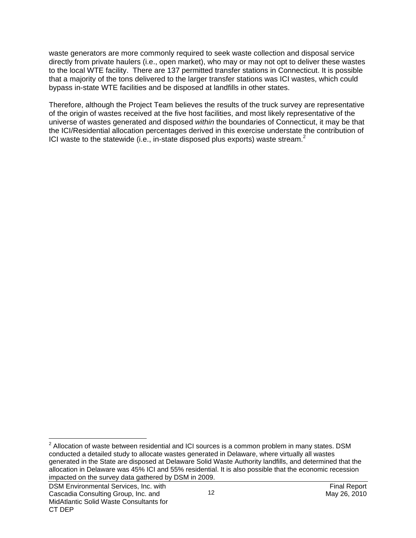waste generators are more commonly required to seek waste collection and disposal service directly from private haulers (i.e., open market), who may or may not opt to deliver these wastes to the local WTE facility. There are 137 permitted transfer stations in Connecticut. It is possible that a majority of the tons delivered to the larger transfer stations was ICI wastes, which could bypass in-state WTE facilities and be disposed at landfills in other states.

Therefore, although the Project Team believes the results of the truck survey are representative of the origin of wastes received at the five host facilities, and most likely representative of the universe of wastes generated and disposed *within* the boundaries of Connecticut, it may be that the ICI/Residential allocation percentages derived in this exercise understate the contribution of ICI waste to the statewide (i.e., in-state disposed plus exports) waste stream.<sup>2</sup>

 $\overline{a}$  $^2$  Allocation of waste between residential and ICI sources is a common problem in many states. DSM conducted a detailed study to allocate wastes generated in Delaware, where virtually all wastes generated in the State are disposed at Delaware Solid Waste Authority landfills, and determined that the allocation in Delaware was 45% ICI and 55% residential. It is also possible that the economic recession impacted on the survey data gathered by DSM in 2009.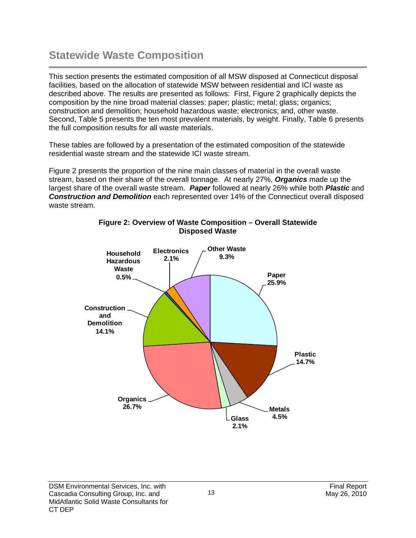## **Statewide Waste Composition**

This section presents the estimated composition of all MSW disposed at Connecticut disposal facilities, based on the allocation of statewide MSW between residential and ICI waste as described above. The results are presented as follows: First, Figure 2 graphically depicts the composition by the nine broad material classes: paper; plastic; metal; glass; organics; construction and demolition; household hazardous waste; electronics; and, other waste. Second, Table 5 presents the ten most prevalent materials, by weight. Finally, Table 6 presents the full composition results for all waste materials.

These tables are followed by a presentation of the estimated composition of the statewide residential waste stream and the statewide ICI waste stream.

Figure 2 presents the proportion of the nine main classes of material in the overall waste stream, based on their share of the overall tonnage. At nearly 27%, *Organics* made up the largest share of the overall waste stream. *Paper* followed at nearly 26% while both *Plastic* and *Construction and Demolition* each represented over 14% of the Connecticut overall disposed waste stream.



### **Figure 2: Overview of Waste Composition – Overall Statewide Disposed Waste**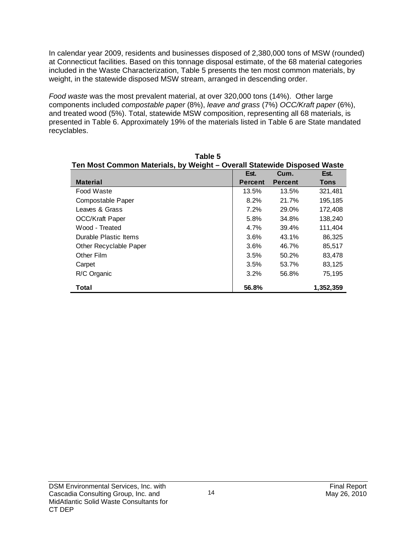In calendar year 2009, residents and businesses disposed of 2,380,000 tons of MSW (rounded) at Connecticut facilities. Based on this tonnage disposal estimate, of the 68 material categories included in the Waste Characterization, Table 5 presents the ten most common materials, by weight, in the statewide disposed MSW stream, arranged in descending order.

*Food waste* was the most prevalent material, at over 320,000 tons (14%). Other large components included *compostable paper* (8%), *leave and grass* (7%) *OCC/Kraft paper* (6%), and treated wood (5%). Total, statewide MSW composition, representing all 68 materials, is presented in Table 6. Approximately 19% of the materials listed in Table 6 are State mandated recyclables.

**Table 5** 

| Ten Most Common Materials, by Weight - Overall Statewide Disposed Waste |                |                |             |  |  |  |  |  |  |
|-------------------------------------------------------------------------|----------------|----------------|-------------|--|--|--|--|--|--|
|                                                                         | Est.           | Cum.           | Est.        |  |  |  |  |  |  |
| <b>Material</b>                                                         | <b>Percent</b> | <b>Percent</b> | <b>Tons</b> |  |  |  |  |  |  |
| Food Waste                                                              | 13.5%          | 13.5%          | 321,481     |  |  |  |  |  |  |
| Compostable Paper                                                       | 8.2%           | 21.7%          | 195,185     |  |  |  |  |  |  |
| Leaves & Grass                                                          | 7.2%           | 29.0%          | 172,408     |  |  |  |  |  |  |
| OCC/Kraft Paper                                                         | 5.8%           | 34.8%          | 138,240     |  |  |  |  |  |  |
| Wood - Treated                                                          | 4.7%           | 39.4%          | 111,404     |  |  |  |  |  |  |
| Durable Plastic Items                                                   | 3.6%           | 43.1%          | 86,325      |  |  |  |  |  |  |
| <b>Other Recyclable Paper</b>                                           | 3.6%           | 46.7%          | 85,517      |  |  |  |  |  |  |
| Other Film                                                              | 3.5%           | 50.2%          | 83,478      |  |  |  |  |  |  |
| Carpet                                                                  | 3.5%           | 53.7%          | 83,125      |  |  |  |  |  |  |
| R/C Organic                                                             | 3.2%           | 56.8%          | 75,195      |  |  |  |  |  |  |
| Total                                                                   | 56.8%          |                | 1,352,359   |  |  |  |  |  |  |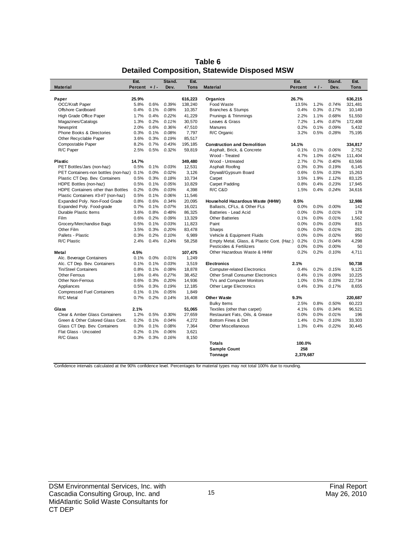| <b>Material</b>                           | Est.<br>Percent $+/-$ |      | Stand.<br>Dev. | Est.<br><b>Tons</b> | <b>Material</b>                            | Est.<br><b>Percent</b> | $+1-$ | Stand.<br>Dev. | Est.<br><b>Tons</b> |
|-------------------------------------------|-----------------------|------|----------------|---------------------|--------------------------------------------|------------------------|-------|----------------|---------------------|
|                                           |                       |      |                |                     |                                            |                        |       |                |                     |
| Paper                                     | 25.9%                 |      |                | 616,223             | Organics                                   | 26.7%                  |       |                | 636,215             |
| OCC/Kraft Paper                           | 5.8%                  | 0.6% | 0.39%          | 138,240             | Food Waste                                 | 13.5%                  | 1.2%  | 0.74%          | 321,481             |
| Offshore Cardboard                        | 0.4%                  | 0.1% | 0.08%          | 10,357              | Branches & Stumps                          | 0.4%                   | 0.3%  | 0.17%          | 10,149              |
| High Grade Office Paper                   | 1.7%                  | 0.4% | 0.22%          | 41,229              | Prunings & Trimmings                       | 2.2%                   | 1.1%  | 0.68%          | 51,550              |
| Magazines/Catalogs                        | 1.3%                  | 0.2% | 0.11%          | 30,570              | Leaves & Grass                             | 7.2%                   | 1.4%  | 0.87%          | 172,408             |
| Newsprint                                 | 2.0%                  | 0.6% | 0.36%          | 47,510              | <b>Manures</b>                             | 0.2%                   | 0.1%  | 0.09%          | 5,432               |
| Phone Books & Directories                 | 0.3%                  | 0.1% | 0.08%          | 7,797               | R/C Organic                                | 3.2%                   | 0.5%  | 0.28%          | 75,195              |
| Other Recyclable Paper                    | 3.6%                  | 0.3% | 0.19%          | 85,517              |                                            |                        |       |                |                     |
| Compostable Paper                         | 8.2%                  | 0.7% | 0.43%          | 195,185             | <b>Construction and Demolition</b>         | 14.1%                  |       |                | 334,817             |
| R/C Paper                                 | 2.5%                  | 0.5% | 0.32%          | 59,819              | Asphalt, Brick, & Concrete                 | 0.1%                   | 0.1%  | 0.06%          | 2,752               |
|                                           |                       |      |                |                     | Wood - Treated                             | 4.7%                   | 1.0%  | 0.62%          | 111,404             |
| <b>Plastic</b>                            | 14.7%                 |      |                | 349,480             | Wood - Untreated                           | 2.7%                   | 0.7%  | 0.40%          | 63,566              |
| PET Bottles/Jars (non-haz)                | 0.5%                  | 0.1% | 0.03%          | 12,531              | Asphalt Roofing                            | 0.3%                   | 0.3%  | 0.19%          | 6,145               |
| PET Containers-non bottles (non-haz) 0.1% |                       | 0.0% | 0.02%          | 3,126               | Drywall/Gypsum Board                       | 0.6%                   | 0.5%  | 0.33%          | 15,263              |
| Plastic CT Dep. Bev. Containers           | 0.5%                  | 0.3% | 0.18%          | 10,734              | Carpet                                     | 3.5%                   | 1.9%  | 1.12%          | 83,125              |
| HDPE Bottles (non-haz)                    | 0.5%                  | 0.1% | 0.05%          | 10,829              | Carpet Padding                             | 0.8%                   | 0.4%  | 0.23%          | 17,945              |
| HDPE Containers other than Bottles        | 0.2%                  | 0.0% | 0.03%          | 4,398               | R/C C&D                                    | 1.5%                   | 0.4%  | 0.24%          | 34,616              |
| Plastic Containers #3-#7 (non-haz)        | 0.5%                  | 0.1% | 0.06%          | 11,546              |                                            |                        |       |                |                     |
| Expanded Poly. Non-Food Grade             | 0.8%                  | 0.6% | 0.34%          | 20,095              | Household Hazardous Waste (HHW)            | 0.5%                   |       |                | 12,986              |
| Expanded Poly. Food-grade                 | 0.7%                  | 0.1% | 0.07%          | 16,021              | Ballasts, CFLs, & Other FLs                | 0.0%                   | 0.0%  | 0.00%          | 142                 |
| Durable Plastic Items                     | 3.6%                  | 0.8% | 0.48%          | 86,325              | Batteries - Lead Acid                      | 0.0%                   | 0.0%  | 0.01%          | 178                 |
| Film                                      | 0.6%                  | 0.2% | 0.09%          | 13.329              | <b>Other Batteries</b>                     | 0.1%                   | 0.0%  | 0.01%          | 1.562               |
| Grocery/Merchandise Bags                  | 0.5%                  | 0.1% | 0.03%          | 11,823              | Paint                                      | 0.0%                   | 0.0%  | 0.03%          | 815                 |
| Other Film                                | 3.5%                  | 0.3% | 0.20%          | 83,478              | Sharps                                     | 0.0%                   | 0.0%  | 0.01%          | 281                 |
| Pallets - Plastic                         | 0.3%                  | 0.2% | 0.10%          | 6,989               | Vehicle & Equipment Fluids                 | 0.0%                   | 0.0%  | 0.02%          | 950                 |
| R/C Plastic                               | 2.4%                  | 0.4% | 0.24%          | 58,258              | Empty Metal, Glass, & Plastic Cont. (Haz.) | 0.2%                   | 0.1%  | 0.04%          | 4.298               |
|                                           |                       |      |                |                     | Pesticides & Fertilizers                   | 0.0%                   | 0.0%  | 0.00%          | 50                  |
| Metal                                     | 4.5%                  |      |                | 107,475             | Other Hazardous Waste & HHW                | 0.2%                   | 0.2%  | 0.10%          | 4.711               |
| Alc. Beverage Containers                  | 0.1%                  | 0.0% | 0.01%          | 1,249               |                                            |                        |       |                |                     |
| Alc. CT Dep. Bev. Containers              | 0.1%                  | 0.1% | 0.03%          | 3,519               | <b>Electronics</b>                         | 2.1%                   |       |                | 50,738              |
| <b>Tin/Steel Containers</b>               | 0.8%                  | 0.1% | 0.08%          | 18,878              | <b>Computer-related Electronics</b>        | 0.4%                   | 0.2%  | 0.15%          | 9.125               |
| Other Ferrous                             | 1.6%                  | 0.4% | 0.27%          | 38,452              | <b>Other Small Consumer Electronics</b>    | 0.4%                   | 0.1%  | 0.09%          | 10,225              |
| Other Non-Ferrous                         | 0.6%                  | 0.3% | 0.20%          | 14,936              | TVs and Computer Monitors                  | 1.0%                   | 0.5%  | 0.33%          | 22,734              |
| Appliances                                | 0.5%                  | 0.3% | 0.19%          | 12,185              | <b>Other Large Electronics</b>             | 0.4%                   | 0.3%  | 0.17%          | 8,655               |
| <b>Compressed Fuel Containers</b>         | 0.1%                  | 0.1% | 0.05%          | 1,849               |                                            |                        |       |                |                     |
| R/C Metal                                 | 0.7%                  | 0.2% | 0.14%          | 16,408              | <b>Other Waste</b>                         | 9.3%                   |       |                | 220,687             |
|                                           |                       |      |                |                     | <b>Bulky Items</b>                         | 2.5%                   | 0.8%  | 0.50%          | 60,223              |
| Glass                                     | 2.1%                  |      |                | 51,065              | Textiles (other than carpet)               | 4.1%                   | 0.6%  | 0.34%          | 96,521              |
| Clear & Amber Glass Containers            | 1.2%                  | 0.5% | 0.30%          | 27,659              | Restaurant Fats, Oils, & Grease            | 0.0%                   | 0.0%  | 0.01%          | 196                 |
| Green & Other Colored Glass Cont.         | 0.2%                  | 0.1% | 0.04%          | 4,272               | Bottom Fines & Dirt                        | 1.4%                   | 0.2%  | 0.10%          | 33,303              |
| Glass CT Dep. Bev. Containers             | 0.3%                  | 0.1% | 0.08%          | 7,364               | <b>Other Miscellaneous</b>                 | 1.3%                   | 0.4%  | 0.22%          | 30,445              |
| Flat Glass - Uncoated                     | 0.2%                  | 0.1% | 0.06%          | 3,621               |                                            |                        |       |                |                     |
| R/C Glass                                 | 0.3%                  | 0.3% | 0.16%          | 8,150               |                                            |                        |       |                |                     |
|                                           |                       |      |                |                     | <b>Totals</b>                              | 100.0%                 |       |                |                     |
|                                           |                       |      |                |                     | <b>Sample Count</b>                        | 258                    |       |                |                     |
|                                           |                       |      |                |                     | Tonnage                                    | 2.379.687              |       |                |                     |

**Table 6 Detailed Composition, Statewide Disposed MSW**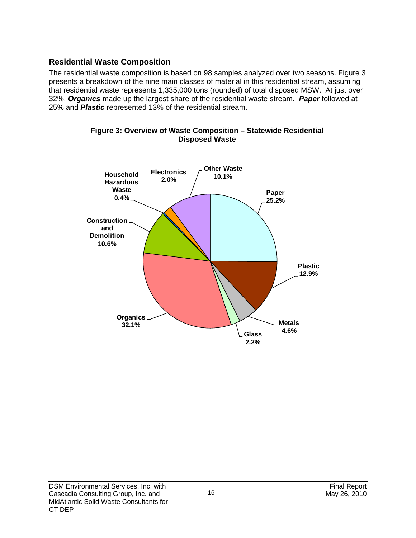## **Residential Waste Composition**

The residential waste composition is based on 98 samples analyzed over two seasons. Figure 3 presents a breakdown of the nine main classes of material in this residential stream, assuming that residential waste represents 1,335,000 tons (rounded) of total disposed MSW. At just over 32%, *Organics* made up the largest share of the residential waste stream. *Paper* followed at 25% and *Plastic* represented 13% of the residential stream.



**Figure 3: Overview of Waste Composition – Statewide Residential Disposed Waste**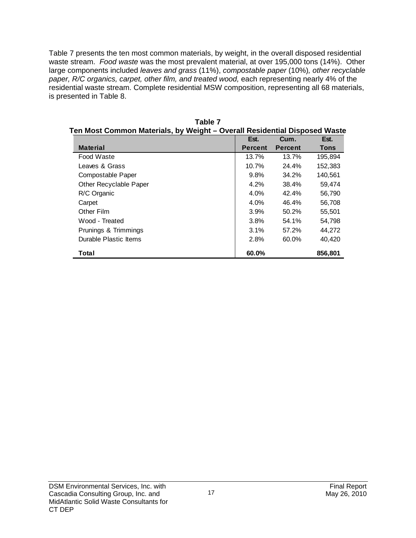Table 7 presents the ten most common materials, by weight, in the overall disposed residential waste stream. *Food waste* was the most prevalent material, at over 195,000 tons (14%). Other large components included *leaves and grass* (11%), *compostable paper* (10%)*, other recyclable*  paper, R/C organics, carpet, other film, and treated wood, each representing nearly 4% of the residential waste stream. Complete residential MSW composition, representing all 68 materials, is presented in Table 8.

| en most Common materials, by Weight – Overall Residential Disposed Waste |                |                |             |  |  |  |  |  |
|--------------------------------------------------------------------------|----------------|----------------|-------------|--|--|--|--|--|
|                                                                          | Est.           | Cum.           | Est.        |  |  |  |  |  |
| <b>Material</b>                                                          | <b>Percent</b> | <b>Percent</b> | <b>Tons</b> |  |  |  |  |  |
| Food Waste                                                               | 13.7%          | 13.7%          | 195,894     |  |  |  |  |  |
| Leaves & Grass                                                           | 10.7%          | 24.4%          | 152,383     |  |  |  |  |  |
| Compostable Paper                                                        | 9.8%           | 34.2%          | 140,561     |  |  |  |  |  |
| Other Recyclable Paper                                                   | 4.2%           | 38.4%          | 59,474      |  |  |  |  |  |
| R/C Organic                                                              | 4.0%           | 42.4%          | 56,790      |  |  |  |  |  |
| Carpet                                                                   | 4.0%           | 46.4%          | 56,708      |  |  |  |  |  |
| Other Film                                                               | 3.9%           | 50.2%          | 55,501      |  |  |  |  |  |
| Wood - Treated                                                           | 3.8%           | 54.1%          | 54,798      |  |  |  |  |  |
| Prunings & Trimmings                                                     | 3.1%           | 57.2%          | 44,272      |  |  |  |  |  |
| Durable Plastic Items                                                    | 2.8%           | 60.0%          | 40,420      |  |  |  |  |  |
| Total                                                                    | 60.0%          |                | 856,801     |  |  |  |  |  |

| Table 7                                                                   |
|---------------------------------------------------------------------------|
| Ten Most Common Materials, by Weight – Overall Residential Disposed Waste |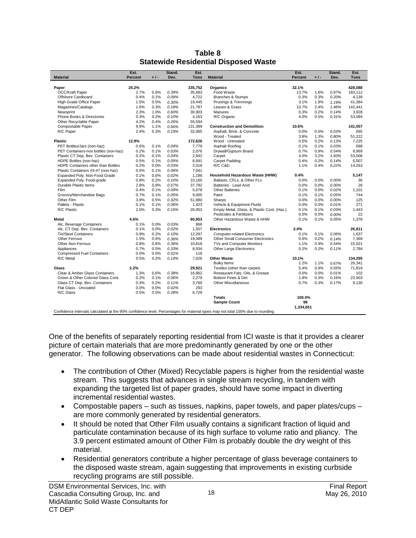|                                                                                                                                 | Est.           |       | Stand. | Est.        |                                            | Est.      |       | Stand. | Est.        |
|---------------------------------------------------------------------------------------------------------------------------------|----------------|-------|--------|-------------|--------------------------------------------|-----------|-------|--------|-------------|
| <b>Material</b>                                                                                                                 | <b>Percent</b> | $+1-$ | Dev.   | <b>Tons</b> | <b>Material</b>                            | Percent   | $+1-$ | Dev.   | <b>Tons</b> |
|                                                                                                                                 |                |       |        |             |                                            |           |       |        |             |
| Paper                                                                                                                           | 25.2%          |       |        | 335,752     | Organics                                   | 32.1%     |       |        | 428,088     |
| <b>OCC/Kraft Paper</b>                                                                                                          | 2.7%           | 0.6%  | 0.39%  | 35.683      | Food Waste                                 | 13.7%     | 1.6%  | 0.97%  | 183.112     |
| Offshore Cardboard                                                                                                              | 0.4%           | 0.1%  | 0.09%  | 4,722       | Branches & Stumps                          | 0.3%      | 0.3%  | 0.20%  | 4,139       |
| High Grade Office Paper                                                                                                         | 1.5%           | 0.5%  | 0.30%  | 19,445      | Prunings & Trimmings                       | 3.1%      | 1.9%  | 1.19%  | 41.384      |
| Magazines/Catalogs                                                                                                              | 1.6%           | 0.3%  | 0.18%  | 21,787      | Leaves & Grass                             | 10.7%     | 2.4%  | 1.46%  | 142,441     |
| Newsprint                                                                                                                       | 2.3%           | 1.0%  | 0.60%  | 30,903      | Manures                                    | 0.3%      | 0.2%  | 0.14%  | 3,928       |
| Phone Books & Directories                                                                                                       | 0.3%           | 0.2%  | 0.10%  | 4,163       | R/C Organic                                | 4.0%      | 0.5%  | 0.31%  | 53,084      |
| Other Recyclable Paper                                                                                                          | 4.2%           | 0.4%  | 0.26%  | 55,594      |                                            |           |       |        |             |
| Compostable Paper                                                                                                               | 9.8%           | 1.1%  | 0.66%  | 131,389     | <b>Construction and Demolition</b>         | 10.6%     |       |        | 141,057     |
| R/C Paper                                                                                                                       | 2.4%           | 0.3%  | 0.19%  | 32,065      | Asphalt, Brick, & Concrete                 | 0.0%      | 0.0%  | 0.03%  | 665         |
|                                                                                                                                 |                |       |        |             | Wood - Treated                             | 3.8%      | 1.3%  | 0.80%  | 51.222      |
| <b>Plastic</b>                                                                                                                  | 12.9%          |       |        | 172,626     | Wood - Untreated                           | 0.5%      | 0.2%  | 0.13%  | 7,225       |
| PET Bottles/Jars (non-haz)                                                                                                      | 0.6%           | 0.1%  | 0.04%  | 7,779       | Asphalt Roofing                            | 0.1%      | 0.1%  | 0.03%  | 698         |
| PET Containers-non bottles (non-haz)                                                                                            | 0.2%           | 0.1%  | 0.03%  | 2,076       | Drywall/Gypsum Board                       | 0.7%      | 0.9%  | 0.54%  | 8,969       |
| Plastic CT Dep. Bev. Containers                                                                                                 | 0.2%           | 0.1%  | 0.04%  | 2,942       | Carpet                                     | 4.0%      | 3.2%  | 1.93%  | 53.008      |
| HDPE Bottles (non-haz)                                                                                                          | 0.5%           | 0.1%  | 0.05%  | 6,691       | Carpet Padding                             | 0.4%      | 0.2%  | 0.14%  | 5,007       |
| HDPE Containers other than Bottles                                                                                              | 0.2%           | 0.0%  | 0.03%  | 2,018       | R/C C&D                                    | 1.1%      | 0.4%  | 0.22%  | 14,263      |
| Plastic Containers #3-#7 (non-haz)                                                                                              | 0.5%           | 0.1%  | 0.06%  | 7.041       |                                            |           |       |        |             |
| Expanded Poly. Non-Food Grade                                                                                                   | 0.1%           | 0.0%  | 0.02%  | 1,196       | Household Hazardous Waste (HHW)            | 0.4%      |       |        | 5,147       |
| Expanded Poly. Food-grade                                                                                                       | 0.8%           | 0.2%  | 0.10%  | 10.160      | Ballasts, CFLs, & Other FLs                | 0.0%      | 0.0%  | 0.00%  | 36          |
| Durable Plastic Items                                                                                                           | 2.8%           | 0.9%  | 0.57%  | 37,782      | Batteries - Lead Acid                      | 0.0%      | 0.0%  | 0.00%  | 26          |
| Film                                                                                                                            | 0.4%           | 0.1%  | 0.09%  | 5.678       | <b>Other Batteries</b>                     | 0.1%      | 0.0%  | 0.02%  | 1.101       |
| Grocery/Merchandise Bags                                                                                                        | 0.7%           | 0.1%  | 0.05%  | 9,005       | Paint                                      | 0.1%      | 0.1%  | 0.05%  | 744         |
| Other Film                                                                                                                      | 3.9%           | 0.5%  | 0.32%  | 51,880      | Sharps                                     | 0.0%      | 0.0%  | 0.00%  | 125         |
| Pallets - Plastic                                                                                                               | 0.1%           | 0.1%  | 0.06%  | 1,423       | Vehicle & Equipment Fluids                 | 0.0%      | 0.0%  | 0.01%  | 271         |
| R/C Plastic                                                                                                                     | 2.0%           | 0.3%  | 0.16%  | 26,953      | Empty Metal, Glass, & Plastic Cont. (Haz.) | 0.1%      | 0.1%  | 0.03%  | 1.443       |
|                                                                                                                                 |                |       |        |             | Pesticides & Fertilizers                   | 0.0%      | 0.0%  | 0.00%  | 22          |
| <b>Metal</b>                                                                                                                    | 4.6%           |       |        | 60,953      | Other Hazardous Waste & HHW                | 0.1%      | 0.1%  | 0.05%  | 1,378       |
| Alc. Beverage Containers                                                                                                        | 0.1%           | 0.0%  | 0.03%  | 866         |                                            |           |       |        |             |
| Alc. CT Dep. Bev. Containers                                                                                                    | 0.1%           | 0.0%  | 0.02%  | 1,507       | <b>Electronics</b>                         | 2.0%      |       |        | 26,811      |
| <b>Tin/Steel Containers</b>                                                                                                     | 0.9%           | 0.2%  | 0.10%  | 12.297      | <b>Computer-related Electronics</b>        | 0.1%      | 0.1%  | 0.06%  | 1.637       |
| Other Ferrous                                                                                                                   | 1.5%           | 0.6%  | 0.36%  | 19,389      | <b>Other Small Consumer Electronics</b>    | 0.6%      | 0.2%  | 0.14%  | 7,369       |
| Other Non-Ferrous                                                                                                               | 0.8%           | 0.6%  | 0.36%  | 10,818      | TVs and Computer Monitors                  | 1.1%      | 0.9%  | 0.54%  | 15,021      |
| Appliances                                                                                                                      | 0.7%           | 0.5%  | 0.33%  | 8,934       |                                            | 0.2%      | 0.2%  | 0.11%  | 2,784       |
| <b>Compressed Fuel Containers</b>                                                                                               | 0.0%           | 0.0%  | 0.01%  | 116         | Other Large Electronics                    |           |       |        |             |
| R/C Metal                                                                                                                       | 0.5%           | 0.2%  | 0.14%  | 7,026       | <b>Other Waste</b>                         | 10.1%     |       |        | 134,295     |
|                                                                                                                                 |                |       |        |             | <b>Bulky Items</b>                         | 2.2%      | 1.1%  | 0.67%  | 29,341      |
| Glass                                                                                                                           | 2.2%           |       |        | 29.921      | Textiles (other than carpet)               | 5.4%      | 0.9%  | 0.55%  | 71.819      |
| Clear & Amber Glass Containers                                                                                                  | 1.3%           | 0.6%  |        |             |                                            | 0.0%      |       |        | 102         |
|                                                                                                                                 |                |       | 0.38%  | 16,862      | Restaurant Fats, Oils, & Grease            |           | 0.0%  | 0.01%  |             |
| Green & Other Colored Glass Cont.                                                                                               | 0.2%           | 0.1%  | 0.06%  | 2,279       | Bottom Fines & Dirt                        | 1.8%      | 0.3%  | 0.16%  | 23,903      |
| Glass CT Dep. Bev. Containers                                                                                                   | 0.3%           | 0.2%  | 0.11%  | 3,760       | <b>Other Miscellaneous</b>                 | 0.7%      | 0.3%  | 0.17%  | 9,130       |
| Flat Glass - Uncoated                                                                                                           | 0.0%           | 0.0%  | 0.02%  | 293         |                                            |           |       |        |             |
| R/C Glass                                                                                                                       | 0.5%           | 0.5%  | 0.28%  | 6,729       |                                            |           |       |        |             |
|                                                                                                                                 |                |       |        |             | <b>Totals</b>                              | 100.0%    |       |        |             |
|                                                                                                                                 |                |       |        |             | Sample Count                               | 98        |       |        |             |
|                                                                                                                                 |                |       |        |             |                                            | 1,334,651 |       |        |             |
| Confidence intervals calculated at the 90% confidence level. Percentages for material types may not total 100% due to rounding. |                |       |        |             |                                            |           |       |        |             |

#### **Table 8 Statewide Residential Disposed Waste**

One of the benefits of separately reporting residential from ICI waste is that it provides a clearer picture of certain materials that are more predominantly generated by one or the other generator. The following observations can be made about residential wastes in Connecticut:

- The contribution of Other (Mixed) Recyclable papers is higher from the residential waste stream. This suggests that advances in single stream recycling, in tandem with expanding the targeted list of paper grades, should have some impact in diverting incremental residential wastes.
- Compostable papers such as tissues, napkins, paper towels, and paper plates/cups are more commonly generated by residential generators.
- It should be noted that Other Film usually contains a significant fraction of liquid and particulate contamination because of its high surface to volume ratio and pliancy. The 3.9 percent estimated amount of Other Film is probably double the dry weight of this material.
- Residential generators contribute a higher percentage of glass beverage containers to the disposed waste stream, again suggesting that improvements in existing curbside recycling programs are still possible.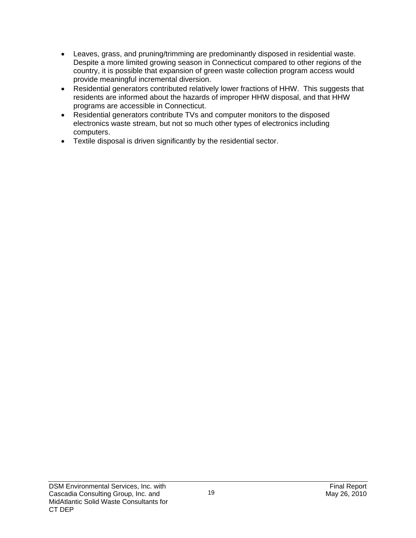- Leaves, grass, and pruning/trimming are predominantly disposed in residential waste. Despite a more limited growing season in Connecticut compared to other regions of the country, it is possible that expansion of green waste collection program access would provide meaningful incremental diversion.
- Residential generators contributed relatively lower fractions of HHW. This suggests that residents are informed about the hazards of improper HHW disposal, and that HHW programs are accessible in Connecticut.
- Residential generators contribute TVs and computer monitors to the disposed electronics waste stream, but not so much other types of electronics including computers.
- Textile disposal is driven significantly by the residential sector.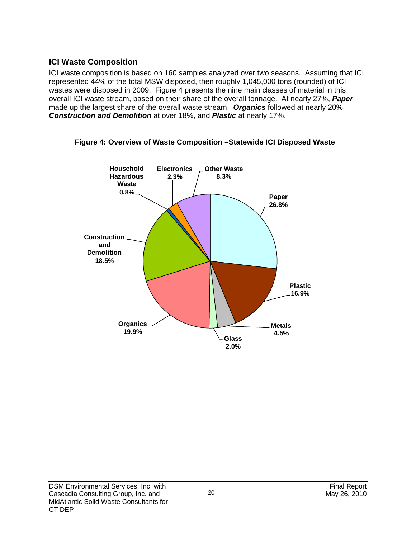## **ICI Waste Composition**

ICI waste composition is based on 160 samples analyzed over two seasons. Assuming that ICI represented 44% of the total MSW disposed, then roughly 1,045,000 tons (rounded) of ICI wastes were disposed in 2009. Figure 4 presents the nine main classes of material in this overall ICI waste stream, based on their share of the overall tonnage. At nearly 27%, *Paper* made up the largest share of the overall waste stream. *Organics* followed at nearly 20%, *Construction and Demolition* at over 18%, and *Plastic* at nearly 17%.



**Figure 4: Overview of Waste Composition –Statewide ICI Disposed Waste**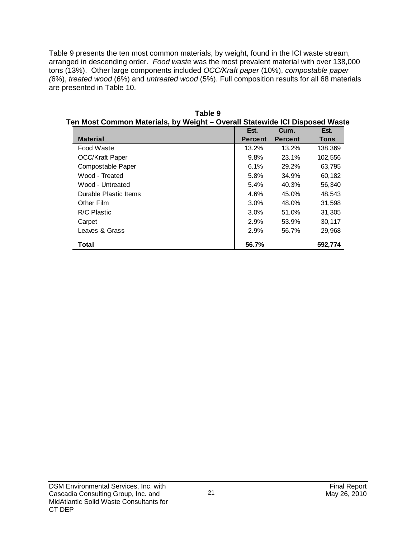Table 9 presents the ten most common materials, by weight, found in the ICI waste stream, arranged in descending order. *Food waste* was the most prevalent material with over 138,000 tons (13%). Other large components included *OCC/Kraft paper* (10%), *compostable paper (*6%), *treated wood* (6%) and *untreated wood* (5%). Full composition results for all 68 materials are presented in Table 10.

| en wost Common waterials, by weight – Overall Statewide iCl Disposed wast |                |                |             |
|---------------------------------------------------------------------------|----------------|----------------|-------------|
|                                                                           | Est.           | Cum.           | Est.        |
| <b>Material</b>                                                           | <b>Percent</b> | <b>Percent</b> | <b>Tons</b> |
| Food Waste                                                                | 13.2%          | 13.2%          | 138,369     |
| <b>OCC/Kraft Paper</b>                                                    | 9.8%           | 23.1%          | 102,556     |
| Compostable Paper                                                         | 6.1%           | 29.2%          | 63,795      |
| Wood - Treated                                                            | 5.8%           | 34.9%          | 60,182      |
| Wood - Untreated                                                          | 5.4%           | 40.3%          | 56,340      |
| Durable Plastic Items                                                     | 4.6%           | 45.0%          | 48,543      |
| Other Film                                                                | 3.0%           | 48.0%          | 31,598      |
| R/C Plastic                                                               | 3.0%           | 51.0%          | 31,305      |
| Carpet                                                                    | 2.9%           | 53.9%          | 30,117      |
| Leaves & Grass                                                            | 2.9%           | 56.7%          | 29,968      |
| Total                                                                     | 56.7%          |                | 592,774     |

**Table 9 Ten Most Common Materials, by Weight – Overall Statewide ICI Disposed Waste**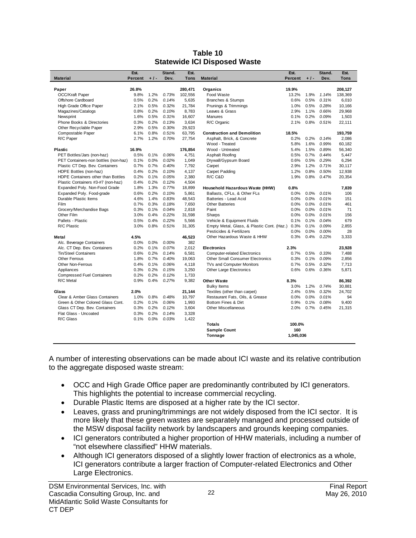|                                      | Est.    |       | Stand. | Est.            |                                            | Est.      |         | Stand. | Est.        |
|--------------------------------------|---------|-------|--------|-----------------|--------------------------------------------|-----------|---------|--------|-------------|
| <b>Material</b>                      | Percent | $+1-$ | Dev.   | Tons            | <b>Material</b>                            | Percent   | $+1-$   | Dev.   | <b>Tons</b> |
|                                      |         |       |        |                 |                                            |           |         |        |             |
| Paper                                | 26.8%   |       |        | 280,471         | Organics                                   | 19.9%     |         |        | 208,127     |
| OCC/Kraft Paper                      | 9.8%    | 1.2%  | 0.73%  | 102,556         | Food Waste                                 | 13.2%     | 1.9%    | 1.14%  | 138,369     |
| Offshore Cardboard                   | 0.5%    | 0.2%  | 0.14%  | 5,635           | Branches & Stumps                          | 0.6%      | 0.5%    | 0.31%  | 6,010       |
| High Grade Office Paper              | 2.1%    | 0.5%  | 0.32%  | 21,784          | Prunings & Trimmings                       | 1.0%      | 0.5%    | 0.28%  | 10,166      |
| Magazines/Catalogs                   | 0.8%    | 0.2%  | 0.10%  | 8.783           | Leaves & Grass                             | 2.9%      | 1.1%    | 0.66%  | 29.968      |
| Newsprint                            | 1.6%    | 0.5%  | 0.31%  | 16,607          | <b>Manures</b>                             | 0.1%      | 0.2%    | 0.09%  | 1,503       |
|                                      | 0.3%    | 0.2%  | 0.13%  |                 |                                            | 2.1%      | 0.8%    | 0.51%  |             |
| Phone Books & Directories            | 2.9%    | 0.5%  | 0.30%  | 3,634<br>29,923 | R/C Organic                                |           |         |        | 22,111      |
| Other Recyclable Paper               | 6.1%    | 0.8%  | 0.51%  | 63.795          | <b>Construction and Demolition</b>         | 18.5%     |         |        |             |
| Compostable Paper                    |         |       |        |                 |                                            | 0.2%      |         | 0.14%  | 193,759     |
| R/C Paper                            | 2.7%    | 1.2%  | 0.70%  | 27,754          | Asphalt, Brick, & Concrete                 |           | 0.2%    |        | 2,086       |
|                                      |         |       |        |                 | Wood - Treated                             | 5.8%      | 1.6%    | 0.99%  | 60.182      |
| Plastic                              | 16.9%   |       |        | 176,854         | Wood - Untreated                           | 5.4%      | 1.5%    | 0.89%  | 56,340      |
| PET Bottles/Jars (non-haz)           | 0.5%    | 0.1%  | 0.06%  | 4,751           | Asphalt Roofing                            | 0.5%      | 0.7%    | 0.44%  | 5,447       |
| PET Containers-non bottles (non-haz) | 0.1%    | 0.0%  | 0.02%  | 1,049           | Drywall/Gypsum Board                       | 0.6%      | 0.5%    | 0.29%  | 6,294       |
| Plastic CT Dep. Bev. Containers      | 0.7%    | 0.7%  | 0.40%  | 7,792           | Carpet                                     | 2.9%      | 1.2%    | 0.71%  | 30,117      |
| HDPE Bottles (non-haz)               | 0.4%    | 0.2%  | 0.10%  | 4,137           | Carpet Padding                             | 1.2%      | 0.8%    | 0.50%  | 12,938      |
| HDPE Containers other than Bottles   | 0.2%    | 0.1%  | 0.05%  | 2,380           | R/C C&D                                    | 1.9%      | 0.8%    | 0.47%  | 20,354      |
| Plastic Containers #3-#7 (non-haz)   | 0.4%    | 0.2%  | 0.12%  | 4,504           |                                            |           |         |        |             |
| Expanded Poly. Non-Food Grade        | 1.8%    | 1.3%  | 0.77%  | 18,899          | Household Hazardous Waste (HHW)            | 0.8%      |         |        | 7,839       |
| Expanded Poly. Food-grade            | 0.6%    | 0.2%  | 0.10%  | 5.861           | Ballasts, CFLs, & Other FLs                | 0.0%      | 0.0%    | 0.01%  | 106         |
| Durable Plastic Items                | 4.6%    | 1.4%  | 0.83%  | 48,543          | Batteries - Lead Acid                      | 0.0%      | 0.0%    | 0.01%  | 151         |
| Film                                 | 0.7%    | 0.3%  | 0.18%  | 7.650           | <b>Other Batteries</b>                     | 0.0%      | $0.0\%$ | 0.01%  | 461         |
| Grocery/Merchandise Bags             | 0.3%    | 0.1%  | 0.04%  | 2,818           | Paint                                      | 0.0%      | 0.0%    | 0.01%  | 71          |
| Other Film                           | 3.0%    | 0.4%  | 0.22%  | 31.598          | Sharps                                     | 0.0%      | 0.0%    | 0.01%  | 156         |
| Pallets - Plastic                    | 0.5%    | 0.4%  | 0.22%  | 5.566           | Vehicle & Equipment Fluids                 | 0.1%      | 0.1%    | 0.04%  | 679         |
| R/C Plastic                          | 3.0%    | 0.8%  | 0.51%  | 31.305          | Empty Metal, Glass, & Plastic Cont. (Haz.) | 0.3%      | 0.1%    | 0.09%  | 2.855       |
|                                      |         |       |        |                 | Pesticides & Fertilizers                   | 0.0%      | 0.0%    | 0.00%  | 28          |
| Metal                                | 4.5%    |       |        | 46.523          | Other Hazardous Waste & HHW                | 0.3%      | 0.4%    | 0.22%  | 3.333       |
| Alc. Beverage Containers             | 0.0%    | 0.0%  | 0.00%  | 382             |                                            |           |         |        |             |
| Alc. CT Dep. Bev. Containers         | 0.2%    | 0.1%  | 0.07%  | 2.012           | <b>Electronics</b>                         | 2.3%      |         |        | 23.928      |
| Tin/Steel Containers                 | 0.6%    | 0.2%  | 0.14%  | 6,581           | <b>Computer-related Electronics</b>        | 0.7%      | 0.5%    | 0.33%  | 7,488       |
| <b>Other Ferrous</b>                 | 1.8%    | 0.7%  | 0.40%  | 19,063          | <b>Other Small Consumer Electronics</b>    | 0.3%      | 0.1%    | 0.09%  | 2,856       |
| <b>Other Non-Ferrous</b>             | 0.4%    | 0.1%  | 0.06%  | 4,118           | TVs and Computer Monitors                  | 0.7%      | 0.5%    | 0.32%  | 7,713       |
| Appliances                           | 0.3%    | 0.2%  | 0.15%  | 3,250           | <b>Other Large Electronics</b>             | 0.6%      | 0.6%    | 0.36%  | 5,871       |
| <b>Compressed Fuel Containers</b>    | 0.2%    | 0.2%  | 0.12%  | 1,733           |                                            |           |         |        |             |
| R/C Metal                            | 0.9%    | 0.4%  | 0.27%  | 9.382           | <b>Other Waste</b>                         | 8.3%      |         |        | 86,392      |
|                                      |         |       |        |                 | <b>Bulky Items</b>                         | 3.0%      | 1.2%    | 0.74%  | 30,881      |
| Glass                                | 2.0%    |       |        | 21,144          | Textiles (other than carpet)               | 2.4%      | 0.5%    | 0.32%  | 24.702      |
| Clear & Amber Glass Containers       | 1.0%    | 0.8%  | 0.48%  | 10,797          | Restaurant Fats, Oils, & Grease            | 0.0%      | 0.0%    | 0.01%  | 94          |
| Green & Other Colored Glass Cont.    | 0.2%    | 0.1%  | 0.06%  | 1,993           | Bottom Fines & Dirt                        | 0.9%      | 0.1%    | 0.08%  | 9.400       |
| Glass CT Dep. Bev. Containers        | 0.3%    | 0.2%  | 0.12%  | 3.604           | <b>Other Miscellaneous</b>                 | 2.0%      | 0.7%    | 0.45%  | 21,315      |
| Flat Glass - Uncoated                | 0.3%    | 0.2%  | 0.14%  | 3,328           |                                            |           |         |        |             |
| R/C Glass                            | 0.1%    | 0.0%  | 0.03%  | 1,422           |                                            |           |         |        |             |
|                                      |         |       |        |                 | <b>Totals</b>                              | 100.0%    |         |        |             |
|                                      |         |       |        |                 |                                            | 160       |         |        |             |
|                                      |         |       |        |                 | <b>Sample Count</b>                        |           |         |        |             |
|                                      |         |       |        |                 | Tonnage                                    | 1,045,036 |         |        |             |

#### **Table 10 Statewide ICI Disposed Waste**

A number of interesting observations can be made about ICI waste and its relative contribution to the aggregate disposed waste stream:

- OCC and High Grade Office paper are predominantly contributed by ICI generators. This highlights the potential to increase commercial recycling.
- Durable Plastic Items are disposed at a higher rate by the ICI sector.
- Leaves, grass and pruning/trimmings are not widely disposed from the ICI sector. It is more likely that these green wastes are separately managed and processed outside of the MSW disposal facility network by landscapers and grounds keeping companies.
- ICI generators contributed a higher proportion of HHW materials, including a number of "not elsewhere classified" HHW materials.
- Although ICI generators disposed of a slightly lower fraction of electronics as a whole, ICI generators contribute a larger fraction of Computer-related Electronics and Other Large Electronics.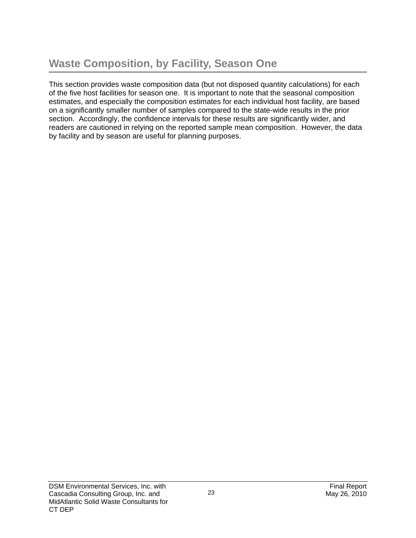This section provides waste composition data (but not disposed quantity calculations) for each of the five host facilities for season one. It is important to note that the seasonal composition estimates, and especially the composition estimates for each individual host facility, are based on a significantly smaller number of samples compared to the state-wide results in the prior section. Accordingly, the confidence intervals for these results are significantly wider, and readers are cautioned in relying on the reported sample mean composition. However, the data by facility and by season are useful for planning purposes.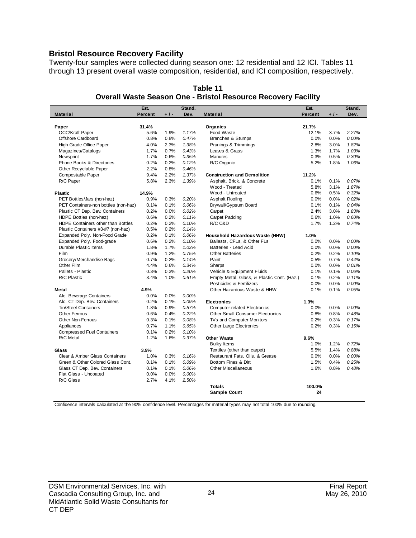#### **Bristol Resource Recovery Facility**

Twenty-four samples were collected during season one: 12 residential and 12 ICI. Tables 11 through 13 present overall waste composition, residential, and ICI composition, respectively.

|                                      | Est.           |       | Stand. |                                            | Est.    |       | Stand. |
|--------------------------------------|----------------|-------|--------|--------------------------------------------|---------|-------|--------|
| <b>Material</b>                      | <b>Percent</b> | $+1-$ | Dev.   | <b>Material</b>                            | Percent | $+1-$ | Dev.   |
|                                      |                |       |        |                                            |         |       |        |
| Paper                                | 31.4%          |       |        | Organics                                   | 21.7%   |       |        |
| OCC/Kraft Paper                      | 5.6%           | 1.9%  | 1.17%  | Food Waste                                 | 12.1%   | 3.7%  | 2.27%  |
| Offshore Cardboard                   | 0.8%           | 0.8%  | 0.47%  | <b>Branches &amp; Stumps</b>               | 0.0%    | 0.0%  | 0.00%  |
| High Grade Office Paper              | 4.0%           | 2.3%  | 1.38%  | Prunings & Trimmings                       | 2.8%    | 3.0%  | 1.82%  |
| Magazines/Catalogs                   | 1.7%           | 0.7%  | 0.43%  | Leaves & Grass                             | 1.3%    | 1.7%  | 1.03%  |
| Newsprint                            | 1.7%           | 0.6%  | 0.35%  | <b>Manures</b>                             | 0.3%    | 0.5%  | 0.30%  |
| Phone Books & Directories            | 0.2%           | 0.2%  | 0.12%  | R/C Organic                                | 5.2%    | 1.8%  | 1.06%  |
| Other Recyclable Paper               | 2.2%           | 0.8%  | 0.46%  |                                            |         |       |        |
| Compostable Paper                    | 9.4%           | 2.2%  | 1.37%  | <b>Construction and Demolition</b>         | 11.2%   |       |        |
| R/C Paper                            | 5.8%           | 2.3%  | 1.39%  | Asphalt, Brick, & Concrete                 | 0.1%    | 0.1%  | 0.07%  |
|                                      |                |       |        | Wood - Treated                             | 5.8%    | 3.1%  | 1.87%  |
| <b>Plastic</b>                       | 14.9%          |       |        | Wood - Untreated                           | 0.6%    | 0.5%  | 0.32%  |
| PET Bottles/Jars (non-haz)           | 0.9%           | 0.3%  | 0.20%  | Asphalt Roofing                            | 0.0%    | 0.0%  | 0.02%  |
| PET Containers-non bottles (non-haz) | 0.1%           | 0.1%  | 0.06%  | Drywall/Gypsum Board                       | 0.1%    | 0.1%  | 0.04%  |
| Plastic CT Dep. Bev. Containers      | 0.2%           | 0.0%  | 0.02%  | Carpet                                     | 2.4%    | 3.0%  | 1.83%  |
| HDPE Bottles (non-haz)               | 0.6%           | 0.2%  | 0.11%  | Carpet Padding                             | 0.6%    | 1.0%  | 0.60%  |
| HDPE Containers other than Bottles   | 0.2%           | 0.2%  | 0.10%  | R/C C&D                                    | 1.7%    | 1.2%  | 0.74%  |
| Plastic Containers #3-#7 (non-haz)   | 0.5%           | 0.2%  | 0.14%  |                                            |         |       |        |
| Expanded Poly. Non-Food Grade        | 0.2%           | 0.1%  | 0.06%  | Household Hazardous Waste (HHW)            | 1.0%    |       |        |
| Expanded Poly. Food-grade            | 0.6%           | 0.2%  | 0.10%  | Ballasts, CFLs, & Other FLs                | 0.0%    | 0.0%  | 0.00%  |
| Durable Plastic Items                | 1.8%           | 1.7%  | 1.03%  | Batteries - Lead Acid                      | 0.0%    | 0.0%  | 0.00%  |
| <b>Film</b>                          | 0.9%           | 1.2%  | 0.75%  | <b>Other Batteries</b>                     | 0.2%    | 0.2%  | 0.10%  |
| Grocery/Merchandise Bags             | 0.7%           | 0.2%  | 0.14%  | Paint                                      | 0.5%    | 0.7%  | 0.44%  |
| Other Film                           | 4.4%           | 0.6%  | 0.34%  | Sharps                                     | 0.0%    | 0.0%  | 0.01%  |
| Pallets - Plastic                    | 0.3%           | 0.3%  | 0.20%  | Vehicle & Equipment Fluids                 | 0.1%    | 0.1%  | 0.06%  |
| R/C Plastic                          | 3.4%           | 1.0%  | 0.61%  | Empty Metal, Glass, & Plastic Cont. (Haz.) | 0.1%    | 0.2%  | 0.11%  |
|                                      |                |       |        | Pesticides & Fertilizers                   | 0.0%    | 0.0%  | 0.00%  |
| Metal                                | 4.9%           |       |        | Other Hazardous Waste & HHW                | 0.1%    | 0.1%  | 0.05%  |
| Alc. Beverage Containers             | 0.0%           | 0.0%  | 0.00%  |                                            |         |       |        |
| Alc. CT Dep. Bev. Containers         | 0.2%           | 0.1%  | 0.09%  | <b>Electronics</b>                         | 1.3%    |       |        |
| Tin/Steel Containers                 | 1.8%           | 0.9%  | 0.57%  | <b>Computer-related Electronics</b>        | 0.0%    | 0.0%  | 0.00%  |
| <b>Other Ferrous</b>                 | 0.6%           | 0.4%  | 0.22%  | <b>Other Small Consumer Electronics</b>    | 0.8%    | 0.8%  | 0.48%  |
| <b>Other Non-Ferrous</b>             | 0.3%           | 0.1%  | 0.08%  | TVs and Computer Monitors                  | 0.2%    | 0.3%  | 0.17%  |
| Appliances                           | 0.7%           | 1.1%  | 0.65%  | <b>Other Large Electronics</b>             | 0.2%    | 0.3%  | 0.15%  |
| <b>Compressed Fuel Containers</b>    | 0.1%           | 0.2%  | 0.10%  |                                            |         |       |        |
| R/C Metal                            | 1.2%           | 1.6%  | 0.97%  | <b>Other Waste</b>                         | 9.6%    |       |        |
|                                      |                |       |        | <b>Bulky Items</b>                         | 1.0%    | 1.2%  | 0.72%  |
| Glass                                | 3.9%           |       |        | Textiles (other than carpet)               | 5.5%    | 1.4%  | 0.88%  |
| Clear & Amber Glass Containers       | 1.0%           | 0.3%  | 0.16%  | Restaurant Fats, Oils, & Grease            | 0.0%    | 0.0%  | 0.00%  |
| Green & Other Colored Glass Cont.    | 0.1%           | 0.1%  | 0.09%  | Bottom Fines & Dirt                        | 1.5%    | 0.4%  | 0.25%  |
| Glass CT Dep. Bev. Containers        | 0.1%           | 0.1%  | 0.06%  | Other Miscellaneous                        | 1.6%    | 0.8%  | 0.48%  |
| Flat Glass - Uncoated                | 0.0%           | 0.0%  | 0.00%  |                                            |         |       |        |
| R/C Glass                            | 2.7%           | 4.1%  | 2.50%  |                                            |         |       |        |
|                                      |                |       |        | <b>Totals</b>                              | 100.0%  |       |        |
|                                      |                |       |        | <b>Sample Count</b>                        | 24      |       |        |
|                                      |                |       |        |                                            |         |       |        |

#### **Table 11 Overall Waste Season One - Bristol Resource Recovery Facility**

Confidence intervals calculated at the 90% confidence level. Percentages for material types may not total 100% due to rounding.

24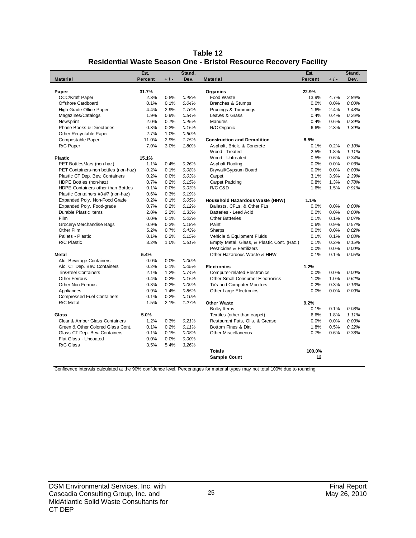| Table 12                                                                 |
|--------------------------------------------------------------------------|
| <b>Residential Waste Season One - Bristol Resource Recovery Facility</b> |

|                                      | Est.           |       | Stand. |                                            | Est.           |       | Stand. |
|--------------------------------------|----------------|-------|--------|--------------------------------------------|----------------|-------|--------|
| <b>Material</b>                      | <b>Percent</b> | $+1-$ | Dev.   | <b>Material</b>                            | <b>Percent</b> | $+1-$ | Dev.   |
|                                      |                |       |        |                                            |                |       |        |
| Paper                                | 31.7%          |       |        | Organics                                   | 22.9%          |       |        |
| OCC/Kraft Paper                      | 2.3%           | 0.8%  | 0.48%  | Food Waste                                 | 13.9%          | 4.7%  | 2.86%  |
| Offshore Cardboard                   | 0.1%           | 0.1%  | 0.04%  | <b>Branches &amp; Stumps</b>               | 0.0%           | 0.0%  | 0.00%  |
| High Grade Office Paper              | 4.4%           | 2.9%  | 1.76%  | Prunings & Trimmings                       | 1.6%           | 2.4%  | 1.48%  |
| Magazines/Catalogs                   | 1.9%           | 0.9%  | 0.54%  | Leaves & Grass                             | 0.4%           | 0.4%  | 0.26%  |
| Newsprint                            | 2.0%           | 0.7%  | 0.45%  | <b>Manures</b>                             | 0.4%           | 0.6%  | 0.39%  |
| <b>Phone Books &amp; Directories</b> | 0.3%           | 0.3%  | 0.15%  | R/C Organic                                | 6.6%           | 2.3%  | 1.39%  |
| Other Recyclable Paper               | 2.7%           | 1.0%  | 0.60%  |                                            |                |       |        |
| Compostable Paper                    | 11.0%          | 2.9%  | 1.75%  | <b>Construction and Demolition</b>         | 8.5%           |       |        |
| R/C Paper                            | 7.0%           | 3.0%  | 1.80%  | Asphalt, Brick, & Concrete                 | 0.1%           | 0.2%  | 0.10%  |
|                                      |                |       |        | Wood - Treated                             | 2.5%           | 1.8%  | 1.11%  |
| <b>Plastic</b>                       | 15.1%          |       |        | Wood - Untreated                           | 0.5%           | 0.6%  | 0.34%  |
| PET Bottles/Jars (non-haz)           | 1.1%           | 0.4%  | 0.26%  | Asphalt Roofing                            | 0.0%           | 0.0%  | 0.03%  |
| PET Containers-non bottles (non-haz) | 0.2%           | 0.1%  | 0.08%  | Drywall/Gypsum Board                       | 0.0%           | 0.0%  | 0.00%  |
| Plastic CT Dep. Bev. Containers      | 0.2%           | 0.0%  | 0.03%  | Carpet                                     | 3.1%           | 3.9%  | 2.39%  |
| HDPE Bottles (non-haz)               | 0.7%           | 0.2%  | 0.15%  | Carpet Padding                             | 0.8%           | 1.3%  | 0.78%  |
| HDPE Containers other than Bottles   | 0.1%           | 0.0%  | 0.03%  | R/C C&D                                    | 1.6%           | 1.5%  | 0.91%  |
| Plastic Containers #3-#7 (non-haz)   | 0.6%           | 0.3%  | 0.19%  |                                            |                |       |        |
| Expanded Poly. Non-Food Grade        | 0.2%           | 0.1%  | 0.05%  | Household Hazardous Waste (HHW)            | 1.1%           |       |        |
| Expanded Poly. Food-grade            | 0.7%           | 0.2%  | 0.12%  | Ballasts, CFLs, & Other FLs                | 0.0%           | 0.0%  | 0.00%  |
| Durable Plastic Items                | 2.0%           | 2.2%  | 1.33%  | Batteries - Lead Acid                      | 0.0%           | 0.0%  | 0.00%  |
| Film                                 | 0.0%           | 0.1%  | 0.03%  | <b>Other Batteries</b>                     | 0.1%           | 0.1%  | 0.07%  |
| Grocery/Merchandise Bags             | 0.9%           | 0.3%  | 0.18%  | Paint                                      | 0.6%           | 0.9%  | 0.57%  |
| Other Film                           | 5.2%           | 0.7%  | 0.43%  | Sharps                                     | 0.0%           | 0.0%  | 0.02%  |
| Pallets - Plastic                    | 0.1%           | 0.2%  | 0.15%  | Vehicle & Equipment Fluids                 | 0.1%           | 0.1%  | 0.08%  |
| R/C Plastic                          | 3.2%           | 1.0%  | 0.61%  | Empty Metal, Glass, & Plastic Cont. (Haz.) | 0.1%           | 0.2%  | 0.15%  |
|                                      |                |       |        | Pesticides & Fertilizers                   | 0.0%           | 0.0%  | 0.00%  |
| Metal                                | 5.4%           |       |        | Other Hazardous Waste & HHW                | 0.1%           | 0.1%  | 0.05%  |
| Alc. Beverage Containers             | 0.0%           | 0.0%  | 0.00%  |                                            |                |       |        |
| Alc. CT Dep. Bev. Containers         | 0.2%           | 0.1%  | 0.05%  | <b>Electronics</b>                         | 1.2%           |       |        |
| Tin/Steel Containers                 | 2.1%           | 1.2%  | 0.74%  | <b>Computer-related Electronics</b>        | 0.0%           | 0.0%  | 0.00%  |
| <b>Other Ferrous</b>                 | 0.4%           | 0.2%  | 0.15%  | <b>Other Small Consumer Electronics</b>    | 1.0%           | 1.0%  | 0.62%  |
| <b>Other Non-Ferrous</b>             | 0.3%           | 0.2%  | 0.09%  | TVs and Computer Monitors                  | 0.2%           | 0.3%  | 0.16%  |
| Appliances                           | 0.9%           | 1.4%  | 0.85%  | <b>Other Large Electronics</b>             | 0.0%           | 0.0%  | 0.00%  |
| <b>Compressed Fuel Containers</b>    | 0.1%           | 0.2%  | 0.10%  |                                            |                |       |        |
| R/C Metal                            | 1.5%           | 2.1%  | 1.27%  | <b>Other Waste</b>                         | 9.2%           |       |        |
|                                      |                |       |        | <b>Bulky Items</b>                         | 0.1%           | 0.1%  | 0.08%  |
| Glass                                | 5.0%           |       |        | Textiles (other than carpet)               | 6.6%           | 1.8%  | 1.11%  |
| Clear & Amber Glass Containers       | 1.2%           | 0.3%  | 0.21%  | Restaurant Fats, Oils, & Grease            | 0.0%           | 0.0%  | 0.00%  |
| Green & Other Colored Glass Cont.    | 0.1%           | 0.2%  | 0.11%  | Bottom Fines & Dirt                        | 1.8%           | 0.5%  | 0.32%  |
| Glass CT Dep. Bev. Containers        | 0.1%           | 0.1%  | 0.08%  | <b>Other Miscellaneous</b>                 | 0.7%           | 0.6%  | 0.38%  |
| Flat Glass - Uncoated                | 0.0%           | 0.0%  | 0.00%  |                                            |                |       |        |
| R/C Glass                            | 3.5%           | 5.4%  | 3.26%  |                                            |                |       |        |
|                                      |                |       |        | <b>Totals</b>                              | 100.0%         |       |        |
|                                      |                |       |        | <b>Sample Count</b>                        | 12             |       |        |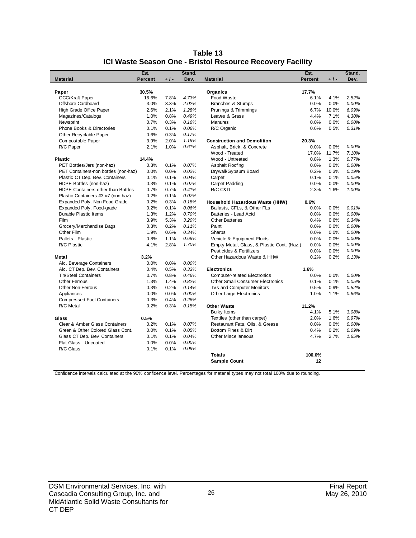|                                      | Est.           |       | Stand. |                                            | Est.    |       | Stand. |
|--------------------------------------|----------------|-------|--------|--------------------------------------------|---------|-------|--------|
| <b>Material</b>                      | <b>Percent</b> | $+1-$ | Dev.   | <b>Material</b>                            | Percent | $+1-$ | Dev.   |
|                                      |                |       |        |                                            |         |       |        |
| Paper                                | 30.5%          |       |        | Organics                                   | 17.7%   |       |        |
| <b>OCC/Kraft Paper</b>               | 16.6%          | 7.8%  | 4.73%  | Food Waste                                 | 6.1%    | 4.1%  | 2.52%  |
| Offshore Cardboard                   | 3.0%           | 3.3%  | 2.02%  | Branches & Stumps                          | 0.0%    | 0.0%  | 0.00%  |
| High Grade Office Paper              | 2.6%           | 2.1%  | 1.28%  | Prunings & Trimmings                       | 6.7%    | 10.0% | 6.09%  |
| Magazines/Catalogs                   | 1.0%           | 0.8%  | 0.49%  | Leaves & Grass                             | 4.4%    | 7.1%  | 4.30%  |
| Newsprint                            | 0.7%           | 0.3%  | 0.16%  | <b>Manures</b>                             | 0.0%    | 0.0%  | 0.00%  |
| <b>Phone Books &amp; Directories</b> | 0.1%           | 0.1%  | 0.06%  | R/C Organic                                | 0.6%    | 0.5%  | 0.31%  |
| Other Recyclable Paper               | 0.6%           | 0.3%  | 0.17%  |                                            |         |       |        |
| Compostable Paper                    | 3.9%           | 2.0%  | 1.19%  | <b>Construction and Demolition</b>         | 20.3%   |       |        |
| R/C Paper                            | 2.1%           | 1.0%  | 0.61%  | Asphalt, Brick, & Concrete                 | 0.0%    | 0.0%  | 0.00%  |
|                                      |                |       |        | Wood - Treated                             | 17.0%   | 11.7% | 7.10%  |
| <b>Plastic</b>                       | 14.4%          |       |        | Wood - Untreated                           | 0.8%    | 1.3%  | 0.77%  |
| PET Bottles/Jars (non-haz)           | 0.3%           | 0.1%  | 0.07%  | Asphalt Roofing                            | 0.0%    | 0.0%  | 0.00%  |
| PET Containers-non bottles (non-haz) | 0.0%           | 0.0%  | 0.02%  | Drywall/Gypsum Board                       | 0.2%    | 0.3%  | 0.19%  |
| Plastic CT Dep. Bev. Containers      | 0.1%           | 0.1%  | 0.04%  | Carpet                                     | 0.1%    | 0.1%  | 0.05%  |
| HDPE Bottles (non-haz)               | 0.3%           | 0.1%  | 0.07%  | Carpet Padding                             | 0.0%    | 0.0%  | 0.00%  |
| HDPE Containers other than Bottles   | 0.7%           | 0.7%  | 0.41%  | R/C C&D                                    | 2.3%    | 1.6%  | 1.00%  |
| Plastic Containers #3-#7 (non-haz)   | 0.2%           | 0.1%  | 0.07%  |                                            |         |       |        |
| Expanded Poly. Non-Food Grade        | 0.2%           | 0.3%  | 0.18%  | Household Hazardous Waste (HHW)            | 0.6%    |       |        |
| Expanded Poly. Food-grade            | 0.2%           | 0.1%  | 0.06%  | Ballasts, CFLs, & Other FLs                | 0.0%    | 0.0%  | 0.01%  |
| Durable Plastic Items                | 1.3%           | 1.2%  | 0.70%  | Batteries - Lead Acid                      | 0.0%    | 0.0%  | 0.00%  |
| Film                                 | 3.9%           | 5.3%  | 3.20%  | <b>Other Batteries</b>                     | 0.4%    | 0.6%  | 0.34%  |
| Grocery/Merchandise Bags             | 0.3%           | 0.2%  | 0.11%  | Paint                                      | 0.0%    | 0.0%  | 0.00%  |
| Other Film                           | 1.9%           | 0.6%  | 0.34%  | Sharps                                     | 0.0%    | 0.0%  | 0.00%  |
| Pallets - Plastic                    | 0.8%           | 1.1%  | 0.69%  | Vehicle & Equipment Fluids                 | 0.0%    | 0.0%  | 0.00%  |
| R/C Plastic                          | 4.1%           | 2.8%  | 1.70%  | Empty Metal, Glass, & Plastic Cont. (Haz.) | 0.0%    | 0.0%  | 0.00%  |
|                                      |                |       |        | Pesticides & Fertilizers                   | 0.0%    | 0.0%  | 0.00%  |
| Metal                                | 3.2%           |       |        | Other Hazardous Waste & HHW                | 0.2%    | 0.2%  | 0.13%  |
| Alc. Beverage Containers             | 0.0%           | 0.0%  | 0.00%  |                                            |         |       |        |
| Alc. CT Dep. Bev. Containers         | 0.4%           | 0.5%  | 0.33%  | <b>Electronics</b>                         | 1.6%    |       |        |
| <b>Tin/Steel Containers</b>          | 0.7%           | 0.8%  | 0.46%  | <b>Computer-related Electronics</b>        | 0.0%    | 0.0%  | 0.00%  |
| <b>Other Ferrous</b>                 | 1.3%           | 1.4%  | 0.82%  | <b>Other Small Consumer Electronics</b>    | 0.1%    | 0.1%  | 0.05%  |
| <b>Other Non-Ferrous</b>             | 0.3%           | 0.2%  | 0.14%  | TVs and Computer Monitors                  | 0.5%    | 0.9%  | 0.52%  |
| Appliances                           | 0.0%           | 0.0%  | 0.00%  | <b>Other Large Electronics</b>             | 1.0%    | 1.1%  | 0.66%  |
| <b>Compressed Fuel Containers</b>    | 0.3%           | 0.4%  | 0.26%  |                                            |         |       |        |
| R/C Metal                            | 0.2%           | 0.3%  | 0.15%  | <b>Other Waste</b>                         | 11.2%   |       |        |
|                                      |                |       |        | <b>Bulky Items</b>                         | 4.1%    | 5.1%  | 3.08%  |
| Glass                                | 0.5%           |       |        | Textiles (other than carpet)               | 2.0%    | 1.6%  | 0.97%  |
| Clear & Amber Glass Containers       | 0.2%           | 0.1%  | 0.07%  | Restaurant Fats, Oils, & Grease            | 0.0%    | 0.0%  | 0.00%  |
| Green & Other Colored Glass Cont.    | 0.0%           | 0.1%  | 0.05%  | Bottom Fines & Dirt                        | 0.4%    | 0.2%  | 0.09%  |
| Glass CT Dep. Bev. Containers        | 0.1%           | 0.1%  | 0.04%  | <b>Other Miscellaneous</b>                 | 4.7%    | 2.7%  | 1.65%  |
| Flat Glass - Uncoated                | 0.0%           | 0.0%  | 0.00%  |                                            |         |       |        |
| R/C Glass                            | 0.1%           | 0.1%  | 0.09%  |                                            |         |       |        |
|                                      |                |       |        | <b>Totals</b>                              | 100.0%  |       |        |
|                                      |                |       |        | <b>Sample Count</b>                        | 12      |       |        |
|                                      |                |       |        |                                            |         |       |        |

#### **Table 13 ICI Waste Season One - Bristol Resource Recovery Facility**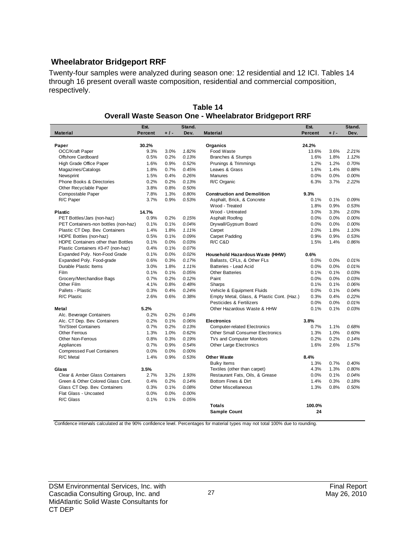### **Wheelabrator Bridgeport RRF**

Twenty-four samples were analyzed during season one: 12 residential and 12 ICI. Tables 14 through 16 present overall waste composition, residential and commercial composition, respectively.

|                                      | Est.           |       | Stand. |                                            | Est.           |       | Stand. |
|--------------------------------------|----------------|-------|--------|--------------------------------------------|----------------|-------|--------|
| <b>Material</b>                      | <b>Percent</b> | $+1-$ | Dev.   | <b>Material</b>                            | <b>Percent</b> | $+1-$ | Dev.   |
|                                      |                |       |        |                                            |                |       |        |
| Paper                                | 30.2%          |       |        | Organics                                   | 24.2%          |       |        |
| <b>OCC/Kraft Paper</b>               | 9.3%           | 3.0%  | 1.82%  | Food Waste                                 | 13.6%          | 3.6%  | 2.21%  |
| Offshore Cardboard                   | 0.5%           | 0.2%  | 0.13%  | <b>Branches &amp; Stumps</b>               | 1.6%           | 1.8%  | 1.12%  |
| High Grade Office Paper              | 1.6%           | 0.9%  | 0.52%  | Prunings & Trimmings                       | 1.2%           | 1.2%  | 0.70%  |
| Magazines/Catalogs                   | 1.8%           | 0.7%  | 0.45%  | Leaves & Grass                             | 1.6%           | 1.4%  | 0.88%  |
| Newsprint                            | 1.5%           | 0.4%  | 0.26%  | Manures                                    | 0.0%           | 0.0%  | 0.00%  |
| Phone Books & Directories            | 0.2%           | 0.2%  | 0.13%  | R/C Organic                                | 6.3%           | 3.7%  | 2.22%  |
| Other Recyclable Paper               | 3.8%           | 0.8%  | 0.50%  |                                            |                |       |        |
| Compostable Paper                    | 7.8%           | 1.3%  | 0.80%  | <b>Construction and Demolition</b>         | 9.3%           |       |        |
| R/C Paper                            | 3.7%           | 0.9%  | 0.53%  | Asphalt, Brick, & Concrete                 | 0.1%           | 0.1%  | 0.09%  |
|                                      |                |       |        | Wood - Treated                             | 1.8%           | 0.9%  | 0.53%  |
| <b>Plastic</b>                       | 14.7%          |       |        | Wood - Untreated                           | 3.0%           | 3.3%  | 2.03%  |
| PET Bottles/Jars (non-haz)           | 0.9%           | 0.2%  | 0.15%  | Asphalt Roofing                            | 0.0%           | 0.0%  | 0.00%  |
| PET Containers-non bottles (non-haz) | 0.1%           | 0.1%  | 0.04%  | Drywall/Gypsum Board                       | 0.0%           | 0.0%  | 0.00%  |
| Plastic CT Dep. Bev. Containers      | 1.4%           | 1.8%  | 1.11%  | Carpet                                     | 2.0%           | 1.8%  | 1.10%  |
| HDPE Bottles (non-haz)               | 0.5%           | 0.1%  | 0.09%  | Carpet Padding                             | 0.9%           | 0.9%  | 0.53%  |
| HDPE Containers other than Bottles   | 0.1%           | 0.0%  | 0.03%  | R/C C&D                                    | 1.5%           | 1.4%  | 0.86%  |
| Plastic Containers #3-#7 (non-haz)   | 0.4%           | 0.1%  | 0.07%  |                                            |                |       |        |
| Expanded Poly. Non-Food Grade        | 0.1%           | 0.0%  | 0.02%  | Household Hazardous Waste (HHW)            | 0.6%           |       |        |
| Expanded Poly. Food-grade            | 0.6%           | 0.3%  | 0.17%  | Ballasts, CFLs, & Other FLs                | 0.0%           | 0.0%  | 0.01%  |
| Durable Plastic Items                | 3.0%           | 1.8%  | 1.11%  | Batteries - Lead Acid                      | 0.0%           | 0.0%  | 0.01%  |
| Film                                 | 0.1%           | 0.1%  | 0.05%  | <b>Other Batteries</b>                     | 0.1%           | 0.1%  | 0.03%  |
| Grocery/Merchandise Bags             | 0.7%           | 0.2%  | 0.12%  | Paint                                      | 0.0%           | 0.0%  | 0.03%  |
| Other Film                           | 4.1%           | 0.8%  | 0.48%  | Sharps                                     | 0.1%           | 0.1%  | 0.06%  |
| Pallets - Plastic                    | 0.3%           | 0.4%  | 0.24%  | Vehicle & Equipment Fluids                 | 0.0%           | 0.1%  | 0.04%  |
| R/C Plastic                          | 2.6%           | 0.6%  | 0.38%  | Empty Metal, Glass, & Plastic Cont. (Haz.) | 0.3%           | 0.4%  | 0.22%  |
|                                      |                |       |        | Pesticides & Fertilizers                   | 0.0%           | 0.0%  | 0.01%  |
| Metal                                | 5.2%           |       |        | Other Hazardous Waste & HHW                | 0.1%           | 0.1%  | 0.03%  |
| Alc. Beverage Containers             | 0.2%           | 0.2%  | 0.14%  |                                            |                |       |        |
| Alc. CT Dep. Bev. Containers         | 0.2%           | 0.1%  | 0.06%  | <b>Electronics</b>                         | 3.8%           |       |        |
| <b>Tin/Steel Containers</b>          | 0.7%           | 0.2%  | 0.13%  | <b>Computer-related Electronics</b>        | 0.7%           | 1.1%  | 0.68%  |
| <b>Other Ferrous</b>                 | 1.3%           | 1.0%  | 0.62%  | <b>Other Small Consumer Electronics</b>    | 1.3%           | 1.0%  | 0.60%  |
| <b>Other Non-Ferrous</b>             | 0.8%           | 0.3%  | 0.19%  | TVs and Computer Monitors                  | 0.2%           | 0.2%  | 0.14%  |
| Appliances                           | 0.7%           | 0.9%  | 0.54%  | Other Large Electronics                    | 1.6%           | 2.6%  | 1.57%  |
| <b>Compressed Fuel Containers</b>    | 0.0%           | 0.0%  | 0.00%  |                                            |                |       |        |
| R/C Metal                            | 1.4%           | 0.9%  | 0.53%  | <b>Other Waste</b>                         | 8.4%           |       |        |
|                                      |                |       |        | <b>Bulky Items</b>                         | 1.3%           | 0.7%  | 0.40%  |
| Glass                                | 3.5%           |       |        | Textiles (other than carpet)               | 4.3%           | 1.3%  | 0.80%  |
| Clear & Amber Glass Containers       | 2.7%           | 3.2%  | 1.93%  | Restaurant Fats, Oils, & Grease            | 0.0%           | 0.1%  | 0.04%  |
| Green & Other Colored Glass Cont.    | 0.4%           | 0.2%  | 0.14%  | Bottom Fines & Dirt                        | 1.4%           | 0.3%  | 0.18%  |
| Glass CT Dep. Bev. Containers        | 0.3%           | 0.1%  | 0.08%  | <b>Other Miscellaneous</b>                 | 1.3%           | 0.8%  | 0.50%  |
| Flat Glass - Uncoated                | 0.0%           | 0.0%  | 0.00%  |                                            |                |       |        |
| R/C Glass                            | 0.1%           | 0.1%  | 0.05%  |                                            |                |       |        |
|                                      |                |       |        | <b>Totals</b>                              | 100.0%         |       |        |
|                                      |                |       |        | <b>Sample Count</b>                        | 24             |       |        |
|                                      |                |       |        |                                            |                |       |        |

**Table 14 Overall Waste Season One - Wheelabrator Bridgeport RRF**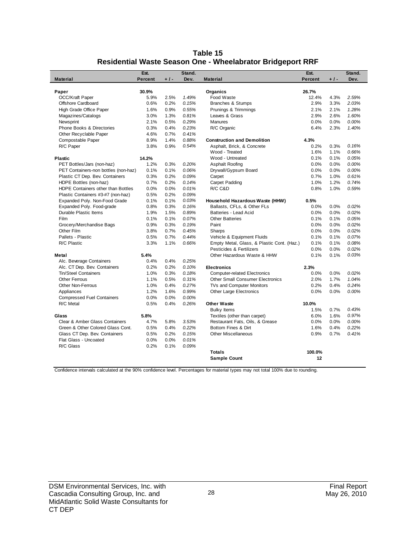| Table 15                                                          |
|-------------------------------------------------------------------|
| <b>Residential Waste Season One - Wheelabrator Bridgeport RRF</b> |

|                                      | Est.           |       | Stand. |                                            | Est.           |       | Stand. |
|--------------------------------------|----------------|-------|--------|--------------------------------------------|----------------|-------|--------|
| <b>Material</b>                      | <b>Percent</b> | $+1-$ | Dev.   | <b>Material</b>                            | <b>Percent</b> | $+1-$ | Dev.   |
|                                      |                |       |        |                                            |                |       |        |
| Paper                                | 30.9%          |       |        | Organics                                   | 26.7%          |       |        |
| <b>OCC/Kraft Paper</b>               | 5.9%           | 2.5%  | 1.49%  | Food Waste                                 | 12.4%          | 4.3%  | 2.59%  |
| Offshore Cardboard                   | 0.6%           | 0.2%  | 0.15%  | <b>Branches &amp; Stumps</b>               | 2.9%           | 3.3%  | 2.03%  |
| High Grade Office Paper              | 1.6%           | 0.9%  | 0.55%  | Prunings & Trimmings                       | 2.1%           | 2.1%  | 1.28%  |
| Magazines/Catalogs                   | 3.0%           | 1.3%  | 0.81%  | Leaves & Grass                             | 2.9%           | 2.6%  | 1.60%  |
| Newsprint                            | 2.1%           | 0.5%  | 0.29%  | <b>Manures</b>                             | 0.0%           | 0.0%  | 0.00%  |
| Phone Books & Directories            | 0.3%           | 0.4%  | 0.23%  | R/C Organic                                | 6.4%           | 2.3%  | 1.40%  |
| Other Recyclable Paper               | 4.6%           | 0.7%  | 0.41%  |                                            |                |       |        |
| Compostable Paper                    | 8.9%           | 1.4%  | 0.88%  | <b>Construction and Demolition</b>         | 4.3%           |       |        |
| R/C Paper                            | 3.8%           | 0.9%  | 0.54%  | Asphalt, Brick, & Concrete                 | 0.2%           | 0.3%  | 0.16%  |
|                                      |                |       |        | Wood - Treated                             | 1.6%           | 1.1%  | 0.66%  |
| <b>Plastic</b>                       | 14.2%          |       |        | Wood - Untreated                           | 0.1%           | 0.1%  | 0.05%  |
| PET Bottles/Jars (non-haz)           | 1.2%           | 0.3%  | 0.20%  | Asphalt Roofing                            | 0.0%           | 0.0%  | 0.00%  |
| PET Containers-non bottles (non-haz) | 0.1%           | 0.1%  | 0.06%  | Drywall/Gypsum Board                       | 0.0%           | 0.0%  | 0.00%  |
| Plastic CT Dep. Bev. Containers      | 0.3%           | 0.2%  | 0.09%  | Carpet                                     | 0.7%           | 1.0%  | 0.61%  |
| HDPE Bottles (non-haz)               | 0.7%           | 0.2%  | 0.14%  | <b>Carpet Padding</b>                      | 1.0%           | 1.2%  | 0.74%  |
| HDPE Containers other than Bottles   | 0.0%           | 0.0%  | 0.01%  | R/C C&D                                    | 0.8%           | 1.0%  | 0.59%  |
| Plastic Containers #3-#7 (non-haz)   | 0.5%           | 0.2%  | 0.09%  |                                            |                |       |        |
| Expanded Poly. Non-Food Grade        | 0.1%           | 0.1%  | 0.03%  | Household Hazardous Waste (HHW)            | 0.5%           |       |        |
| Expanded Poly. Food-grade            | 0.8%           | 0.3%  | 0.16%  | Ballasts, CFLs, & Other FLs                | 0.0%           | 0.0%  | 0.02%  |
| Durable Plastic Items                | 1.9%           | 1.5%  | 0.89%  | Batteries - Lead Acid                      | 0.0%           | 0.0%  | 0.02%  |
| Film                                 | 0.1%           | 0.1%  | 0.07%  | <b>Other Batteries</b>                     | 0.1%           | 0.1%  | 0.05%  |
| Grocery/Merchandise Bags             | 0.9%           | 0.3%  | 0.19%  | Paint                                      | 0.0%           | 0.0%  | 0.02%  |
| Other Film                           | 3.8%           | 0.7%  | 0.45%  | Sharps                                     | 0.0%           | 0.0%  | 0.02%  |
| Pallets - Plastic                    | 0.5%           | 0.7%  | 0.44%  | Vehicle & Equipment Fluids                 | 0.1%           | 0.1%  | 0.07%  |
| R/C Plastic                          | 3.3%           | 1.1%  | 0.66%  | Empty Metal, Glass, & Plastic Cont. (Haz.) | 0.1%           | 0.1%  | 0.08%  |
|                                      |                |       |        | Pesticides & Fertilizers                   | 0.0%           | 0.0%  | 0.02%  |
| Metal                                | 5.4%           |       |        | Other Hazardous Waste & HHW                | 0.1%           | 0.1%  | 0.03%  |
| Alc. Beverage Containers             | 0.4%           | 0.4%  | 0.25%  |                                            |                |       |        |
| Alc. CT Dep. Bev. Containers         | 0.2%           | 0.2%  | 0.10%  | <b>Electronics</b>                         | 2.3%           |       |        |
| <b>Tin/Steel Containers</b>          | 1.0%           | 0.3%  | 0.18%  | <b>Computer-related Electronics</b>        | 0.0%           | 0.0%  | 0.02%  |
| <b>Other Ferrous</b>                 | 1.1%           | 0.5%  | 0.31%  | <b>Other Small Consumer Electronics</b>    | 2.0%           | 1.7%  | 1.04%  |
| <b>Other Non-Ferrous</b>             | 1.0%           | 0.4%  | 0.27%  | TVs and Computer Monitors                  | 0.2%           | 0.4%  | 0.24%  |
| Appliances                           | 1.2%           | 1.6%  | 0.99%  | Other Large Electronics                    | 0.0%           | 0.0%  | 0.00%  |
| <b>Compressed Fuel Containers</b>    | 0.0%           | 0.0%  | 0.00%  |                                            |                |       |        |
| R/C Metal                            | 0.5%           | 0.4%  | 0.26%  | <b>Other Waste</b>                         | 10.0%          |       |        |
|                                      |                |       |        | <b>Bulky Items</b>                         | 1.5%           | 0.7%  | 0.43%  |
| Glass                                | 5.8%           |       |        | Textiles (other than carpet)               | 6.0%           | 1.6%  | 0.97%  |
| Clear & Amber Glass Containers       | 4.7%           | 5.8%  | 3.53%  | Restaurant Fats, Oils, & Grease            | 0.0%           | 0.0%  | 0.00%  |
| Green & Other Colored Glass Cont.    | 0.5%           | 0.4%  | 0.22%  | Bottom Fines & Dirt                        | 1.6%           | 0.4%  | 0.22%  |
| Glass CT Dep. Bev. Containers        | 0.5%           | 0.2%  | 0.15%  | <b>Other Miscellaneous</b>                 | 0.9%           | 0.7%  | 0.41%  |
| Flat Glass - Uncoated                | 0.0%           | 0.0%  | 0.01%  |                                            |                |       |        |
| R/C Glass                            | 0.2%           | 0.1%  | 0.09%  |                                            |                |       |        |
|                                      |                |       |        | <b>Totals</b>                              | 100.0%         |       |        |
|                                      |                |       |        | <b>Sample Count</b>                        | 12             |       |        |
|                                      |                |       |        |                                            |                |       |        |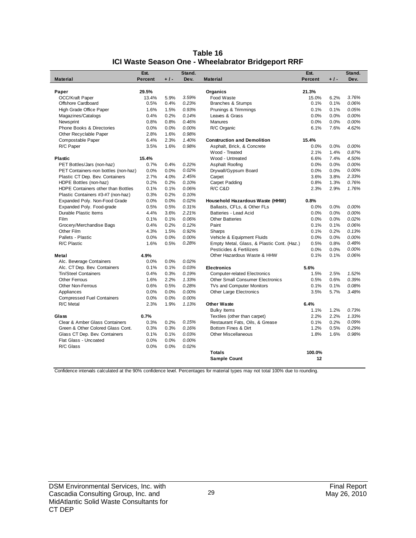|                                      | Est.           |       | Stand. |                                            | Est.           |       | Stand. |
|--------------------------------------|----------------|-------|--------|--------------------------------------------|----------------|-------|--------|
| <b>Material</b>                      | <b>Percent</b> | $+1-$ | Dev.   | <b>Material</b>                            | <b>Percent</b> | $+1-$ | Dev.   |
| Paper                                | 29.5%          |       |        | Organics                                   | 21.3%          |       |        |
| <b>OCC/Kraft Paper</b>               | 13.4%          | 5.9%  | 3.59%  | Food Waste                                 | 15.0%          | 6.2%  | 3.76%  |
| Offshore Cardboard                   | 0.5%           | 0.4%  | 0.23%  | <b>Branches &amp; Stumps</b>               | 0.1%           | 0.1%  | 0.06%  |
| High Grade Office Paper              | 1.6%           | 1.5%  | 0.93%  | Prunings & Trimmings                       | 0.1%           | 0.1%  | 0.05%  |
| Magazines/Catalogs                   | 0.4%           | 0.2%  | 0.14%  | Leaves & Grass                             | 0.0%           | 0.0%  | 0.00%  |
| Newsprint                            | 0.8%           | 0.8%  | 0.46%  | <b>Manures</b>                             | 0.0%           | 0.0%  | 0.00%  |
| Phone Books & Directories            | 0.0%           | 0.0%  | 0.00%  | R/C Organic                                | 6.1%           | 7.6%  | 4.62%  |
| Other Recyclable Paper               | 2.8%           | 1.6%  | 0.98%  |                                            |                |       |        |
| Compostable Paper                    | 6.4%           | 2.3%  | 1.40%  | <b>Construction and Demolition</b>         | 15.4%          |       |        |
| R/C Paper                            | 3.5%           | 1.6%  | 0.98%  | Asphalt, Brick, & Concrete                 | 0.0%           | 0.0%  | 0.00%  |
|                                      |                |       |        | Wood - Treated                             | 2.1%           | 1.4%  | 0.87%  |
| <b>Plastic</b>                       | 15.4%          |       |        | Wood - Untreated                           | 6.6%           | 7.4%  | 4.50%  |
| PET Bottles/Jars (non-haz)           | 0.7%           | 0.4%  | 0.22%  | Asphalt Roofing                            | 0.0%           | 0.0%  | 0.00%  |
| PET Containers-non bottles (non-haz) | 0.0%           | 0.0%  | 0.02%  | Drywall/Gypsum Board                       | 0.0%           | 0.0%  | 0.00%  |
| Plastic CT Dep. Bev. Containers      | 2.7%           | 4.0%  | 2.45%  | Carpet                                     | 3.6%           | 3.8%  | 2.33%  |
| HDPE Bottles (non-haz)               | 0.2%           | 0.2%  | 0.10%  | Carpet Padding                             | 0.8%           | 1.3%  | 0.76%  |
| HDPE Containers other than Bottles   | 0.1%           | 0.1%  | 0.06%  | R/C C&D                                    | 2.3%           | 2.9%  | 1.76%  |
| Plastic Containers #3-#7 (non-haz)   | 0.3%           | 0.2%  | 0.10%  |                                            |                |       |        |
| Expanded Poly. Non-Food Grade        | 0.0%           | 0.0%  | 0.02%  | Household Hazardous Waste (HHW)            | 0.8%           |       |        |
| Expanded Poly. Food-grade            | 0.5%           | 0.5%  | 0.31%  | Ballasts, CFLs, & Other FLs                | 0.0%           | 0.0%  | 0.00%  |
| Durable Plastic Items                | 4.4%           | 3.6%  | 2.21%  | Batteries - Lead Acid                      | 0.0%           | 0.0%  | 0.00%  |
| Film                                 | 0.1%           | 0.1%  | 0.06%  | <b>Other Batteries</b>                     | 0.0%           | 0.0%  | 0.02%  |
| Grocery/Merchandise Bags             | 0.4%           | 0.2%  | 0.12%  | Paint                                      | 0.1%           | 0.1%  | 0.06%  |
| Other Film                           | 4.3%           | 1.5%  | 0.92%  | Sharps                                     | 0.1%           | 0.2%  | 0.13%  |
| Pallets - Plastic                    | 0.0%           | 0.0%  | 0.00%  | Vehicle & Equipment Fluids                 | 0.0%           | 0.0%  | 0.00%  |
| R/C Plastic                          | 1.6%           | 0.5%  | 0.28%  | Empty Metal, Glass, & Plastic Cont. (Haz.) | 0.5%           | 0.8%  | 0.48%  |
|                                      |                |       |        | Pesticides & Fertilizers                   | 0.0%           | 0.0%  | 0.00%  |
| Metal                                | 4.9%           |       |        | Other Hazardous Waste & HHW                | 0.1%           | 0.1%  | 0.06%  |
| Alc. Beverage Containers             | 0.0%           | 0.0%  | 0.02%  |                                            |                |       |        |
| Alc. CT Dep. Bev. Containers         | 0.1%           | 0.1%  | 0.03%  | <b>Electronics</b>                         | 5.6%           |       |        |
| <b>Tin/Steel Containers</b>          | 0.4%           | 0.3%  | 0.19%  | <b>Computer-related Electronics</b>        | 1.5%           | 2.5%  | 1.52%  |
| <b>Other Ferrous</b>                 | 1.6%           | 2.2%  | 1.33%  | <b>Other Small Consumer Electronics</b>    | 0.5%           | 0.6%  | 0.39%  |
| <b>Other Non-Ferrous</b>             | 0.6%           | 0.5%  | 0.28%  | TVs and Computer Monitors                  | 0.1%           | 0.1%  | 0.08%  |
| Appliances                           | 0.0%           | 0.0%  | 0.00%  | Other Large Electronics                    | 3.5%           | 5.7%  | 3.48%  |
| <b>Compressed Fuel Containers</b>    | 0.0%           | 0.0%  | 0.00%  |                                            |                |       |        |
| R/C Metal                            | 2.3%           | 1.9%  | 1.13%  | <b>Other Waste</b>                         | 6.4%           |       |        |
|                                      |                |       |        | <b>Bulky Items</b>                         | 1.1%           | 1.2%  | 0.73%  |
| Glass                                | 0.7%           |       |        | Textiles (other than carpet)               | 2.2%           | 2.2%  | 1.33%  |
| Clear & Amber Glass Containers       | 0.3%           | 0.2%  | 0.15%  | Restaurant Fats, Oils, & Grease            | 0.1%           | 0.2%  | 0.09%  |
| Green & Other Colored Glass Cont.    | 0.3%           | 0.3%  | 0.16%  | Bottom Fines & Dirt                        | 1.2%           | 0.5%  | 0.29%  |
| Glass CT Dep. Bev. Containers        | 0.1%           | 0.1%  | 0.03%  | <b>Other Miscellaneous</b>                 | 1.8%           | 1.6%  | 0.98%  |
| Flat Glass - Uncoated                | 0.0%           | 0.0%  | 0.00%  |                                            |                |       |        |
| R/C Glass                            | 0.0%           | 0.0%  | 0.02%  |                                            |                |       |        |
|                                      |                |       |        | <b>Totals</b>                              | 100.0%         |       |        |
|                                      |                |       |        | <b>Sample Count</b>                        | 12             |       |        |

| Table 16                                           |
|----------------------------------------------------|
| ICI Waste Season One - Wheelabrator Bridgeport RRF |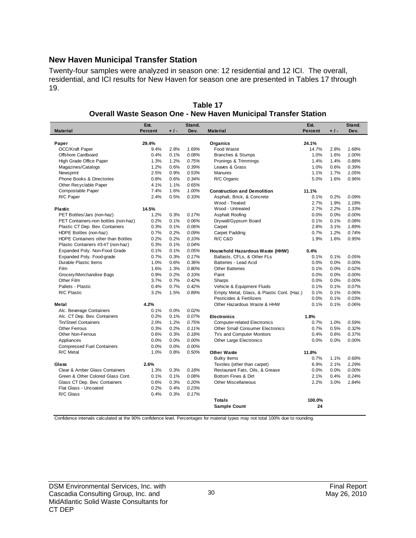#### **New Haven Municipal Transfer Station**

Twenty-four samples were analyzed in season one: 12 residential and 12 ICI. The overall, residential, and ICI results for New Haven for season one are presented in Tables 17 through 19.

|                                      | Est.           |       | Stand. |                                            | Est.           |       | Stand. |
|--------------------------------------|----------------|-------|--------|--------------------------------------------|----------------|-------|--------|
| <b>Material</b>                      | <b>Percent</b> | $+1-$ | Dev.   | <b>Material</b>                            | <b>Percent</b> | $+1-$ | Dev.   |
|                                      |                |       |        |                                            |                |       |        |
| Paper                                | 29.4%          |       |        | Organics                                   | 24.1%          |       |        |
| <b>OCC/Kraft Paper</b>               | 9.4%           | 2.8%  | 1.69%  | Food Waste                                 | 14.7%          | 2.8%  | 1.68%  |
| Offshore Cardboard                   | 0.4%           | 0.1%  | 0.08%  | Branches & Stumps                          | 1.0%           | 1.6%  | 1.00%  |
| High Grade Office Paper              | 1.3%           | 1.2%  | 0.75%  | Prunings & Trimmings                       | 1.4%           | 1.4%  | 0.88%  |
| Magazines/Catalogs                   | 1.2%           | 0.6%  | 0.39%  | Leaves & Grass                             | 1.0%           | 0.6%  | 0.39%  |
| Newsprint                            | 2.5%           | 0.9%  | 0.53%  | <b>Manures</b>                             | 1.1%           | 1.7%  | 1.05%  |
| <b>Phone Books &amp; Directories</b> | 0.8%           | 0.6%  | 0.34%  | R/C Organic                                | 5.0%           | 1.6%  | 0.96%  |
| Other Recyclable Paper               | 4.1%           | 1.1%  | 0.65%  |                                            |                |       |        |
| Compostable Paper                    | 7.4%           | 1.6%  | 1.00%  | <b>Construction and Demolition</b>         | 11.1%          |       |        |
| R/C Paper                            | 2.4%           | 0.5%  | 0.33%  | Asphalt, Brick, & Concrete                 | 0.1%           | 0.2%  | 0.09%  |
|                                      |                |       |        | Wood - Treated                             | 2.7%           | 1.9%  | 1.18%  |
| <b>Plastic</b>                       | 14.5%          |       |        | Wood - Untreated                           | 2.7%           | 2.2%  | 1.33%  |
| PET Bottles/Jars (non-haz)           | 1.2%           | 0.3%  | 0.17%  | Asphalt Roofing                            | 0.0%           | 0.0%  | 0.00%  |
| PET Containers-non bottles (non-haz) | 0.2%           | 0.1%  | 0.06%  | Drywall/Gypsum Board                       | 0.1%           | 0.1%  | 0.08%  |
| Plastic CT Dep. Bev. Containers      | 0.3%           | 0.1%  | 0.06%  | Carpet                                     | 2.8%           | 3.1%  | 1.89%  |
| HDPE Bottles (non-haz)               | 0.7%           | 0.2%  | 0.09%  | Carpet Padding                             | 0.7%           | 1.2%  | 0.74%  |
| HDPE Containers other than Bottles   | 0.2%           | 0.2%  | 0.10%  | R/C C&D                                    | 1.9%           | 1.6%  | 0.95%  |
| Plastic Containers #3-#7 (non-haz)   | 0.3%           | 0.1%  | 0.04%  |                                            |                |       |        |
| Expanded Poly. Non-Food Grade        | 0.1%           | 0.1%  | 0.05%  | Household Hazardous Waste (HHW)            | 0.4%           |       |        |
| Expanded Poly. Food-grade            | 0.7%           | 0.3%  | 0.17%  | Ballasts, CFLs, & Other FLs                | 0.1%           | 0.1%  | 0.05%  |
| Durable Plastic Items                | 1.0%           | 0.6%  | 0.36%  | Batteries - Lead Acid                      | 0.0%           | 0.0%  | 0.00%  |
| Film                                 | 1.6%           | 1.3%  | 0.80%  | <b>Other Batteries</b>                     | 0.1%           | 0.0%  | 0.02%  |
| Grocery/Merchandise Bags             | 0.9%           | 0.2%  | 0.10%  | Paint                                      | 0.0%           | 0.0%  | 0.00%  |
| Other Film                           | 3.7%           | 0.7%  | 0.42%  | Sharps                                     | 0.0%           | 0.0%  | 0.00%  |
| Pallets - Plastic                    | 0.4%           | 0.7%  | 0.42%  | Vehicle & Equipment Fluids                 | 0.1%           | 0.1%  | 0.07%  |
| R/C Plastic                          | 3.2%           | 1.5%  | 0.89%  | Empty Metal, Glass, & Plastic Cont. (Haz.) | 0.1%           | 0.1%  | 0.06%  |
|                                      |                |       |        | Pesticides & Fertilizers                   | 0.0%           | 0.1%  | 0.03%  |
| Metal                                | 4.2%           |       |        | Other Hazardous Waste & HHW                | 0.1%           | 0.1%  | 0.06%  |
| Alc. Beverage Containers             | 0.1%           | 0.0%  | 0.02%  |                                            |                |       |        |
| Alc. CT Dep. Bev. Containers         | 0.2%           | 0.1%  | 0.07%  | <b>Electronics</b>                         | 1.8%           |       |        |
| <b>Tin/Steel Containers</b>          | 2.0%           | 1.2%  | 0.75%  | <b>Computer-related Electronics</b>        | 0.7%           | 1.0%  | 0.59%  |
| Other Ferrous                        | 0.3%           | 0.2%  | 0.11%  | Other Small Consumer Electronics           | 0.7%           | 0.5%  | 0.32%  |
| <b>Other Non-Ferrous</b>             | 0.6%           | 0.3%  | 0.18%  | TVs and Computer Monitors                  | 0.4%           | 0.6%  | 0.37%  |
| Appliances                           | 0.0%           | 0.0%  | 0.00%  | Other Large Electronics                    | 0.0%           | 0.0%  | 0.00%  |
| <b>Compressed Fuel Containers</b>    | 0.0%           | 0.0%  | 0.00%  |                                            |                |       |        |
| R/C Metal                            | 1.0%           | 0.8%  | 0.50%  | <b>Other Waste</b>                         | 11.8%          |       |        |
|                                      |                |       |        | <b>Bulky Items</b>                         | 0.7%           | 1.1%  | 0.68%  |
| Glass                                | 2.6%           |       |        | Textiles (other than carpet)               | 6.9%           | 2.1%  | 1.29%  |
| Clear & Amber Glass Containers       | 1.3%           | 0.3%  | 0.18%  | Restaurant Fats, Oils, & Grease            | 0.0%           | 0.0%  | 0.00%  |
| Green & Other Colored Glass Cont.    | 0.1%           | 0.1%  | 0.08%  | Bottom Fines & Dirt                        | 2.1%           | 0.4%  | 0.24%  |
| Glass CT Dep. Bev. Containers        | 0.6%           | 0.3%  | 0.20%  | <b>Other Miscellaneous</b>                 | 2.2%           | 3.0%  | 1.84%  |
| Flat Glass - Uncoated                | 0.2%           | 0.4%  | 0.23%  |                                            |                |       |        |
| R/C Glass                            | 0.4%           | 0.3%  | 0.17%  |                                            |                |       |        |
|                                      |                |       |        | <b>Totals</b>                              | 100.0%         |       |        |
|                                      |                |       |        | <b>Sample Count</b>                        | 24             |       |        |

**Table 17 Overall Waste Season One - New Haven Municipal Transfer Station**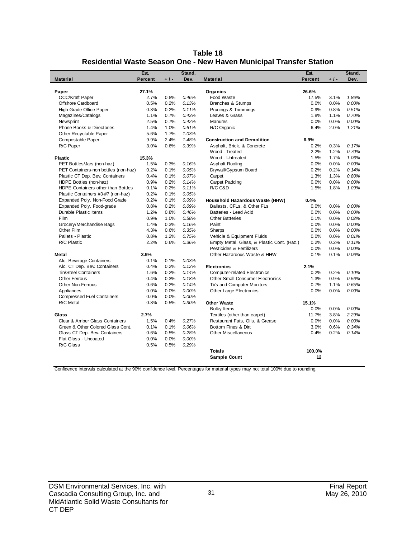| Table 18                                                            |
|---------------------------------------------------------------------|
| Residential Waste Season One - New Haven Municipal Transfer Station |

| 27.1%<br>Organics<br>26.6%<br>Paper<br><b>OCC/Kraft Paper</b><br>2.7%<br>0.8%<br>0.46%<br>Food Waste<br>17.5%<br>1.86%<br>3.1%<br>Offshore Cardboard<br>0.5%<br>0.2%<br>0.13%<br><b>Branches &amp; Stumps</b><br>0.0%<br>0.0%<br>0.00%<br>0.2%<br>Prunings & Trimmings<br>High Grade Office Paper<br>0.3%<br>0.11%<br>0.9%<br>0.8%<br>0.51%<br>0.7%<br>Leaves & Grass<br>0.70%<br>Magazines/Catalogs<br>1.1%<br>0.43%<br>1.8%<br>1.1%<br>0.7%<br>0.42%<br><b>Manures</b><br>0.00%<br>Newsprint<br>2.5%<br>0.0%<br>0.0%<br>1.0%<br>Phone Books & Directories<br>1.4%<br>0.61%<br>R/C Organic<br>6.4%<br>2.0%<br>1.21%<br>5.6%<br>1.7%<br>1.03%<br>Other Recyclable Paper<br>Compostable Paper<br>9.9%<br>2.4%<br>1.48%<br><b>Construction and Demolition</b><br>6.9%<br>R/C Paper<br>3.0%<br>0.6%<br>0.39%<br>0.2%<br>0.17%<br>Asphalt, Brick, & Concrete<br>0.3%<br>Wood - Treated<br>2.2%<br>1.2%<br>0.70%<br>Wood - Untreated<br>1.5%<br>1.7%<br>1.06%<br><b>Plastic</b><br>15.3%<br>PET Bottles/Jars (non-haz)<br>0.0%<br>0.00%<br>1.5%<br>0.3%<br>0.16%<br>Asphalt Roofing<br>0.0%<br>PET Containers-non bottles (non-haz)<br>0.2%<br>0.1%<br>0.05%<br>Drywall/Gypsum Board<br>0.2%<br>0.2%<br>0.14%<br>Plastic CT Dep. Bev. Containers<br>0.4%<br>0.1%<br>0.07%<br>Carpet<br>1.3%<br>1.3%<br>0.80%<br>0.9%<br>0.2%<br>0.00%<br>HDPE Bottles (non-haz)<br>0.14%<br>Carpet Padding<br>0.0%<br>0.0%<br>0.1%<br>0.2%<br>0.11%<br>R/C C&D<br>1.5%<br>1.8%<br>1.09%<br>HDPE Containers other than Bottles<br>0.2%<br>0.1%<br>0.05%<br>Plastic Containers #3-#7 (non-haz)<br>0.2%<br>0.1%<br>0.09%<br>Expanded Poly. Non-Food Grade<br>Household Hazardous Waste (HHW)<br>0.4%<br>Expanded Poly. Food-grade<br>0.2%<br>0.09%<br>Ballasts, CFLs, & Other FLs<br>0.8%<br>0.0%<br>0.0%<br>0.00%<br>Durable Plastic Items<br>1.2%<br>0.8%<br>0.46%<br>Batteries - Lead Acid<br>0.0%<br>0.0%<br>0.00%<br>Film<br>0.9%<br>1.0%<br>0.58%<br><b>Other Batteries</b><br>0.1%<br>0.02%<br>0.0%<br>0.3%<br>Grocery/Merchandise Bags<br>1.4%<br>0.16%<br>Paint<br>0.0%<br>0.0%<br>0.00%<br>4.3%<br>0.6%<br>0.00%<br>Other Film<br>0.35%<br>0.0%<br>0.0%<br>Sharps<br>Pallets - Plastic<br>0.8%<br>1.2%<br>Vehicle & Equipment Fluids<br>0.75%<br>0.0%<br>0.0%<br>0.01%<br>2.2%<br>0.6%<br>R/C Plastic<br>0.36%<br>Empty Metal, Glass, & Plastic Cont. (Haz.)<br>0.2%<br>0.2%<br>0.11%<br>Pesticides & Fertilizers<br>0.0%<br>0.0%<br>0.00%<br>Other Hazardous Waste & HHW<br>3.9%<br>0.1%<br>0.1%<br>0.06%<br>Metal<br>0.1%<br>0.1%<br>0.03%<br>Alc. Beverage Containers<br>Alc. CT Dep. Bev. Containers<br>0.4%<br>0.2%<br>0.12%<br>2.1%<br><b>Electronics</b><br>Tin/Steel Containers<br>1.6%<br>0.2%<br>0.14%<br>0.2%<br>0.10%<br><b>Computer-related Electronics</b><br>0.2%<br><b>Other Ferrous</b><br>0.4%<br>0.3%<br>0.18%<br><b>Other Small Consumer Electronics</b><br>1.3%<br>0.9%<br>0.56%<br>Other Non-Ferrous<br>0.6%<br>0.2%<br>0.14%<br>TVs and Computer Monitors<br>0.7%<br>0.65%<br>1.1%<br>Appliances<br>0.0%<br>0.0%<br>0.00%<br>Other Large Electronics<br>0.0%<br>0.0%<br>0.00%<br><b>Compressed Fuel Containers</b><br>0.0%<br>0.0%<br>0.00%<br>R/C Metal<br>0.8%<br>0.5%<br>0.30%<br><b>Other Waste</b><br>15.1%<br>0.00%<br><b>Bulky Items</b><br>0.0%<br>0.0% | <b>Material</b> | Est.<br><b>Percent</b> | $+1-$ | Stand.<br>Dev. | <b>Material</b> | Est.<br><b>Percent</b> | $+1-$ | Stand.<br>Dev. |
|--------------------------------------------------------------------------------------------------------------------------------------------------------------------------------------------------------------------------------------------------------------------------------------------------------------------------------------------------------------------------------------------------------------------------------------------------------------------------------------------------------------------------------------------------------------------------------------------------------------------------------------------------------------------------------------------------------------------------------------------------------------------------------------------------------------------------------------------------------------------------------------------------------------------------------------------------------------------------------------------------------------------------------------------------------------------------------------------------------------------------------------------------------------------------------------------------------------------------------------------------------------------------------------------------------------------------------------------------------------------------------------------------------------------------------------------------------------------------------------------------------------------------------------------------------------------------------------------------------------------------------------------------------------------------------------------------------------------------------------------------------------------------------------------------------------------------------------------------------------------------------------------------------------------------------------------------------------------------------------------------------------------------------------------------------------------------------------------------------------------------------------------------------------------------------------------------------------------------------------------------------------------------------------------------------------------------------------------------------------------------------------------------------------------------------------------------------------------------------------------------------------------------------------------------------------------------------------------------------------------------------------------------------------------------------------------------------------------------------------------------------------------------------------------------------------------------------------------------------------------------------------------------------------------------------------------------------------------------------------------------------------------------------------------------------------------------------------------------------------------------------------------------------------------------------------------------------------------------------------------------------------------------|-----------------|------------------------|-------|----------------|-----------------|------------------------|-------|----------------|
|                                                                                                                                                                                                                                                                                                                                                                                                                                                                                                                                                                                                                                                                                                                                                                                                                                                                                                                                                                                                                                                                                                                                                                                                                                                                                                                                                                                                                                                                                                                                                                                                                                                                                                                                                                                                                                                                                                                                                                                                                                                                                                                                                                                                                                                                                                                                                                                                                                                                                                                                                                                                                                                                                                                                                                                                                                                                                                                                                                                                                                                                                                                                                                                                                                                                          |                 |                        |       |                |                 |                        |       |                |
|                                                                                                                                                                                                                                                                                                                                                                                                                                                                                                                                                                                                                                                                                                                                                                                                                                                                                                                                                                                                                                                                                                                                                                                                                                                                                                                                                                                                                                                                                                                                                                                                                                                                                                                                                                                                                                                                                                                                                                                                                                                                                                                                                                                                                                                                                                                                                                                                                                                                                                                                                                                                                                                                                                                                                                                                                                                                                                                                                                                                                                                                                                                                                                                                                                                                          |                 |                        |       |                |                 |                        |       |                |
|                                                                                                                                                                                                                                                                                                                                                                                                                                                                                                                                                                                                                                                                                                                                                                                                                                                                                                                                                                                                                                                                                                                                                                                                                                                                                                                                                                                                                                                                                                                                                                                                                                                                                                                                                                                                                                                                                                                                                                                                                                                                                                                                                                                                                                                                                                                                                                                                                                                                                                                                                                                                                                                                                                                                                                                                                                                                                                                                                                                                                                                                                                                                                                                                                                                                          |                 |                        |       |                |                 |                        |       |                |
|                                                                                                                                                                                                                                                                                                                                                                                                                                                                                                                                                                                                                                                                                                                                                                                                                                                                                                                                                                                                                                                                                                                                                                                                                                                                                                                                                                                                                                                                                                                                                                                                                                                                                                                                                                                                                                                                                                                                                                                                                                                                                                                                                                                                                                                                                                                                                                                                                                                                                                                                                                                                                                                                                                                                                                                                                                                                                                                                                                                                                                                                                                                                                                                                                                                                          |                 |                        |       |                |                 |                        |       |                |
|                                                                                                                                                                                                                                                                                                                                                                                                                                                                                                                                                                                                                                                                                                                                                                                                                                                                                                                                                                                                                                                                                                                                                                                                                                                                                                                                                                                                                                                                                                                                                                                                                                                                                                                                                                                                                                                                                                                                                                                                                                                                                                                                                                                                                                                                                                                                                                                                                                                                                                                                                                                                                                                                                                                                                                                                                                                                                                                                                                                                                                                                                                                                                                                                                                                                          |                 |                        |       |                |                 |                        |       |                |
|                                                                                                                                                                                                                                                                                                                                                                                                                                                                                                                                                                                                                                                                                                                                                                                                                                                                                                                                                                                                                                                                                                                                                                                                                                                                                                                                                                                                                                                                                                                                                                                                                                                                                                                                                                                                                                                                                                                                                                                                                                                                                                                                                                                                                                                                                                                                                                                                                                                                                                                                                                                                                                                                                                                                                                                                                                                                                                                                                                                                                                                                                                                                                                                                                                                                          |                 |                        |       |                |                 |                        |       |                |
|                                                                                                                                                                                                                                                                                                                                                                                                                                                                                                                                                                                                                                                                                                                                                                                                                                                                                                                                                                                                                                                                                                                                                                                                                                                                                                                                                                                                                                                                                                                                                                                                                                                                                                                                                                                                                                                                                                                                                                                                                                                                                                                                                                                                                                                                                                                                                                                                                                                                                                                                                                                                                                                                                                                                                                                                                                                                                                                                                                                                                                                                                                                                                                                                                                                                          |                 |                        |       |                |                 |                        |       |                |
|                                                                                                                                                                                                                                                                                                                                                                                                                                                                                                                                                                                                                                                                                                                                                                                                                                                                                                                                                                                                                                                                                                                                                                                                                                                                                                                                                                                                                                                                                                                                                                                                                                                                                                                                                                                                                                                                                                                                                                                                                                                                                                                                                                                                                                                                                                                                                                                                                                                                                                                                                                                                                                                                                                                                                                                                                                                                                                                                                                                                                                                                                                                                                                                                                                                                          |                 |                        |       |                |                 |                        |       |                |
|                                                                                                                                                                                                                                                                                                                                                                                                                                                                                                                                                                                                                                                                                                                                                                                                                                                                                                                                                                                                                                                                                                                                                                                                                                                                                                                                                                                                                                                                                                                                                                                                                                                                                                                                                                                                                                                                                                                                                                                                                                                                                                                                                                                                                                                                                                                                                                                                                                                                                                                                                                                                                                                                                                                                                                                                                                                                                                                                                                                                                                                                                                                                                                                                                                                                          |                 |                        |       |                |                 |                        |       |                |
|                                                                                                                                                                                                                                                                                                                                                                                                                                                                                                                                                                                                                                                                                                                                                                                                                                                                                                                                                                                                                                                                                                                                                                                                                                                                                                                                                                                                                                                                                                                                                                                                                                                                                                                                                                                                                                                                                                                                                                                                                                                                                                                                                                                                                                                                                                                                                                                                                                                                                                                                                                                                                                                                                                                                                                                                                                                                                                                                                                                                                                                                                                                                                                                                                                                                          |                 |                        |       |                |                 |                        |       |                |
|                                                                                                                                                                                                                                                                                                                                                                                                                                                                                                                                                                                                                                                                                                                                                                                                                                                                                                                                                                                                                                                                                                                                                                                                                                                                                                                                                                                                                                                                                                                                                                                                                                                                                                                                                                                                                                                                                                                                                                                                                                                                                                                                                                                                                                                                                                                                                                                                                                                                                                                                                                                                                                                                                                                                                                                                                                                                                                                                                                                                                                                                                                                                                                                                                                                                          |                 |                        |       |                |                 |                        |       |                |
|                                                                                                                                                                                                                                                                                                                                                                                                                                                                                                                                                                                                                                                                                                                                                                                                                                                                                                                                                                                                                                                                                                                                                                                                                                                                                                                                                                                                                                                                                                                                                                                                                                                                                                                                                                                                                                                                                                                                                                                                                                                                                                                                                                                                                                                                                                                                                                                                                                                                                                                                                                                                                                                                                                                                                                                                                                                                                                                                                                                                                                                                                                                                                                                                                                                                          |                 |                        |       |                |                 |                        |       |                |
|                                                                                                                                                                                                                                                                                                                                                                                                                                                                                                                                                                                                                                                                                                                                                                                                                                                                                                                                                                                                                                                                                                                                                                                                                                                                                                                                                                                                                                                                                                                                                                                                                                                                                                                                                                                                                                                                                                                                                                                                                                                                                                                                                                                                                                                                                                                                                                                                                                                                                                                                                                                                                                                                                                                                                                                                                                                                                                                                                                                                                                                                                                                                                                                                                                                                          |                 |                        |       |                |                 |                        |       |                |
|                                                                                                                                                                                                                                                                                                                                                                                                                                                                                                                                                                                                                                                                                                                                                                                                                                                                                                                                                                                                                                                                                                                                                                                                                                                                                                                                                                                                                                                                                                                                                                                                                                                                                                                                                                                                                                                                                                                                                                                                                                                                                                                                                                                                                                                                                                                                                                                                                                                                                                                                                                                                                                                                                                                                                                                                                                                                                                                                                                                                                                                                                                                                                                                                                                                                          |                 |                        |       |                |                 |                        |       |                |
|                                                                                                                                                                                                                                                                                                                                                                                                                                                                                                                                                                                                                                                                                                                                                                                                                                                                                                                                                                                                                                                                                                                                                                                                                                                                                                                                                                                                                                                                                                                                                                                                                                                                                                                                                                                                                                                                                                                                                                                                                                                                                                                                                                                                                                                                                                                                                                                                                                                                                                                                                                                                                                                                                                                                                                                                                                                                                                                                                                                                                                                                                                                                                                                                                                                                          |                 |                        |       |                |                 |                        |       |                |
|                                                                                                                                                                                                                                                                                                                                                                                                                                                                                                                                                                                                                                                                                                                                                                                                                                                                                                                                                                                                                                                                                                                                                                                                                                                                                                                                                                                                                                                                                                                                                                                                                                                                                                                                                                                                                                                                                                                                                                                                                                                                                                                                                                                                                                                                                                                                                                                                                                                                                                                                                                                                                                                                                                                                                                                                                                                                                                                                                                                                                                                                                                                                                                                                                                                                          |                 |                        |       |                |                 |                        |       |                |
|                                                                                                                                                                                                                                                                                                                                                                                                                                                                                                                                                                                                                                                                                                                                                                                                                                                                                                                                                                                                                                                                                                                                                                                                                                                                                                                                                                                                                                                                                                                                                                                                                                                                                                                                                                                                                                                                                                                                                                                                                                                                                                                                                                                                                                                                                                                                                                                                                                                                                                                                                                                                                                                                                                                                                                                                                                                                                                                                                                                                                                                                                                                                                                                                                                                                          |                 |                        |       |                |                 |                        |       |                |
|                                                                                                                                                                                                                                                                                                                                                                                                                                                                                                                                                                                                                                                                                                                                                                                                                                                                                                                                                                                                                                                                                                                                                                                                                                                                                                                                                                                                                                                                                                                                                                                                                                                                                                                                                                                                                                                                                                                                                                                                                                                                                                                                                                                                                                                                                                                                                                                                                                                                                                                                                                                                                                                                                                                                                                                                                                                                                                                                                                                                                                                                                                                                                                                                                                                                          |                 |                        |       |                |                 |                        |       |                |
|                                                                                                                                                                                                                                                                                                                                                                                                                                                                                                                                                                                                                                                                                                                                                                                                                                                                                                                                                                                                                                                                                                                                                                                                                                                                                                                                                                                                                                                                                                                                                                                                                                                                                                                                                                                                                                                                                                                                                                                                                                                                                                                                                                                                                                                                                                                                                                                                                                                                                                                                                                                                                                                                                                                                                                                                                                                                                                                                                                                                                                                                                                                                                                                                                                                                          |                 |                        |       |                |                 |                        |       |                |
|                                                                                                                                                                                                                                                                                                                                                                                                                                                                                                                                                                                                                                                                                                                                                                                                                                                                                                                                                                                                                                                                                                                                                                                                                                                                                                                                                                                                                                                                                                                                                                                                                                                                                                                                                                                                                                                                                                                                                                                                                                                                                                                                                                                                                                                                                                                                                                                                                                                                                                                                                                                                                                                                                                                                                                                                                                                                                                                                                                                                                                                                                                                                                                                                                                                                          |                 |                        |       |                |                 |                        |       |                |
|                                                                                                                                                                                                                                                                                                                                                                                                                                                                                                                                                                                                                                                                                                                                                                                                                                                                                                                                                                                                                                                                                                                                                                                                                                                                                                                                                                                                                                                                                                                                                                                                                                                                                                                                                                                                                                                                                                                                                                                                                                                                                                                                                                                                                                                                                                                                                                                                                                                                                                                                                                                                                                                                                                                                                                                                                                                                                                                                                                                                                                                                                                                                                                                                                                                                          |                 |                        |       |                |                 |                        |       |                |
|                                                                                                                                                                                                                                                                                                                                                                                                                                                                                                                                                                                                                                                                                                                                                                                                                                                                                                                                                                                                                                                                                                                                                                                                                                                                                                                                                                                                                                                                                                                                                                                                                                                                                                                                                                                                                                                                                                                                                                                                                                                                                                                                                                                                                                                                                                                                                                                                                                                                                                                                                                                                                                                                                                                                                                                                                                                                                                                                                                                                                                                                                                                                                                                                                                                                          |                 |                        |       |                |                 |                        |       |                |
|                                                                                                                                                                                                                                                                                                                                                                                                                                                                                                                                                                                                                                                                                                                                                                                                                                                                                                                                                                                                                                                                                                                                                                                                                                                                                                                                                                                                                                                                                                                                                                                                                                                                                                                                                                                                                                                                                                                                                                                                                                                                                                                                                                                                                                                                                                                                                                                                                                                                                                                                                                                                                                                                                                                                                                                                                                                                                                                                                                                                                                                                                                                                                                                                                                                                          |                 |                        |       |                |                 |                        |       |                |
|                                                                                                                                                                                                                                                                                                                                                                                                                                                                                                                                                                                                                                                                                                                                                                                                                                                                                                                                                                                                                                                                                                                                                                                                                                                                                                                                                                                                                                                                                                                                                                                                                                                                                                                                                                                                                                                                                                                                                                                                                                                                                                                                                                                                                                                                                                                                                                                                                                                                                                                                                                                                                                                                                                                                                                                                                                                                                                                                                                                                                                                                                                                                                                                                                                                                          |                 |                        |       |                |                 |                        |       |                |
|                                                                                                                                                                                                                                                                                                                                                                                                                                                                                                                                                                                                                                                                                                                                                                                                                                                                                                                                                                                                                                                                                                                                                                                                                                                                                                                                                                                                                                                                                                                                                                                                                                                                                                                                                                                                                                                                                                                                                                                                                                                                                                                                                                                                                                                                                                                                                                                                                                                                                                                                                                                                                                                                                                                                                                                                                                                                                                                                                                                                                                                                                                                                                                                                                                                                          |                 |                        |       |                |                 |                        |       |                |
|                                                                                                                                                                                                                                                                                                                                                                                                                                                                                                                                                                                                                                                                                                                                                                                                                                                                                                                                                                                                                                                                                                                                                                                                                                                                                                                                                                                                                                                                                                                                                                                                                                                                                                                                                                                                                                                                                                                                                                                                                                                                                                                                                                                                                                                                                                                                                                                                                                                                                                                                                                                                                                                                                                                                                                                                                                                                                                                                                                                                                                                                                                                                                                                                                                                                          |                 |                        |       |                |                 |                        |       |                |
|                                                                                                                                                                                                                                                                                                                                                                                                                                                                                                                                                                                                                                                                                                                                                                                                                                                                                                                                                                                                                                                                                                                                                                                                                                                                                                                                                                                                                                                                                                                                                                                                                                                                                                                                                                                                                                                                                                                                                                                                                                                                                                                                                                                                                                                                                                                                                                                                                                                                                                                                                                                                                                                                                                                                                                                                                                                                                                                                                                                                                                                                                                                                                                                                                                                                          |                 |                        |       |                |                 |                        |       |                |
|                                                                                                                                                                                                                                                                                                                                                                                                                                                                                                                                                                                                                                                                                                                                                                                                                                                                                                                                                                                                                                                                                                                                                                                                                                                                                                                                                                                                                                                                                                                                                                                                                                                                                                                                                                                                                                                                                                                                                                                                                                                                                                                                                                                                                                                                                                                                                                                                                                                                                                                                                                                                                                                                                                                                                                                                                                                                                                                                                                                                                                                                                                                                                                                                                                                                          |                 |                        |       |                |                 |                        |       |                |
|                                                                                                                                                                                                                                                                                                                                                                                                                                                                                                                                                                                                                                                                                                                                                                                                                                                                                                                                                                                                                                                                                                                                                                                                                                                                                                                                                                                                                                                                                                                                                                                                                                                                                                                                                                                                                                                                                                                                                                                                                                                                                                                                                                                                                                                                                                                                                                                                                                                                                                                                                                                                                                                                                                                                                                                                                                                                                                                                                                                                                                                                                                                                                                                                                                                                          |                 |                        |       |                |                 |                        |       |                |
|                                                                                                                                                                                                                                                                                                                                                                                                                                                                                                                                                                                                                                                                                                                                                                                                                                                                                                                                                                                                                                                                                                                                                                                                                                                                                                                                                                                                                                                                                                                                                                                                                                                                                                                                                                                                                                                                                                                                                                                                                                                                                                                                                                                                                                                                                                                                                                                                                                                                                                                                                                                                                                                                                                                                                                                                                                                                                                                                                                                                                                                                                                                                                                                                                                                                          |                 |                        |       |                |                 |                        |       |                |
|                                                                                                                                                                                                                                                                                                                                                                                                                                                                                                                                                                                                                                                                                                                                                                                                                                                                                                                                                                                                                                                                                                                                                                                                                                                                                                                                                                                                                                                                                                                                                                                                                                                                                                                                                                                                                                                                                                                                                                                                                                                                                                                                                                                                                                                                                                                                                                                                                                                                                                                                                                                                                                                                                                                                                                                                                                                                                                                                                                                                                                                                                                                                                                                                                                                                          |                 |                        |       |                |                 |                        |       |                |
|                                                                                                                                                                                                                                                                                                                                                                                                                                                                                                                                                                                                                                                                                                                                                                                                                                                                                                                                                                                                                                                                                                                                                                                                                                                                                                                                                                                                                                                                                                                                                                                                                                                                                                                                                                                                                                                                                                                                                                                                                                                                                                                                                                                                                                                                                                                                                                                                                                                                                                                                                                                                                                                                                                                                                                                                                                                                                                                                                                                                                                                                                                                                                                                                                                                                          |                 |                        |       |                |                 |                        |       |                |
|                                                                                                                                                                                                                                                                                                                                                                                                                                                                                                                                                                                                                                                                                                                                                                                                                                                                                                                                                                                                                                                                                                                                                                                                                                                                                                                                                                                                                                                                                                                                                                                                                                                                                                                                                                                                                                                                                                                                                                                                                                                                                                                                                                                                                                                                                                                                                                                                                                                                                                                                                                                                                                                                                                                                                                                                                                                                                                                                                                                                                                                                                                                                                                                                                                                                          |                 |                        |       |                |                 |                        |       |                |
|                                                                                                                                                                                                                                                                                                                                                                                                                                                                                                                                                                                                                                                                                                                                                                                                                                                                                                                                                                                                                                                                                                                                                                                                                                                                                                                                                                                                                                                                                                                                                                                                                                                                                                                                                                                                                                                                                                                                                                                                                                                                                                                                                                                                                                                                                                                                                                                                                                                                                                                                                                                                                                                                                                                                                                                                                                                                                                                                                                                                                                                                                                                                                                                                                                                                          |                 |                        |       |                |                 |                        |       |                |
|                                                                                                                                                                                                                                                                                                                                                                                                                                                                                                                                                                                                                                                                                                                                                                                                                                                                                                                                                                                                                                                                                                                                                                                                                                                                                                                                                                                                                                                                                                                                                                                                                                                                                                                                                                                                                                                                                                                                                                                                                                                                                                                                                                                                                                                                                                                                                                                                                                                                                                                                                                                                                                                                                                                                                                                                                                                                                                                                                                                                                                                                                                                                                                                                                                                                          |                 |                        |       |                |                 |                        |       |                |
|                                                                                                                                                                                                                                                                                                                                                                                                                                                                                                                                                                                                                                                                                                                                                                                                                                                                                                                                                                                                                                                                                                                                                                                                                                                                                                                                                                                                                                                                                                                                                                                                                                                                                                                                                                                                                                                                                                                                                                                                                                                                                                                                                                                                                                                                                                                                                                                                                                                                                                                                                                                                                                                                                                                                                                                                                                                                                                                                                                                                                                                                                                                                                                                                                                                                          |                 |                        |       |                |                 |                        |       |                |
|                                                                                                                                                                                                                                                                                                                                                                                                                                                                                                                                                                                                                                                                                                                                                                                                                                                                                                                                                                                                                                                                                                                                                                                                                                                                                                                                                                                                                                                                                                                                                                                                                                                                                                                                                                                                                                                                                                                                                                                                                                                                                                                                                                                                                                                                                                                                                                                                                                                                                                                                                                                                                                                                                                                                                                                                                                                                                                                                                                                                                                                                                                                                                                                                                                                                          |                 |                        |       |                |                 |                        |       |                |
|                                                                                                                                                                                                                                                                                                                                                                                                                                                                                                                                                                                                                                                                                                                                                                                                                                                                                                                                                                                                                                                                                                                                                                                                                                                                                                                                                                                                                                                                                                                                                                                                                                                                                                                                                                                                                                                                                                                                                                                                                                                                                                                                                                                                                                                                                                                                                                                                                                                                                                                                                                                                                                                                                                                                                                                                                                                                                                                                                                                                                                                                                                                                                                                                                                                                          |                 |                        |       |                |                 |                        |       |                |
| 2.7%<br>Textiles (other than carpet)<br>2.29%<br>Glass<br>11.7%<br>3.8%                                                                                                                                                                                                                                                                                                                                                                                                                                                                                                                                                                                                                                                                                                                                                                                                                                                                                                                                                                                                                                                                                                                                                                                                                                                                                                                                                                                                                                                                                                                                                                                                                                                                                                                                                                                                                                                                                                                                                                                                                                                                                                                                                                                                                                                                                                                                                                                                                                                                                                                                                                                                                                                                                                                                                                                                                                                                                                                                                                                                                                                                                                                                                                                                  |                 |                        |       |                |                 |                        |       |                |
| 1.5%<br>0.27%<br>0.00%<br>Clear & Amber Glass Containers<br>0.4%<br>Restaurant Fats, Oils, & Grease<br>0.0%<br>0.0%                                                                                                                                                                                                                                                                                                                                                                                                                                                                                                                                                                                                                                                                                                                                                                                                                                                                                                                                                                                                                                                                                                                                                                                                                                                                                                                                                                                                                                                                                                                                                                                                                                                                                                                                                                                                                                                                                                                                                                                                                                                                                                                                                                                                                                                                                                                                                                                                                                                                                                                                                                                                                                                                                                                                                                                                                                                                                                                                                                                                                                                                                                                                                      |                 |                        |       |                |                 |                        |       |                |
| 0.1%<br>0.34%<br>Green & Other Colored Glass Cont.<br>0.1%<br>0.06%<br>Bottom Fines & Dirt<br>3.0%<br>0.6%                                                                                                                                                                                                                                                                                                                                                                                                                                                                                                                                                                                                                                                                                                                                                                                                                                                                                                                                                                                                                                                                                                                                                                                                                                                                                                                                                                                                                                                                                                                                                                                                                                                                                                                                                                                                                                                                                                                                                                                                                                                                                                                                                                                                                                                                                                                                                                                                                                                                                                                                                                                                                                                                                                                                                                                                                                                                                                                                                                                                                                                                                                                                                               |                 |                        |       |                |                 |                        |       |                |
| Glass CT Dep. Bev. Containers<br>0.6%<br>0.5%<br>0.28%<br><b>Other Miscellaneous</b><br>0.4%<br>0.2%<br>0.14%                                                                                                                                                                                                                                                                                                                                                                                                                                                                                                                                                                                                                                                                                                                                                                                                                                                                                                                                                                                                                                                                                                                                                                                                                                                                                                                                                                                                                                                                                                                                                                                                                                                                                                                                                                                                                                                                                                                                                                                                                                                                                                                                                                                                                                                                                                                                                                                                                                                                                                                                                                                                                                                                                                                                                                                                                                                                                                                                                                                                                                                                                                                                                            |                 |                        |       |                |                 |                        |       |                |
| Flat Glass - Uncoated<br>0.0%<br>0.0%<br>0.00%                                                                                                                                                                                                                                                                                                                                                                                                                                                                                                                                                                                                                                                                                                                                                                                                                                                                                                                                                                                                                                                                                                                                                                                                                                                                                                                                                                                                                                                                                                                                                                                                                                                                                                                                                                                                                                                                                                                                                                                                                                                                                                                                                                                                                                                                                                                                                                                                                                                                                                                                                                                                                                                                                                                                                                                                                                                                                                                                                                                                                                                                                                                                                                                                                           |                 |                        |       |                |                 |                        |       |                |
| R/C Glass<br>0.5%<br>0.5%<br>0.29%                                                                                                                                                                                                                                                                                                                                                                                                                                                                                                                                                                                                                                                                                                                                                                                                                                                                                                                                                                                                                                                                                                                                                                                                                                                                                                                                                                                                                                                                                                                                                                                                                                                                                                                                                                                                                                                                                                                                                                                                                                                                                                                                                                                                                                                                                                                                                                                                                                                                                                                                                                                                                                                                                                                                                                                                                                                                                                                                                                                                                                                                                                                                                                                                                                       |                 |                        |       |                |                 |                        |       |                |
| 100.0%<br>Totals                                                                                                                                                                                                                                                                                                                                                                                                                                                                                                                                                                                                                                                                                                                                                                                                                                                                                                                                                                                                                                                                                                                                                                                                                                                                                                                                                                                                                                                                                                                                                                                                                                                                                                                                                                                                                                                                                                                                                                                                                                                                                                                                                                                                                                                                                                                                                                                                                                                                                                                                                                                                                                                                                                                                                                                                                                                                                                                                                                                                                                                                                                                                                                                                                                                         |                 |                        |       |                |                 |                        |       |                |
| <b>Sample Count</b><br>12                                                                                                                                                                                                                                                                                                                                                                                                                                                                                                                                                                                                                                                                                                                                                                                                                                                                                                                                                                                                                                                                                                                                                                                                                                                                                                                                                                                                                                                                                                                                                                                                                                                                                                                                                                                                                                                                                                                                                                                                                                                                                                                                                                                                                                                                                                                                                                                                                                                                                                                                                                                                                                                                                                                                                                                                                                                                                                                                                                                                                                                                                                                                                                                                                                                |                 |                        |       |                |                 |                        |       |                |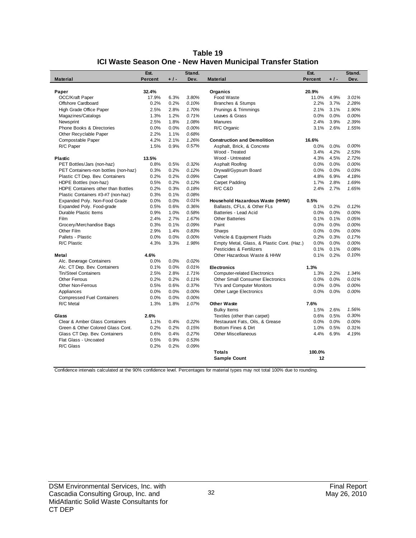| Table 19                                                    |
|-------------------------------------------------------------|
| ICI Waste Season One - New Haven Municipal Transfer Station |

|                                      | Est.           |       | Stand. |                                            | Est.           |       | Stand. |
|--------------------------------------|----------------|-------|--------|--------------------------------------------|----------------|-------|--------|
| <b>Material</b>                      | <b>Percent</b> | $+1-$ | Dev.   | <b>Material</b>                            | <b>Percent</b> | $+1-$ | Dev.   |
|                                      |                |       |        |                                            |                |       |        |
| Paper                                | 32.4%          |       |        | Organics                                   | 20.9%          |       |        |
| <b>OCC/Kraft Paper</b>               | 17.9%          | 6.3%  | 3.80%  | Food Waste                                 | 11.0%          | 4.9%  | 3.01%  |
| Offshore Cardboard                   | 0.2%           | 0.2%  | 0.10%  | Branches & Stumps                          | 2.2%           | 3.7%  | 2.28%  |
| High Grade Office Paper              | 2.5%           | 2.8%  | 1.70%  | Prunings & Trimmings                       | 2.1%           | 3.1%  | 1.90%  |
| Magazines/Catalogs                   | 1.3%           | 1.2%  | 0.71%  | Leaves & Grass                             | 0.0%           | 0.0%  | 0.00%  |
| Newsprint                            | 2.5%           | 1.8%  | 1.08%  | <b>Manures</b>                             | 2.4%           | 3.9%  | 2.39%  |
| <b>Phone Books &amp; Directories</b> | 0.0%           | 0.0%  | 0.00%  | R/C Organic                                | 3.1%           | 2.6%  | 1.55%  |
| Other Recyclable Paper               | 2.2%           | 1.1%  | 0.68%  |                                            |                |       |        |
| Compostable Paper                    | 4.2%           | 2.1%  | 1.26%  | <b>Construction and Demolition</b>         | 16.6%          |       |        |
| R/C Paper                            | 1.5%           | 0.9%  | 0.57%  | Asphalt, Brick, & Concrete                 | 0.0%           | 0.0%  | 0.00%  |
|                                      |                |       |        | Wood - Treated                             | 3.4%           | 4.2%  | 2.53%  |
| <b>Plastic</b>                       | 13.5%          |       |        | Wood - Untreated                           | 4.3%           | 4.5%  | 2.72%  |
| PET Bottles/Jars (non-haz)           | 0.8%           | 0.5%  | 0.32%  | Asphalt Roofing                            | 0.0%           | 0.0%  | 0.00%  |
| PET Containers-non bottles (non-haz) | 0.3%           | 0.2%  | 0.12%  | Drywall/Gypsum Board                       | 0.0%           | 0.0%  | 0.03%  |
| Plastic CT Dep. Bev. Containers      | 0.2%           | 0.2%  | 0.09%  | Carpet                                     | 4.8%           | 6.9%  | 4.18%  |
| HDPE Bottles (non-haz)               | 0.5%           | 0.2%  | 0.12%  | <b>Carpet Padding</b>                      | 1.7%           | 2.8%  | 1.69%  |
| HDPE Containers other than Bottles   | 0.2%           | 0.3%  | 0.18%  | R/C C&D                                    | 2.4%           | 2.7%  | 1.65%  |
| Plastic Containers #3-#7 (non-haz)   | 0.3%           | 0.1%  | 0.08%  |                                            |                |       |        |
| Expanded Poly. Non-Food Grade        | 0.0%           | 0.0%  | 0.01%  | Household Hazardous Waste (HHW)            | 0.5%           |       |        |
| Expanded Poly. Food-grade            | 0.5%           | 0.6%  | 0.36%  | Ballasts, CFLs, & Other FLs                | 0.1%           | 0.2%  | 0.12%  |
| Durable Plastic Items                | 0.9%           | 1.0%  | 0.58%  | Batteries - Lead Acid                      | 0.0%           | 0.0%  | 0.00%  |
| Film                                 | 2.4%           | 2.7%  | 1.67%  | <b>Other Batteries</b>                     | 0.1%           | 0.1%  | 0.05%  |
| Grocery/Merchandise Bags             | 0.3%           | 0.1%  | 0.09%  | Paint                                      | 0.0%           | 0.0%  | 0.00%  |
| Other Film                           | 2.9%           | 1.4%  | 0.83%  | Sharps                                     | 0.0%           | 0.0%  | 0.00%  |
| Pallets - Plastic                    | 0.0%           | 0.0%  | 0.00%  | Vehicle & Equipment Fluids                 | 0.2%           | 0.3%  | 0.17%  |
| R/C Plastic                          | 4.3%           | 3.3%  | 1.98%  | Empty Metal, Glass, & Plastic Cont. (Haz.) | 0.0%           | 0.0%  | 0.00%  |
|                                      |                |       |        | Pesticides & Fertilizers                   | 0.1%           | 0.1%  | 0.08%  |
| Metal                                | 4.6%           |       |        | Other Hazardous Waste & HHW                | 0.1%           | 0.2%  | 0.10%  |
| Alc. Beverage Containers             | 0.0%           | 0.0%  | 0.02%  |                                            |                |       |        |
| Alc. CT Dep. Bev. Containers         | 0.1%           | 0.0%  | 0.01%  | <b>Electronics</b>                         | 1.3%           |       |        |
| <b>Tin/Steel Containers</b>          | 2.5%           | 2.8%  | 1.71%  | <b>Computer-related Electronics</b>        | 1.3%           | 2.2%  | 1.34%  |
| <b>Other Ferrous</b>                 | 0.2%           | 0.2%  | 0.11%  | <b>Other Small Consumer Electronics</b>    | 0.0%           | 0.0%  | 0.01%  |
| <b>Other Non-Ferrous</b>             | 0.5%           | 0.6%  | 0.37%  | TVs and Computer Monitors                  | 0.0%           | 0.0%  | 0.00%  |
| Appliances                           | 0.0%           | 0.0%  | 0.00%  | <b>Other Large Electronics</b>             | 0.0%           | 0.0%  | 0.00%  |
| <b>Compressed Fuel Containers</b>    | 0.0%           | 0.0%  | 0.00%  |                                            |                |       |        |
| R/C Metal                            | 1.3%           | 1.8%  | 1.07%  | <b>Other Waste</b>                         | 7.6%           |       |        |
|                                      |                |       |        | <b>Bulky Items</b>                         | 1.5%           | 2.6%  | 1.56%  |
| Glass                                | 2.6%           |       |        | Textiles (other than carpet)               | 0.6%           | 0.5%  | 0.30%  |
| Clear & Amber Glass Containers       | 1.1%           | 0.4%  | 0.22%  | Restaurant Fats, Oils, & Grease            | 0.0%           | 0.0%  | 0.00%  |
| Green & Other Colored Glass Cont.    | 0.2%           | 0.2%  | 0.15%  | Bottom Fines & Dirt                        | 1.0%           | 0.5%  | 0.31%  |
| Glass CT Dep. Bev. Containers        | 0.6%           | 0.4%  | 0.27%  | <b>Other Miscellaneous</b>                 | 4.4%           | 6.9%  | 4.19%  |
| Flat Glass - Uncoated                | 0.5%           | 0.9%  | 0.53%  |                                            |                |       |        |
| R/C Glass                            | 0.2%           | 0.2%  | 0.09%  |                                            |                |       |        |
|                                      |                |       |        | <b>Totals</b>                              | 100.0%         |       |        |
|                                      |                |       |        | <b>Sample Count</b>                        | 12             |       |        |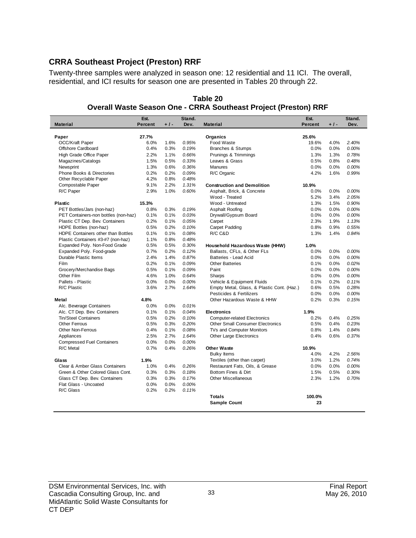## **CRRA Southeast Project (Preston) RRF**

Twenty-three samples were analyzed in season one: 12 residential and 11 ICI. The overall, residential, and ICI results for season one are presented in Tables 20 through 22.

|                                      | Est.           |       | Stand. |                                            | Est.    |       | Stand. |
|--------------------------------------|----------------|-------|--------|--------------------------------------------|---------|-------|--------|
| <b>Material</b>                      | <b>Percent</b> | $+1-$ | Dev.   | <b>Material</b>                            | Percent | $+1-$ | Dev.   |
|                                      |                |       |        |                                            |         |       |        |
| Paper                                | 27.7%          |       |        | Organics                                   | 25.6%   |       |        |
| OCC/Kraft Paper                      | 6.0%           | 1.6%  | 0.95%  | Food Waste                                 | 19.6%   | 4.0%  | 2.40%  |
| Offshore Cardboard                   | 0.4%           | 0.3%  | 0.19%  | <b>Branches &amp; Stumps</b>               | 0.0%    | 0.0%  | 0.00%  |
| High Grade Office Paper              | 2.2%           | 1.1%  | 0.66%  | Prunings & Trimmings                       | 1.3%    | 1.3%  | 0.78%  |
| Magazines/Catalogs                   | 1.5%           | 0.5%  | 0.33%  | Leaves & Grass                             | 0.5%    | 0.8%  | 0.48%  |
| Newsprint                            | 1.3%           | 0.6%  | 0.36%  | <b>Manures</b>                             | 0.0%    | 0.0%  | 0.00%  |
| Phone Books & Directories            | 0.2%           | 0.2%  | 0.09%  | R/C Organic                                | 4.2%    | 1.6%  | 0.99%  |
| Other Recyclable Paper               | 4.2%           | 0.8%  | 0.48%  |                                            |         |       |        |
| Compostable Paper                    | 9.1%           | 2.2%  | 1.31%  | <b>Construction and Demolition</b>         | 10.9%   |       |        |
| R/C Paper                            | 2.9%           | 1.0%  | 0.60%  | Asphalt, Brick, & Concrete                 | 0.0%    | 0.0%  | 0.00%  |
|                                      |                |       |        | Wood - Treated                             | 5.2%    | 3.4%  | 2.05%  |
| <b>Plastic</b>                       | 15.3%          |       |        | Wood - Untreated                           | 1.3%    | 1.5%  | 0.90%  |
| PET Bottles/Jars (non-haz)           | 0.8%           | 0.3%  | 0.19%  | Asphalt Roofing                            | 0.0%    | 0.0%  | 0.00%  |
| PET Containers-non bottles (non-haz) | 0.1%           | 0.1%  | 0.03%  | Drywall/Gypsum Board                       | 0.0%    | 0.0%  | 0.00%  |
| Plastic CT Dep. Bev. Containers      | 0.2%           | 0.1%  | 0.05%  | Carpet                                     | 2.3%    | 1.9%  | 1.13%  |
| HDPE Bottles (non-haz)               | 0.5%           | 0.2%  | 0.10%  | Carpet Padding                             | 0.8%    | 0.9%  | 0.55%  |
| HDPE Containers other than Bottles   | 0.1%           | 0.1%  | 0.08%  | R/C C&D                                    | 1.3%    | 1.4%  | 0.84%  |
| Plastic Containers #3-#7 (non-haz)   | 1.1%           | 0.8%  | 0.48%  |                                            |         |       |        |
| Expanded Poly. Non-Food Grade        | 0.5%           | 0.5%  | 0.30%  | Household Hazardous Waste (HHW)            | 1.0%    |       |        |
| Expanded Poly. Food-grade            | 0.7%           | 0.2%  | 0.12%  | Ballasts, CFLs, & Other FLs                | 0.0%    | 0.0%  | 0.00%  |
| Durable Plastic Items                | 2.4%           | 1.4%  | 0.87%  | Batteries - Lead Acid                      | 0.0%    | 0.0%  | 0.00%  |
| Film                                 | 0.2%           | 0.1%  | 0.09%  | <b>Other Batteries</b>                     | 0.1%    | 0.0%  | 0.02%  |
| Grocery/Merchandise Bags             | 0.5%           | 0.1%  | 0.09%  | Paint                                      | 0.0%    | 0.0%  | 0.00%  |
| Other Film                           | 4.6%           | 1.0%  | 0.64%  | Sharps                                     | 0.0%    | 0.0%  | 0.00%  |
| Pallets - Plastic                    | 0.0%           | 0.0%  | 0.00%  | Vehicle & Equipment Fluids                 | 0.1%    | 0.2%  | 0.11%  |
| R/C Plastic                          | 3.6%           | 2.7%  | 1.64%  | Empty Metal, Glass, & Plastic Cont. (Haz.) | 0.6%    | 0.5%  | 0.28%  |
|                                      |                |       |        | Pesticides & Fertilizers                   | 0.0%    | 0.0%  | 0.00%  |
| Metal                                | 4.8%           |       |        | Other Hazardous Waste & HHW                | 0.2%    | 0.3%  | 0.15%  |
| Alc. Beverage Containers             | 0.0%           | 0.0%  | 0.01%  |                                            |         |       |        |
| Alc. CT Dep. Bev. Containers         | 0.1%           | 0.1%  | 0.04%  | <b>Electronics</b>                         | 1.9%    |       |        |
| Tin/Steel Containers                 | 0.5%           | 0.2%  | 0.10%  | <b>Computer-related Electronics</b>        | 0.2%    | 0.4%  | 0.25%  |
| <b>Other Ferrous</b>                 | 0.5%           | 0.3%  | 0.20%  | <b>Other Small Consumer Electronics</b>    | 0.5%    | 0.4%  | 0.23%  |
| <b>Other Non-Ferrous</b>             | 0.4%           | 0.1%  | 0.08%  | TVs and Computer Monitors                  | 0.8%    | 1.4%  | 0.84%  |
| Appliances                           | 2.5%           | 2.7%  | 1.64%  | Other Large Electronics                    | 0.4%    | 0.6%  | 0.37%  |
| <b>Compressed Fuel Containers</b>    | 0.0%           | 0.0%  | 0.00%  |                                            |         |       |        |
| R/C Metal                            | 0.7%           | 0.4%  | 0.26%  | <b>Other Waste</b>                         | 10.9%   |       |        |
|                                      |                |       |        | <b>Bulky Items</b>                         | 4.0%    | 4.2%  | 2.56%  |
| Glass                                | 1.9%           |       |        | Textiles (other than carpet)               | 3.0%    | 1.2%  | 0.74%  |
| Clear & Amber Glass Containers       | 1.0%           | 0.4%  | 0.26%  | Restaurant Fats, Oils, & Grease            | 0.0%    | 0.0%  | 0.00%  |
| Green & Other Colored Glass Cont.    | 0.3%           | 0.3%  | 0.18%  | Bottom Fines & Dirt                        | 1.5%    | 0.5%  | 0.30%  |
| Glass CT Dep. Bev. Containers        | 0.3%           | 0.3%  | 0.17%  | <b>Other Miscellaneous</b>                 | 2.3%    | 1.2%  | 0.70%  |
| Flat Glass - Uncoated                | 0.0%           | 0.0%  | 0.00%  |                                            |         |       |        |
| R/C Glass                            | 0.2%           | 0.2%  | 0.11%  |                                            |         |       |        |
|                                      |                |       |        | <b>Totals</b>                              | 100.0%  |       |        |
|                                      |                |       |        | <b>Sample Count</b>                        | 23      |       |        |

**Table 20 Overall Waste Season One - CRRA Southeast Project (Preston) RRF**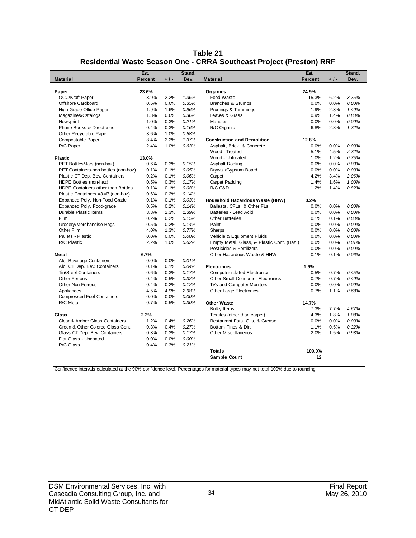| Table 21                                                            |
|---------------------------------------------------------------------|
| Residential Waste Season One - CRRA Southeast Project (Preston) RRF |

| <b>Material</b>                      | Est.<br><b>Percent</b> | $+1-$ | Stand.<br>Dev. | <b>Material</b>                            | Est.<br><b>Percent</b> | $+1-$ | Stand.<br>Dev. |
|--------------------------------------|------------------------|-------|----------------|--------------------------------------------|------------------------|-------|----------------|
|                                      |                        |       |                |                                            |                        |       |                |
| Paper                                | 23.6%                  |       |                | Organics                                   | 24.9%                  |       |                |
| <b>OCC/Kraft Paper</b>               | 3.9%                   | 2.2%  | 1.36%          | Food Waste                                 | 15.3%                  | 6.2%  | 3.75%          |
| Offshore Cardboard                   | 0.6%                   | 0.6%  | 0.35%          | <b>Branches &amp; Stumps</b>               | 0.0%                   | 0.0%  | 0.00%          |
| High Grade Office Paper              | 1.9%                   | 1.6%  | 0.96%          | Prunings & Trimmings                       | 1.9%                   | 2.3%  | 1.40%          |
| Magazines/Catalogs                   | 1.3%                   | 0.6%  | 0.36%          | Leaves & Grass                             | 0.9%                   | 1.4%  | 0.88%          |
| Newsprint                            | 1.0%                   | 0.3%  | 0.21%          | <b>Manures</b>                             | 0.0%                   | 0.0%  | 0.00%          |
| Phone Books & Directories            | 0.4%                   | 0.3%  | 0.16%          | R/C Organic                                | 6.8%                   | 2.8%  | 1.72%          |
| Other Recyclable Paper               | 3.6%                   | 1.0%  | 0.58%          |                                            |                        |       |                |
| Compostable Paper                    | 8.4%                   | 2.2%  | 1.37%          | <b>Construction and Demolition</b>         | 12.8%                  |       |                |
| R/C Paper                            | 2.4%                   | 1.0%  | 0.63%          | Asphalt, Brick, & Concrete                 | 0.0%                   | 0.0%  | 0.00%          |
|                                      |                        |       |                | Wood - Treated                             | 5.1%                   | 4.5%  | 2.72%          |
| <b>Plastic</b>                       | 13.0%                  |       |                | Wood - Untreated                           | 1.0%                   | 1.2%  | 0.75%          |
| PET Bottles/Jars (non-haz)           | 0.6%                   | 0.3%  | 0.15%          | Asphalt Roofing                            | 0.0%                   | 0.0%  | 0.00%          |
| PET Containers-non bottles (non-haz) | 0.1%                   | 0.1%  | 0.05%          | Drywall/Gypsum Board                       | 0.0%                   | 0.0%  | 0.00%          |
| Plastic CT Dep. Bev. Containers      | 0.2%                   | 0.1%  | 0.06%          | Carpet                                     | 4.2%                   | 3.4%  | 2.06%          |
| HDPE Bottles (non-haz)               | 0.5%                   | 0.3%  | 0.17%          | Carpet Padding                             | 1.4%                   | 1.6%  | 1.00%          |
| HDPE Containers other than Bottles   | 0.1%                   | 0.1%  | 0.08%          | R/C C&D                                    | 1.2%                   | 1.4%  | 0.82%          |
| Plastic Containers #3-#7 (non-haz)   | 0.6%                   | 0.2%  | 0.14%          |                                            |                        |       |                |
| Expanded Poly. Non-Food Grade        | 0.1%                   | 0.1%  | 0.03%          | Household Hazardous Waste (HHW)            | 0.2%                   |       |                |
| Expanded Poly. Food-grade            | 0.5%                   | 0.2%  | 0.14%          | Ballasts, CFLs, & Other FLs                | 0.0%                   | 0.0%  | 0.00%          |
| Durable Plastic Items                | 3.3%                   | 2.3%  | 1.39%          | Batteries - Lead Acid                      | 0.0%                   | 0.0%  | 0.00%          |
| <b>Film</b>                          | 0.2%                   | 0.2%  | 0.15%          | <b>Other Batteries</b>                     | 0.1%                   | 0.1%  | 0.03%          |
| Grocery/Merchandise Bags             | 0.5%                   | 0.2%  | 0.14%          | Paint                                      | 0.0%                   | 0.0%  | 0.00%          |
| Other Film                           | 4.0%                   | 1.3%  | 0.77%          | Sharps                                     | 0.0%                   | 0.0%  | 0.00%          |
| Pallets - Plastic                    | 0.0%                   | 0.0%  | 0.00%          | Vehicle & Equipment Fluids                 | 0.0%                   | 0.0%  | 0.00%          |
| R/C Plastic                          | 2.2%                   | 1.0%  | 0.62%          | Empty Metal, Glass, & Plastic Cont. (Haz.) | 0.0%                   | 0.0%  | 0.01%          |
|                                      |                        |       |                | Pesticides & Fertilizers                   | 0.0%                   | 0.0%  | 0.00%          |
| Metal                                | 6.7%                   |       |                | Other Hazardous Waste & HHW                | 0.1%                   | 0.1%  | 0.06%          |
| Alc. Beverage Containers             | 0.0%                   | 0.0%  | 0.01%          |                                            |                        |       |                |
| Alc. CT Dep. Bev. Containers         | 0.1%                   | 0.1%  | 0.04%          | <b>Electronics</b>                         | 1.9%                   |       |                |
| Tin/Steel Containers                 | 0.6%                   | 0.3%  | 0.17%          | <b>Computer-related Electronics</b>        | 0.5%                   | 0.7%  | 0.45%          |
| <b>Other Ferrous</b>                 | 0.4%                   | 0.5%  | 0.32%          | <b>Other Small Consumer Electronics</b>    | 0.7%                   | 0.7%  | 0.40%          |
| Other Non-Ferrous                    | 0.4%                   | 0.2%  | 0.12%          | TVs and Computer Monitors                  | 0.0%                   | 0.0%  | 0.00%          |
| Appliances                           | 4.5%                   | 4.9%  | 2.98%          | <b>Other Large Electronics</b>             | 0.7%                   | 1.1%  | 0.68%          |
| <b>Compressed Fuel Containers</b>    | 0.0%                   | 0.0%  | 0.00%          |                                            |                        |       |                |
| R/C Metal                            | 0.7%                   | 0.5%  | 0.30%          | <b>Other Waste</b>                         | 14.7%                  |       |                |
|                                      |                        |       |                | <b>Bulky Items</b>                         | 7.3%                   | 7.7%  | 4.67%          |
| Glass                                | 2.2%                   |       |                | Textiles (other than carpet)               | 4.3%                   | 1.8%  | 1.08%          |
| Clear & Amber Glass Containers       | 1.2%                   | 0.4%  | 0.26%          | Restaurant Fats, Oils, & Grease            | 0.0%                   | 0.0%  | 0.00%          |
| Green & Other Colored Glass Cont.    | 0.3%                   | 0.4%  | 0.27%          | Bottom Fines & Dirt                        | 1.1%                   | 0.5%  | 0.32%          |
| Glass CT Dep. Bev. Containers        | 0.3%                   | 0.3%  | 0.17%          | <b>Other Miscellaneous</b>                 | 2.0%                   | 1.5%  | 0.93%          |
| Flat Glass - Uncoated                | 0.0%                   | 0.0%  | 0.00%          |                                            |                        |       |                |
| R/C Glass                            | 0.4%                   | 0.3%  | 0.21%          |                                            |                        |       |                |
|                                      |                        |       |                | <b>Totals</b>                              | 100.0%                 |       |                |
|                                      |                        |       |                | <b>Sample Count</b>                        | 12                     |       |                |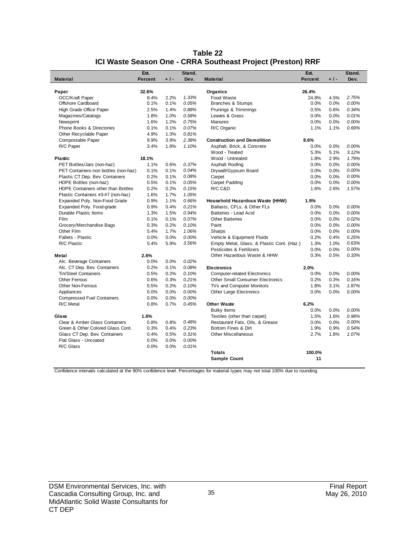|                                      | Est.           |       | Stand. |                                            | Est.           |       | Stand. |
|--------------------------------------|----------------|-------|--------|--------------------------------------------|----------------|-------|--------|
| <b>Material</b>                      | <b>Percent</b> | $+1-$ | Dev.   | <b>Material</b>                            | <b>Percent</b> | $+1-$ | Dev.   |
|                                      |                |       |        |                                            |                |       |        |
| Paper                                | 32.6%          |       |        | Organics                                   | 26.4%          |       |        |
| OCC/Kraft Paper                      | 8.4%           | 2.2%  | 1.33%  | Food Waste                                 | 24.8%          | 4.5%  | 2.75%  |
| Offshore Cardboard                   | 0.1%           | 0.1%  | 0.05%  | <b>Branches &amp; Stumps</b>               | 0.0%           | 0.0%  | 0.00%  |
| High Grade Office Paper              | 2.5%           | 1.4%  | 0.88%  | Prunings & Trimmings                       | 0.5%           | 0.6%  | 0.34%  |
| Magazines/Catalogs                   | 1.8%           | 1.0%  | 0.58%  | Leaves & Grass                             | 0.0%           | 0.0%  | 0.01%  |
| Newsprint                            | 1.6%           | 1.2%  | 0.75%  | <b>Manures</b>                             | 0.0%           | 0.0%  | 0.00%  |
| <b>Phone Books &amp; Directories</b> | 0.1%           | 0.1%  | 0.07%  | R/C Organic                                | 1.1%           | 1.1%  | 0.69%  |
| Other Recyclable Paper               | 4.9%           | 1.3%  | 0.81%  |                                            |                |       |        |
| Compostable Paper                    | 9.9%           | 3.9%  | 2.38%  | <b>Construction and Demolition</b>         | 8.6%           |       |        |
| R/C Paper                            | 3.4%           | 1.8%  | 1.10%  | Asphalt, Brick, & Concrete                 | 0.0%           | 0.0%  | 0.00%  |
|                                      |                |       |        | Wood - Treated                             | 5.3%           | 5.1%  | 3.12%  |
| <b>Plastic</b>                       | 18.1%          |       |        | Wood - Untreated                           | 1.8%           | 2.9%  | 1.79%  |
| PET Bottles/Jars (non-haz)           | 1.1%           | 0.6%  | 0.37%  | Asphalt Roofing                            | 0.0%           | 0.0%  | 0.00%  |
| PET Containers-non bottles (non-haz) | 0.1%           | 0.1%  | 0.04%  | Drywall/Gypsum Board                       | 0.0%           | 0.0%  | 0.00%  |
| Plastic CT Dep. Bev. Containers      | 0.2%           | 0.1%  | 0.08%  | Carpet                                     | 0.0%           | 0.0%  | 0.00%  |
| HDPE Bottles (non-haz)               | 0.5%           | 0.1%  | 0.05%  | Carpet Padding                             | 0.0%           | 0.0%  | 0.00%  |
| HDPE Containers other than Bottles   | 0.2%           | 0.2%  | 0.15%  | R/C C&D                                    | 1.6%           | 2.6%  | 1.57%  |
| Plastic Containers #3-#7 (non-haz)   | 1.6%           | 1.7%  | 1.05%  |                                            |                |       |        |
| Expanded Poly. Non-Food Grade        | 0.9%           | 1.1%  | 0.66%  | Household Hazardous Waste (HHW)            | 1.9%           |       |        |
| Expanded Poly. Food-grade            | 0.9%           | 0.4%  | 0.21%  | Ballasts, CFLs, & Other FLs                | 0.0%           | 0.0%  | 0.00%  |
| Durable Plastic Items                | 1.3%           | 1.5%  | 0.94%  | Batteries - Lead Acid                      | 0.0%           | 0.0%  | 0.00%  |
| Film                                 | 0.1%           | 0.1%  | 0.07%  | <b>Other Batteries</b>                     | 0.0%           | 0.0%  | 0.02%  |
| Grocery/Merchandise Bags             | 0.3%           | 0.2%  | 0.10%  | Paint                                      | 0.0%           | 0.0%  | 0.00%  |
| Other Film                           | 5.4%           | 1.7%  | 1.06%  | Sharps                                     | 0.0%           | 0.0%  | 0.00%  |
| Pallets - Plastic                    | 0.0%           | 0.0%  | 0.00%  | Vehicle & Equipment Fluids                 | 0.2%           | 0.4%  | 0.25%  |
| R/C Plastic                          | 5.4%           | 5.9%  | 3.56%  | Empty Metal, Glass, & Plastic Cont. (Haz.) | 1.3%           | 1.0%  | 0.63%  |
|                                      |                |       |        | Pesticides & Fertilizers                   | 0.0%           | 0.0%  | 0.00%  |
| Metal                                | 2.6%           |       |        | Other Hazardous Waste & HHW                | 0.3%           | 0.5%  | 0.33%  |
| Alc. Beverage Containers             | 0.0%           | 0.0%  | 0.02%  |                                            |                |       |        |
| Alc. CT Dep. Bev. Containers         | 0.2%           | 0.1%  | 0.08%  | <b>Electronics</b>                         | 2.0%           |       |        |
| <b>Tin/Steel Containers</b>          | 0.5%           | 0.2%  | 0.10%  | <b>Computer-related Electronics</b>        | 0.0%           | 0.0%  | 0.00%  |
| Other Ferrous                        | 0.6%           | 0.3%  | 0.21%  | <b>Other Small Consumer Electronics</b>    | 0.2%           | 0.3%  | 0.16%  |
| <b>Other Non-Ferrous</b>             | 0.5%           | 0.2%  | 0.10%  | TVs and Computer Monitors                  | 1.8%           | 3.1%  | 1.87%  |
| Appliances                           | 0.0%           | 0.0%  | 0.00%  | Other Large Electronics                    | 0.0%           | 0.0%  | 0.00%  |
| <b>Compressed Fuel Containers</b>    | 0.0%           | 0.0%  | 0.00%  |                                            |                |       |        |
| R/C Metal                            | 0.8%           | 0.7%  | 0.45%  | <b>Other Waste</b>                         | 6.2%           |       |        |
|                                      |                |       |        | <b>Bulky Items</b>                         | 0.0%           | 0.0%  | 0.00%  |
| Glass                                | 1.6%           |       |        | Textiles (other than carpet)               | 1.5%           | 1.6%  | 0.98%  |
| Clear & Amber Glass Containers       | 0.8%           | 0.8%  | 0.48%  | Restaurant Fats, Oils, & Grease            | 0.0%           | 0.0%  | 0.00%  |
| Green & Other Colored Glass Cont.    | 0.3%           | 0.4%  | 0.23%  | Bottom Fines & Dirt                        | 1.9%           | 0.9%  | 0.54%  |
| Glass CT Dep. Bev. Containers        | 0.4%           | 0.5%  | 0.31%  | <b>Other Miscellaneous</b>                 | 2.7%           | 1.8%  | 1.07%  |
| Flat Glass - Uncoated                | 0.0%           | 0.0%  | 0.00%  |                                            |                |       |        |
| R/C Glass                            | 0.0%           | 0.0%  | 0.01%  |                                            |                |       |        |
|                                      |                |       |        | <b>Totals</b>                              | 100.0%         |       |        |
|                                      |                |       |        | <b>Sample Count</b>                        | 11             |       |        |

| Table 22                                                    |
|-------------------------------------------------------------|
| ICI Waste Season One - CRRA Southeast Project (Preston) RRF |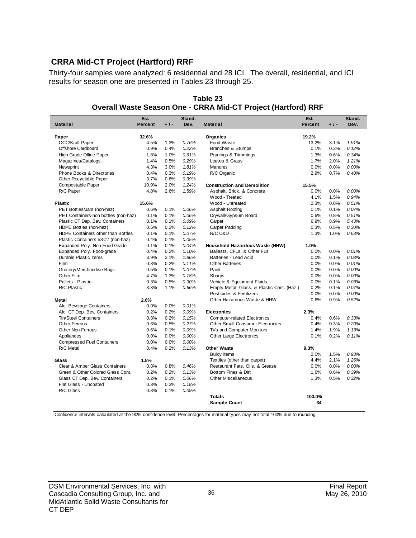## **CRRA Mid-CT Project (Hartford) RRF**

Thirty-four samples were analyzed: 6 residential and 28 ICI. The overall, residential, and ICI results for season one are presented in Tables 23 through 25.

|                                      | Est.           |       | Stand. |                                            | Est.           |       | Stand. |
|--------------------------------------|----------------|-------|--------|--------------------------------------------|----------------|-------|--------|
| <b>Material</b>                      | <b>Percent</b> | $+1-$ | Dev.   | <b>Material</b>                            | <b>Percent</b> | $+1-$ | Dev.   |
|                                      |                |       |        |                                            |                |       |        |
| Paper                                | 32.6%          |       |        | Organics                                   | 19.2%          |       |        |
| <b>OCC/Kraft Paper</b>               | 4.5%           | 1.3%  | 0.76%  | Food Waste                                 | 13.2%          | 3.1%  | 1.91%  |
| Offshore Cardboard                   | 0.9%           | 0.4%  | 0.22%  | Branches & Stumps                          | 0.1%           | 0.2%  | 0.12%  |
| High Grade Office Paper              | 1.8%           | 1.0%  | 0.61%  | Prunings & Trimmings                       | 1.3%           | 0.6%  | 0.34%  |
| Magazines/Catalogs                   | 1.4%           | 0.5%  | 0.29%  | Leaves & Grass                             | 1.7%           | 2.0%  | 1.21%  |
| Newsprint                            | 4.3%           | 3.0%  | 1.81%  | Manures                                    | 0.0%           | 0.0%  | 0.00%  |
| Phone Books & Directories            | 0.4%           | 0.3%  | 0.19%  | R/C Organic                                | 2.9%           | 0.7%  | 0.40%  |
| Other Recyclable Paper               | 3.7%           | 0.6%  | 0.39%  |                                            |                |       |        |
| Compostable Paper                    | 10.9%          | 2.0%  | 1.24%  | <b>Construction and Demolition</b>         | 15.5%          |       |        |
| R/C Paper                            | 4.8%           | 2.6%  | 1.59%  | Asphalt, Brick, & Concrete                 | 0.0%           | 0.0%  | 0.00%  |
|                                      |                |       |        | Wood - Treated                             | 4.1%           | 1.5%  | 0.94%  |
| <b>Plastic</b>                       | 15.6%          |       |        | Wood - Untreated                           | 2.3%           | 0.8%  | 0.51%  |
| PET Bottles/Jars (non-haz)           | 0.6%           | 0.1%  | 0.06%  | Asphalt Roofing                            | 0.1%           | 0.1%  | 0.07%  |
| PET Containers-non bottles (non-haz) | 0.1%           | 0.1%  | 0.06%  | Drywall/Gypsum Board                       | 0.6%           | 0.8%  | 0.51%  |
| Plastic CT Dep. Bev. Containers      | 0.1%           | 0.1%  | 0.09%  | Carpet                                     | 6.9%           | 8.9%  | 5.43%  |
| HDPE Bottles (non-haz)               | 0.5%           | 0.2%  | 0.12%  | Carpet Padding                             | 0.3%           | 0.5%  | 0.30%  |
| HDPE Containers other than Bottles   | 0.1%           | 0.1%  | 0.07%  | R/C C&D                                    | 1.3%           | 1.0%  | 0.63%  |
| Plastic Containers #3-#7 (non-haz)   | 0.4%           | 0.1%  | 0.05%  |                                            |                |       |        |
| Expanded Poly. Non-Food Grade        | 0.1%           | 0.1%  | 0.04%  | Household Hazardous Waste (HHW)            | 1.0%           |       |        |
| Expanded Poly. Food-grade            | 0.4%           | 0.2%  | 0.10%  | Ballasts, CFLs, & Other FLs                | 0.0%           | 0.0%  | 0.01%  |
| Durable Plastic Items                | 3.9%           | 3.1%  | 1.86%  | Batteries - Lead Acid                      | 0.0%           | 0.1%  | 0.03%  |
| Film                                 | 0.3%           | 0.2%  | 0.11%  | <b>Other Batteries</b>                     | 0.0%           | 0.0%  | 0.01%  |
| Grocery/Merchandise Bags             | 0.5%           | 0.1%  | 0.07%  | Paint                                      | 0.0%           | 0.0%  | 0.00%  |
| Other Film                           | 4.7%           | 1.3%  | 0.78%  | Sharps                                     | 0.0%           | 0.0%  | 0.00%  |
| Pallets - Plastic                    | 0.3%           | 0.5%  | 0.30%  | Vehicle & Equipment Fluids                 | 0.0%           | 0.1%  | 0.03%  |
| R/C Plastic                          | 3.3%           | 1.1%  | 0.66%  | Empty Metal, Glass, & Plastic Cont. (Haz.) | 0.2%           | 0.1%  | 0.07%  |
|                                      |                |       |        | Pesticides & Fertilizers                   | 0.0%           | 0.0%  | 0.00%  |
| Metal                                | 2.6%           |       |        | Other Hazardous Waste & HHW                | 0.6%           | 0.9%  | 0.52%  |
| Alc. Beverage Containers             | 0.0%           | 0.0%  | 0.01%  |                                            |                |       |        |
| Alc. CT Dep. Bev. Containers         | 0.2%           | 0.2%  | 0.09%  | <b>Electronics</b>                         | 2.3%           |       |        |
| Tin/Steel Containers                 | 0.8%           | 0.2%  | 0.15%  | <b>Computer-related Electronics</b>        | 0.4%           | 0.6%  | 0.33%  |
| <b>Other Ferrous</b>                 | 0.6%           | 0.5%  | 0.27%  | <b>Other Small Consumer Electronics</b>    | 0.4%           | 0.3%  | 0.20%  |
| <b>Other Non-Ferrous</b>             | 0.6%           | 0.1%  | 0.09%  | TVs and Computer Monitors                  | 1.4%           | 1.9%  | 1.13%  |
| Appliances                           | 0.0%           | 0.0%  | 0.00%  | Other Large Electronics                    | 0.1%           | 0.2%  | 0.11%  |
| <b>Compressed Fuel Containers</b>    | 0.0%           | 0.0%  | 0.00%  |                                            |                |       |        |
| R/C Metal                            | 0.4%           | 0.2%  | 0.13%  | <b>Other Waste</b>                         | 9.3%           |       |        |
|                                      |                |       |        | <b>Bulky Items</b>                         | 2.0%           | 1.5%  | 0.93%  |
| Glass                                | 1.8%           |       |        | Textiles (other than carpet)               | 4.4%           | 2.1%  | 1.26%  |
| Clear & Amber Glass Containers       | 0.8%           | 0.8%  | 0.46%  | Restaurant Fats, Oils, & Grease            | 0.0%           | 0.0%  | 0.00%  |
| Green & Other Colored Glass Cont.    | 0.2%           | 0.2%  | 0.13%  | Bottom Fines & Dirt                        | 1.6%           | 0.6%  | 0.39%  |
| Glass CT Dep. Bev. Containers        | 0.2%           | 0.1%  | 0.06%  | <b>Other Miscellaneous</b>                 | 1.3%           | 0.5%  | 0.32%  |
| Flat Glass - Uncoated                | 0.3%           | 0.3%  | 0.18%  |                                            |                |       |        |
| R/C Glass                            | 0.3%           | 0.1%  | 0.09%  |                                            |                |       |        |
|                                      |                |       |        | <b>Totals</b>                              | 100.0%         |       |        |
|                                      |                |       |        | <b>Sample Count</b>                        | 34             |       |        |
|                                      |                |       |        |                                            |                |       |        |

**Table 23 Overall Waste Season One - CRRA Mid-CT Project (Hartford) RRF**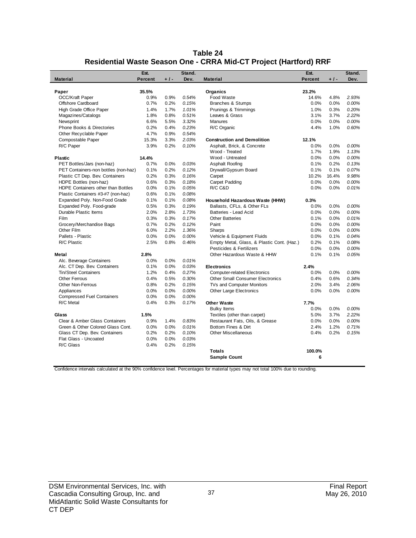| Table 24                                                          |
|-------------------------------------------------------------------|
| Residential Waste Season One - CRRA Mid-CT Project (Hartford) RRF |

|                                      | Est.           |       | Stand.   |                                            | Est.           |       | Stand.   |
|--------------------------------------|----------------|-------|----------|--------------------------------------------|----------------|-------|----------|
| <b>Material</b>                      | <b>Percent</b> | $+1-$ | Dev.     | <b>Material</b>                            | <b>Percent</b> | $+1-$ | Dev.     |
| Paper                                | 35.5%          |       |          | Organics                                   | 23.2%          |       |          |
| OCC/Kraft Paper                      | 0.9%           | 0.9%  | 0.54%    | Food Waste                                 | 14.6%          | 4.8%  | 2.93%    |
| Offshore Cardboard                   | 0.7%           | 0.2%  | 0.15%    | Branches & Stumps                          | 0.0%           | 0.0%  | 0.00%    |
| High Grade Office Paper              | 1.4%           | 1.7%  | 1.01%    | Prunings & Trimmings                       | 1.0%           | 0.3%  | 0.20%    |
| Magazines/Catalogs                   | 1.8%           | 0.8%  | 0.51%    | Leaves & Grass                             | 3.1%           | 3.7%  | 2.22%    |
| Newsprint                            | 6.6%           | 5.5%  | 3.32%    | <b>Manures</b>                             | 0.0%           | 0.0%  | 0.00%    |
| Phone Books & Directories            | 0.2%           | 0.4%  | 0.23%    | R/C Organic                                | 4.4%           | 1.0%  | 0.60%    |
| Other Recyclable Paper               | 4.7%           | 0.9%  | 0.54%    |                                            |                |       |          |
| Compostable Paper                    | 15.3%          | 3.3%  | 2.03%    | <b>Construction and Demolition</b>         | 12.1%          |       |          |
| R/C Paper                            | 3.9%           | 0.2%  | 0.10%    | Asphalt, Brick, & Concrete                 | 0.0%           | 0.0%  | 0.00%    |
|                                      |                |       |          | Wood - Treated                             | 1.7%           | 1.9%  | 1.13%    |
| <b>Plastic</b>                       | 14.4%          |       |          | Wood - Untreated                           | 0.0%           | 0.0%  | 0.00%    |
| PET Bottles/Jars (non-haz)           | 0.7%           | 0.0%  | 0.03%    | Asphalt Roofing                            | 0.1%           | 0.2%  | 0.13%    |
| PET Containers-non bottles (non-haz) | 0.1%           | 0.2%  | 0.12%    | Drywall/Gypsum Board                       | 0.1%           | 0.1%  | 0.07%    |
| Plastic CT Dep. Bev. Containers      | 0.2%           | 0.3%  | 0.16%    | Carpet                                     | 10.2%          | 16.4% | 9.98%    |
| HDPE Bottles (non-haz)               | 0.6%           | 0.3%  | 0.18%    | Carpet Padding                             | 0.0%           | 0.0%  | 0.00%    |
| HDPE Containers other than Bottles   | 0.0%           | 0.1%  | 0.05%    | R/C C&D                                    | 0.0%           | 0.0%  | 0.01%    |
| Plastic Containers #3-#7 (non-haz)   | 0.6%           | 0.1%  | 0.08%    |                                            |                |       |          |
| Expanded Poly. Non-Food Grade        | 0.1%           | 0.1%  | 0.08%    | Household Hazardous Waste (HHW)            | 0.3%           |       |          |
| Expanded Poly. Food-grade            | 0.5%           | 0.3%  | 0.19%    | Ballasts, CFLs, & Other FLs                | 0.0%           | 0.0%  | 0.00%    |
| Durable Plastic Items                | 2.0%           | 2.8%  | 1.73%    | Batteries - Lead Acid                      | 0.0%           | 0.0%  | 0.00%    |
| Film                                 | 0.3%           | 0.3%  | 0.17%    | <b>Other Batteries</b>                     | 0.1%           | 0.0%  | 0.01%    |
| Grocery/Merchandise Bags             | 0.7%           | 0.2%  | 0.12%    | Paint                                      | 0.0%           | 0.0%  | 0.00%    |
| Other Film                           | 6.0%           | 2.2%  | 1.36%    | Sharps                                     | 0.0%           | 0.0%  | 0.00%    |
| Pallets - Plastic                    | 0.0%           | 0.0%  | 0.00%    | Vehicle & Equipment Fluids                 | 0.0%           | 0.1%  | 0.04%    |
| R/C Plastic                          | 2.5%           | 0.8%  | 0.46%    | Empty Metal, Glass, & Plastic Cont. (Haz.) | 0.2%           | 0.1%  | 0.08%    |
|                                      |                |       |          | Pesticides & Fertilizers                   | 0.0%           | 0.0%  | $0.00\%$ |
| <b>Metal</b>                         | 2.8%           |       |          | Other Hazardous Waste & HHW                | 0.1%           | 0.1%  | 0.05%    |
| Alc. Beverage Containers             | 0.0%           | 0.0%  | 0.01%    |                                            |                |       |          |
| Alc. CT Dep. Bev. Containers         | 0.1%           | 0.0%  | 0.03%    | <b>Electronics</b>                         | 2.4%           |       |          |
| Tin/Steel Containers                 | 1.2%           | 0.4%  | 0.27%    | <b>Computer-related Electronics</b>        | 0.0%           | 0.0%  | 0.00%    |
| <b>Other Ferrous</b>                 | 0.4%           | 0.5%  | 0.30%    | <b>Other Small Consumer Electronics</b>    | 0.4%           | 0.6%  | 0.34%    |
| <b>Other Non-Ferrous</b>             | 0.8%           | 0.2%  | 0.15%    | TVs and Computer Monitors                  | 2.0%           | 3.4%  | 2.06%    |
| Appliances                           | 0.0%           | 0.0%  | $0.00\%$ | <b>Other Large Electronics</b>             | 0.0%           | 0.0%  | 0.00%    |
| <b>Compressed Fuel Containers</b>    | 0.0%           | 0.0%  | 0.00%    |                                            |                |       |          |
| R/C Metal                            | 0.4%           | 0.3%  | 0.17%    | <b>Other Waste</b>                         | 7.7%           |       |          |
|                                      |                |       |          | <b>Bulky Items</b>                         | 0.0%           | 0.0%  | 0.00%    |
| Glass                                | 1.5%           |       |          | Textiles (other than carpet)               | 5.0%           | 3.7%  | 2.22%    |
| Clear & Amber Glass Containers       | 0.9%           | 1.4%  | 0.83%    | Restaurant Fats, Oils, & Grease            | 0.0%           | 0.0%  | 0.00%    |
| Green & Other Colored Glass Cont.    | 0.0%           | 0.0%  | 0.01%    | Bottom Fines & Dirt                        | 2.4%           | 1.2%  | 0.71%    |
| Glass CT Dep. Bev. Containers        | 0.2%           | 0.2%  | 0.10%    | <b>Other Miscellaneous</b>                 | 0.4%           | 0.2%  | 0.15%    |
| Flat Glass - Uncoated                | 0.0%           | 0.0%  | 0.03%    |                                            |                |       |          |
| R/C Glass                            | 0.4%           | 0.2%  | 0.15%    |                                            |                |       |          |
|                                      |                |       |          | <b>Totals</b>                              | 100.0%         |       |          |
|                                      |                |       |          | <b>Sample Count</b>                        | 6              |       |          |
|                                      |                |       |          |                                            |                |       |          |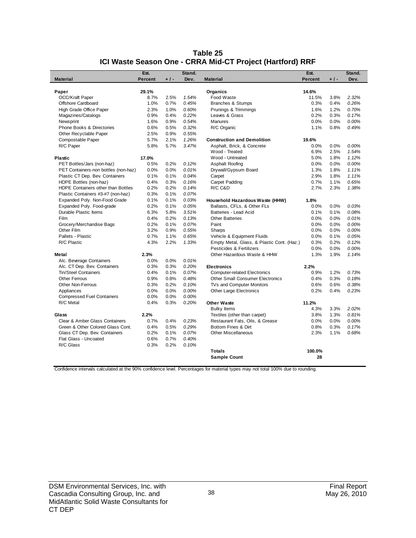|                                              | Est.    |       | Stand. |                                            | Est.          |       | Stand. |
|----------------------------------------------|---------|-------|--------|--------------------------------------------|---------------|-------|--------|
| <b>Material</b>                              | Percent | $+1-$ | Dev.   | <b>Material</b>                            | Percent       | $+1-$ | Dev.   |
|                                              | 29.1%   |       |        |                                            | 14.6%         |       |        |
| Paper                                        | 8.7%    | 2.5%  | 1.54%  | Organics<br>Food Waste                     |               | 3.8%  | 2.32%  |
| <b>OCC/Kraft Paper</b><br>Offshore Cardboard | 1.0%    | 0.7%  | 0.45%  |                                            | 11.5%<br>0.3% | 0.4%  | 0.26%  |
|                                              |         |       |        | Branches & Stumps                          |               |       |        |
| High Grade Office Paper                      | 2.3%    | 1.0%  | 0.60%  | Prunings & Trimmings                       | 1.6%          | 1.2%  | 0.70%  |
| Magazines/Catalogs                           | 0.9%    | 0.4%  | 0.22%  | Leaves & Grass                             | 0.2%          | 0.3%  | 0.17%  |
| Newsprint                                    | 1.6%    | 0.9%  | 0.54%  | <b>Manures</b>                             | 0.0%          | 0.0%  | 0.00%  |
| Phone Books & Directories                    | 0.6%    | 0.5%  | 0.32%  | R/C Organic                                | 1.1%          | 0.8%  | 0.49%  |
| Other Recyclable Paper                       | 2.5%    | 0.9%  | 0.55%  |                                            |               |       |        |
| Compostable Paper                            | 5.7%    | 2.1%  | 1.26%  | <b>Construction and Demolition</b>         | 19.6%         |       |        |
| R/C Paper                                    | 5.8%    | 5.7%  | 3.47%  | Asphalt, Brick, & Concrete                 | 0.0%          | 0.0%  | 0.00%  |
|                                              |         |       |        | Wood - Treated                             | 6.9%          | 2.5%  | 1.54%  |
| <b>Plastic</b>                               | 17.0%   |       |        | Wood - Untreated                           | 5.0%          | 1.8%  | 1.12%  |
| PET Bottles/Jars (non-haz)                   | 0.5%    | 0.2%  | 0.12%  | Asphalt Roofing                            | 0.0%          | 0.0%  | 0.00%  |
| PET Containers-non bottles (non-haz)         | 0.0%    | 0.0%  | 0.01%  | Drywall/Gypsum Board                       | 1.3%          | 1.8%  | 1.11%  |
| Plastic CT Dep. Bev. Containers              | 0.1%    | 0.1%  | 0.04%  | Carpet                                     | 2.9%          | 1.8%  | 1.11%  |
| HDPE Bottles (non-haz)                       | 0.4%    | 0.3%  | 0.16%  | Carpet Padding                             | 0.7%          | 1.1%  | 0.65%  |
| HDPE Containers other than Bottles           | 0.2%    | 0.2%  | 0.14%  | R/C C&D                                    | 2.7%          | 2.3%  | 1.38%  |
| Plastic Containers #3-#7 (non-haz)           | 0.3%    | 0.1%  | 0.07%  |                                            |               |       |        |
| Expanded Poly. Non-Food Grade                | 0.1%    | 0.1%  | 0.03%  | Household Hazardous Waste (HHW)            | 1.8%          |       |        |
| Expanded Poly. Food-grade                    | 0.2%    | 0.1%  | 0.05%  | Ballasts, CFLs, & Other FLs                | 0.0%          | 0.0%  | 0.03%  |
| Durable Plastic Items                        | 6.3%    | 5.8%  | 3.51%  | Batteries - Lead Acid                      | 0.1%          | 0.1%  | 0.08%  |
| Film                                         | 0.4%    | 0.2%  | 0.13%  | <b>Other Batteries</b>                     | 0.0%          | 0.0%  | 0.01%  |
| Grocery/Merchandise Bags                     | 0.2%    | 0.1%  | 0.07%  | Paint                                      | 0.0%          | 0.0%  | 0.00%  |
| Other Film                                   | 3.2%    | 0.9%  | 0.55%  | Sharps                                     | 0.0%          | 0.0%  | 0.00%  |
| Pallets - Plastic                            | 0.7%    | 1.1%  | 0.65%  | Vehicle & Equipment Fluids                 | 0.0%          | 0.1%  | 0.05%  |
| R/C Plastic                                  | 4.3%    | 2.2%  | 1.33%  | Empty Metal, Glass, & Plastic Cont. (Haz.) | 0.3%          | 0.2%  | 0.12%  |
|                                              |         |       |        | Pesticides & Fertilizers                   | 0.0%          | 0.0%  | 0.00%  |
| Metal                                        | 2.3%    |       |        | Other Hazardous Waste & HHW                | 1.3%          | 1.9%  | 1.14%  |
| Alc. Beverage Containers                     | 0.0%    | 0.0%  | 0.01%  |                                            |               |       |        |
| Alc. CT Dep. Bev. Containers                 | 0.3%    | 0.3%  | 0.20%  | <b>Electronics</b>                         | 2.2%          |       |        |
| <b>Tin/Steel Containers</b>                  | 0.4%    | 0.1%  | 0.07%  | <b>Computer-related Electronics</b>        | 0.9%          | 1.2%  | 0.73%  |
| <b>Other Ferrous</b>                         | 0.9%    | 0.8%  | 0.48%  | <b>Other Small Consumer Electronics</b>    | 0.4%          | 0.3%  | 0.18%  |
| <b>Other Non-Ferrous</b>                     | 0.3%    | 0.2%  | 0.10%  | TVs and Computer Monitors                  | 0.6%          | 0.6%  | 0.38%  |
| Appliances                                   | 0.0%    | 0.0%  | 0.00%  | <b>Other Large Electronics</b>             | 0.2%          | 0.4%  | 0.23%  |
| <b>Compressed Fuel Containers</b>            | 0.0%    | 0.0%  | 0.00%  |                                            |               |       |        |
| R/C Metal                                    | 0.4%    | 0.3%  | 0.20%  | <b>Other Waste</b>                         | 11.2%         |       |        |
|                                              |         |       |        | <b>Bulky Items</b>                         | 4.3%          | 3.3%  | 2.02%  |
| Glass                                        | 2.2%    |       |        | Textiles (other than carpet)               | 3.8%          | 1.3%  | 0.81%  |
| Clear & Amber Glass Containers               | 0.7%    | 0.4%  | 0.23%  | Restaurant Fats, Oils, & Grease            | 0.0%          | 0.0%  | 0.00%  |
| Green & Other Colored Glass Cont.            | 0.4%    | 0.5%  | 0.29%  | Bottom Fines & Dirt                        | 0.8%          | 0.3%  | 0.17%  |
| Glass CT Dep. Bev. Containers                | 0.2%    | 0.1%  | 0.07%  | Other Miscellaneous                        | 2.3%          | 1.1%  | 0.68%  |
| Flat Glass - Uncoated                        | 0.6%    | 0.7%  | 0.40%  |                                            |               |       |        |
| R/C Glass                                    | 0.3%    | 0.2%  | 0.10%  |                                            |               |       |        |
|                                              |         |       |        | <b>Totals</b>                              | 100.0%        |       |        |
|                                              |         |       |        | <b>Sample Count</b>                        | 28            |       |        |
|                                              |         |       |        |                                            |               |       |        |

#### **Table 25 ICI Waste Season One - CRRA Mid-CT Project (Hartford) RRF**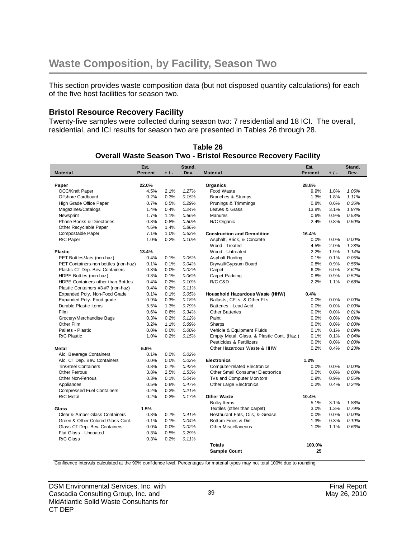This section provides waste composition data (but not disposed quantity calculations) for each of the five host facilities for season two.

#### **Bristol Resource Recovery Facility**

Twenty-five samples were collected during season two: 7 residential and 18 ICI. The overall, residential, and ICI results for season two are presented in Tables 26 through 28.

|                                      | Est.           |       | Stand. |                                            | Est.           |       | Stand. |
|--------------------------------------|----------------|-------|--------|--------------------------------------------|----------------|-------|--------|
| <b>Material</b>                      | <b>Percent</b> | $+1-$ | Dev.   | <b>Material</b>                            | <b>Percent</b> | $+1-$ | Dev.   |
|                                      |                |       |        |                                            |                |       |        |
| Paper                                | 22.0%          |       |        | Organics                                   | 28.8%          |       |        |
| <b>OCC/Kraft Paper</b>               | 4.5%           | 2.1%  | 1.27%  | Food Waste                                 | 9.9%           | 1.8%  | 1.06%  |
| Offshore Cardboard                   | 0.2%           | 0.3%  | 0.15%  | <b>Branches &amp; Stumps</b>               | 1.3%           | 1.8%  | 1.11%  |
| High Grade Office Paper              | 0.7%           | 0.5%  | 0.29%  | Prunings & Trimmings                       | 0.8%           | 0.6%  | 0.36%  |
| Magazines/Catalogs                   | 1.4%           | 0.4%  | 0.24%  | Leaves & Grass                             | 13.8%          | 3.1%  | 1.87%  |
| Newsprint                            | 1.7%           | 1.1%  | 0.66%  | <b>Manures</b>                             | 0.6%           | 0.9%  | 0.53%  |
| <b>Phone Books &amp; Directories</b> | 0.8%           | 0.8%  | 0.50%  | R/C Organic                                | 2.4%           | 0.8%  | 0.50%  |
| Other Recyclable Paper               | 4.6%           | 1.4%  | 0.86%  |                                            |                |       |        |
| Compostable Paper                    | 7.1%           | 1.0%  | 0.62%  | <b>Construction and Demolition</b>         | 16.4%          |       |        |
| R/C Paper                            | 1.0%           | 0.2%  | 0.10%  | Asphalt, Brick, & Concrete                 | 0.0%           | 0.0%  | 0.00%  |
|                                      |                |       |        | Wood - Treated                             | 4.5%           | 2.0%  | 1.23%  |
| <b>Plastic</b>                       | 13.4%          |       |        | Wood - Untreated                           | 2.2%           | 1.9%  | 1.14%  |
| PET Bottles/Jars (non-haz)           | 0.4%           | 0.1%  | 0.05%  | Asphalt Roofing                            | 0.1%           | 0.1%  | 0.05%  |
| PET Containers-non bottles (non-haz) | 0.1%           | 0.1%  | 0.04%  | Drywall/Gypsum Board                       | 0.8%           | 0.9%  | 0.56%  |
| Plastic CT Dep. Bev. Containers      | 0.3%           | 0.0%  | 0.02%  | Carpet                                     | 6.0%           | 6.0%  | 3.62%  |
| HDPE Bottles (non-haz)               | 0.3%           | 0.1%  | 0.06%  | Carpet Padding                             | 0.8%           | 0.9%  | 0.52%  |
| HDPE Containers other than Bottles   | 0.4%           | 0.2%  | 0.10%  | R/C C&D                                    | 2.2%           | 1.1%  | 0.68%  |
| Plastic Containers #3-#7 (non-haz)   | 0.4%           | 0.2%  | 0.11%  |                                            |                |       |        |
| Expanded Poly. Non-Food Grade        | 0.1%           | 0.1%  | 0.05%  | Household Hazardous Waste (HHW)            | 0.4%           |       |        |
| Expanded Poly. Food-grade            | 0.9%           | 0.3%  | 0.18%  | Ballasts, CFLs, & Other FLs                | 0.0%           | 0.0%  | 0.00%  |
| Durable Plastic Items                | 5.5%           | 1.3%  | 0.79%  | Batteries - Lead Acid                      | 0.0%           | 0.0%  | 0.00%  |
| Film                                 | 0.6%           | 0.6%  | 0.34%  | <b>Other Batteries</b>                     | 0.0%           | 0.0%  | 0.01%  |
| Grocery/Merchandise Bags             | 0.3%           | 0.2%  | 0.12%  | Paint                                      | 0.0%           | 0.0%  | 0.00%  |
| Other Film                           | 3.2%           | 1.1%  | 0.69%  | Sharps                                     | 0.0%           | 0.0%  | 0.00%  |
| Pallets - Plastic                    | 0.0%           | 0.0%  | 0.00%  | Vehicle & Equipment Fluids                 | 0.1%           | 0.1%  | 0.09%  |
| R/C Plastic                          | 1.0%           | 0.2%  | 0.15%  | Empty Metal, Glass, & Plastic Cont. (Haz.) | 0.1%           | 0.1%  | 0.04%  |
|                                      |                |       |        | Pesticides & Fertilizers                   | 0.0%           | 0.0%  | 0.00%  |
| Metal                                | 5.9%           |       |        | Other Hazardous Waste & HHW                | 0.2%           | 0.4%  | 0.23%  |
| Alc. Beverage Containers             | 0.1%           | 0.0%  | 0.02%  |                                            |                |       |        |
| Alc. CT Dep. Bev. Containers         | 0.0%           | 0.0%  | 0.02%  | <b>Electronics</b>                         | 1.2%           |       |        |
| Tin/Steel Containers                 | 0.8%           | 0.7%  | 0.42%  | <b>Computer-related Electronics</b>        | 0.0%           | 0.0%  | 0.00%  |
| <b>Other Ferrous</b>                 | 3.8%           | 2.5%  | 1.53%  | <b>Other Small Consumer Electronics</b>    | 0.0%           | 0.0%  | 0.00%  |
| <b>Other Non-Ferrous</b>             | 0.3%           | 0.1%  | 0.04%  | TVs and Computer Monitors                  | 0.9%           | 0.9%  | 0.56%  |
| Appliances                           | 0.5%           | 0.8%  | 0.47%  | Other Large Electronics                    | 0.2%           | 0.4%  | 0.24%  |
| <b>Compressed Fuel Containers</b>    | 0.2%           | 0.3%  | 0.21%  |                                            |                |       |        |
| R/C Metal                            | 0.2%           | 0.3%  | 0.17%  | <b>Other Waste</b>                         | 10.4%          |       |        |
|                                      |                |       |        | <b>Bulky Items</b>                         | 5.1%           | 3.1%  | 1.88%  |
| Glass                                | 1.5%           |       |        | Textiles (other than carpet)               | 3.0%           | 1.3%  | 0.79%  |
| Clear & Amber Glass Containers       | 0.8%           | 0.7%  | 0.41%  | Restaurant Fats, Oils, & Grease            | 0.0%           | 0.0%  | 0.00%  |
| Green & Other Colored Glass Cont.    | 0.1%           | 0.1%  | 0.04%  | Bottom Fines & Dirt                        | 1.3%           | 0.3%  | 0.19%  |
| Glass CT Dep. Bev. Containers        | 0.0%           | 0.0%  | 0.02%  | <b>Other Miscellaneous</b>                 | 1.0%           | 1.1%  | 0.66%  |
| Flat Glass - Uncoated                | 0.3%           | 0.5%  | 0.29%  |                                            |                |       |        |
| R/C Glass                            | 0.3%           | 0.2%  | 0.11%  |                                            |                |       |        |
|                                      |                |       |        | <b>Totals</b>                              | 100.0%         |       |        |
|                                      |                |       |        | <b>Sample Count</b>                        | 25             |       |        |
|                                      |                |       |        |                                            |                |       |        |

**Table 26 Overall Waste Season Two - Bristol Resource Recovery Facility**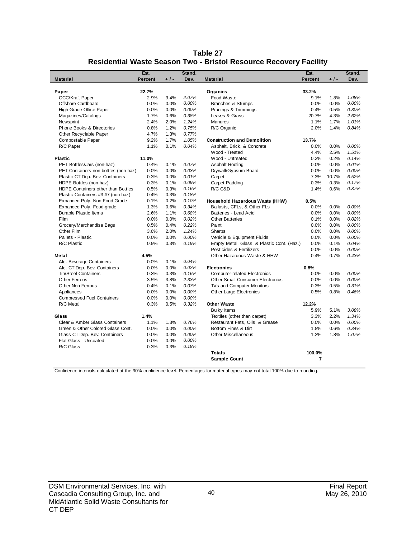| Table 27                                                          |
|-------------------------------------------------------------------|
| Residential Waste Season Two - Bristol Resource Recovery Facility |

|                                      | Est.           |       | Stand.   |                                            | Est.           |       | Stand. |
|--------------------------------------|----------------|-------|----------|--------------------------------------------|----------------|-------|--------|
| <b>Material</b>                      | <b>Percent</b> | $+1-$ | Dev.     | <b>Material</b>                            | <b>Percent</b> | $+1-$ | Dev.   |
|                                      |                |       |          |                                            |                |       |        |
| Paper                                | 22.7%          |       |          | Organics                                   | 33.2%          |       |        |
| OCC/Kraft Paper                      | 2.9%           | 3.4%  | 2.07%    | Food Waste                                 | 9.1%           | 1.8%  | 1.08%  |
| Offshore Cardboard                   | 0.0%           | 0.0%  | 0.00%    | <b>Branches &amp; Stumps</b>               | 0.0%           | 0.0%  | 0.00%  |
| High Grade Office Paper              | 0.0%           | 0.0%  | 0.00%    | Prunings & Trimmings                       | 0.4%           | 0.5%  | 0.30%  |
| Magazines/Catalogs                   | 1.7%           | 0.6%  | 0.38%    | Leaves & Grass                             | 20.7%          | 4.3%  | 2.62%  |
| Newsprint                            | 2.4%           | 2.0%  | 1.24%    | Manures                                    | 1.1%           | 1.7%  | 1.01%  |
| Phone Books & Directories            | 0.8%           | 1.2%  | 0.75%    | R/C Organic                                | 2.0%           | 1.4%  | 0.84%  |
| Other Recyclable Paper               | 4.7%           | 1.3%  | 0.77%    |                                            |                |       |        |
| Compostable Paper                    | 9.2%           | 1.7%  | 1.05%    | <b>Construction and Demolition</b>         | 13.7%          |       |        |
| R/C Paper                            | 1.1%           | 0.1%  | 0.04%    | Asphalt, Brick, & Concrete                 | 0.0%           | 0.0%  | 0.00%  |
|                                      |                |       |          | Wood - Treated                             | 4.4%           | 2.5%  | 1.51%  |
| <b>Plastic</b>                       | 11.0%          |       |          | Wood - Untreated                           | 0.2%           | 0.2%  | 0.14%  |
| PET Bottles/Jars (non-haz)           | 0.4%           | 0.1%  | 0.07%    | Asphalt Roofing                            | 0.0%           | 0.0%  | 0.01%  |
| PET Containers-non bottles (non-haz) | 0.0%           | 0.0%  | 0.03%    | Drywall/Gypsum Board                       | 0.0%           | 0.0%  | 0.00%  |
| Plastic CT Dep. Bev. Containers      | 0.3%           | 0.0%  | 0.01%    | Carpet                                     | 7.3%           | 10.7% | 6.52%  |
| HDPE Bottles (non-haz)               | 0.3%           | 0.1%  | 0.09%    | Carpet Padding                             | 0.3%           | 0.3%  | 0.17%  |
| HDPE Containers other than Bottles   | 0.5%           | 0.3%  | 0.16%    | R/C C&D                                    | 1.4%           | 0.6%  | 0.37%  |
| Plastic Containers #3-#7 (non-haz)   | 0.4%           | 0.3%  | 0.18%    |                                            |                |       |        |
| Expanded Poly. Non-Food Grade        | 0.1%           | 0.2%  | 0.10%    | Household Hazardous Waste (HHW)            | 0.5%           |       |        |
| Expanded Poly. Food-grade            | 1.3%           | 0.6%  | 0.34%    | Ballasts, CFLs, & Other FLs                | 0.0%           | 0.0%  | 0.00%  |
| Durable Plastic Items                | 2.6%           | 1.1%  | 0.68%    | Batteries - Lead Acid                      | 0.0%           | 0.0%  | 0.00%  |
| Film                                 | 0.0%           | 0.0%  | 0.02%    | <b>Other Batteries</b>                     | 0.1%           | 0.0%  | 0.02%  |
| Grocery/Merchandise Bags             | 0.5%           | 0.4%  | 0.22%    | Paint                                      | 0.0%           | 0.0%  | 0.00%  |
| Other Film                           | 3.6%           | 2.0%  | 1.24%    | Sharps                                     | 0.0%           | 0.0%  | 0.00%  |
| Pallets - Plastic                    | 0.0%           | 0.0%  | 0.00%    | Vehicle & Equipment Fluids                 | 0.0%           | 0.0%  | 0.00%  |
| R/C Plastic                          | 0.9%           | 0.3%  | 0.19%    | Empty Metal, Glass, & Plastic Cont. (Haz.) | 0.0%           | 0.1%  | 0.04%  |
|                                      |                |       |          | Pesticides & Fertilizers                   | 0.0%           | 0.0%  | 0.00%  |
| <b>Metal</b>                         | 4.5%           |       |          | Other Hazardous Waste & HHW                | 0.4%           | 0.7%  | 0.43%  |
| Alc. Beverage Containers             | 0.0%           | 0.1%  | 0.04%    |                                            |                |       |        |
| Alc. CT Dep. Bev. Containers         | 0.0%           | 0.0%  | 0.02%    | <b>Electronics</b>                         | 0.8%           |       |        |
| <b>Tin/Steel Containers</b>          | 0.3%           | 0.3%  | 0.16%    | <b>Computer-related Electronics</b>        | 0.0%           | 0.0%  | 0.00%  |
| <b>Other Ferrous</b>                 | 3.5%           | 3.8%  | 2.33%    | <b>Other Small Consumer Electronics</b>    | 0.0%           | 0.0%  | 0.00%  |
| <b>Other Non-Ferrous</b>             | 0.4%           | 0.1%  | 0.07%    | TVs and Computer Monitors                  | 0.3%           | 0.5%  | 0.31%  |
| Appliances                           | 0.0%           | 0.0%  | 0.00%    | Other Large Electronics                    | 0.5%           | 0.8%  | 0.46%  |
| <b>Compressed Fuel Containers</b>    | 0.0%           | 0.0%  | $0.00\%$ |                                            |                |       |        |
| R/C Metal                            | 0.3%           | 0.5%  | 0.32%    | <b>Other Waste</b>                         | 12.2%          |       |        |
|                                      |                |       |          | <b>Bulky Items</b>                         | 5.9%           | 5.1%  | 3.08%  |
| Glass                                | 1.4%           |       |          | Textiles (other than carpet)               | 3.3%           | 2.2%  | 1.34%  |
| Clear & Amber Glass Containers       | 1.1%           | 1.3%  | 0.76%    | Restaurant Fats, Oils, & Grease            | 0.0%           | 0.0%  | 0.00%  |
| Green & Other Colored Glass Cont.    | 0.0%           | 0.0%  | 0.00%    | Bottom Fines & Dirt                        | 1.8%           | 0.6%  | 0.34%  |
| Glass CT Dep. Bev. Containers        | 0.0%           | 0.0%  | 0.00%    | <b>Other Miscellaneous</b>                 | 1.2%           | 1.8%  | 1.07%  |
| Flat Glass - Uncoated                | 0.0%           | 0.0%  | 0.00%    |                                            |                |       |        |
| R/C Glass                            | 0.3%           | 0.3%  | 0.18%    |                                            |                |       |        |
|                                      |                |       |          | <b>Totals</b>                              | 100.0%         |       |        |
|                                      |                |       |          | <b>Sample Count</b>                        | 7              |       |        |
|                                      |                |       |          |                                            |                |       |        |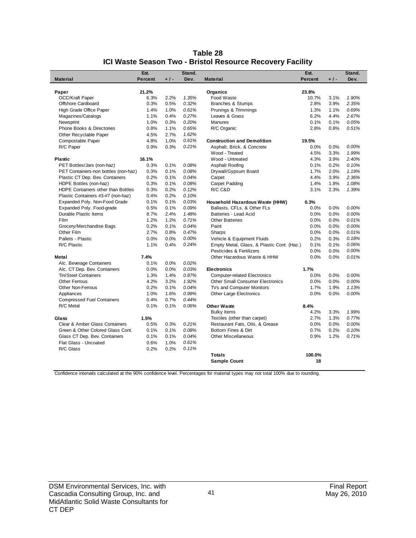|                                      | Est.    |       | Stand. |                                            | Est.           |       | Stand. |
|--------------------------------------|---------|-------|--------|--------------------------------------------|----------------|-------|--------|
| <b>Material</b>                      | Percent | $+1-$ | Dev.   | <b>Material</b>                            | <b>Percent</b> | $+1-$ | Dev.   |
|                                      |         |       |        |                                            |                |       |        |
| Paper                                | 21.2%   |       |        | Organics                                   | 23.8%          |       |        |
| OCC/Kraft Paper                      | 6.3%    | 2.2%  | 1.35%  | Food Waste                                 | 10.7%          | 3.1%  | 1.90%  |
| Offshore Cardboard                   | 0.3%    | 0.5%  | 0.32%  | <b>Branches &amp; Stumps</b>               | 2.8%           | 3.9%  | 2.35%  |
| High Grade Office Paper              | 1.4%    | 1.0%  | 0.61%  | Prunings & Trimmings                       | 1.3%           | 1.1%  | 0.69%  |
| Magazines/Catalogs                   | 1.1%    | 0.4%  | 0.27%  | Leaves & Grass                             | 6.2%           | 4.4%  | 2.67%  |
| Newsprint                            | 1.0%    | 0.3%  | 0.20%  | <b>Manures</b>                             | 0.1%           | 0.1%  | 0.05%  |
| <b>Phone Books &amp; Directories</b> | 0.8%    | 1.1%  | 0.65%  | R/C Organic                                | 2.8%           | 0.8%  | 0.51%  |
| Other Recyclable Paper               | 4.5%    | 2.7%  | 1.62%  |                                            |                |       |        |
| Compostable Paper                    | 4.8%    | 1.0%  | 0.61%  | <b>Construction and Demolition</b>         | 19.5%          |       |        |
| R/C Paper                            | 0.9%    | 0.3%  | 0.21%  | Asphalt, Brick, & Concrete                 | 0.0%           | 0.0%  | 0.00%  |
|                                      |         |       |        | Wood - Treated                             | 4.5%           | 3.3%  | 1.99%  |
| <b>Plastic</b>                       | 16.1%   |       |        | Wood - Untreated                           | 4.3%           | 3.9%  | 2.40%  |
| PET Bottles/Jars (non-haz)           | 0.3%    | 0.1%  | 0.08%  | Asphalt Roofing                            | 0.1%           | 0.2%  | 0.10%  |
| PET Containers-non bottles (non-haz) | 0.3%    | 0.1%  | 0.08%  | Drywall/Gypsum Board                       | 1.7%           | 2.0%  | 1.19%  |
| Plastic CT Dep. Bev. Containers      | 0.2%    | 0.1%  | 0.04%  | Carpet                                     | 4.4%           | 3.9%  | 2.36%  |
| HDPE Bottles (non-haz)               | 0.3%    | 0.1%  | 0.08%  | Carpet Padding                             | 1.4%           | 1.8%  | 1.08%  |
| HDPE Containers other than Bottles   | 0.3%    | 0.2%  | 0.12%  | R/C C&D                                    | 3.1%           | 2.3%  | 1.39%  |
| Plastic Containers #3-#7 (non-haz)   | 0.4%    | 0.2%  | 0.10%  |                                            |                |       |        |
| Expanded Poly. Non-Food Grade        | 0.1%    | 0.1%  | 0.03%  | Household Hazardous Waste (HHW)            | 0.3%           |       |        |
| Expanded Poly. Food-grade            | 0.5%    | 0.1%  | 0.09%  | Ballasts, CFLs, & Other FLs                | 0.0%           | 0.0%  | 0.00%  |
| Durable Plastic Items                | 8.7%    | 2.4%  | 1.48%  | Batteries - Lead Acid                      | 0.0%           | 0.0%  | 0.00%  |
| Film                                 | 1.2%    | 1.2%  | 0.71%  | <b>Other Batteries</b>                     | 0.0%           | 0.0%  | 0.01%  |
| Grocery/Merchandise Bags             | 0.2%    | 0.1%  | 0.04%  | Paint                                      | 0.0%           | 0.0%  | 0.00%  |
| Other Film                           | 2.7%    | 0.8%  | 0.47%  | Sharps                                     | 0.0%           | 0.0%  | 0.01%  |
| Pallets - Plastic                    | 0.0%    | 0.0%  | 0.00%  | Vehicle & Equipment Fluids                 | 0.2%           | 0.3%  | 0.18%  |
| R/C Plastic                          | 1.1%    | 0.4%  | 0.24%  | Empty Metal, Glass, & Plastic Cont. (Haz.) | 0.1%           | 0.1%  | 0.06%  |
|                                      |         |       |        | Pesticides & Fertilizers                   | 0.0%           | 0.0%  | 0.00%  |
| Metal                                | 7.4%    |       |        | Other Hazardous Waste & HHW                | 0.0%           | 0.0%  | 0.01%  |
| Alc. Beverage Containers             | 0.1%    | 0.0%  | 0.02%  |                                            |                |       |        |
| Alc. CT Dep. Bev. Containers         | 0.0%    | 0.0%  | 0.03%  | <b>Electronics</b>                         | 1.7%           |       |        |
| <b>Tin/Steel Containers</b>          | 1.3%    | 1.4%  | 0.87%  | <b>Computer-related Electronics</b>        | 0.0%           | 0.0%  | 0.00%  |
| <b>Other Ferrous</b>                 | 4.2%    | 3.2%  | 1.92%  | <b>Other Small Consumer Electronics</b>    | 0.0%           | 0.0%  | 0.00%  |
| <b>Other Non-Ferrous</b>             | 0.2%    | 0.1%  | 0.04%  | TVs and Computer Monitors                  | 1.7%           | 1.9%  | 1.13%  |
| Appliances                           | 1.0%    | 1.6%  | 0.99%  | <b>Other Large Electronics</b>             | 0.0%           | 0.0%  | 0.00%  |
| <b>Compressed Fuel Containers</b>    | 0.4%    | 0.7%  | 0.44%  |                                            |                |       |        |
| R/C Metal                            | 0.1%    | 0.1%  | 0.06%  | <b>Other Waste</b>                         | 8.4%           |       |        |
|                                      |         |       |        | <b>Bulky Items</b>                         | 4.2%           | 3.3%  | 1.99%  |
| Glass                                | 1.5%    |       |        | Textiles (other than carpet)               | 2.7%           | 1.3%  | 0.77%  |
| Clear & Amber Glass Containers       | 0.5%    | 0.3%  | 0.21%  | Restaurant Fats, Oils, & Grease            | 0.0%           | 0.0%  | 0.00%  |
| Green & Other Colored Glass Cont.    | 0.1%    | 0.1%  | 0.08%  | Bottom Fines & Dirt                        | 0.7%           | 0.2%  | 0.10%  |
| Glass CT Dep. Bev. Containers        | 0.1%    | 0.1%  | 0.04%  | <b>Other Miscellaneous</b>                 | 0.9%           | 1.2%  | 0.71%  |
| Flat Glass - Uncoated                | 0.6%    | 1.0%  | 0.61%  |                                            |                |       |        |
| R/C Glass                            | 0.2%    | 0.2%  | 0.11%  |                                            |                |       |        |
|                                      |         |       |        | <b>Totals</b>                              | 100.0%         |       |        |
|                                      |         |       |        | <b>Sample Count</b>                        | 18             |       |        |
|                                      |         |       |        |                                            |                |       |        |

| Table 28                                                  |  |
|-----------------------------------------------------------|--|
| ICI Waste Season Two - Bristol Resource Recovery Facility |  |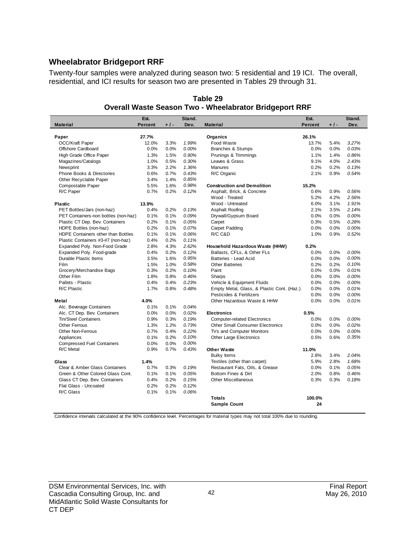#### **Wheelabrator Bridgeport RRF**

Twenty-four samples were analyzed during season two: 5 residential and 19 ICI. The overall, residential, and ICI results for season two are presented in Tables 29 through 31.

|                                      | Est.           |       | Stand. |                                            | Est.           |       | Stand. |
|--------------------------------------|----------------|-------|--------|--------------------------------------------|----------------|-------|--------|
| <b>Material</b>                      | <b>Percent</b> | $+1-$ | Dev.   | <b>Material</b>                            | <b>Percent</b> | $+1-$ | Dev.   |
|                                      |                |       |        |                                            |                |       |        |
| Paper                                | 27.7%          |       |        | Organics                                   | 26.1%          |       |        |
| <b>OCC/Kraft Paper</b>               | 12.0%          | 3.3%  | 1.99%  | Food Waste                                 | 13.7%          | 5.4%  | 3.27%  |
| Offshore Cardboard                   | 0.0%           | 0.0%  | 0.00%  | Branches & Stumps                          | 0.0%           | 0.0%  | 0.03%  |
| High Grade Office Paper              | 1.3%           | 1.5%  | 0.90%  | Prunings & Trimmings                       | 1.1%           | 1.4%  | 0.86%  |
| Magazines/Catalogs                   | 1.0%           | 0.5%  | 0.30%  | Leaves & Grass                             | 9.1%           | 4.0%  | 2.43%  |
| Newsprint                            | 3.3%           | 2.2%  | 1.36%  | <b>Manures</b>                             | 0.2%           | 0.2%  | 0.13%  |
| Phone Books & Directories            | 0.6%           | 0.7%  | 0.43%  | R/C Organic                                | 2.1%           | 0.9%  | 0.54%  |
| Other Recyclable Paper               | 3.4%           | 1.4%  | 0.85%  |                                            |                |       |        |
| Compostable Paper                    | 5.5%           | 1.6%  | 0.98%  | <b>Construction and Demolition</b>         | 15.2%          |       |        |
| R/C Paper                            | 0.7%           | 0.2%  | 0.12%  | Asphalt, Brick, & Concrete                 | 0.6%           | 0.9%  | 0.56%  |
|                                      |                |       |        | Wood - Treated                             | 5.2%           | 4.2%  | 2.56%  |
| <b>Plastic</b>                       | 13.9%          |       |        | Wood - Untreated                           | 6.0%           | 3.1%  | 1.91%  |
| PET Bottles/Jars (non-haz)           | 0.4%           | 0.2%  | 0.13%  | Asphalt Roofing                            | 2.1%           | 3.5%  | 2.14%  |
| PET Containers-non bottles (non-haz) | 0.1%           | 0.1%  | 0.09%  | Drywall/Gypsum Board                       | 0.0%           | 0.0%  | 0.00%  |
| Plastic CT Dep. Bev. Containers      | 0.2%           | 0.1%  | 0.05%  | Carpet                                     | 0.3%           | 0.5%  | 0.28%  |
| HDPE Bottles (non-haz)               | 0.2%           | 0.1%  | 0.07%  | Carpet Padding                             | 0.0%           | 0.0%  | 0.00%  |
| HDPE Containers other than Bottles   | 0.1%           | 0.1%  | 0.06%  | R/C C&D                                    | 1.0%           | 0.9%  | 0.52%  |
| Plastic Containers #3-#7 (non-haz)   | 0.4%           | 0.2%  | 0.11%  |                                            |                |       |        |
| Expanded Poly. Non-Food Grade        | 2.8%           | 4.3%  | 2.62%  | Household Hazardous Waste (HHW)            | 0.2%           |       |        |
| Expanded Poly. Food-grade            | 0.4%           | 0.2%  | 0.12%  | Ballasts, CFLs, & Other FLs                | 0.0%           | 0.0%  | 0.00%  |
| Durable Plastic Items                | 3.5%           | 1.6%  | 0.95%  | Batteries - Lead Acid                      | 0.0%           | 0.0%  | 0.00%  |
| Film                                 | 1.5%           | 1.0%  | 0.58%  | <b>Other Batteries</b>                     | 0.2%           | 0.2%  | 0.10%  |
| Grocery/Merchandise Bags             | 0.3%           | 0.2%  | 0.10%  | Paint                                      | 0.0%           | 0.0%  | 0.01%  |
| Other Film                           | 1.8%           | 0.8%  | 0.46%  | Sharps                                     | 0.0%           | 0.0%  | 0.00%  |
| Pallets - Plastic                    | 0.4%           | 0.4%  | 0.23%  | Vehicle & Equipment Fluids                 | 0.0%           | 0.0%  | 0.00%  |
| R/C Plastic                          | 1.7%           | 0.8%  | 0.48%  | Empty Metal, Glass, & Plastic Cont. (Haz.) | 0.0%           | 0.0%  | 0.01%  |
|                                      |                |       |        | Pesticides & Fertilizers                   | 0.0%           | 0.0%  | 0.00%  |
| Metal                                | 4.0%           |       |        | Other Hazardous Waste & HHW                | 0.0%           | 0.0%  | 0.01%  |
| Alc. Beverage Containers             | 0.1%           | 0.1%  | 0.04%  |                                            |                |       |        |
| Alc. CT Dep. Bev. Containers         | 0.0%           | 0.0%  | 0.02%  | <b>Electronics</b>                         | 0.5%           |       |        |
| <b>Tin/Steel Containers</b>          | 0.9%           | 0.3%  | 0.19%  | <b>Computer-related Electronics</b>        | 0.0%           | 0.0%  | 0.00%  |
| <b>Other Ferrous</b>                 | 1.3%           | 1.2%  | 0.73%  | <b>Other Small Consumer Electronics</b>    | 0.0%           | 0.0%  | 0.02%  |
| <b>Other Non-Ferrous</b>             | 0.7%           | 0.4%  | 0.22%  | TVs and Computer Monitors                  | 0.0%           | 0.0%  | 0.00%  |
| Appliances                           | 0.1%           | 0.2%  | 0.10%  | Other Large Electronics                    | 0.5%           | 0.6%  | 0.35%  |
| <b>Compressed Fuel Containers</b>    | 0.0%           | 0.0%  | 0.00%  |                                            |                |       |        |
| R/C Metal                            | 0.9%           | 0.7%  | 0.43%  | <b>Other Waste</b>                         | 11.0%          |       |        |
|                                      |                |       |        | <b>Bulky Items</b>                         | 2.8%           | 3.4%  | 2.04%  |
| Glass                                | 1.4%           |       |        | Textiles (other than carpet)               | 5.9%           | 2.8%  | 1.68%  |
| Clear & Amber Glass Containers       | 0.7%           | 0.3%  | 0.19%  | Restaurant Fats, Oils, & Grease            | $0.0\%$        | 0.1%  | 0.05%  |
| Green & Other Colored Glass Cont.    | 0.1%           | 0.1%  | 0.05%  | Bottom Fines & Dirt                        | 2.0%           | 0.8%  | 0.46%  |
| Glass CT Dep. Bev. Containers        | 0.4%           | 0.2%  | 0.15%  | <b>Other Miscellaneous</b>                 | 0.3%           | 0.3%  | 0.18%  |
| Flat Glass - Uncoated                | 0.2%           | 0.2%  | 0.12%  |                                            |                |       |        |
| R/C Glass                            | 0.1%           | 0.1%  | 0.06%  |                                            |                |       |        |
|                                      |                |       |        | <b>Totals</b>                              | 100.0%         |       |        |
|                                      |                |       |        | <b>Sample Count</b>                        | 24             |       |        |
|                                      |                |       |        |                                            |                |       |        |

**Table 29 Overall Waste Season Two - Wheelabrator Bridgeport RRF**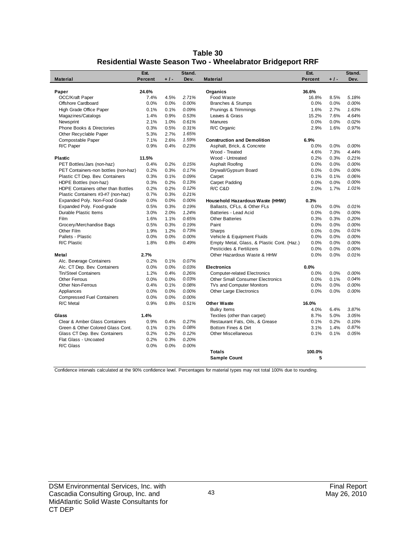| Table 30                                                          |
|-------------------------------------------------------------------|
| <b>Residential Waste Season Two - Wheelabrator Bridgeport RRF</b> |

|                                      | Est.           |       | Stand.   |                                            | Est.           |       | Stand.   |
|--------------------------------------|----------------|-------|----------|--------------------------------------------|----------------|-------|----------|
| <b>Material</b>                      | <b>Percent</b> | $+1-$ | Dev.     | <b>Material</b>                            | <b>Percent</b> | $+1-$ | Dev.     |
|                                      |                |       |          |                                            |                |       |          |
| Paper                                | 24.6%          |       |          | Organics                                   | 36.6%          |       |          |
| <b>OCC/Kraft Paper</b>               | 7.4%           | 4.5%  | 2.71%    | Food Waste                                 | 16.8%          | 8.5%  | 5.18%    |
| Offshore Cardboard                   | 0.0%           | 0.0%  | 0.00%    | Branches & Stumps                          | 0.0%           | 0.0%  | 0.00%    |
| High Grade Office Paper              | 0.1%           | 0.1%  | 0.09%    | Prunings & Trimmings                       | 1.6%           | 2.7%  | 1.63%    |
| Magazines/Catalogs                   | 1.4%           | 0.9%  | 0.53%    | Leaves & Grass                             | 15.2%          | 7.6%  | 4.64%    |
| Newsprint                            | 2.1%           | 1.0%  | 0.61%    | <b>Manures</b>                             | 0.0%           | 0.0%  | 0.02%    |
| Phone Books & Directories            | 0.3%           | 0.5%  | 0.31%    | R/C Organic                                | 2.9%           | 1.6%  | 0.97%    |
| Other Recyclable Paper               | 5.3%           | 2.7%  | 1.65%    |                                            |                |       |          |
| Compostable Paper                    | 7.1%           | 2.6%  | 1.59%    | <b>Construction and Demolition</b>         | 6.9%           |       |          |
| R/C Paper                            | 0.9%           | 0.4%  | 0.23%    | Asphalt, Brick, & Concrete                 | 0.0%           | 0.0%  | 0.00%    |
|                                      |                |       |          | Wood - Treated                             | 4.6%           | 7.3%  | 4.44%    |
| Plastic                              | 11.5%          |       |          | Wood - Untreated                           | 0.2%           | 0.3%  | 0.21%    |
| PET Bottles/Jars (non-haz)           | 0.4%           | 0.2%  | 0.15%    | Asphalt Roofing                            | 0.0%           | 0.0%  | 0.00%    |
| PET Containers-non bottles (non-haz) | 0.2%           | 0.3%  | 0.17%    | Drywall/Gypsum Board                       | 0.0%           | 0.0%  | 0.00%    |
| Plastic CT Dep. Bev. Containers      | 0.3%           | 0.1%  | 0.09%    | Carpet                                     | 0.1%           | 0.1%  | 0.06%    |
| HDPE Bottles (non-haz)               | 0.3%           | 0.2%  | 0.13%    | Carpet Padding                             | 0.0%           | 0.0%  | 0.00%    |
| HDPE Containers other than Bottles   | 0.2%           | 0.2%  | 0.12%    | R/C C&D                                    | 2.0%           | 1.7%  | 1.01%    |
| Plastic Containers #3-#7 (non-haz)   | 0.7%           | 0.3%  | 0.21%    |                                            |                |       |          |
| Expanded Poly. Non-Food Grade        | 0.0%           | 0.0%  | $0.00\%$ | Household Hazardous Waste (HHW)            | 0.3%           |       |          |
| Expanded Poly. Food-grade            | 0.5%           | 0.3%  | 0.19%    | Ballasts, CFLs, & Other FLs                | 0.0%           | 0.0%  | 0.01%    |
| Durable Plastic Items                | 3.0%           | 2.0%  | 1.24%    | Batteries - Lead Acid                      | 0.0%           | 0.0%  | 0.00%    |
| Film                                 | 1.6%           | 1.1%  | 0.65%    | <b>Other Batteries</b>                     | 0.3%           | 0.3%  | 0.20%    |
| Grocery/Merchandise Bags             | 0.5%           | 0.3%  | 0.19%    | Paint                                      | 0.0%           | 0.0%  | 0.00%    |
| Other Film                           | 1.9%           | 1.2%  | 0.73%    | Sharps                                     | 0.0%           | 0.0%  | 0.01%    |
| Pallets - Plastic                    | 0.0%           | 0.0%  | 0.00%    | Vehicle & Equipment Fluids                 | 0.0%           | 0.0%  | 0.00%    |
| R/C Plastic                          | 1.8%           | 0.8%  | 0.49%    | Empty Metal, Glass, & Plastic Cont. (Haz.) | 0.0%           | 0.0%  | 0.00%    |
|                                      |                |       |          | Pesticides & Fertilizers                   | 0.0%           | 0.0%  | 0.00%    |
| Metal                                | 2.7%           |       |          | Other Hazardous Waste & HHW                | 0.0%           | 0.0%  | 0.01%    |
| Alc. Beverage Containers             | 0.2%           | 0.1%  | 0.07%    |                                            |                |       |          |
| Alc. CT Dep. Bev. Containers         | 0.0%           | 0.0%  | 0.03%    | <b>Electronics</b>                         | 0.0%           |       |          |
| <b>Tin/Steel Containers</b>          | 1.2%           | 0.4%  | 0.26%    | <b>Computer-related Electronics</b>        | 0.0%           | 0.0%  | $0.00\%$ |
| <b>Other Ferrous</b>                 | 0.0%           | 0.0%  | 0.03%    | <b>Other Small Consumer Electronics</b>    | 0.0%           | 0.1%  | 0.04%    |
| Other Non-Ferrous                    | 0.4%           | 0.1%  | 0.08%    | TVs and Computer Monitors                  | 0.0%           | 0.0%  | 0.00%    |
| Appliances                           | 0.0%           | 0.0%  | 0.00%    | Other Large Electronics                    | 0.0%           | 0.0%  | 0.00%    |
| <b>Compressed Fuel Containers</b>    | 0.0%           | 0.0%  | 0.00%    |                                            |                |       |          |
| R/C Metal                            | 0.9%           | 0.8%  | 0.51%    | <b>Other Waste</b>                         | 16.0%          |       |          |
|                                      |                |       |          | <b>Bulky Items</b>                         | 4.0%           | 6.4%  | 3.87%    |
| Glass                                | 1.4%           |       |          | Textiles (other than carpet)               | 8.7%           | 5.0%  | 3.05%    |
| Clear & Amber Glass Containers       | 0.9%           | 0.4%  | 0.27%    | Restaurant Fats, Oils, & Grease            | 0.1%           | 0.2%  | 0.10%    |
| Green & Other Colored Glass Cont.    | 0.1%           | 0.1%  | 0.08%    | Bottom Fines & Dirt                        | 3.1%           | 1.4%  | 0.87%    |
| Glass CT Dep. Bev. Containers        | 0.2%           | 0.2%  | 0.12%    | <b>Other Miscellaneous</b>                 | 0.1%           | 0.1%  | 0.05%    |
| Flat Glass - Uncoated                | 0.2%           | 0.3%  | 0.20%    |                                            |                |       |          |
| R/C Glass                            | 0.0%           | 0.0%  | 0.00%    |                                            |                |       |          |
|                                      |                |       |          | <b>Totals</b>                              | 100.0%         |       |          |
|                                      |                |       |          | <b>Sample Count</b>                        | 5              |       |          |
|                                      |                |       |          |                                            |                |       |          |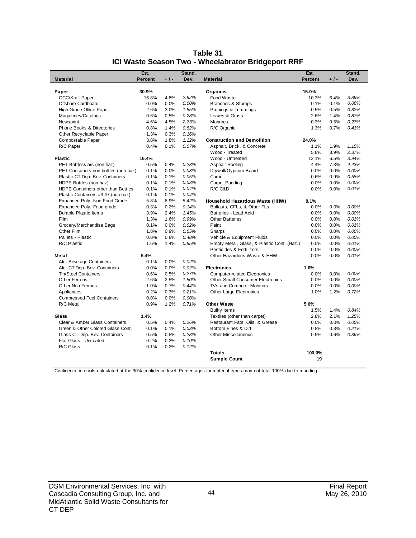| <b>Material</b><br>Percent<br>$+1-$<br>Dev.<br><b>Material</b><br>Percent<br>$+1-$<br>Dev.<br>30.9%<br>Organics<br>15.0%<br>Paper<br>OCC/Kraft Paper<br>2.92%<br>16.8%<br>4.8%<br>Food Waste<br>10.3%<br>6.4%<br>3.89%<br>0.00%<br>0.06%<br>Offshore Cardboard<br>0.0%<br>0.0%<br>0.1%<br>Branches & Stumps<br>0.1%<br>High Grade Office Paper<br>2.6%<br>3.0%<br>1.85%<br>Prunings & Trimmings<br>0.5%<br>0.5%<br>0.32%<br>0.6%<br>0.28%<br>Leaves & Grass<br>2.6%<br>1.4%<br>0.87%<br>Magazines/Catalogs<br>0.5%<br>Newsprint<br>4.6%<br>4.5%<br>2.73%<br><b>Manures</b><br>0.3%<br>0.5%<br>0.27%<br><b>Phone Books &amp; Directories</b><br>0.8%<br>1.4%<br>0.82%<br>R/C Organic<br>1.3%<br>0.7%<br>0.41%<br>1.3%<br>0.3%<br>0.16%<br>Other Recyclable Paper<br>3.8%<br>Compostable Paper<br>1.8%<br>1.12%<br><b>Construction and Demolition</b><br>24.0%<br>R/C Paper<br>0.4%<br>0.1%<br>0.07%<br>Asphalt, Brick, & Concrete<br>1.1%<br>1.9%<br>1.15%<br>2.37%<br>5.8%<br>3.9%<br>Wood - Treated<br>Wood - Untreated<br>3.94%<br>16.4%<br>12.1%<br>6.5%<br><b>Plastic</b><br>PET Bottles/Jars (non-haz)<br>0.5%<br>0.4%<br>0.23%<br>Asphalt Roofing<br>4.4%<br>7.3%<br>4.43%<br>0.1%<br>0.0%<br>0.03%<br>0.0%<br>0.00%<br>PET Containers-non bottles (non-haz)<br>Drywall/Gypsum Board<br>0.0%<br>0.1%<br>Plastic CT Dep. Bev. Containers<br>0.1%<br>0.05%<br>0.6%<br>0.9%<br>0.58%<br>Carpet<br>0.1%<br>0.03%<br>Carpet Padding<br>0.0%<br>0.00%<br>HDPE Bottles (non-haz)<br>0.1%<br>0.0%<br>0.1%<br>R/C C&D<br>0.01%<br>HDPE Containers other than Bottles<br>0.1%<br>0.04%<br>0.0%<br>0.0%<br>0.04%<br>Plastic Containers #3-#7 (non-haz)<br>0.1%<br>0.1%<br>Expanded Poly. Non-Food Grade<br>5.8%<br>8.9%<br>5.42%<br>Household Hazardous Waste (HHW)<br>0.1%<br>Expanded Poly. Food-grade<br>0.3%<br>0.2%<br>0.14%<br>Ballasts, CFLs, & Other FLs<br>0.0%<br>0.0%<br>0.00%<br>Durable Plastic Items<br>3.9%<br>2.4%<br>1.45%<br>Batteries - Lead Acid<br>0.0%<br>0.00%<br>0.0%<br>Film<br>1.3%<br>1.6%<br>0.99%<br><b>Other Batteries</b><br>0.0%<br>0.0%<br>0.01%<br>0.1%<br>0.0%<br>0.02%<br>0.01%<br>Grocery/Merchandise Bags<br>Paint<br>0.0%<br>0.0%<br>0.55%<br>0.00%<br>1.8%<br>0.9%<br>0.0%<br>Other Film<br>Sharps<br>0.0%<br>0.8%<br>0.00%<br>Pallets - Plastic<br>0.8%<br>0.48%<br>Vehicle & Equipment Fluids<br>0.0%<br>0.0%<br>1.6%<br>Empty Metal, Glass, & Plastic Cont. (Haz.)<br>0.01%<br>R/C Plastic<br>1.4%<br>0.85%<br>0.0%<br>0.0%<br>Pesticides & Fertilizers<br>0.0%<br>0.00%<br>0.0%<br>5.4%<br>Other Hazardous Waste & HHW<br>0.0%<br>0.0%<br>0.01%<br>Metal<br>0.1%<br>Alc. Beverage Containers<br>0.0%<br>0.02%<br>0.0%<br>0.02%<br>Alc. CT Dep. Bev. Containers<br>0.0%<br>1.0%<br><b>Electronics</b><br>Tin/Steel Containers<br>0.6%<br>0.5%<br>0.27%<br><b>Computer-related Electronics</b><br>0.0%<br>0.0%<br>0.00%<br>2.6%<br>2.5%<br>1.50%<br>0.0%<br>0.00%<br>Other Ferrous<br><b>Other Small Consumer Electronics</b><br>0.0%<br>1.0%<br>0.7%<br>0.0%<br>0.00%<br><b>Other Non-Ferrous</b><br>0.44%<br>TVs and Computer Monitors<br>0.0%<br>0.2%<br>0.3%<br>Other Large Electronics<br>1.2%<br>0.72%<br>Appliances<br>0.21%<br>1.0%<br>0.0%<br>0.00%<br><b>Compressed Fuel Containers</b><br>0.0%<br>0.9%<br>R/C Metal<br>1.2%<br>0.71%<br><b>Other Waste</b><br>5.6%<br>1.5%<br>1.4%<br>0.84%<br><b>Bulky Items</b><br>1.4%<br>Textiles (other than carpet)<br>2.8%<br>2.1%<br>1.25%<br>Glass<br>Clear & Amber Glass Containers<br>0.5%<br>0.4%<br>0.26%<br>Restaurant Fats, Oils, & Grease<br>0.0%<br>0.0%<br>0.00%<br>Green & Other Colored Glass Cont.<br>0.1%<br>Bottom Fines & Dirt<br>0.21%<br>0.1%<br>0.03%<br>0.8%<br>0.3%<br>Glass CT Dep. Bev. Containers<br>0.5%<br>0.28%<br>0.5%<br>Other Miscellaneous<br>0.5%<br>0.6%<br>0.36%<br>0.10%<br>Flat Glass - Uncoated<br>0.2%<br>0.2%<br>R/C Glass<br>0.1%<br>0.2%<br>0.12%<br><b>Totals</b><br>100.0% |      |        |                     |      |        |
|---------------------------------------------------------------------------------------------------------------------------------------------------------------------------------------------------------------------------------------------------------------------------------------------------------------------------------------------------------------------------------------------------------------------------------------------------------------------------------------------------------------------------------------------------------------------------------------------------------------------------------------------------------------------------------------------------------------------------------------------------------------------------------------------------------------------------------------------------------------------------------------------------------------------------------------------------------------------------------------------------------------------------------------------------------------------------------------------------------------------------------------------------------------------------------------------------------------------------------------------------------------------------------------------------------------------------------------------------------------------------------------------------------------------------------------------------------------------------------------------------------------------------------------------------------------------------------------------------------------------------------------------------------------------------------------------------------------------------------------------------------------------------------------------------------------------------------------------------------------------------------------------------------------------------------------------------------------------------------------------------------------------------------------------------------------------------------------------------------------------------------------------------------------------------------------------------------------------------------------------------------------------------------------------------------------------------------------------------------------------------------------------------------------------------------------------------------------------------------------------------------------------------------------------------------------------------------------------------------------------------------------------------------------------------------------------------------------------------------------------------------------------------------------------------------------------------------------------------------------------------------------------------------------------------------------------------------------------------------------------------------------------------------------------------------------------------------------------------------------------------------------------------------------------------------------------------------------------------------------------------------------------------------------------------------------------------------------------------------------------------------------------------------------------------------------------------------------------------------------------------------------------------------------------------------------------------------------------------------------------------------------------------------------------------------------------------------------------------------------------------------------------------------------------------------------------------------------------------------------------------------------------------------------|------|--------|---------------------|------|--------|
|                                                                                                                                                                                                                                                                                                                                                                                                                                                                                                                                                                                                                                                                                                                                                                                                                                                                                                                                                                                                                                                                                                                                                                                                                                                                                                                                                                                                                                                                                                                                                                                                                                                                                                                                                                                                                                                                                                                                                                                                                                                                                                                                                                                                                                                                                                                                                                                                                                                                                                                                                                                                                                                                                                                                                                                                                                                                                                                                                                                                                                                                                                                                                                                                                                                                                                                                                                                                                                                                                                                                                                                                                                                                                                                                                                                                                                                                                                               | Est. | Stand. |                     | Est. | Stand. |
|                                                                                                                                                                                                                                                                                                                                                                                                                                                                                                                                                                                                                                                                                                                                                                                                                                                                                                                                                                                                                                                                                                                                                                                                                                                                                                                                                                                                                                                                                                                                                                                                                                                                                                                                                                                                                                                                                                                                                                                                                                                                                                                                                                                                                                                                                                                                                                                                                                                                                                                                                                                                                                                                                                                                                                                                                                                                                                                                                                                                                                                                                                                                                                                                                                                                                                                                                                                                                                                                                                                                                                                                                                                                                                                                                                                                                                                                                                               |      |        |                     |      |        |
|                                                                                                                                                                                                                                                                                                                                                                                                                                                                                                                                                                                                                                                                                                                                                                                                                                                                                                                                                                                                                                                                                                                                                                                                                                                                                                                                                                                                                                                                                                                                                                                                                                                                                                                                                                                                                                                                                                                                                                                                                                                                                                                                                                                                                                                                                                                                                                                                                                                                                                                                                                                                                                                                                                                                                                                                                                                                                                                                                                                                                                                                                                                                                                                                                                                                                                                                                                                                                                                                                                                                                                                                                                                                                                                                                                                                                                                                                                               |      |        |                     |      |        |
|                                                                                                                                                                                                                                                                                                                                                                                                                                                                                                                                                                                                                                                                                                                                                                                                                                                                                                                                                                                                                                                                                                                                                                                                                                                                                                                                                                                                                                                                                                                                                                                                                                                                                                                                                                                                                                                                                                                                                                                                                                                                                                                                                                                                                                                                                                                                                                                                                                                                                                                                                                                                                                                                                                                                                                                                                                                                                                                                                                                                                                                                                                                                                                                                                                                                                                                                                                                                                                                                                                                                                                                                                                                                                                                                                                                                                                                                                                               |      |        |                     |      |        |
|                                                                                                                                                                                                                                                                                                                                                                                                                                                                                                                                                                                                                                                                                                                                                                                                                                                                                                                                                                                                                                                                                                                                                                                                                                                                                                                                                                                                                                                                                                                                                                                                                                                                                                                                                                                                                                                                                                                                                                                                                                                                                                                                                                                                                                                                                                                                                                                                                                                                                                                                                                                                                                                                                                                                                                                                                                                                                                                                                                                                                                                                                                                                                                                                                                                                                                                                                                                                                                                                                                                                                                                                                                                                                                                                                                                                                                                                                                               |      |        |                     |      |        |
|                                                                                                                                                                                                                                                                                                                                                                                                                                                                                                                                                                                                                                                                                                                                                                                                                                                                                                                                                                                                                                                                                                                                                                                                                                                                                                                                                                                                                                                                                                                                                                                                                                                                                                                                                                                                                                                                                                                                                                                                                                                                                                                                                                                                                                                                                                                                                                                                                                                                                                                                                                                                                                                                                                                                                                                                                                                                                                                                                                                                                                                                                                                                                                                                                                                                                                                                                                                                                                                                                                                                                                                                                                                                                                                                                                                                                                                                                                               |      |        |                     |      |        |
|                                                                                                                                                                                                                                                                                                                                                                                                                                                                                                                                                                                                                                                                                                                                                                                                                                                                                                                                                                                                                                                                                                                                                                                                                                                                                                                                                                                                                                                                                                                                                                                                                                                                                                                                                                                                                                                                                                                                                                                                                                                                                                                                                                                                                                                                                                                                                                                                                                                                                                                                                                                                                                                                                                                                                                                                                                                                                                                                                                                                                                                                                                                                                                                                                                                                                                                                                                                                                                                                                                                                                                                                                                                                                                                                                                                                                                                                                                               |      |        |                     |      |        |
|                                                                                                                                                                                                                                                                                                                                                                                                                                                                                                                                                                                                                                                                                                                                                                                                                                                                                                                                                                                                                                                                                                                                                                                                                                                                                                                                                                                                                                                                                                                                                                                                                                                                                                                                                                                                                                                                                                                                                                                                                                                                                                                                                                                                                                                                                                                                                                                                                                                                                                                                                                                                                                                                                                                                                                                                                                                                                                                                                                                                                                                                                                                                                                                                                                                                                                                                                                                                                                                                                                                                                                                                                                                                                                                                                                                                                                                                                                               |      |        |                     |      |        |
|                                                                                                                                                                                                                                                                                                                                                                                                                                                                                                                                                                                                                                                                                                                                                                                                                                                                                                                                                                                                                                                                                                                                                                                                                                                                                                                                                                                                                                                                                                                                                                                                                                                                                                                                                                                                                                                                                                                                                                                                                                                                                                                                                                                                                                                                                                                                                                                                                                                                                                                                                                                                                                                                                                                                                                                                                                                                                                                                                                                                                                                                                                                                                                                                                                                                                                                                                                                                                                                                                                                                                                                                                                                                                                                                                                                                                                                                                                               |      |        |                     |      |        |
|                                                                                                                                                                                                                                                                                                                                                                                                                                                                                                                                                                                                                                                                                                                                                                                                                                                                                                                                                                                                                                                                                                                                                                                                                                                                                                                                                                                                                                                                                                                                                                                                                                                                                                                                                                                                                                                                                                                                                                                                                                                                                                                                                                                                                                                                                                                                                                                                                                                                                                                                                                                                                                                                                                                                                                                                                                                                                                                                                                                                                                                                                                                                                                                                                                                                                                                                                                                                                                                                                                                                                                                                                                                                                                                                                                                                                                                                                                               |      |        |                     |      |        |
|                                                                                                                                                                                                                                                                                                                                                                                                                                                                                                                                                                                                                                                                                                                                                                                                                                                                                                                                                                                                                                                                                                                                                                                                                                                                                                                                                                                                                                                                                                                                                                                                                                                                                                                                                                                                                                                                                                                                                                                                                                                                                                                                                                                                                                                                                                                                                                                                                                                                                                                                                                                                                                                                                                                                                                                                                                                                                                                                                                                                                                                                                                                                                                                                                                                                                                                                                                                                                                                                                                                                                                                                                                                                                                                                                                                                                                                                                                               |      |        |                     |      |        |
|                                                                                                                                                                                                                                                                                                                                                                                                                                                                                                                                                                                                                                                                                                                                                                                                                                                                                                                                                                                                                                                                                                                                                                                                                                                                                                                                                                                                                                                                                                                                                                                                                                                                                                                                                                                                                                                                                                                                                                                                                                                                                                                                                                                                                                                                                                                                                                                                                                                                                                                                                                                                                                                                                                                                                                                                                                                                                                                                                                                                                                                                                                                                                                                                                                                                                                                                                                                                                                                                                                                                                                                                                                                                                                                                                                                                                                                                                                               |      |        |                     |      |        |
|                                                                                                                                                                                                                                                                                                                                                                                                                                                                                                                                                                                                                                                                                                                                                                                                                                                                                                                                                                                                                                                                                                                                                                                                                                                                                                                                                                                                                                                                                                                                                                                                                                                                                                                                                                                                                                                                                                                                                                                                                                                                                                                                                                                                                                                                                                                                                                                                                                                                                                                                                                                                                                                                                                                                                                                                                                                                                                                                                                                                                                                                                                                                                                                                                                                                                                                                                                                                                                                                                                                                                                                                                                                                                                                                                                                                                                                                                                               |      |        |                     |      |        |
|                                                                                                                                                                                                                                                                                                                                                                                                                                                                                                                                                                                                                                                                                                                                                                                                                                                                                                                                                                                                                                                                                                                                                                                                                                                                                                                                                                                                                                                                                                                                                                                                                                                                                                                                                                                                                                                                                                                                                                                                                                                                                                                                                                                                                                                                                                                                                                                                                                                                                                                                                                                                                                                                                                                                                                                                                                                                                                                                                                                                                                                                                                                                                                                                                                                                                                                                                                                                                                                                                                                                                                                                                                                                                                                                                                                                                                                                                                               |      |        |                     |      |        |
|                                                                                                                                                                                                                                                                                                                                                                                                                                                                                                                                                                                                                                                                                                                                                                                                                                                                                                                                                                                                                                                                                                                                                                                                                                                                                                                                                                                                                                                                                                                                                                                                                                                                                                                                                                                                                                                                                                                                                                                                                                                                                                                                                                                                                                                                                                                                                                                                                                                                                                                                                                                                                                                                                                                                                                                                                                                                                                                                                                                                                                                                                                                                                                                                                                                                                                                                                                                                                                                                                                                                                                                                                                                                                                                                                                                                                                                                                                               |      |        |                     |      |        |
|                                                                                                                                                                                                                                                                                                                                                                                                                                                                                                                                                                                                                                                                                                                                                                                                                                                                                                                                                                                                                                                                                                                                                                                                                                                                                                                                                                                                                                                                                                                                                                                                                                                                                                                                                                                                                                                                                                                                                                                                                                                                                                                                                                                                                                                                                                                                                                                                                                                                                                                                                                                                                                                                                                                                                                                                                                                                                                                                                                                                                                                                                                                                                                                                                                                                                                                                                                                                                                                                                                                                                                                                                                                                                                                                                                                                                                                                                                               |      |        |                     |      |        |
|                                                                                                                                                                                                                                                                                                                                                                                                                                                                                                                                                                                                                                                                                                                                                                                                                                                                                                                                                                                                                                                                                                                                                                                                                                                                                                                                                                                                                                                                                                                                                                                                                                                                                                                                                                                                                                                                                                                                                                                                                                                                                                                                                                                                                                                                                                                                                                                                                                                                                                                                                                                                                                                                                                                                                                                                                                                                                                                                                                                                                                                                                                                                                                                                                                                                                                                                                                                                                                                                                                                                                                                                                                                                                                                                                                                                                                                                                                               |      |        |                     |      |        |
|                                                                                                                                                                                                                                                                                                                                                                                                                                                                                                                                                                                                                                                                                                                                                                                                                                                                                                                                                                                                                                                                                                                                                                                                                                                                                                                                                                                                                                                                                                                                                                                                                                                                                                                                                                                                                                                                                                                                                                                                                                                                                                                                                                                                                                                                                                                                                                                                                                                                                                                                                                                                                                                                                                                                                                                                                                                                                                                                                                                                                                                                                                                                                                                                                                                                                                                                                                                                                                                                                                                                                                                                                                                                                                                                                                                                                                                                                                               |      |        |                     |      |        |
|                                                                                                                                                                                                                                                                                                                                                                                                                                                                                                                                                                                                                                                                                                                                                                                                                                                                                                                                                                                                                                                                                                                                                                                                                                                                                                                                                                                                                                                                                                                                                                                                                                                                                                                                                                                                                                                                                                                                                                                                                                                                                                                                                                                                                                                                                                                                                                                                                                                                                                                                                                                                                                                                                                                                                                                                                                                                                                                                                                                                                                                                                                                                                                                                                                                                                                                                                                                                                                                                                                                                                                                                                                                                                                                                                                                                                                                                                                               |      |        |                     |      |        |
|                                                                                                                                                                                                                                                                                                                                                                                                                                                                                                                                                                                                                                                                                                                                                                                                                                                                                                                                                                                                                                                                                                                                                                                                                                                                                                                                                                                                                                                                                                                                                                                                                                                                                                                                                                                                                                                                                                                                                                                                                                                                                                                                                                                                                                                                                                                                                                                                                                                                                                                                                                                                                                                                                                                                                                                                                                                                                                                                                                                                                                                                                                                                                                                                                                                                                                                                                                                                                                                                                                                                                                                                                                                                                                                                                                                                                                                                                                               |      |        |                     |      |        |
|                                                                                                                                                                                                                                                                                                                                                                                                                                                                                                                                                                                                                                                                                                                                                                                                                                                                                                                                                                                                                                                                                                                                                                                                                                                                                                                                                                                                                                                                                                                                                                                                                                                                                                                                                                                                                                                                                                                                                                                                                                                                                                                                                                                                                                                                                                                                                                                                                                                                                                                                                                                                                                                                                                                                                                                                                                                                                                                                                                                                                                                                                                                                                                                                                                                                                                                                                                                                                                                                                                                                                                                                                                                                                                                                                                                                                                                                                                               |      |        |                     |      |        |
|                                                                                                                                                                                                                                                                                                                                                                                                                                                                                                                                                                                                                                                                                                                                                                                                                                                                                                                                                                                                                                                                                                                                                                                                                                                                                                                                                                                                                                                                                                                                                                                                                                                                                                                                                                                                                                                                                                                                                                                                                                                                                                                                                                                                                                                                                                                                                                                                                                                                                                                                                                                                                                                                                                                                                                                                                                                                                                                                                                                                                                                                                                                                                                                                                                                                                                                                                                                                                                                                                                                                                                                                                                                                                                                                                                                                                                                                                                               |      |        |                     |      |        |
|                                                                                                                                                                                                                                                                                                                                                                                                                                                                                                                                                                                                                                                                                                                                                                                                                                                                                                                                                                                                                                                                                                                                                                                                                                                                                                                                                                                                                                                                                                                                                                                                                                                                                                                                                                                                                                                                                                                                                                                                                                                                                                                                                                                                                                                                                                                                                                                                                                                                                                                                                                                                                                                                                                                                                                                                                                                                                                                                                                                                                                                                                                                                                                                                                                                                                                                                                                                                                                                                                                                                                                                                                                                                                                                                                                                                                                                                                                               |      |        |                     |      |        |
|                                                                                                                                                                                                                                                                                                                                                                                                                                                                                                                                                                                                                                                                                                                                                                                                                                                                                                                                                                                                                                                                                                                                                                                                                                                                                                                                                                                                                                                                                                                                                                                                                                                                                                                                                                                                                                                                                                                                                                                                                                                                                                                                                                                                                                                                                                                                                                                                                                                                                                                                                                                                                                                                                                                                                                                                                                                                                                                                                                                                                                                                                                                                                                                                                                                                                                                                                                                                                                                                                                                                                                                                                                                                                                                                                                                                                                                                                                               |      |        |                     |      |        |
|                                                                                                                                                                                                                                                                                                                                                                                                                                                                                                                                                                                                                                                                                                                                                                                                                                                                                                                                                                                                                                                                                                                                                                                                                                                                                                                                                                                                                                                                                                                                                                                                                                                                                                                                                                                                                                                                                                                                                                                                                                                                                                                                                                                                                                                                                                                                                                                                                                                                                                                                                                                                                                                                                                                                                                                                                                                                                                                                                                                                                                                                                                                                                                                                                                                                                                                                                                                                                                                                                                                                                                                                                                                                                                                                                                                                                                                                                                               |      |        |                     |      |        |
|                                                                                                                                                                                                                                                                                                                                                                                                                                                                                                                                                                                                                                                                                                                                                                                                                                                                                                                                                                                                                                                                                                                                                                                                                                                                                                                                                                                                                                                                                                                                                                                                                                                                                                                                                                                                                                                                                                                                                                                                                                                                                                                                                                                                                                                                                                                                                                                                                                                                                                                                                                                                                                                                                                                                                                                                                                                                                                                                                                                                                                                                                                                                                                                                                                                                                                                                                                                                                                                                                                                                                                                                                                                                                                                                                                                                                                                                                                               |      |        |                     |      |        |
|                                                                                                                                                                                                                                                                                                                                                                                                                                                                                                                                                                                                                                                                                                                                                                                                                                                                                                                                                                                                                                                                                                                                                                                                                                                                                                                                                                                                                                                                                                                                                                                                                                                                                                                                                                                                                                                                                                                                                                                                                                                                                                                                                                                                                                                                                                                                                                                                                                                                                                                                                                                                                                                                                                                                                                                                                                                                                                                                                                                                                                                                                                                                                                                                                                                                                                                                                                                                                                                                                                                                                                                                                                                                                                                                                                                                                                                                                                               |      |        |                     |      |        |
|                                                                                                                                                                                                                                                                                                                                                                                                                                                                                                                                                                                                                                                                                                                                                                                                                                                                                                                                                                                                                                                                                                                                                                                                                                                                                                                                                                                                                                                                                                                                                                                                                                                                                                                                                                                                                                                                                                                                                                                                                                                                                                                                                                                                                                                                                                                                                                                                                                                                                                                                                                                                                                                                                                                                                                                                                                                                                                                                                                                                                                                                                                                                                                                                                                                                                                                                                                                                                                                                                                                                                                                                                                                                                                                                                                                                                                                                                                               |      |        |                     |      |        |
|                                                                                                                                                                                                                                                                                                                                                                                                                                                                                                                                                                                                                                                                                                                                                                                                                                                                                                                                                                                                                                                                                                                                                                                                                                                                                                                                                                                                                                                                                                                                                                                                                                                                                                                                                                                                                                                                                                                                                                                                                                                                                                                                                                                                                                                                                                                                                                                                                                                                                                                                                                                                                                                                                                                                                                                                                                                                                                                                                                                                                                                                                                                                                                                                                                                                                                                                                                                                                                                                                                                                                                                                                                                                                                                                                                                                                                                                                                               |      |        |                     |      |        |
|                                                                                                                                                                                                                                                                                                                                                                                                                                                                                                                                                                                                                                                                                                                                                                                                                                                                                                                                                                                                                                                                                                                                                                                                                                                                                                                                                                                                                                                                                                                                                                                                                                                                                                                                                                                                                                                                                                                                                                                                                                                                                                                                                                                                                                                                                                                                                                                                                                                                                                                                                                                                                                                                                                                                                                                                                                                                                                                                                                                                                                                                                                                                                                                                                                                                                                                                                                                                                                                                                                                                                                                                                                                                                                                                                                                                                                                                                                               |      |        |                     |      |        |
|                                                                                                                                                                                                                                                                                                                                                                                                                                                                                                                                                                                                                                                                                                                                                                                                                                                                                                                                                                                                                                                                                                                                                                                                                                                                                                                                                                                                                                                                                                                                                                                                                                                                                                                                                                                                                                                                                                                                                                                                                                                                                                                                                                                                                                                                                                                                                                                                                                                                                                                                                                                                                                                                                                                                                                                                                                                                                                                                                                                                                                                                                                                                                                                                                                                                                                                                                                                                                                                                                                                                                                                                                                                                                                                                                                                                                                                                                                               |      |        |                     |      |        |
|                                                                                                                                                                                                                                                                                                                                                                                                                                                                                                                                                                                                                                                                                                                                                                                                                                                                                                                                                                                                                                                                                                                                                                                                                                                                                                                                                                                                                                                                                                                                                                                                                                                                                                                                                                                                                                                                                                                                                                                                                                                                                                                                                                                                                                                                                                                                                                                                                                                                                                                                                                                                                                                                                                                                                                                                                                                                                                                                                                                                                                                                                                                                                                                                                                                                                                                                                                                                                                                                                                                                                                                                                                                                                                                                                                                                                                                                                                               |      |        |                     |      |        |
|                                                                                                                                                                                                                                                                                                                                                                                                                                                                                                                                                                                                                                                                                                                                                                                                                                                                                                                                                                                                                                                                                                                                                                                                                                                                                                                                                                                                                                                                                                                                                                                                                                                                                                                                                                                                                                                                                                                                                                                                                                                                                                                                                                                                                                                                                                                                                                                                                                                                                                                                                                                                                                                                                                                                                                                                                                                                                                                                                                                                                                                                                                                                                                                                                                                                                                                                                                                                                                                                                                                                                                                                                                                                                                                                                                                                                                                                                                               |      |        |                     |      |        |
|                                                                                                                                                                                                                                                                                                                                                                                                                                                                                                                                                                                                                                                                                                                                                                                                                                                                                                                                                                                                                                                                                                                                                                                                                                                                                                                                                                                                                                                                                                                                                                                                                                                                                                                                                                                                                                                                                                                                                                                                                                                                                                                                                                                                                                                                                                                                                                                                                                                                                                                                                                                                                                                                                                                                                                                                                                                                                                                                                                                                                                                                                                                                                                                                                                                                                                                                                                                                                                                                                                                                                                                                                                                                                                                                                                                                                                                                                                               |      |        |                     |      |        |
|                                                                                                                                                                                                                                                                                                                                                                                                                                                                                                                                                                                                                                                                                                                                                                                                                                                                                                                                                                                                                                                                                                                                                                                                                                                                                                                                                                                                                                                                                                                                                                                                                                                                                                                                                                                                                                                                                                                                                                                                                                                                                                                                                                                                                                                                                                                                                                                                                                                                                                                                                                                                                                                                                                                                                                                                                                                                                                                                                                                                                                                                                                                                                                                                                                                                                                                                                                                                                                                                                                                                                                                                                                                                                                                                                                                                                                                                                                               |      |        |                     |      |        |
|                                                                                                                                                                                                                                                                                                                                                                                                                                                                                                                                                                                                                                                                                                                                                                                                                                                                                                                                                                                                                                                                                                                                                                                                                                                                                                                                                                                                                                                                                                                                                                                                                                                                                                                                                                                                                                                                                                                                                                                                                                                                                                                                                                                                                                                                                                                                                                                                                                                                                                                                                                                                                                                                                                                                                                                                                                                                                                                                                                                                                                                                                                                                                                                                                                                                                                                                                                                                                                                                                                                                                                                                                                                                                                                                                                                                                                                                                                               |      |        |                     |      |        |
|                                                                                                                                                                                                                                                                                                                                                                                                                                                                                                                                                                                                                                                                                                                                                                                                                                                                                                                                                                                                                                                                                                                                                                                                                                                                                                                                                                                                                                                                                                                                                                                                                                                                                                                                                                                                                                                                                                                                                                                                                                                                                                                                                                                                                                                                                                                                                                                                                                                                                                                                                                                                                                                                                                                                                                                                                                                                                                                                                                                                                                                                                                                                                                                                                                                                                                                                                                                                                                                                                                                                                                                                                                                                                                                                                                                                                                                                                                               |      |        |                     |      |        |
|                                                                                                                                                                                                                                                                                                                                                                                                                                                                                                                                                                                                                                                                                                                                                                                                                                                                                                                                                                                                                                                                                                                                                                                                                                                                                                                                                                                                                                                                                                                                                                                                                                                                                                                                                                                                                                                                                                                                                                                                                                                                                                                                                                                                                                                                                                                                                                                                                                                                                                                                                                                                                                                                                                                                                                                                                                                                                                                                                                                                                                                                                                                                                                                                                                                                                                                                                                                                                                                                                                                                                                                                                                                                                                                                                                                                                                                                                                               |      |        |                     |      |        |
|                                                                                                                                                                                                                                                                                                                                                                                                                                                                                                                                                                                                                                                                                                                                                                                                                                                                                                                                                                                                                                                                                                                                                                                                                                                                                                                                                                                                                                                                                                                                                                                                                                                                                                                                                                                                                                                                                                                                                                                                                                                                                                                                                                                                                                                                                                                                                                                                                                                                                                                                                                                                                                                                                                                                                                                                                                                                                                                                                                                                                                                                                                                                                                                                                                                                                                                                                                                                                                                                                                                                                                                                                                                                                                                                                                                                                                                                                                               |      |        |                     |      |        |
|                                                                                                                                                                                                                                                                                                                                                                                                                                                                                                                                                                                                                                                                                                                                                                                                                                                                                                                                                                                                                                                                                                                                                                                                                                                                                                                                                                                                                                                                                                                                                                                                                                                                                                                                                                                                                                                                                                                                                                                                                                                                                                                                                                                                                                                                                                                                                                                                                                                                                                                                                                                                                                                                                                                                                                                                                                                                                                                                                                                                                                                                                                                                                                                                                                                                                                                                                                                                                                                                                                                                                                                                                                                                                                                                                                                                                                                                                                               |      |        |                     |      |        |
|                                                                                                                                                                                                                                                                                                                                                                                                                                                                                                                                                                                                                                                                                                                                                                                                                                                                                                                                                                                                                                                                                                                                                                                                                                                                                                                                                                                                                                                                                                                                                                                                                                                                                                                                                                                                                                                                                                                                                                                                                                                                                                                                                                                                                                                                                                                                                                                                                                                                                                                                                                                                                                                                                                                                                                                                                                                                                                                                                                                                                                                                                                                                                                                                                                                                                                                                                                                                                                                                                                                                                                                                                                                                                                                                                                                                                                                                                                               |      |        |                     |      |        |
|                                                                                                                                                                                                                                                                                                                                                                                                                                                                                                                                                                                                                                                                                                                                                                                                                                                                                                                                                                                                                                                                                                                                                                                                                                                                                                                                                                                                                                                                                                                                                                                                                                                                                                                                                                                                                                                                                                                                                                                                                                                                                                                                                                                                                                                                                                                                                                                                                                                                                                                                                                                                                                                                                                                                                                                                                                                                                                                                                                                                                                                                                                                                                                                                                                                                                                                                                                                                                                                                                                                                                                                                                                                                                                                                                                                                                                                                                                               |      |        |                     |      |        |
|                                                                                                                                                                                                                                                                                                                                                                                                                                                                                                                                                                                                                                                                                                                                                                                                                                                                                                                                                                                                                                                                                                                                                                                                                                                                                                                                                                                                                                                                                                                                                                                                                                                                                                                                                                                                                                                                                                                                                                                                                                                                                                                                                                                                                                                                                                                                                                                                                                                                                                                                                                                                                                                                                                                                                                                                                                                                                                                                                                                                                                                                                                                                                                                                                                                                                                                                                                                                                                                                                                                                                                                                                                                                                                                                                                                                                                                                                                               |      |        |                     |      |        |
|                                                                                                                                                                                                                                                                                                                                                                                                                                                                                                                                                                                                                                                                                                                                                                                                                                                                                                                                                                                                                                                                                                                                                                                                                                                                                                                                                                                                                                                                                                                                                                                                                                                                                                                                                                                                                                                                                                                                                                                                                                                                                                                                                                                                                                                                                                                                                                                                                                                                                                                                                                                                                                                                                                                                                                                                                                                                                                                                                                                                                                                                                                                                                                                                                                                                                                                                                                                                                                                                                                                                                                                                                                                                                                                                                                                                                                                                                                               |      |        |                     |      |        |
|                                                                                                                                                                                                                                                                                                                                                                                                                                                                                                                                                                                                                                                                                                                                                                                                                                                                                                                                                                                                                                                                                                                                                                                                                                                                                                                                                                                                                                                                                                                                                                                                                                                                                                                                                                                                                                                                                                                                                                                                                                                                                                                                                                                                                                                                                                                                                                                                                                                                                                                                                                                                                                                                                                                                                                                                                                                                                                                                                                                                                                                                                                                                                                                                                                                                                                                                                                                                                                                                                                                                                                                                                                                                                                                                                                                                                                                                                                               |      |        |                     |      |        |
|                                                                                                                                                                                                                                                                                                                                                                                                                                                                                                                                                                                                                                                                                                                                                                                                                                                                                                                                                                                                                                                                                                                                                                                                                                                                                                                                                                                                                                                                                                                                                                                                                                                                                                                                                                                                                                                                                                                                                                                                                                                                                                                                                                                                                                                                                                                                                                                                                                                                                                                                                                                                                                                                                                                                                                                                                                                                                                                                                                                                                                                                                                                                                                                                                                                                                                                                                                                                                                                                                                                                                                                                                                                                                                                                                                                                                                                                                                               |      |        |                     |      |        |
|                                                                                                                                                                                                                                                                                                                                                                                                                                                                                                                                                                                                                                                                                                                                                                                                                                                                                                                                                                                                                                                                                                                                                                                                                                                                                                                                                                                                                                                                                                                                                                                                                                                                                                                                                                                                                                                                                                                                                                                                                                                                                                                                                                                                                                                                                                                                                                                                                                                                                                                                                                                                                                                                                                                                                                                                                                                                                                                                                                                                                                                                                                                                                                                                                                                                                                                                                                                                                                                                                                                                                                                                                                                                                                                                                                                                                                                                                                               |      |        | <b>Sample Count</b> | 19   |        |

| Table 31                                           |
|----------------------------------------------------|
| ICI Waste Season Two - Wheelabrator Bridgeport RRF |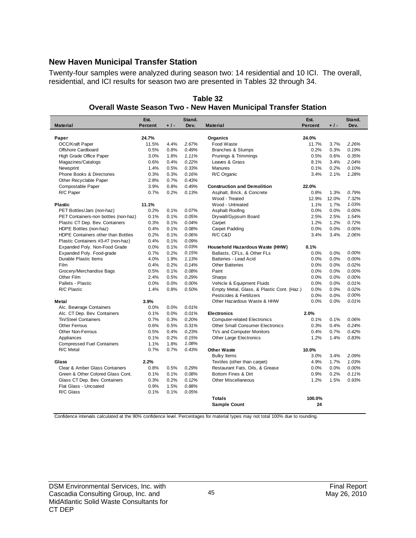#### **New Haven Municipal Transfer Station**

Twenty-four samples were analyzed during season two: 14 residential and 10 ICI. The overall, residential, and ICI results for season two are presented in Tables 32 through 34.

| $+1-$<br><b>Material</b><br><b>Percent</b><br>Dev.<br><b>Percent</b><br>$+1-$<br>Dev.<br><b>Material</b><br>24.7%<br>Paper<br>Organics<br>24.0%<br>OCC/Kraft Paper<br>11.5%<br>4.4%<br>2.67%<br>Food Waste<br>11.7%<br>2.26%<br>3.7%<br>Offshore Cardboard<br>0.5%<br><b>Branches &amp; Stumps</b><br>0.19%<br>0.8%<br>0.49%<br>0.2%<br>0.3%<br>0.35%<br>3.0%<br>1.11%<br>0.6%<br>High Grade Office Paper<br>1.8%<br>Prunings & Trimmings<br>0.5%<br>0.22%<br>2.04%<br>Magazines/Catalogs<br>0.6%<br>0.4%<br>Leaves & Grass<br>8.1%<br>3.4%<br>0.10%<br>Newsprint<br>1.4%<br>0.5%<br>0.33%<br><b>Manures</b><br>0.1%<br>0.2%<br>0.3%<br>Phone Books & Directories<br>0.3%<br>0.16%<br>R/C Organic<br>3.4%<br>2.1%<br>1.28%<br>2.8%<br>0.7%<br>0.43%<br>Other Recyclable Paper<br>Compostable Paper<br>3.9%<br>0.49%<br>0.8%<br><b>Construction and Demolition</b><br>22.0%<br>R/C Paper<br>0.7%<br>0.2%<br>0.13%<br>Asphalt, Brick, & Concrete<br>0.8%<br>0.79%<br>1.3%<br>Wood - Treated<br>12.9%<br>12.0%<br>7.32%<br>1.03%<br>11.1%<br>Wood - Untreated<br>1.1%<br>1.7%<br>Plastic<br>0.00%<br>PET Bottles/Jars (non-haz)<br>0.2%<br>0.1%<br>0.07%<br>Asphalt Roofing<br>0.0%<br>0.0%<br>0.1%<br>1.54%<br>PET Containers-non bottles (non-haz)<br>0.1%<br>0.05%<br>Drywall/Gypsum Board<br>2.5%<br>2.5%<br>0.3%<br>1.2%<br>0.72%<br>Plastic CT Dep. Bev. Containers<br>0.1%<br>0.04%<br>Carpet<br>1.2%<br>0.00%<br>0.4%<br>0.08%<br>Carpet Padding<br>0.0%<br>0.0%<br>HDPE Bottles (non-haz)<br>0.1%<br>0.2%<br>0.06%<br>R/C C&D<br>3.4%<br>2.06%<br>HDPE Containers other than Bottles<br>0.1%<br>3.4%<br>0.4%<br>0.09%<br>Plastic Containers #3-#7 (non-haz)<br>0.1%<br>Expanded Poly. Non-Food Grade<br>0.0%<br>0.03%<br>0.1%<br>Household Hazardous Waste (HHW)<br>0.1%<br>Expanded Poly. Food-grade<br>0.7%<br>0.2%<br>0.15%<br>Ballasts, CFLs, & Other FLs<br>0.0%<br>0.0%<br>0.00%<br>Durable Plastic Items<br>4.0%<br>1.9%<br>1.13%<br>Batteries - Lead Acid<br>0.0%<br>0.0%<br>0.00%<br>0.02%<br>Film<br>0.4%<br>0.2%<br>0.14%<br><b>Other Batteries</b><br>0.0%<br>0.0%<br>0.5%<br>0.08%<br>0.00%<br>Grocery/Merchandise Bags<br>0.1%<br>Paint<br>0.0%<br>0.0%<br>2.4%<br>0.00%<br>Other Film<br>0.5%<br>0.29%<br>Sharps<br>0.0%<br>0.0%<br>Pallets - Plastic<br>0.0%<br>Vehicle & Equipment Fluids<br>0.01%<br>0.0%<br>0.00%<br>0.0%<br>0.0%<br>1.4%<br>0.50%<br>Empty Metal, Glass, & Plastic Cont. (Haz.)<br>0.0%<br>0.02%<br>R/C Plastic<br>0.8%<br>0.0%<br>Pesticides & Fertilizers<br>0.0%<br>0.0%<br>0.00%<br>0.01%<br>3.9%<br>Other Hazardous Waste & HHW<br>0.0%<br>0.0%<br>Metal<br>0.0%<br>0.0%<br>0.01%<br>Alc. Beverage Containers<br>Alc. CT Dep. Bev. Containers<br>0.1%<br>0.0%<br>2.0%<br>0.01%<br><b>Electronics</b><br><b>Tin/Steel Containers</b><br>0.7%<br>0.3%<br>0.20%<br><b>Computer-related Electronics</b><br>0.1%<br>0.06%<br>0.1%<br>0.6%<br>0.31%<br>0.4%<br>0.24%<br><b>Other Ferrous</b><br>0.5%<br><b>Other Small Consumer Electronics</b><br>0.3%<br>0.5%<br><b>Other Non-Ferrous</b><br>0.4%<br>0.23%<br>TVs and Computer Monitors<br>0.4%<br>0.7%<br>0.42%<br>0.1%<br>0.2%<br>1.2%<br>0.83%<br>Appliances<br>0.15%<br>Other Large Electronics<br>1.4%<br><b>Compressed Fuel Containers</b><br>1.1%<br>1.8%<br>1.08%<br>R/C Metal<br>0.7%<br>0.7%<br>0.43%<br><b>Other Waste</b><br>10.0%<br>2.09%<br><b>Bulky Items</b><br>3.0%<br>3.4%<br>Textiles (other than carpet)<br>4.9%<br>1.7%<br>1.03%<br>2.2%<br>Glass<br>Clear & Amber Glass Containers<br>0.8%<br>0.5%<br>0.29%<br>Restaurant Fats, Oils, & Grease<br>0.0%<br>0.0%<br>0.00%<br>Green & Other Colored Glass Cont.<br>0.1%<br>0.08%<br>Bottom Fines & Dirt<br>0.2%<br>0.11%<br>0.1%<br>0.9%<br>0.3%<br>0.2%<br>0.12%<br>0.93%<br>Glass CT Dep. Bev. Containers<br><b>Other Miscellaneous</b><br>1.2%<br>1.5%<br>Flat Glass - Uncoated<br>0.9%<br>0.88%<br>1.5%<br>R/C Glass<br>0.1%<br>0.1%<br>0.05%<br>100.0%<br><b>Totals</b><br>24 | Est. | Stand. |                     | Est. | Stand. |
|---------------------------------------------------------------------------------------------------------------------------------------------------------------------------------------------------------------------------------------------------------------------------------------------------------------------------------------------------------------------------------------------------------------------------------------------------------------------------------------------------------------------------------------------------------------------------------------------------------------------------------------------------------------------------------------------------------------------------------------------------------------------------------------------------------------------------------------------------------------------------------------------------------------------------------------------------------------------------------------------------------------------------------------------------------------------------------------------------------------------------------------------------------------------------------------------------------------------------------------------------------------------------------------------------------------------------------------------------------------------------------------------------------------------------------------------------------------------------------------------------------------------------------------------------------------------------------------------------------------------------------------------------------------------------------------------------------------------------------------------------------------------------------------------------------------------------------------------------------------------------------------------------------------------------------------------------------------------------------------------------------------------------------------------------------------------------------------------------------------------------------------------------------------------------------------------------------------------------------------------------------------------------------------------------------------------------------------------------------------------------------------------------------------------------------------------------------------------------------------------------------------------------------------------------------------------------------------------------------------------------------------------------------------------------------------------------------------------------------------------------------------------------------------------------------------------------------------------------------------------------------------------------------------------------------------------------------------------------------------------------------------------------------------------------------------------------------------------------------------------------------------------------------------------------------------------------------------------------------------------------------------------------------------------------------------------------------------------------------------------------------------------------------------------------------------------------------------------------------------------------------------------------------------------------------------------------------------------------------------------------------------------------------------------------------------------------------------------------------------------------------------------------------------------------------------------------------------------------------------------------------------------------------------------------------------------------|------|--------|---------------------|------|--------|
|                                                                                                                                                                                                                                                                                                                                                                                                                                                                                                                                                                                                                                                                                                                                                                                                                                                                                                                                                                                                                                                                                                                                                                                                                                                                                                                                                                                                                                                                                                                                                                                                                                                                                                                                                                                                                                                                                                                                                                                                                                                                                                                                                                                                                                                                                                                                                                                                                                                                                                                                                                                                                                                                                                                                                                                                                                                                                                                                                                                                                                                                                                                                                                                                                                                                                                                                                                                                                                                                                                                                                                                                                                                                                                                                                                                                                                                                                                                                                   |      |        |                     |      |        |
|                                                                                                                                                                                                                                                                                                                                                                                                                                                                                                                                                                                                                                                                                                                                                                                                                                                                                                                                                                                                                                                                                                                                                                                                                                                                                                                                                                                                                                                                                                                                                                                                                                                                                                                                                                                                                                                                                                                                                                                                                                                                                                                                                                                                                                                                                                                                                                                                                                                                                                                                                                                                                                                                                                                                                                                                                                                                                                                                                                                                                                                                                                                                                                                                                                                                                                                                                                                                                                                                                                                                                                                                                                                                                                                                                                                                                                                                                                                                                   |      |        |                     |      |        |
|                                                                                                                                                                                                                                                                                                                                                                                                                                                                                                                                                                                                                                                                                                                                                                                                                                                                                                                                                                                                                                                                                                                                                                                                                                                                                                                                                                                                                                                                                                                                                                                                                                                                                                                                                                                                                                                                                                                                                                                                                                                                                                                                                                                                                                                                                                                                                                                                                                                                                                                                                                                                                                                                                                                                                                                                                                                                                                                                                                                                                                                                                                                                                                                                                                                                                                                                                                                                                                                                                                                                                                                                                                                                                                                                                                                                                                                                                                                                                   |      |        |                     |      |        |
|                                                                                                                                                                                                                                                                                                                                                                                                                                                                                                                                                                                                                                                                                                                                                                                                                                                                                                                                                                                                                                                                                                                                                                                                                                                                                                                                                                                                                                                                                                                                                                                                                                                                                                                                                                                                                                                                                                                                                                                                                                                                                                                                                                                                                                                                                                                                                                                                                                                                                                                                                                                                                                                                                                                                                                                                                                                                                                                                                                                                                                                                                                                                                                                                                                                                                                                                                                                                                                                                                                                                                                                                                                                                                                                                                                                                                                                                                                                                                   |      |        |                     |      |        |
|                                                                                                                                                                                                                                                                                                                                                                                                                                                                                                                                                                                                                                                                                                                                                                                                                                                                                                                                                                                                                                                                                                                                                                                                                                                                                                                                                                                                                                                                                                                                                                                                                                                                                                                                                                                                                                                                                                                                                                                                                                                                                                                                                                                                                                                                                                                                                                                                                                                                                                                                                                                                                                                                                                                                                                                                                                                                                                                                                                                                                                                                                                                                                                                                                                                                                                                                                                                                                                                                                                                                                                                                                                                                                                                                                                                                                                                                                                                                                   |      |        |                     |      |        |
|                                                                                                                                                                                                                                                                                                                                                                                                                                                                                                                                                                                                                                                                                                                                                                                                                                                                                                                                                                                                                                                                                                                                                                                                                                                                                                                                                                                                                                                                                                                                                                                                                                                                                                                                                                                                                                                                                                                                                                                                                                                                                                                                                                                                                                                                                                                                                                                                                                                                                                                                                                                                                                                                                                                                                                                                                                                                                                                                                                                                                                                                                                                                                                                                                                                                                                                                                                                                                                                                                                                                                                                                                                                                                                                                                                                                                                                                                                                                                   |      |        |                     |      |        |
|                                                                                                                                                                                                                                                                                                                                                                                                                                                                                                                                                                                                                                                                                                                                                                                                                                                                                                                                                                                                                                                                                                                                                                                                                                                                                                                                                                                                                                                                                                                                                                                                                                                                                                                                                                                                                                                                                                                                                                                                                                                                                                                                                                                                                                                                                                                                                                                                                                                                                                                                                                                                                                                                                                                                                                                                                                                                                                                                                                                                                                                                                                                                                                                                                                                                                                                                                                                                                                                                                                                                                                                                                                                                                                                                                                                                                                                                                                                                                   |      |        |                     |      |        |
|                                                                                                                                                                                                                                                                                                                                                                                                                                                                                                                                                                                                                                                                                                                                                                                                                                                                                                                                                                                                                                                                                                                                                                                                                                                                                                                                                                                                                                                                                                                                                                                                                                                                                                                                                                                                                                                                                                                                                                                                                                                                                                                                                                                                                                                                                                                                                                                                                                                                                                                                                                                                                                                                                                                                                                                                                                                                                                                                                                                                                                                                                                                                                                                                                                                                                                                                                                                                                                                                                                                                                                                                                                                                                                                                                                                                                                                                                                                                                   |      |        |                     |      |        |
|                                                                                                                                                                                                                                                                                                                                                                                                                                                                                                                                                                                                                                                                                                                                                                                                                                                                                                                                                                                                                                                                                                                                                                                                                                                                                                                                                                                                                                                                                                                                                                                                                                                                                                                                                                                                                                                                                                                                                                                                                                                                                                                                                                                                                                                                                                                                                                                                                                                                                                                                                                                                                                                                                                                                                                                                                                                                                                                                                                                                                                                                                                                                                                                                                                                                                                                                                                                                                                                                                                                                                                                                                                                                                                                                                                                                                                                                                                                                                   |      |        |                     |      |        |
|                                                                                                                                                                                                                                                                                                                                                                                                                                                                                                                                                                                                                                                                                                                                                                                                                                                                                                                                                                                                                                                                                                                                                                                                                                                                                                                                                                                                                                                                                                                                                                                                                                                                                                                                                                                                                                                                                                                                                                                                                                                                                                                                                                                                                                                                                                                                                                                                                                                                                                                                                                                                                                                                                                                                                                                                                                                                                                                                                                                                                                                                                                                                                                                                                                                                                                                                                                                                                                                                                                                                                                                                                                                                                                                                                                                                                                                                                                                                                   |      |        |                     |      |        |
|                                                                                                                                                                                                                                                                                                                                                                                                                                                                                                                                                                                                                                                                                                                                                                                                                                                                                                                                                                                                                                                                                                                                                                                                                                                                                                                                                                                                                                                                                                                                                                                                                                                                                                                                                                                                                                                                                                                                                                                                                                                                                                                                                                                                                                                                                                                                                                                                                                                                                                                                                                                                                                                                                                                                                                                                                                                                                                                                                                                                                                                                                                                                                                                                                                                                                                                                                                                                                                                                                                                                                                                                                                                                                                                                                                                                                                                                                                                                                   |      |        |                     |      |        |
|                                                                                                                                                                                                                                                                                                                                                                                                                                                                                                                                                                                                                                                                                                                                                                                                                                                                                                                                                                                                                                                                                                                                                                                                                                                                                                                                                                                                                                                                                                                                                                                                                                                                                                                                                                                                                                                                                                                                                                                                                                                                                                                                                                                                                                                                                                                                                                                                                                                                                                                                                                                                                                                                                                                                                                                                                                                                                                                                                                                                                                                                                                                                                                                                                                                                                                                                                                                                                                                                                                                                                                                                                                                                                                                                                                                                                                                                                                                                                   |      |        |                     |      |        |
|                                                                                                                                                                                                                                                                                                                                                                                                                                                                                                                                                                                                                                                                                                                                                                                                                                                                                                                                                                                                                                                                                                                                                                                                                                                                                                                                                                                                                                                                                                                                                                                                                                                                                                                                                                                                                                                                                                                                                                                                                                                                                                                                                                                                                                                                                                                                                                                                                                                                                                                                                                                                                                                                                                                                                                                                                                                                                                                                                                                                                                                                                                                                                                                                                                                                                                                                                                                                                                                                                                                                                                                                                                                                                                                                                                                                                                                                                                                                                   |      |        |                     |      |        |
|                                                                                                                                                                                                                                                                                                                                                                                                                                                                                                                                                                                                                                                                                                                                                                                                                                                                                                                                                                                                                                                                                                                                                                                                                                                                                                                                                                                                                                                                                                                                                                                                                                                                                                                                                                                                                                                                                                                                                                                                                                                                                                                                                                                                                                                                                                                                                                                                                                                                                                                                                                                                                                                                                                                                                                                                                                                                                                                                                                                                                                                                                                                                                                                                                                                                                                                                                                                                                                                                                                                                                                                                                                                                                                                                                                                                                                                                                                                                                   |      |        |                     |      |        |
|                                                                                                                                                                                                                                                                                                                                                                                                                                                                                                                                                                                                                                                                                                                                                                                                                                                                                                                                                                                                                                                                                                                                                                                                                                                                                                                                                                                                                                                                                                                                                                                                                                                                                                                                                                                                                                                                                                                                                                                                                                                                                                                                                                                                                                                                                                                                                                                                                                                                                                                                                                                                                                                                                                                                                                                                                                                                                                                                                                                                                                                                                                                                                                                                                                                                                                                                                                                                                                                                                                                                                                                                                                                                                                                                                                                                                                                                                                                                                   |      |        |                     |      |        |
|                                                                                                                                                                                                                                                                                                                                                                                                                                                                                                                                                                                                                                                                                                                                                                                                                                                                                                                                                                                                                                                                                                                                                                                                                                                                                                                                                                                                                                                                                                                                                                                                                                                                                                                                                                                                                                                                                                                                                                                                                                                                                                                                                                                                                                                                                                                                                                                                                                                                                                                                                                                                                                                                                                                                                                                                                                                                                                                                                                                                                                                                                                                                                                                                                                                                                                                                                                                                                                                                                                                                                                                                                                                                                                                                                                                                                                                                                                                                                   |      |        |                     |      |        |
|                                                                                                                                                                                                                                                                                                                                                                                                                                                                                                                                                                                                                                                                                                                                                                                                                                                                                                                                                                                                                                                                                                                                                                                                                                                                                                                                                                                                                                                                                                                                                                                                                                                                                                                                                                                                                                                                                                                                                                                                                                                                                                                                                                                                                                                                                                                                                                                                                                                                                                                                                                                                                                                                                                                                                                                                                                                                                                                                                                                                                                                                                                                                                                                                                                                                                                                                                                                                                                                                                                                                                                                                                                                                                                                                                                                                                                                                                                                                                   |      |        |                     |      |        |
|                                                                                                                                                                                                                                                                                                                                                                                                                                                                                                                                                                                                                                                                                                                                                                                                                                                                                                                                                                                                                                                                                                                                                                                                                                                                                                                                                                                                                                                                                                                                                                                                                                                                                                                                                                                                                                                                                                                                                                                                                                                                                                                                                                                                                                                                                                                                                                                                                                                                                                                                                                                                                                                                                                                                                                                                                                                                                                                                                                                                                                                                                                                                                                                                                                                                                                                                                                                                                                                                                                                                                                                                                                                                                                                                                                                                                                                                                                                                                   |      |        |                     |      |        |
|                                                                                                                                                                                                                                                                                                                                                                                                                                                                                                                                                                                                                                                                                                                                                                                                                                                                                                                                                                                                                                                                                                                                                                                                                                                                                                                                                                                                                                                                                                                                                                                                                                                                                                                                                                                                                                                                                                                                                                                                                                                                                                                                                                                                                                                                                                                                                                                                                                                                                                                                                                                                                                                                                                                                                                                                                                                                                                                                                                                                                                                                                                                                                                                                                                                                                                                                                                                                                                                                                                                                                                                                                                                                                                                                                                                                                                                                                                                                                   |      |        |                     |      |        |
|                                                                                                                                                                                                                                                                                                                                                                                                                                                                                                                                                                                                                                                                                                                                                                                                                                                                                                                                                                                                                                                                                                                                                                                                                                                                                                                                                                                                                                                                                                                                                                                                                                                                                                                                                                                                                                                                                                                                                                                                                                                                                                                                                                                                                                                                                                                                                                                                                                                                                                                                                                                                                                                                                                                                                                                                                                                                                                                                                                                                                                                                                                                                                                                                                                                                                                                                                                                                                                                                                                                                                                                                                                                                                                                                                                                                                                                                                                                                                   |      |        |                     |      |        |
|                                                                                                                                                                                                                                                                                                                                                                                                                                                                                                                                                                                                                                                                                                                                                                                                                                                                                                                                                                                                                                                                                                                                                                                                                                                                                                                                                                                                                                                                                                                                                                                                                                                                                                                                                                                                                                                                                                                                                                                                                                                                                                                                                                                                                                                                                                                                                                                                                                                                                                                                                                                                                                                                                                                                                                                                                                                                                                                                                                                                                                                                                                                                                                                                                                                                                                                                                                                                                                                                                                                                                                                                                                                                                                                                                                                                                                                                                                                                                   |      |        |                     |      |        |
|                                                                                                                                                                                                                                                                                                                                                                                                                                                                                                                                                                                                                                                                                                                                                                                                                                                                                                                                                                                                                                                                                                                                                                                                                                                                                                                                                                                                                                                                                                                                                                                                                                                                                                                                                                                                                                                                                                                                                                                                                                                                                                                                                                                                                                                                                                                                                                                                                                                                                                                                                                                                                                                                                                                                                                                                                                                                                                                                                                                                                                                                                                                                                                                                                                                                                                                                                                                                                                                                                                                                                                                                                                                                                                                                                                                                                                                                                                                                                   |      |        |                     |      |        |
|                                                                                                                                                                                                                                                                                                                                                                                                                                                                                                                                                                                                                                                                                                                                                                                                                                                                                                                                                                                                                                                                                                                                                                                                                                                                                                                                                                                                                                                                                                                                                                                                                                                                                                                                                                                                                                                                                                                                                                                                                                                                                                                                                                                                                                                                                                                                                                                                                                                                                                                                                                                                                                                                                                                                                                                                                                                                                                                                                                                                                                                                                                                                                                                                                                                                                                                                                                                                                                                                                                                                                                                                                                                                                                                                                                                                                                                                                                                                                   |      |        |                     |      |        |
|                                                                                                                                                                                                                                                                                                                                                                                                                                                                                                                                                                                                                                                                                                                                                                                                                                                                                                                                                                                                                                                                                                                                                                                                                                                                                                                                                                                                                                                                                                                                                                                                                                                                                                                                                                                                                                                                                                                                                                                                                                                                                                                                                                                                                                                                                                                                                                                                                                                                                                                                                                                                                                                                                                                                                                                                                                                                                                                                                                                                                                                                                                                                                                                                                                                                                                                                                                                                                                                                                                                                                                                                                                                                                                                                                                                                                                                                                                                                                   |      |        |                     |      |        |
|                                                                                                                                                                                                                                                                                                                                                                                                                                                                                                                                                                                                                                                                                                                                                                                                                                                                                                                                                                                                                                                                                                                                                                                                                                                                                                                                                                                                                                                                                                                                                                                                                                                                                                                                                                                                                                                                                                                                                                                                                                                                                                                                                                                                                                                                                                                                                                                                                                                                                                                                                                                                                                                                                                                                                                                                                                                                                                                                                                                                                                                                                                                                                                                                                                                                                                                                                                                                                                                                                                                                                                                                                                                                                                                                                                                                                                                                                                                                                   |      |        |                     |      |        |
|                                                                                                                                                                                                                                                                                                                                                                                                                                                                                                                                                                                                                                                                                                                                                                                                                                                                                                                                                                                                                                                                                                                                                                                                                                                                                                                                                                                                                                                                                                                                                                                                                                                                                                                                                                                                                                                                                                                                                                                                                                                                                                                                                                                                                                                                                                                                                                                                                                                                                                                                                                                                                                                                                                                                                                                                                                                                                                                                                                                                                                                                                                                                                                                                                                                                                                                                                                                                                                                                                                                                                                                                                                                                                                                                                                                                                                                                                                                                                   |      |        |                     |      |        |
|                                                                                                                                                                                                                                                                                                                                                                                                                                                                                                                                                                                                                                                                                                                                                                                                                                                                                                                                                                                                                                                                                                                                                                                                                                                                                                                                                                                                                                                                                                                                                                                                                                                                                                                                                                                                                                                                                                                                                                                                                                                                                                                                                                                                                                                                                                                                                                                                                                                                                                                                                                                                                                                                                                                                                                                                                                                                                                                                                                                                                                                                                                                                                                                                                                                                                                                                                                                                                                                                                                                                                                                                                                                                                                                                                                                                                                                                                                                                                   |      |        |                     |      |        |
|                                                                                                                                                                                                                                                                                                                                                                                                                                                                                                                                                                                                                                                                                                                                                                                                                                                                                                                                                                                                                                                                                                                                                                                                                                                                                                                                                                                                                                                                                                                                                                                                                                                                                                                                                                                                                                                                                                                                                                                                                                                                                                                                                                                                                                                                                                                                                                                                                                                                                                                                                                                                                                                                                                                                                                                                                                                                                                                                                                                                                                                                                                                                                                                                                                                                                                                                                                                                                                                                                                                                                                                                                                                                                                                                                                                                                                                                                                                                                   |      |        |                     |      |        |
|                                                                                                                                                                                                                                                                                                                                                                                                                                                                                                                                                                                                                                                                                                                                                                                                                                                                                                                                                                                                                                                                                                                                                                                                                                                                                                                                                                                                                                                                                                                                                                                                                                                                                                                                                                                                                                                                                                                                                                                                                                                                                                                                                                                                                                                                                                                                                                                                                                                                                                                                                                                                                                                                                                                                                                                                                                                                                                                                                                                                                                                                                                                                                                                                                                                                                                                                                                                                                                                                                                                                                                                                                                                                                                                                                                                                                                                                                                                                                   |      |        |                     |      |        |
|                                                                                                                                                                                                                                                                                                                                                                                                                                                                                                                                                                                                                                                                                                                                                                                                                                                                                                                                                                                                                                                                                                                                                                                                                                                                                                                                                                                                                                                                                                                                                                                                                                                                                                                                                                                                                                                                                                                                                                                                                                                                                                                                                                                                                                                                                                                                                                                                                                                                                                                                                                                                                                                                                                                                                                                                                                                                                                                                                                                                                                                                                                                                                                                                                                                                                                                                                                                                                                                                                                                                                                                                                                                                                                                                                                                                                                                                                                                                                   |      |        |                     |      |        |
|                                                                                                                                                                                                                                                                                                                                                                                                                                                                                                                                                                                                                                                                                                                                                                                                                                                                                                                                                                                                                                                                                                                                                                                                                                                                                                                                                                                                                                                                                                                                                                                                                                                                                                                                                                                                                                                                                                                                                                                                                                                                                                                                                                                                                                                                                                                                                                                                                                                                                                                                                                                                                                                                                                                                                                                                                                                                                                                                                                                                                                                                                                                                                                                                                                                                                                                                                                                                                                                                                                                                                                                                                                                                                                                                                                                                                                                                                                                                                   |      |        |                     |      |        |
|                                                                                                                                                                                                                                                                                                                                                                                                                                                                                                                                                                                                                                                                                                                                                                                                                                                                                                                                                                                                                                                                                                                                                                                                                                                                                                                                                                                                                                                                                                                                                                                                                                                                                                                                                                                                                                                                                                                                                                                                                                                                                                                                                                                                                                                                                                                                                                                                                                                                                                                                                                                                                                                                                                                                                                                                                                                                                                                                                                                                                                                                                                                                                                                                                                                                                                                                                                                                                                                                                                                                                                                                                                                                                                                                                                                                                                                                                                                                                   |      |        |                     |      |        |
|                                                                                                                                                                                                                                                                                                                                                                                                                                                                                                                                                                                                                                                                                                                                                                                                                                                                                                                                                                                                                                                                                                                                                                                                                                                                                                                                                                                                                                                                                                                                                                                                                                                                                                                                                                                                                                                                                                                                                                                                                                                                                                                                                                                                                                                                                                                                                                                                                                                                                                                                                                                                                                                                                                                                                                                                                                                                                                                                                                                                                                                                                                                                                                                                                                                                                                                                                                                                                                                                                                                                                                                                                                                                                                                                                                                                                                                                                                                                                   |      |        |                     |      |        |
|                                                                                                                                                                                                                                                                                                                                                                                                                                                                                                                                                                                                                                                                                                                                                                                                                                                                                                                                                                                                                                                                                                                                                                                                                                                                                                                                                                                                                                                                                                                                                                                                                                                                                                                                                                                                                                                                                                                                                                                                                                                                                                                                                                                                                                                                                                                                                                                                                                                                                                                                                                                                                                                                                                                                                                                                                                                                                                                                                                                                                                                                                                                                                                                                                                                                                                                                                                                                                                                                                                                                                                                                                                                                                                                                                                                                                                                                                                                                                   |      |        |                     |      |        |
|                                                                                                                                                                                                                                                                                                                                                                                                                                                                                                                                                                                                                                                                                                                                                                                                                                                                                                                                                                                                                                                                                                                                                                                                                                                                                                                                                                                                                                                                                                                                                                                                                                                                                                                                                                                                                                                                                                                                                                                                                                                                                                                                                                                                                                                                                                                                                                                                                                                                                                                                                                                                                                                                                                                                                                                                                                                                                                                                                                                                                                                                                                                                                                                                                                                                                                                                                                                                                                                                                                                                                                                                                                                                                                                                                                                                                                                                                                                                                   |      |        |                     |      |        |
|                                                                                                                                                                                                                                                                                                                                                                                                                                                                                                                                                                                                                                                                                                                                                                                                                                                                                                                                                                                                                                                                                                                                                                                                                                                                                                                                                                                                                                                                                                                                                                                                                                                                                                                                                                                                                                                                                                                                                                                                                                                                                                                                                                                                                                                                                                                                                                                                                                                                                                                                                                                                                                                                                                                                                                                                                                                                                                                                                                                                                                                                                                                                                                                                                                                                                                                                                                                                                                                                                                                                                                                                                                                                                                                                                                                                                                                                                                                                                   |      |        |                     |      |        |
|                                                                                                                                                                                                                                                                                                                                                                                                                                                                                                                                                                                                                                                                                                                                                                                                                                                                                                                                                                                                                                                                                                                                                                                                                                                                                                                                                                                                                                                                                                                                                                                                                                                                                                                                                                                                                                                                                                                                                                                                                                                                                                                                                                                                                                                                                                                                                                                                                                                                                                                                                                                                                                                                                                                                                                                                                                                                                                                                                                                                                                                                                                                                                                                                                                                                                                                                                                                                                                                                                                                                                                                                                                                                                                                                                                                                                                                                                                                                                   |      |        |                     |      |        |
|                                                                                                                                                                                                                                                                                                                                                                                                                                                                                                                                                                                                                                                                                                                                                                                                                                                                                                                                                                                                                                                                                                                                                                                                                                                                                                                                                                                                                                                                                                                                                                                                                                                                                                                                                                                                                                                                                                                                                                                                                                                                                                                                                                                                                                                                                                                                                                                                                                                                                                                                                                                                                                                                                                                                                                                                                                                                                                                                                                                                                                                                                                                                                                                                                                                                                                                                                                                                                                                                                                                                                                                                                                                                                                                                                                                                                                                                                                                                                   |      |        |                     |      |        |
|                                                                                                                                                                                                                                                                                                                                                                                                                                                                                                                                                                                                                                                                                                                                                                                                                                                                                                                                                                                                                                                                                                                                                                                                                                                                                                                                                                                                                                                                                                                                                                                                                                                                                                                                                                                                                                                                                                                                                                                                                                                                                                                                                                                                                                                                                                                                                                                                                                                                                                                                                                                                                                                                                                                                                                                                                                                                                                                                                                                                                                                                                                                                                                                                                                                                                                                                                                                                                                                                                                                                                                                                                                                                                                                                                                                                                                                                                                                                                   |      |        |                     |      |        |
|                                                                                                                                                                                                                                                                                                                                                                                                                                                                                                                                                                                                                                                                                                                                                                                                                                                                                                                                                                                                                                                                                                                                                                                                                                                                                                                                                                                                                                                                                                                                                                                                                                                                                                                                                                                                                                                                                                                                                                                                                                                                                                                                                                                                                                                                                                                                                                                                                                                                                                                                                                                                                                                                                                                                                                                                                                                                                                                                                                                                                                                                                                                                                                                                                                                                                                                                                                                                                                                                                                                                                                                                                                                                                                                                                                                                                                                                                                                                                   |      |        |                     |      |        |
|                                                                                                                                                                                                                                                                                                                                                                                                                                                                                                                                                                                                                                                                                                                                                                                                                                                                                                                                                                                                                                                                                                                                                                                                                                                                                                                                                                                                                                                                                                                                                                                                                                                                                                                                                                                                                                                                                                                                                                                                                                                                                                                                                                                                                                                                                                                                                                                                                                                                                                                                                                                                                                                                                                                                                                                                                                                                                                                                                                                                                                                                                                                                                                                                                                                                                                                                                                                                                                                                                                                                                                                                                                                                                                                                                                                                                                                                                                                                                   |      |        |                     |      |        |
|                                                                                                                                                                                                                                                                                                                                                                                                                                                                                                                                                                                                                                                                                                                                                                                                                                                                                                                                                                                                                                                                                                                                                                                                                                                                                                                                                                                                                                                                                                                                                                                                                                                                                                                                                                                                                                                                                                                                                                                                                                                                                                                                                                                                                                                                                                                                                                                                                                                                                                                                                                                                                                                                                                                                                                                                                                                                                                                                                                                                                                                                                                                                                                                                                                                                                                                                                                                                                                                                                                                                                                                                                                                                                                                                                                                                                                                                                                                                                   |      |        |                     |      |        |
|                                                                                                                                                                                                                                                                                                                                                                                                                                                                                                                                                                                                                                                                                                                                                                                                                                                                                                                                                                                                                                                                                                                                                                                                                                                                                                                                                                                                                                                                                                                                                                                                                                                                                                                                                                                                                                                                                                                                                                                                                                                                                                                                                                                                                                                                                                                                                                                                                                                                                                                                                                                                                                                                                                                                                                                                                                                                                                                                                                                                                                                                                                                                                                                                                                                                                                                                                                                                                                                                                                                                                                                                                                                                                                                                                                                                                                                                                                                                                   |      |        |                     |      |        |
|                                                                                                                                                                                                                                                                                                                                                                                                                                                                                                                                                                                                                                                                                                                                                                                                                                                                                                                                                                                                                                                                                                                                                                                                                                                                                                                                                                                                                                                                                                                                                                                                                                                                                                                                                                                                                                                                                                                                                                                                                                                                                                                                                                                                                                                                                                                                                                                                                                                                                                                                                                                                                                                                                                                                                                                                                                                                                                                                                                                                                                                                                                                                                                                                                                                                                                                                                                                                                                                                                                                                                                                                                                                                                                                                                                                                                                                                                                                                                   |      |        |                     |      |        |
|                                                                                                                                                                                                                                                                                                                                                                                                                                                                                                                                                                                                                                                                                                                                                                                                                                                                                                                                                                                                                                                                                                                                                                                                                                                                                                                                                                                                                                                                                                                                                                                                                                                                                                                                                                                                                                                                                                                                                                                                                                                                                                                                                                                                                                                                                                                                                                                                                                                                                                                                                                                                                                                                                                                                                                                                                                                                                                                                                                                                                                                                                                                                                                                                                                                                                                                                                                                                                                                                                                                                                                                                                                                                                                                                                                                                                                                                                                                                                   |      |        |                     |      |        |
|                                                                                                                                                                                                                                                                                                                                                                                                                                                                                                                                                                                                                                                                                                                                                                                                                                                                                                                                                                                                                                                                                                                                                                                                                                                                                                                                                                                                                                                                                                                                                                                                                                                                                                                                                                                                                                                                                                                                                                                                                                                                                                                                                                                                                                                                                                                                                                                                                                                                                                                                                                                                                                                                                                                                                                                                                                                                                                                                                                                                                                                                                                                                                                                                                                                                                                                                                                                                                                                                                                                                                                                                                                                                                                                                                                                                                                                                                                                                                   |      |        |                     |      |        |
|                                                                                                                                                                                                                                                                                                                                                                                                                                                                                                                                                                                                                                                                                                                                                                                                                                                                                                                                                                                                                                                                                                                                                                                                                                                                                                                                                                                                                                                                                                                                                                                                                                                                                                                                                                                                                                                                                                                                                                                                                                                                                                                                                                                                                                                                                                                                                                                                                                                                                                                                                                                                                                                                                                                                                                                                                                                                                                                                                                                                                                                                                                                                                                                                                                                                                                                                                                                                                                                                                                                                                                                                                                                                                                                                                                                                                                                                                                                                                   |      |        | <b>Sample Count</b> |      |        |

**Table 32 Overall Waste Season Two - New Haven Municipal Transfer Station**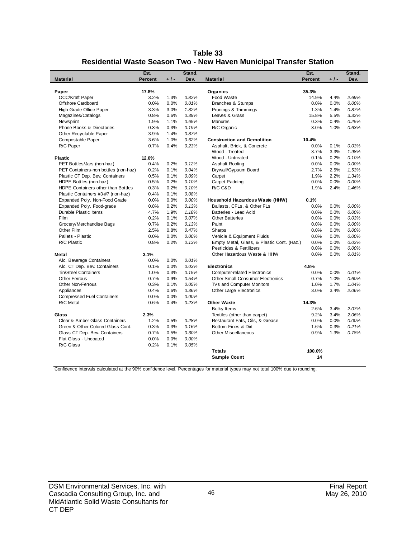| Table 33                                                            |
|---------------------------------------------------------------------|
| Residential Waste Season Two - New Haven Municipal Transfer Station |

|                                      | Est.           |       | Stand. |                                            | Est.    |       | Stand. |
|--------------------------------------|----------------|-------|--------|--------------------------------------------|---------|-------|--------|
| <b>Material</b>                      | <b>Percent</b> | $+1-$ | Dev.   | <b>Material</b>                            | Percent | $+1-$ | Dev.   |
|                                      |                |       |        |                                            |         |       |        |
| Paper                                | 17.8%          |       |        | Organics                                   | 35.3%   |       |        |
| <b>OCC/Kraft Paper</b>               | 3.2%           | 1.3%  | 0.82%  | Food Waste                                 | 14.9%   | 4.4%  | 2.69%  |
| Offshore Cardboard                   | 0.0%           | 0.0%  | 0.01%  | <b>Branches &amp; Stumps</b>               | 0.0%    | 0.0%  | 0.00%  |
| High Grade Office Paper              | 3.3%           | 3.0%  | 1.82%  | Prunings & Trimmings                       | 1.3%    | 1.4%  | 0.87%  |
| Magazines/Catalogs                   | 0.8%           | 0.6%  | 0.39%  | Leaves & Grass                             | 15.8%   | 5.5%  | 3.32%  |
| Newsprint                            | 1.9%           | 1.1%  | 0.65%  | Manures                                    | 0.3%    | 0.4%  | 0.25%  |
| Phone Books & Directories            | 0.3%           | 0.3%  | 0.19%  | R/C Organic                                | 3.0%    | 1.0%  | 0.63%  |
| Other Recyclable Paper               | 3.9%           | 1.4%  | 0.87%  |                                            |         |       |        |
| Compostable Paper                    | 3.6%           | 1.0%  | 0.62%  | <b>Construction and Demolition</b>         | 10.4%   |       |        |
| R/C Paper                            | 0.7%           | 0.4%  | 0.23%  | Asphalt, Brick, & Concrete                 | 0.0%    | 0.1%  | 0.03%  |
|                                      |                |       |        | Wood - Treated                             | 3.7%    | 3.3%  | 1.98%  |
| <b>Plastic</b>                       | 12.0%          |       |        | Wood - Untreated                           | 0.1%    | 0.2%  | 0.10%  |
| PET Bottles/Jars (non-haz)           | 0.4%           | 0.2%  | 0.12%  | Asphalt Roofing                            | 0.0%    | 0.0%  | 0.00%  |
| PET Containers-non bottles (non-haz) | 0.2%           | 0.1%  | 0.04%  | Drywall/Gypsum Board                       | 2.7%    | 2.5%  | 1.53%  |
| Plastic CT Dep. Bev. Containers      | 0.5%           | 0.1%  | 0.09%  | Carpet                                     | 1.9%    | 2.2%  | 1.34%  |
| HDPE Bottles (non-haz)               | 0.5%           | 0.2%  | 0.10%  | Carpet Padding                             | 0.0%    | 0.0%  | 0.00%  |
| HDPE Containers other than Bottles   | 0.3%           | 0.2%  | 0.10%  | R/C C&D                                    | 1.9%    | 2.4%  | 1.46%  |
| Plastic Containers #3-#7 (non-haz)   | 0.4%           | 0.1%  | 0.08%  |                                            |         |       |        |
| Expanded Poly. Non-Food Grade        | 0.0%           | 0.0%  | 0.00%  | Household Hazardous Waste (HHW)            | 0.1%    |       |        |
| Expanded Poly. Food-grade            | 0.8%           | 0.2%  | 0.13%  | Ballasts, CFLs, & Other FLs                | 0.0%    | 0.0%  | 0.00%  |
| Durable Plastic Items                | 4.7%           | 1.9%  | 1.18%  | Batteries - Lead Acid                      | 0.0%    | 0.0%  | 0.00%  |
| <b>Film</b>                          | 0.2%           | 0.1%  | 0.07%  | <b>Other Batteries</b>                     | 0.0%    | 0.0%  | 0.03%  |
| Grocery/Merchandise Bags             | 0.7%           | 0.2%  | 0.13%  | Paint                                      | 0.0%    | 0.0%  | 0.00%  |
| Other Film                           | 2.5%           | 0.8%  | 0.47%  | Sharps                                     | 0.0%    | 0.0%  | 0.00%  |
| Pallets - Plastic                    | 0.0%           | 0.0%  | 0.00%  | Vehicle & Equipment Fluids                 | 0.0%    | 0.0%  | 0.00%  |
| R/C Plastic                          | 0.8%           | 0.2%  | 0.13%  | Empty Metal, Glass, & Plastic Cont. (Haz.) | 0.0%    | 0.0%  | 0.02%  |
|                                      |                |       |        | Pesticides & Fertilizers                   | 0.0%    | 0.0%  | 0.00%  |
| Metal                                | 3.1%           |       |        | Other Hazardous Waste & HHW                | 0.0%    | 0.0%  | 0.01%  |
| Alc. Beverage Containers             | 0.0%           | 0.0%  | 0.01%  |                                            |         |       |        |
| Alc. CT Dep. Bev. Containers         | 0.1%           | 0.0%  | 0.03%  | <b>Electronics</b>                         | 4.8%    |       |        |
| Tin/Steel Containers                 | 1.0%           | 0.3%  | 0.15%  | <b>Computer-related Electronics</b>        | 0.0%    | 0.0%  | 0.01%  |
| Other Ferrous                        | 0.7%           | 0.9%  | 0.54%  | <b>Other Small Consumer Electronics</b>    | 0.7%    | 1.0%  | 0.60%  |
| <b>Other Non-Ferrous</b>             | 0.3%           | 0.1%  | 0.05%  | TVs and Computer Monitors                  | 1.0%    | 1.7%  | 1.04%  |
| Appliances                           | 0.4%           | 0.6%  | 0.36%  | Other Large Electronics                    | 3.0%    | 3.4%  | 2.06%  |
| <b>Compressed Fuel Containers</b>    | 0.0%           | 0.0%  | 0.00%  |                                            |         |       |        |
| R/C Metal                            | 0.6%           | 0.4%  | 0.23%  | <b>Other Waste</b>                         | 14.3%   |       |        |
|                                      |                |       |        | <b>Bulky Items</b>                         | 2.6%    | 3.4%  | 2.07%  |
| Glass                                | 2.3%           |       |        | Textiles (other than carpet)               | 9.2%    | 3.4%  | 2.06%  |
| Clear & Amber Glass Containers       | 1.2%           | 0.5%  | 0.28%  | Restaurant Fats, Oils, & Grease            | 0.0%    | 0.0%  | 0.00%  |
| Green & Other Colored Glass Cont.    | 0.3%           | 0.3%  | 0.16%  | Bottom Fines & Dirt                        | 1.6%    | 0.3%  | 0.21%  |
| Glass CT Dep. Bev. Containers        | 0.7%           | 0.5%  | 0.30%  | Other Miscellaneous                        | 0.9%    | 1.3%  | 0.78%  |
| Flat Glass - Uncoated                | 0.0%           | 0.0%  | 0.00%  |                                            |         |       |        |
| R/C Glass                            | 0.2%           | 0.1%  | 0.05%  |                                            |         |       |        |
|                                      |                |       |        | <b>Totals</b>                              | 100.0%  |       |        |
|                                      |                |       |        | <b>Sample Count</b>                        | 14      |       |        |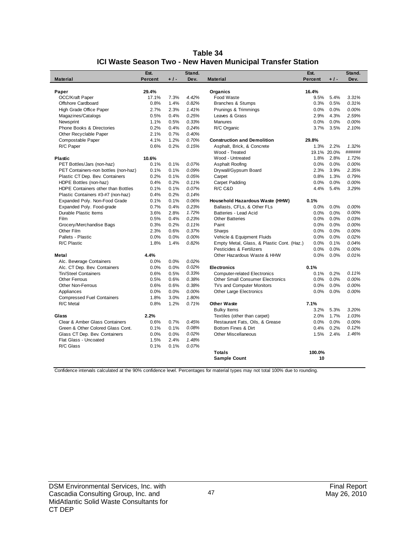| Table 34                                                    |
|-------------------------------------------------------------|
| ICI Waste Season Two - New Haven Municipal Transfer Station |

|                                      | Est.           |       | Stand. |                                            | Est.           |             | Stand. |
|--------------------------------------|----------------|-------|--------|--------------------------------------------|----------------|-------------|--------|
| <b>Material</b>                      | <b>Percent</b> | $+1-$ | Dev.   | <b>Material</b>                            | <b>Percent</b> | $+1-$       | Dev.   |
|                                      |                |       |        |                                            |                |             |        |
| Paper                                | 29.4%          |       |        | Organics                                   | 16.4%          |             |        |
| <b>OCC/Kraft Paper</b>               | 17.1%          | 7.3%  | 4.42%  | Food Waste                                 | 9.5%           | 5.4%        | 3.31%  |
| Offshore Cardboard                   | 0.8%           | 1.4%  | 0.82%  | <b>Branches &amp; Stumps</b>               | 0.3%           | 0.5%        | 0.31%  |
| High Grade Office Paper              | 2.7%           | 2.3%  | 1.41%  | Prunings & Trimmings                       | 0.0%           | 0.0%        | 0.00%  |
| Magazines/Catalogs                   | 0.5%           | 0.4%  | 0.25%  | Leaves & Grass                             | 2.9%           | 4.3%        | 2.59%  |
| Newsprint                            | 1.1%           | 0.5%  | 0.33%  | <b>Manures</b>                             | 0.0%           | 0.0%        | 0.00%  |
| <b>Phone Books &amp; Directories</b> | 0.2%           | 0.4%  | 0.24%  | R/C Organic                                | 3.7%           | 3.5%        | 2.10%  |
| Other Recyclable Paper               | 2.1%           | 0.7%  | 0.40%  |                                            |                |             |        |
| Compostable Paper                    | 4.1%           | 1.2%  | 0.70%  | <b>Construction and Demolition</b>         | 29.8%          |             |        |
| R/C Paper                            | 0.6%           | 0.2%  | 0.15%  | Asphalt, Brick, & Concrete                 | 1.3%           | 2.2%        | 1.32%  |
|                                      |                |       |        | Wood - Treated                             |                | 19.1% 20.0% | ###### |
| <b>Plastic</b>                       | 10.6%          |       |        | Wood - Untreated                           | 1.8%           | 2.8%        | 1.72%  |
| PET Bottles/Jars (non-haz)           | 0.1%           | 0.1%  | 0.07%  | Asphalt Roofing                            | 0.0%           | 0.0%        | 0.00%  |
| PET Containers-non bottles (non-haz) | 0.1%           | 0.1%  | 0.09%  | Drywall/Gypsum Board                       | 2.3%           | 3.9%        | 2.35%  |
| Plastic CT Dep. Bev. Containers      | 0.2%           | 0.1%  | 0.05%  | Carpet                                     | 0.8%           | 1.3%        | 0.79%  |
| HDPE Bottles (non-haz)               | 0.4%           | 0.2%  | 0.11%  | Carpet Padding                             | 0.0%           | 0.0%        | 0.00%  |
| HDPE Containers other than Bottles   | 0.1%           | 0.1%  | 0.07%  | R/C C&D                                    | 4.4%           | 5.4%        | 3.29%  |
| Plastic Containers #3-#7 (non-haz)   | 0.4%           | 0.2%  | 0.14%  |                                            |                |             |        |
| Expanded Poly. Non-Food Grade        | 0.1%           | 0.1%  | 0.06%  | Household Hazardous Waste (HHW)            | 0.1%           |             |        |
| Expanded Poly. Food-grade            | 0.7%           | 0.4%  | 0.23%  | Ballasts, CFLs, & Other FLs                | 0.0%           | 0.0%        | 0.00%  |
| Durable Plastic Items                | 3.6%           | 2.8%  | 1.72%  | Batteries - Lead Acid                      | 0.0%           | 0.0%        | 0.00%  |
| Film                                 | 0.5%           | 0.4%  | 0.23%  | <b>Other Batteries</b>                     | 0.0%           | 0.0%        | 0.03%  |
| Grocery/Merchandise Bags             | 0.3%           | 0.2%  | 0.11%  | Paint                                      | 0.0%           | 0.0%        | 0.00%  |
| Other Film                           | 2.3%           | 0.6%  | 0.37%  | Sharps                                     | $0.0\%$        | 0.0%        | 0.00%  |
| Pallets - Plastic                    | 0.0%           | 0.0%  | 0.00%  | Vehicle & Equipment Fluids                 | 0.0%           | 0.0%        | 0.02%  |
| R/C Plastic                          | 1.8%           | 1.4%  | 0.82%  | Empty Metal, Glass, & Plastic Cont. (Haz.) | 0.0%           | 0.1%        | 0.04%  |
|                                      |                |       |        | Pesticides & Fertilizers                   | 0.0%           | 0.0%        | 0.00%  |
| <b>Metal</b>                         | 4.4%           |       |        | Other Hazardous Waste & HHW                | 0.0%           | 0.0%        | 0.01%  |
| Alc. Beverage Containers             | 0.0%           | 0.0%  | 0.02%  |                                            |                |             |        |
| Alc. CT Dep. Bev. Containers         | 0.0%           | 0.0%  | 0.02%  | <b>Electronics</b>                         | 0.1%           |             |        |
| <b>Tin/Steel Containers</b>          | 0.6%           | 0.5%  | 0.33%  | <b>Computer-related Electronics</b>        | 0.1%           | 0.2%        | 0.11%  |
| <b>Other Ferrous</b>                 | 0.5%           | 0.6%  | 0.38%  | <b>Other Small Consumer Electronics</b>    | 0.0%           | 0.0%        | 0.00%  |
| <b>Other Non-Ferrous</b>             | 0.6%           | 0.6%  | 0.38%  | TVs and Computer Monitors                  | 0.0%           | 0.0%        | 0.00%  |
| Appliances                           | 0.0%           | 0.0%  | 0.00%  | Other Large Electronics                    | 0.0%           | 0.0%        | 0.00%  |
| <b>Compressed Fuel Containers</b>    | 1.8%           | 3.0%  | 1.80%  |                                            |                |             |        |
| R/C Metal                            | 0.8%           | 1.2%  | 0.71%  | <b>Other Waste</b>                         | 7.1%           |             |        |
|                                      |                |       |        | <b>Bulky Items</b>                         | 3.2%           | 5.3%        | 3.20%  |
| Glass                                | 2.2%           |       |        | Textiles (other than carpet)               | 2.0%           | 1.7%        | 1.03%  |
| Clear & Amber Glass Containers       | 0.6%           | 0.7%  | 0.45%  | Restaurant Fats, Oils, & Grease            | 0.0%           | 0.0%        | 0.00%  |
| Green & Other Colored Glass Cont.    | 0.1%           | 0.1%  | 0.08%  | Bottom Fines & Dirt                        | 0.4%           | 0.2%        | 0.12%  |
| Glass CT Dep. Bev. Containers        | 0.0%           | 0.0%  | 0.02%  | Other Miscellaneous                        | 1.5%           | 2.4%        | 1.46%  |
| Flat Glass - Uncoated                | 1.5%           | 2.4%  | 1.48%  |                                            |                |             |        |
| R/C Glass                            | 0.1%           | 0.1%  | 0.07%  |                                            |                |             |        |
|                                      |                |       |        | <b>Totals</b>                              | 100.0%         |             |        |
|                                      |                |       |        | <b>Sample Count</b>                        | 10             |             |        |
|                                      |                |       |        |                                            |                |             |        |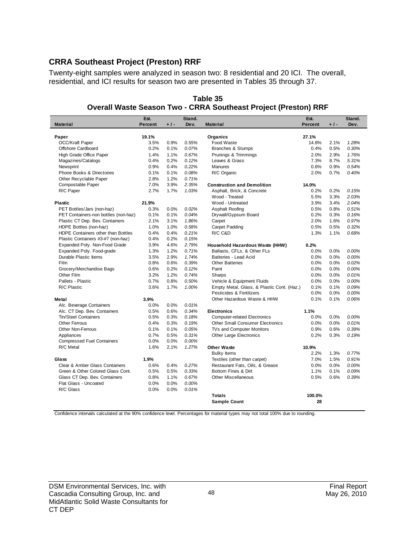## **CRRA Southeast Project (Preston) RRF**

Twenty-eight samples were analyzed in season two: 8 residential and 20 ICI. The overall, residential, and ICI results for season two are presented in Tables 35 through 37.

| <b>Material</b><br>Percent<br>$+1-$<br>Dev.<br><b>Material</b><br><b>Percent</b><br>$+1-$<br>Dev.<br>19.1%<br>27.1%<br>Paper<br>Organics<br><b>OCC/Kraft Paper</b><br>3.5%<br>0.9%<br>0.55%<br>Food Waste<br>1.28%<br>14.8%<br>2.1%<br>Offshore Cardboard<br>0.2%<br>0.30%<br>0.1%<br>0.07%<br>Branches & Stumps<br>0.4%<br>0.5%<br>Prunings & Trimmings<br>2.9%<br>1.76%<br>High Grade Office Paper<br>1.4%<br>1.1%<br>0.67%<br>2.0%<br>0.2%<br>0.12%<br>Leaves & Grass<br>7.3%<br>8.7%<br>5.31%<br>Magazines/Catalogs<br>0.4%<br>0.9%<br>0.22%<br>Manures<br>0.6%<br>0.9%<br>0.54%<br>Newsprint<br>0.4%<br>Phone Books & Directories<br>0.1%<br>0.1%<br>0.08%<br>R/C Organic<br>2.0%<br>0.7%<br>0.40%<br>Other Recyclable Paper<br>2.8%<br>1.2%<br>0.71%<br>Compostable Paper<br>7.0%<br>3.9%<br>2.35%<br><b>Construction and Demolition</b><br>14.0%<br>R/C Paper<br>2.7%<br>1.7%<br>1.03%<br>0.2%<br>0.2%<br>0.15%<br>Asphalt, Brick, & Concrete<br>Wood - Treated<br>5.5%<br>3.3%<br>2.03%<br>Wood - Untreated<br>3.9%<br>2.04%<br>21.9%<br>3.4%<br><b>Plastic</b><br>PET Bottles/Jars (non-haz)<br>0.3%<br>0.0%<br>0.02%<br>Asphalt Roofing<br>0.5%<br>0.8%<br>0.51%<br>PET Containers-non bottles (non-haz)<br>0.1%<br>0.1%<br>0.04%<br>Drywall/Gypsum Board<br>0.2%<br>0.3%<br>0.16%<br>0.97%<br>Plastic CT Dep. Bev. Containers<br>2.1%<br>3.1%<br>1.86%<br>Carpet<br>2.0%<br>1.6%<br>HDPE Bottles (non-haz)<br>1.0%<br>1.0%<br>0.58%<br>Carpet Padding<br>0.5%<br>0.5%<br>0.32%<br>0.4%<br>0.21%<br>R/C C&D<br>1.3%<br>1.1%<br>0.68%<br>HDPE Containers other than Bottles<br>0.4%<br>Plastic Containers #3-#7 (non-haz)<br>0.2%<br>0.15%<br>0.4%<br>2.79%<br>Expanded Poly. Non-Food Grade<br>3.9%<br>4.6%<br>0.2%<br>Household Hazardous Waste (HHW)<br>Expanded Poly. Food-grade<br>Ballasts, CFLs, & Other FLs<br>1.3%<br>1.2%<br>0.71%<br>0.0%<br>0.0%<br>0.00%<br>Durable Plastic Items<br>3.5%<br>2.9%<br>0.0%<br>0.0%<br>0.00%<br>1.74%<br>Batteries - Lead Acid<br>0.02%<br>Film<br>0.8%<br>0.6%<br>0.39%<br>0.0%<br>0.0%<br><b>Other Batteries</b><br>Grocery/Merchandise Bags<br>0.6%<br>0.2%<br>0.12%<br>0.0%<br>0.0%<br>0.00%<br>Paint<br>Other Film<br>3.2%<br>1.2%<br>0.74%<br>0.0%<br>0.01%<br>Sharps<br>0.0%<br>Pallets - Plastic<br>0.7%<br>0.8%<br>0.50%<br>Vehicle & Equipment Fluids<br>0.0%<br>0.0%<br>0.00%<br>R/C Plastic<br>3.6%<br>1.7%<br>1.00%<br>Empty Metal, Glass, & Plastic Cont. (Haz.)<br>0.1%<br>0.1%<br>0.09%<br>Pesticides & Fertilizers<br>0.0%<br>0.0%<br>$0.00\%$<br>0.1%<br>0.06%<br>3.9%<br>Other Hazardous Waste & HHW<br>0.1%<br>Metal<br>Alc. Beverage Containers<br>0.0%<br>0.0%<br>0.01%<br>Alc. CT Dep. Bev. Containers<br>0.5%<br>0.6%<br>0.34%<br>1.1%<br><b>Electronics</b><br>Tin/Steel Containers<br>0.5%<br>0.3%<br>0.18%<br><b>Computer-related Electronics</b><br>0.0%<br>0.0%<br>0.00%<br><b>Other Ferrous</b><br>0.4%<br>0.3%<br>0.19%<br><b>Other Small Consumer Electronics</b><br>0.0%<br>0.0%<br>0.01%<br>0.05%<br>0.9%<br>0.6%<br>0.39%<br><b>Other Non-Ferrous</b><br>0.1%<br>0.1%<br>TVs and Computer Monitors<br>0.7%<br>0.5%<br>0.2%<br>Appliances<br>0.31%<br><b>Other Large Electronics</b><br>0.3%<br>0.19%<br><b>Compressed Fuel Containers</b><br>0.0%<br>0.0%<br>0.00%<br>R/C Metal<br>1.27%<br><b>Other Waste</b><br>10.9%<br>1.6%<br>2.1%<br>2.2%<br>1.3%<br>0.77%<br><b>Bulky Items</b><br>1.9%<br>Textiles (other than carpet)<br>7.0%<br>1.5%<br>0.91%<br>Glass<br>Clear & Amber Glass Containers<br>0.6%<br>0.27%<br>Restaurant Fats, Oils, & Grease<br>0.0%<br>0.0%<br>0.00%<br>0.4%<br>Green & Other Colored Glass Cont.<br>0.5%<br>0.33%<br>Bottom Fines & Dirt<br>0.1%<br>0.09%<br>0.5%<br>1.1%<br>Glass CT Dep. Bev. Containers<br>0.8%<br>1.1%<br>0.67%<br><b>Other Miscellaneous</b><br>0.5%<br>0.6%<br>0.39%<br>0.0%<br>0.00%<br>Flat Glass - Uncoated<br>0.0% |           | Est. |      | Stand. | Est. | Stand. |
|-----------------------------------------------------------------------------------------------------------------------------------------------------------------------------------------------------------------------------------------------------------------------------------------------------------------------------------------------------------------------------------------------------------------------------------------------------------------------------------------------------------------------------------------------------------------------------------------------------------------------------------------------------------------------------------------------------------------------------------------------------------------------------------------------------------------------------------------------------------------------------------------------------------------------------------------------------------------------------------------------------------------------------------------------------------------------------------------------------------------------------------------------------------------------------------------------------------------------------------------------------------------------------------------------------------------------------------------------------------------------------------------------------------------------------------------------------------------------------------------------------------------------------------------------------------------------------------------------------------------------------------------------------------------------------------------------------------------------------------------------------------------------------------------------------------------------------------------------------------------------------------------------------------------------------------------------------------------------------------------------------------------------------------------------------------------------------------------------------------------------------------------------------------------------------------------------------------------------------------------------------------------------------------------------------------------------------------------------------------------------------------------------------------------------------------------------------------------------------------------------------------------------------------------------------------------------------------------------------------------------------------------------------------------------------------------------------------------------------------------------------------------------------------------------------------------------------------------------------------------------------------------------------------------------------------------------------------------------------------------------------------------------------------------------------------------------------------------------------------------------------------------------------------------------------------------------------------------------------------------------------------------------------------------------------------------------------------------------------------------------------------------------------------------------------------------------------------------------------------------------------------------------------------------------------------------------------------------------------------------------------------------------------------------------------------------------------------------------------------------------------------------------------------------------------------------------------------------------------------------|-----------|------|------|--------|------|--------|
|                                                                                                                                                                                                                                                                                                                                                                                                                                                                                                                                                                                                                                                                                                                                                                                                                                                                                                                                                                                                                                                                                                                                                                                                                                                                                                                                                                                                                                                                                                                                                                                                                                                                                                                                                                                                                                                                                                                                                                                                                                                                                                                                                                                                                                                                                                                                                                                                                                                                                                                                                                                                                                                                                                                                                                                                                                                                                                                                                                                                                                                                                                                                                                                                                                                                                                                                                                                                                                                                                                                                                                                                                                                                                                                                                                                                                                                                 |           |      |      |        |      |        |
|                                                                                                                                                                                                                                                                                                                                                                                                                                                                                                                                                                                                                                                                                                                                                                                                                                                                                                                                                                                                                                                                                                                                                                                                                                                                                                                                                                                                                                                                                                                                                                                                                                                                                                                                                                                                                                                                                                                                                                                                                                                                                                                                                                                                                                                                                                                                                                                                                                                                                                                                                                                                                                                                                                                                                                                                                                                                                                                                                                                                                                                                                                                                                                                                                                                                                                                                                                                                                                                                                                                                                                                                                                                                                                                                                                                                                                                                 |           |      |      |        |      |        |
|                                                                                                                                                                                                                                                                                                                                                                                                                                                                                                                                                                                                                                                                                                                                                                                                                                                                                                                                                                                                                                                                                                                                                                                                                                                                                                                                                                                                                                                                                                                                                                                                                                                                                                                                                                                                                                                                                                                                                                                                                                                                                                                                                                                                                                                                                                                                                                                                                                                                                                                                                                                                                                                                                                                                                                                                                                                                                                                                                                                                                                                                                                                                                                                                                                                                                                                                                                                                                                                                                                                                                                                                                                                                                                                                                                                                                                                                 |           |      |      |        |      |        |
|                                                                                                                                                                                                                                                                                                                                                                                                                                                                                                                                                                                                                                                                                                                                                                                                                                                                                                                                                                                                                                                                                                                                                                                                                                                                                                                                                                                                                                                                                                                                                                                                                                                                                                                                                                                                                                                                                                                                                                                                                                                                                                                                                                                                                                                                                                                                                                                                                                                                                                                                                                                                                                                                                                                                                                                                                                                                                                                                                                                                                                                                                                                                                                                                                                                                                                                                                                                                                                                                                                                                                                                                                                                                                                                                                                                                                                                                 |           |      |      |        |      |        |
|                                                                                                                                                                                                                                                                                                                                                                                                                                                                                                                                                                                                                                                                                                                                                                                                                                                                                                                                                                                                                                                                                                                                                                                                                                                                                                                                                                                                                                                                                                                                                                                                                                                                                                                                                                                                                                                                                                                                                                                                                                                                                                                                                                                                                                                                                                                                                                                                                                                                                                                                                                                                                                                                                                                                                                                                                                                                                                                                                                                                                                                                                                                                                                                                                                                                                                                                                                                                                                                                                                                                                                                                                                                                                                                                                                                                                                                                 |           |      |      |        |      |        |
|                                                                                                                                                                                                                                                                                                                                                                                                                                                                                                                                                                                                                                                                                                                                                                                                                                                                                                                                                                                                                                                                                                                                                                                                                                                                                                                                                                                                                                                                                                                                                                                                                                                                                                                                                                                                                                                                                                                                                                                                                                                                                                                                                                                                                                                                                                                                                                                                                                                                                                                                                                                                                                                                                                                                                                                                                                                                                                                                                                                                                                                                                                                                                                                                                                                                                                                                                                                                                                                                                                                                                                                                                                                                                                                                                                                                                                                                 |           |      |      |        |      |        |
|                                                                                                                                                                                                                                                                                                                                                                                                                                                                                                                                                                                                                                                                                                                                                                                                                                                                                                                                                                                                                                                                                                                                                                                                                                                                                                                                                                                                                                                                                                                                                                                                                                                                                                                                                                                                                                                                                                                                                                                                                                                                                                                                                                                                                                                                                                                                                                                                                                                                                                                                                                                                                                                                                                                                                                                                                                                                                                                                                                                                                                                                                                                                                                                                                                                                                                                                                                                                                                                                                                                                                                                                                                                                                                                                                                                                                                                                 |           |      |      |        |      |        |
|                                                                                                                                                                                                                                                                                                                                                                                                                                                                                                                                                                                                                                                                                                                                                                                                                                                                                                                                                                                                                                                                                                                                                                                                                                                                                                                                                                                                                                                                                                                                                                                                                                                                                                                                                                                                                                                                                                                                                                                                                                                                                                                                                                                                                                                                                                                                                                                                                                                                                                                                                                                                                                                                                                                                                                                                                                                                                                                                                                                                                                                                                                                                                                                                                                                                                                                                                                                                                                                                                                                                                                                                                                                                                                                                                                                                                                                                 |           |      |      |        |      |        |
|                                                                                                                                                                                                                                                                                                                                                                                                                                                                                                                                                                                                                                                                                                                                                                                                                                                                                                                                                                                                                                                                                                                                                                                                                                                                                                                                                                                                                                                                                                                                                                                                                                                                                                                                                                                                                                                                                                                                                                                                                                                                                                                                                                                                                                                                                                                                                                                                                                                                                                                                                                                                                                                                                                                                                                                                                                                                                                                                                                                                                                                                                                                                                                                                                                                                                                                                                                                                                                                                                                                                                                                                                                                                                                                                                                                                                                                                 |           |      |      |        |      |        |
|                                                                                                                                                                                                                                                                                                                                                                                                                                                                                                                                                                                                                                                                                                                                                                                                                                                                                                                                                                                                                                                                                                                                                                                                                                                                                                                                                                                                                                                                                                                                                                                                                                                                                                                                                                                                                                                                                                                                                                                                                                                                                                                                                                                                                                                                                                                                                                                                                                                                                                                                                                                                                                                                                                                                                                                                                                                                                                                                                                                                                                                                                                                                                                                                                                                                                                                                                                                                                                                                                                                                                                                                                                                                                                                                                                                                                                                                 |           |      |      |        |      |        |
|                                                                                                                                                                                                                                                                                                                                                                                                                                                                                                                                                                                                                                                                                                                                                                                                                                                                                                                                                                                                                                                                                                                                                                                                                                                                                                                                                                                                                                                                                                                                                                                                                                                                                                                                                                                                                                                                                                                                                                                                                                                                                                                                                                                                                                                                                                                                                                                                                                                                                                                                                                                                                                                                                                                                                                                                                                                                                                                                                                                                                                                                                                                                                                                                                                                                                                                                                                                                                                                                                                                                                                                                                                                                                                                                                                                                                                                                 |           |      |      |        |      |        |
|                                                                                                                                                                                                                                                                                                                                                                                                                                                                                                                                                                                                                                                                                                                                                                                                                                                                                                                                                                                                                                                                                                                                                                                                                                                                                                                                                                                                                                                                                                                                                                                                                                                                                                                                                                                                                                                                                                                                                                                                                                                                                                                                                                                                                                                                                                                                                                                                                                                                                                                                                                                                                                                                                                                                                                                                                                                                                                                                                                                                                                                                                                                                                                                                                                                                                                                                                                                                                                                                                                                                                                                                                                                                                                                                                                                                                                                                 |           |      |      |        |      |        |
|                                                                                                                                                                                                                                                                                                                                                                                                                                                                                                                                                                                                                                                                                                                                                                                                                                                                                                                                                                                                                                                                                                                                                                                                                                                                                                                                                                                                                                                                                                                                                                                                                                                                                                                                                                                                                                                                                                                                                                                                                                                                                                                                                                                                                                                                                                                                                                                                                                                                                                                                                                                                                                                                                                                                                                                                                                                                                                                                                                                                                                                                                                                                                                                                                                                                                                                                                                                                                                                                                                                                                                                                                                                                                                                                                                                                                                                                 |           |      |      |        |      |        |
|                                                                                                                                                                                                                                                                                                                                                                                                                                                                                                                                                                                                                                                                                                                                                                                                                                                                                                                                                                                                                                                                                                                                                                                                                                                                                                                                                                                                                                                                                                                                                                                                                                                                                                                                                                                                                                                                                                                                                                                                                                                                                                                                                                                                                                                                                                                                                                                                                                                                                                                                                                                                                                                                                                                                                                                                                                                                                                                                                                                                                                                                                                                                                                                                                                                                                                                                                                                                                                                                                                                                                                                                                                                                                                                                                                                                                                                                 |           |      |      |        |      |        |
|                                                                                                                                                                                                                                                                                                                                                                                                                                                                                                                                                                                                                                                                                                                                                                                                                                                                                                                                                                                                                                                                                                                                                                                                                                                                                                                                                                                                                                                                                                                                                                                                                                                                                                                                                                                                                                                                                                                                                                                                                                                                                                                                                                                                                                                                                                                                                                                                                                                                                                                                                                                                                                                                                                                                                                                                                                                                                                                                                                                                                                                                                                                                                                                                                                                                                                                                                                                                                                                                                                                                                                                                                                                                                                                                                                                                                                                                 |           |      |      |        |      |        |
|                                                                                                                                                                                                                                                                                                                                                                                                                                                                                                                                                                                                                                                                                                                                                                                                                                                                                                                                                                                                                                                                                                                                                                                                                                                                                                                                                                                                                                                                                                                                                                                                                                                                                                                                                                                                                                                                                                                                                                                                                                                                                                                                                                                                                                                                                                                                                                                                                                                                                                                                                                                                                                                                                                                                                                                                                                                                                                                                                                                                                                                                                                                                                                                                                                                                                                                                                                                                                                                                                                                                                                                                                                                                                                                                                                                                                                                                 |           |      |      |        |      |        |
|                                                                                                                                                                                                                                                                                                                                                                                                                                                                                                                                                                                                                                                                                                                                                                                                                                                                                                                                                                                                                                                                                                                                                                                                                                                                                                                                                                                                                                                                                                                                                                                                                                                                                                                                                                                                                                                                                                                                                                                                                                                                                                                                                                                                                                                                                                                                                                                                                                                                                                                                                                                                                                                                                                                                                                                                                                                                                                                                                                                                                                                                                                                                                                                                                                                                                                                                                                                                                                                                                                                                                                                                                                                                                                                                                                                                                                                                 |           |      |      |        |      |        |
|                                                                                                                                                                                                                                                                                                                                                                                                                                                                                                                                                                                                                                                                                                                                                                                                                                                                                                                                                                                                                                                                                                                                                                                                                                                                                                                                                                                                                                                                                                                                                                                                                                                                                                                                                                                                                                                                                                                                                                                                                                                                                                                                                                                                                                                                                                                                                                                                                                                                                                                                                                                                                                                                                                                                                                                                                                                                                                                                                                                                                                                                                                                                                                                                                                                                                                                                                                                                                                                                                                                                                                                                                                                                                                                                                                                                                                                                 |           |      |      |        |      |        |
|                                                                                                                                                                                                                                                                                                                                                                                                                                                                                                                                                                                                                                                                                                                                                                                                                                                                                                                                                                                                                                                                                                                                                                                                                                                                                                                                                                                                                                                                                                                                                                                                                                                                                                                                                                                                                                                                                                                                                                                                                                                                                                                                                                                                                                                                                                                                                                                                                                                                                                                                                                                                                                                                                                                                                                                                                                                                                                                                                                                                                                                                                                                                                                                                                                                                                                                                                                                                                                                                                                                                                                                                                                                                                                                                                                                                                                                                 |           |      |      |        |      |        |
|                                                                                                                                                                                                                                                                                                                                                                                                                                                                                                                                                                                                                                                                                                                                                                                                                                                                                                                                                                                                                                                                                                                                                                                                                                                                                                                                                                                                                                                                                                                                                                                                                                                                                                                                                                                                                                                                                                                                                                                                                                                                                                                                                                                                                                                                                                                                                                                                                                                                                                                                                                                                                                                                                                                                                                                                                                                                                                                                                                                                                                                                                                                                                                                                                                                                                                                                                                                                                                                                                                                                                                                                                                                                                                                                                                                                                                                                 |           |      |      |        |      |        |
|                                                                                                                                                                                                                                                                                                                                                                                                                                                                                                                                                                                                                                                                                                                                                                                                                                                                                                                                                                                                                                                                                                                                                                                                                                                                                                                                                                                                                                                                                                                                                                                                                                                                                                                                                                                                                                                                                                                                                                                                                                                                                                                                                                                                                                                                                                                                                                                                                                                                                                                                                                                                                                                                                                                                                                                                                                                                                                                                                                                                                                                                                                                                                                                                                                                                                                                                                                                                                                                                                                                                                                                                                                                                                                                                                                                                                                                                 |           |      |      |        |      |        |
|                                                                                                                                                                                                                                                                                                                                                                                                                                                                                                                                                                                                                                                                                                                                                                                                                                                                                                                                                                                                                                                                                                                                                                                                                                                                                                                                                                                                                                                                                                                                                                                                                                                                                                                                                                                                                                                                                                                                                                                                                                                                                                                                                                                                                                                                                                                                                                                                                                                                                                                                                                                                                                                                                                                                                                                                                                                                                                                                                                                                                                                                                                                                                                                                                                                                                                                                                                                                                                                                                                                                                                                                                                                                                                                                                                                                                                                                 |           |      |      |        |      |        |
|                                                                                                                                                                                                                                                                                                                                                                                                                                                                                                                                                                                                                                                                                                                                                                                                                                                                                                                                                                                                                                                                                                                                                                                                                                                                                                                                                                                                                                                                                                                                                                                                                                                                                                                                                                                                                                                                                                                                                                                                                                                                                                                                                                                                                                                                                                                                                                                                                                                                                                                                                                                                                                                                                                                                                                                                                                                                                                                                                                                                                                                                                                                                                                                                                                                                                                                                                                                                                                                                                                                                                                                                                                                                                                                                                                                                                                                                 |           |      |      |        |      |        |
|                                                                                                                                                                                                                                                                                                                                                                                                                                                                                                                                                                                                                                                                                                                                                                                                                                                                                                                                                                                                                                                                                                                                                                                                                                                                                                                                                                                                                                                                                                                                                                                                                                                                                                                                                                                                                                                                                                                                                                                                                                                                                                                                                                                                                                                                                                                                                                                                                                                                                                                                                                                                                                                                                                                                                                                                                                                                                                                                                                                                                                                                                                                                                                                                                                                                                                                                                                                                                                                                                                                                                                                                                                                                                                                                                                                                                                                                 |           |      |      |        |      |        |
|                                                                                                                                                                                                                                                                                                                                                                                                                                                                                                                                                                                                                                                                                                                                                                                                                                                                                                                                                                                                                                                                                                                                                                                                                                                                                                                                                                                                                                                                                                                                                                                                                                                                                                                                                                                                                                                                                                                                                                                                                                                                                                                                                                                                                                                                                                                                                                                                                                                                                                                                                                                                                                                                                                                                                                                                                                                                                                                                                                                                                                                                                                                                                                                                                                                                                                                                                                                                                                                                                                                                                                                                                                                                                                                                                                                                                                                                 |           |      |      |        |      |        |
|                                                                                                                                                                                                                                                                                                                                                                                                                                                                                                                                                                                                                                                                                                                                                                                                                                                                                                                                                                                                                                                                                                                                                                                                                                                                                                                                                                                                                                                                                                                                                                                                                                                                                                                                                                                                                                                                                                                                                                                                                                                                                                                                                                                                                                                                                                                                                                                                                                                                                                                                                                                                                                                                                                                                                                                                                                                                                                                                                                                                                                                                                                                                                                                                                                                                                                                                                                                                                                                                                                                                                                                                                                                                                                                                                                                                                                                                 |           |      |      |        |      |        |
|                                                                                                                                                                                                                                                                                                                                                                                                                                                                                                                                                                                                                                                                                                                                                                                                                                                                                                                                                                                                                                                                                                                                                                                                                                                                                                                                                                                                                                                                                                                                                                                                                                                                                                                                                                                                                                                                                                                                                                                                                                                                                                                                                                                                                                                                                                                                                                                                                                                                                                                                                                                                                                                                                                                                                                                                                                                                                                                                                                                                                                                                                                                                                                                                                                                                                                                                                                                                                                                                                                                                                                                                                                                                                                                                                                                                                                                                 |           |      |      |        |      |        |
|                                                                                                                                                                                                                                                                                                                                                                                                                                                                                                                                                                                                                                                                                                                                                                                                                                                                                                                                                                                                                                                                                                                                                                                                                                                                                                                                                                                                                                                                                                                                                                                                                                                                                                                                                                                                                                                                                                                                                                                                                                                                                                                                                                                                                                                                                                                                                                                                                                                                                                                                                                                                                                                                                                                                                                                                                                                                                                                                                                                                                                                                                                                                                                                                                                                                                                                                                                                                                                                                                                                                                                                                                                                                                                                                                                                                                                                                 |           |      |      |        |      |        |
|                                                                                                                                                                                                                                                                                                                                                                                                                                                                                                                                                                                                                                                                                                                                                                                                                                                                                                                                                                                                                                                                                                                                                                                                                                                                                                                                                                                                                                                                                                                                                                                                                                                                                                                                                                                                                                                                                                                                                                                                                                                                                                                                                                                                                                                                                                                                                                                                                                                                                                                                                                                                                                                                                                                                                                                                                                                                                                                                                                                                                                                                                                                                                                                                                                                                                                                                                                                                                                                                                                                                                                                                                                                                                                                                                                                                                                                                 |           |      |      |        |      |        |
|                                                                                                                                                                                                                                                                                                                                                                                                                                                                                                                                                                                                                                                                                                                                                                                                                                                                                                                                                                                                                                                                                                                                                                                                                                                                                                                                                                                                                                                                                                                                                                                                                                                                                                                                                                                                                                                                                                                                                                                                                                                                                                                                                                                                                                                                                                                                                                                                                                                                                                                                                                                                                                                                                                                                                                                                                                                                                                                                                                                                                                                                                                                                                                                                                                                                                                                                                                                                                                                                                                                                                                                                                                                                                                                                                                                                                                                                 |           |      |      |        |      |        |
|                                                                                                                                                                                                                                                                                                                                                                                                                                                                                                                                                                                                                                                                                                                                                                                                                                                                                                                                                                                                                                                                                                                                                                                                                                                                                                                                                                                                                                                                                                                                                                                                                                                                                                                                                                                                                                                                                                                                                                                                                                                                                                                                                                                                                                                                                                                                                                                                                                                                                                                                                                                                                                                                                                                                                                                                                                                                                                                                                                                                                                                                                                                                                                                                                                                                                                                                                                                                                                                                                                                                                                                                                                                                                                                                                                                                                                                                 |           |      |      |        |      |        |
|                                                                                                                                                                                                                                                                                                                                                                                                                                                                                                                                                                                                                                                                                                                                                                                                                                                                                                                                                                                                                                                                                                                                                                                                                                                                                                                                                                                                                                                                                                                                                                                                                                                                                                                                                                                                                                                                                                                                                                                                                                                                                                                                                                                                                                                                                                                                                                                                                                                                                                                                                                                                                                                                                                                                                                                                                                                                                                                                                                                                                                                                                                                                                                                                                                                                                                                                                                                                                                                                                                                                                                                                                                                                                                                                                                                                                                                                 |           |      |      |        |      |        |
|                                                                                                                                                                                                                                                                                                                                                                                                                                                                                                                                                                                                                                                                                                                                                                                                                                                                                                                                                                                                                                                                                                                                                                                                                                                                                                                                                                                                                                                                                                                                                                                                                                                                                                                                                                                                                                                                                                                                                                                                                                                                                                                                                                                                                                                                                                                                                                                                                                                                                                                                                                                                                                                                                                                                                                                                                                                                                                                                                                                                                                                                                                                                                                                                                                                                                                                                                                                                                                                                                                                                                                                                                                                                                                                                                                                                                                                                 |           |      |      |        |      |        |
|                                                                                                                                                                                                                                                                                                                                                                                                                                                                                                                                                                                                                                                                                                                                                                                                                                                                                                                                                                                                                                                                                                                                                                                                                                                                                                                                                                                                                                                                                                                                                                                                                                                                                                                                                                                                                                                                                                                                                                                                                                                                                                                                                                                                                                                                                                                                                                                                                                                                                                                                                                                                                                                                                                                                                                                                                                                                                                                                                                                                                                                                                                                                                                                                                                                                                                                                                                                                                                                                                                                                                                                                                                                                                                                                                                                                                                                                 |           |      |      |        |      |        |
|                                                                                                                                                                                                                                                                                                                                                                                                                                                                                                                                                                                                                                                                                                                                                                                                                                                                                                                                                                                                                                                                                                                                                                                                                                                                                                                                                                                                                                                                                                                                                                                                                                                                                                                                                                                                                                                                                                                                                                                                                                                                                                                                                                                                                                                                                                                                                                                                                                                                                                                                                                                                                                                                                                                                                                                                                                                                                                                                                                                                                                                                                                                                                                                                                                                                                                                                                                                                                                                                                                                                                                                                                                                                                                                                                                                                                                                                 |           |      |      |        |      |        |
|                                                                                                                                                                                                                                                                                                                                                                                                                                                                                                                                                                                                                                                                                                                                                                                                                                                                                                                                                                                                                                                                                                                                                                                                                                                                                                                                                                                                                                                                                                                                                                                                                                                                                                                                                                                                                                                                                                                                                                                                                                                                                                                                                                                                                                                                                                                                                                                                                                                                                                                                                                                                                                                                                                                                                                                                                                                                                                                                                                                                                                                                                                                                                                                                                                                                                                                                                                                                                                                                                                                                                                                                                                                                                                                                                                                                                                                                 |           |      |      |        |      |        |
|                                                                                                                                                                                                                                                                                                                                                                                                                                                                                                                                                                                                                                                                                                                                                                                                                                                                                                                                                                                                                                                                                                                                                                                                                                                                                                                                                                                                                                                                                                                                                                                                                                                                                                                                                                                                                                                                                                                                                                                                                                                                                                                                                                                                                                                                                                                                                                                                                                                                                                                                                                                                                                                                                                                                                                                                                                                                                                                                                                                                                                                                                                                                                                                                                                                                                                                                                                                                                                                                                                                                                                                                                                                                                                                                                                                                                                                                 |           |      |      |        |      |        |
|                                                                                                                                                                                                                                                                                                                                                                                                                                                                                                                                                                                                                                                                                                                                                                                                                                                                                                                                                                                                                                                                                                                                                                                                                                                                                                                                                                                                                                                                                                                                                                                                                                                                                                                                                                                                                                                                                                                                                                                                                                                                                                                                                                                                                                                                                                                                                                                                                                                                                                                                                                                                                                                                                                                                                                                                                                                                                                                                                                                                                                                                                                                                                                                                                                                                                                                                                                                                                                                                                                                                                                                                                                                                                                                                                                                                                                                                 |           |      |      |        |      |        |
|                                                                                                                                                                                                                                                                                                                                                                                                                                                                                                                                                                                                                                                                                                                                                                                                                                                                                                                                                                                                                                                                                                                                                                                                                                                                                                                                                                                                                                                                                                                                                                                                                                                                                                                                                                                                                                                                                                                                                                                                                                                                                                                                                                                                                                                                                                                                                                                                                                                                                                                                                                                                                                                                                                                                                                                                                                                                                                                                                                                                                                                                                                                                                                                                                                                                                                                                                                                                                                                                                                                                                                                                                                                                                                                                                                                                                                                                 |           |      |      |        |      |        |
|                                                                                                                                                                                                                                                                                                                                                                                                                                                                                                                                                                                                                                                                                                                                                                                                                                                                                                                                                                                                                                                                                                                                                                                                                                                                                                                                                                                                                                                                                                                                                                                                                                                                                                                                                                                                                                                                                                                                                                                                                                                                                                                                                                                                                                                                                                                                                                                                                                                                                                                                                                                                                                                                                                                                                                                                                                                                                                                                                                                                                                                                                                                                                                                                                                                                                                                                                                                                                                                                                                                                                                                                                                                                                                                                                                                                                                                                 |           |      |      |        |      |        |
|                                                                                                                                                                                                                                                                                                                                                                                                                                                                                                                                                                                                                                                                                                                                                                                                                                                                                                                                                                                                                                                                                                                                                                                                                                                                                                                                                                                                                                                                                                                                                                                                                                                                                                                                                                                                                                                                                                                                                                                                                                                                                                                                                                                                                                                                                                                                                                                                                                                                                                                                                                                                                                                                                                                                                                                                                                                                                                                                                                                                                                                                                                                                                                                                                                                                                                                                                                                                                                                                                                                                                                                                                                                                                                                                                                                                                                                                 |           |      |      |        |      |        |
|                                                                                                                                                                                                                                                                                                                                                                                                                                                                                                                                                                                                                                                                                                                                                                                                                                                                                                                                                                                                                                                                                                                                                                                                                                                                                                                                                                                                                                                                                                                                                                                                                                                                                                                                                                                                                                                                                                                                                                                                                                                                                                                                                                                                                                                                                                                                                                                                                                                                                                                                                                                                                                                                                                                                                                                                                                                                                                                                                                                                                                                                                                                                                                                                                                                                                                                                                                                                                                                                                                                                                                                                                                                                                                                                                                                                                                                                 |           |      |      |        |      |        |
|                                                                                                                                                                                                                                                                                                                                                                                                                                                                                                                                                                                                                                                                                                                                                                                                                                                                                                                                                                                                                                                                                                                                                                                                                                                                                                                                                                                                                                                                                                                                                                                                                                                                                                                                                                                                                                                                                                                                                                                                                                                                                                                                                                                                                                                                                                                                                                                                                                                                                                                                                                                                                                                                                                                                                                                                                                                                                                                                                                                                                                                                                                                                                                                                                                                                                                                                                                                                                                                                                                                                                                                                                                                                                                                                                                                                                                                                 |           |      |      |        |      |        |
|                                                                                                                                                                                                                                                                                                                                                                                                                                                                                                                                                                                                                                                                                                                                                                                                                                                                                                                                                                                                                                                                                                                                                                                                                                                                                                                                                                                                                                                                                                                                                                                                                                                                                                                                                                                                                                                                                                                                                                                                                                                                                                                                                                                                                                                                                                                                                                                                                                                                                                                                                                                                                                                                                                                                                                                                                                                                                                                                                                                                                                                                                                                                                                                                                                                                                                                                                                                                                                                                                                                                                                                                                                                                                                                                                                                                                                                                 |           |      |      |        |      |        |
|                                                                                                                                                                                                                                                                                                                                                                                                                                                                                                                                                                                                                                                                                                                                                                                                                                                                                                                                                                                                                                                                                                                                                                                                                                                                                                                                                                                                                                                                                                                                                                                                                                                                                                                                                                                                                                                                                                                                                                                                                                                                                                                                                                                                                                                                                                                                                                                                                                                                                                                                                                                                                                                                                                                                                                                                                                                                                                                                                                                                                                                                                                                                                                                                                                                                                                                                                                                                                                                                                                                                                                                                                                                                                                                                                                                                                                                                 | R/C Glass | 0.0% | 0.0% | 0.01%  |      |        |
| 100.0%<br><b>Totals</b>                                                                                                                                                                                                                                                                                                                                                                                                                                                                                                                                                                                                                                                                                                                                                                                                                                                                                                                                                                                                                                                                                                                                                                                                                                                                                                                                                                                                                                                                                                                                                                                                                                                                                                                                                                                                                                                                                                                                                                                                                                                                                                                                                                                                                                                                                                                                                                                                                                                                                                                                                                                                                                                                                                                                                                                                                                                                                                                                                                                                                                                                                                                                                                                                                                                                                                                                                                                                                                                                                                                                                                                                                                                                                                                                                                                                                                         |           |      |      |        |      |        |
| 28<br><b>Sample Count</b>                                                                                                                                                                                                                                                                                                                                                                                                                                                                                                                                                                                                                                                                                                                                                                                                                                                                                                                                                                                                                                                                                                                                                                                                                                                                                                                                                                                                                                                                                                                                                                                                                                                                                                                                                                                                                                                                                                                                                                                                                                                                                                                                                                                                                                                                                                                                                                                                                                                                                                                                                                                                                                                                                                                                                                                                                                                                                                                                                                                                                                                                                                                                                                                                                                                                                                                                                                                                                                                                                                                                                                                                                                                                                                                                                                                                                                       |           |      |      |        |      |        |

**Table 35 Overall Waste Season Two - CRRA Southeast Project (Preston) RRF**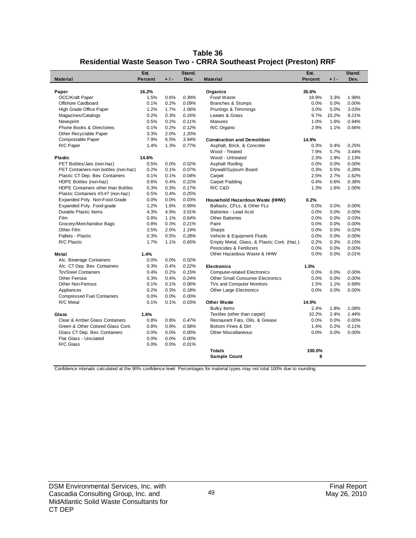| Table 36                                                            |
|---------------------------------------------------------------------|
| Residential Waste Season Two - CRRA Southeast Project (Preston) RRF |

|                                      | Est.    |       | Stand. |                                            | Est.           |       | Stand. |
|--------------------------------------|---------|-------|--------|--------------------------------------------|----------------|-------|--------|
| <b>Material</b>                      | Percent | $+1-$ | Dev.   | <b>Material</b>                            | <b>Percent</b> | $+1-$ | Dev.   |
| Paper                                | 16.2%   |       |        | Organics                                   | 35.6%          |       |        |
| <b>OCC/Kraft Paper</b>               | 1.5%    | 0.6%  | 0.39%  | Food Waste                                 | 18.9%          | 3.3%  | 1.98%  |
| Offshore Cardboard                   | 0.1%    | 0.2%  | 0.09%  | <b>Branches &amp; Stumps</b>               | 0.0%           | 0.0%  | 0.00%  |
| High Grade Office Paper              | 1.2%    | 1.7%  | 1.06%  | Prunings & Trimmings                       | 3.0%           | 5.0%  | 3.03%  |
| Magazines/Catalogs                   | 0.2%    | 0.3%  | 0.16%  | Leaves & Grass                             | 9.7%           | 15.2% | 9.21%  |
| Newsprint                            | 0.5%    | 0.2%  | 0.11%  | <b>Manures</b>                             | 1.0%           | 1.6%  | 0.94%  |
| Phone Books & Directories            | 0.1%    | 0.2%  | 0.12%  | R/C Organic                                | 2.9%           | 1.1%  | 0.66%  |
| Other Recyclable Paper               | 3.3%    | 2.0%  | 1.20%  |                                            |                |       |        |
| Compostable Paper                    | 7.9%    | 6.5%  | 3.94%  | <b>Construction and Demolition</b>         | 14.9%          |       |        |
| R/C Paper                            | 1.4%    | 1.3%  | 0.77%  | Asphalt, Brick, & Concrete                 | 0.3%           | 0.4%  | 0.25%  |
|                                      |         |       |        | Wood - Treated                             | 7.9%           | 5.7%  | 3.44%  |
| <b>Plastic</b>                       | 14.6%   |       |        | Wood - Untreated                           | 2.3%           | 1.9%  | 1.13%  |
| PET Bottles/Jars (non-haz)           | 0.5%    | 0.0%  | 0.02%  | Asphalt Roofing                            | 0.0%           | 0.0%  | 0.00%  |
| PET Containers-non bottles (non-haz) | 0.2%    | 0.1%  | 0.07%  | Drywall/Gypsum Board                       | 0.3%           | 0.5%  | 0.28%  |
| Plastic CT Dep. Bev. Containers      | 0.1%    | 0.1%  | 0.04%  | Carpet                                     | 2.5%           | 2.7%  | 1.62%  |
| HDPE Bottles (non-haz)               | 0.6%    | 0.4%  | 0.22%  | Carpet Padding                             | 0.4%           | 0.6%  | 0.38%  |
| HDPE Containers other than Bottles   | 0.3%    | 0.3%  | 0.17%  | R/C C&D                                    | 1.3%           | 1.6%  | 1.00%  |
| Plastic Containers #3-#7 (non-haz)   | 0.5%    | 0.4%  | 0.25%  |                                            |                |       |        |
| Expanded Poly. Non-Food Grade        | 0.0%    | 0.0%  | 0.03%  | Household Hazardous Waste (HHW)            | 0.2%           |       |        |
| Expanded Poly. Food-grade            | 1.2%    | 1.6%  | 0.99%  | Ballasts, CFLs, & Other FLs                | 0.0%           | 0.0%  | 0.00%  |
| Durable Plastic Items                | 4.3%    | 4.9%  | 3.01%  | Batteries - Lead Acid                      | 0.0%           | 0.0%  | 0.00%  |
| Film                                 | 0.8%    | 1.1%  | 0.64%  | <b>Other Batteries</b>                     | 0.0%           | 0.0%  | 0.03%  |
| Grocery/Merchandise Bags             | 0.8%    | 0.3%  | 0.21%  | Paint                                      | 0.0%           | 0.0%  | 0.00%  |
| Other Film                           | 3.5%    | 2.0%  | 1.19%  | Sharps                                     | 0.0%           | 0.0%  | 0.02%  |
| Pallets - Plastic                    | 0.3%    | 0.5%  | 0.28%  | Vehicle & Equipment Fluids                 | 0.0%           | 0.0%  | 0.00%  |
| R/C Plastic                          | 1.7%    | 1.1%  | 0.65%  | Empty Metal, Glass, & Plastic Cont. (Haz.) | 0.2%           | 0.3%  | 0.15%  |
|                                      |         |       |        | Pesticides & Fertilizers                   | 0.0%           | 0.0%  | 0.00%  |
| Metal                                | 1.4%    |       |        | Other Hazardous Waste & HHW                | 0.0%           | 0.0%  | 0.01%  |
| Alc. Beverage Containers             | 0.0%    | 0.0%  | 0.02%  |                                            |                |       |        |
| Alc. CT Dep. Bev. Containers         | 0.3%    | 0.4%  | 0.22%  | <b>Electronics</b>                         | 1.5%           |       |        |
| Tin/Steel Containers                 | 0.4%    | 0.2%  | 0.15%  | <b>Computer-related Electronics</b>        | 0.0%           | 0.0%  | 0.00%  |
| <b>Other Ferrous</b>                 | 0.3%    | 0.4%  | 0.24%  | <b>Other Small Consumer Electronics</b>    | 0.0%           | 0.0%  | 0.00%  |
| Other Non-Ferrous                    | 0.1%    | 0.1%  | 0.06%  | TVs and Computer Monitors                  | 1.5%           | 1.1%  | 0.68%  |
| Appliances                           | 0.2%    | 0.3%  | 0.18%  | Other Large Electronics                    | 0.0%           | 0.0%  | 0.00%  |
| <b>Compressed Fuel Containers</b>    | 0.0%    | 0.0%  | 0.00%  |                                            |                |       |        |
| R/C Metal                            | 0.1%    | 0.1%  | 0.03%  | <b>Other Waste</b>                         | 14.0%          |       |        |
|                                      |         |       |        | <b>Bulky Items</b>                         | 2.4%           | 1.8%  | 1.08%  |
| Glass                                | 1.6%    |       |        | Textiles (other than carpet)               | 10.2%          | 2.4%  | 1.44%  |
| Clear & Amber Glass Containers       | 0.8%    | 0.8%  | 0.47%  | Restaurant Fats, Oils, & Grease            | 0.0%           | 0.0%  | 0.00%  |
| Green & Other Colored Glass Cont.    | 0.8%    | 0.9%  | 0.58%  | Bottom Fines & Dirt                        | 1.4%           | 0.2%  | 0.11%  |
| Glass CT Dep. Bev. Containers        | 0.0%    | 0.0%  | 0.00%  | <b>Other Miscellaneous</b>                 | 0.0%           | 0.0%  | 0.00%  |
| Flat Glass - Uncoated                | 0.0%    | 0.0%  | 0.00%  |                                            |                |       |        |
| R/C Glass                            | 0.0%    | 0.0%  | 0.01%  |                                            |                |       |        |
|                                      |         |       |        | Totals                                     | 100.0%         |       |        |
|                                      |         |       |        | <b>Sample Count</b>                        | 8              |       |        |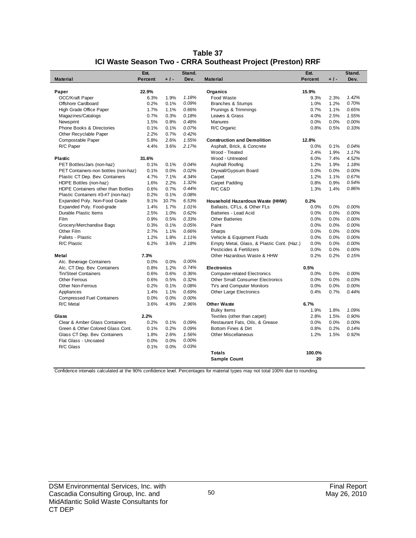|                                              | Est.         |              | Stand.         |                                            | Est.           |       | Stand.         |
|----------------------------------------------|--------------|--------------|----------------|--------------------------------------------|----------------|-------|----------------|
| <b>Material</b>                              | Percent      | $+1-$        | Dev.           | <b>Material</b>                            | <b>Percent</b> | $+1-$ | Dev.           |
|                                              |              |              |                |                                            |                |       |                |
| Paper                                        | 22.9%        |              |                | Organics                                   | 15.9%          |       |                |
| OCC/Kraft Paper<br><b>Offshore Cardboard</b> | 6.3%<br>0.2% | 1.9%<br>0.1% | 1.18%<br>0.09% | Food Waste                                 | 9.3%<br>1.0%   | 2.3%  | 1.42%<br>0.70% |
|                                              |              |              |                | Branches & Stumps                          |                | 1.2%  |                |
| High Grade Office Paper                      | 1.7%         | 1.1%         | 0.66%          | Prunings & Trimmings                       | 0.7%           | 1.1%  | 0.65%          |
| Magazines/Catalogs                           | 0.7%         | 0.3%         | 0.18%          | Leaves & Grass                             | 4.0%           | 2.5%  | 1.55%          |
| Newsprint                                    | 1.5%         | 0.8%         | 0.48%          | <b>Manures</b>                             | 0.0%           | 0.0%  | 0.00%          |
| <b>Phone Books &amp; Directories</b>         | 0.1%         | 0.1%         | 0.07%          | R/C Organic                                | 0.8%           | 0.5%  | 0.33%          |
| Other Recyclable Paper                       | 2.2%         | 0.7%         | 0.42%          |                                            |                |       |                |
| Compostable Paper                            | 5.8%         | 2.6%         | 1.55%          | <b>Construction and Demolition</b>         | 12.8%          |       |                |
| R/C Paper                                    | 4.4%         | 3.6%         | 2.17%          | Asphalt, Brick, & Concrete                 | 0.0%           | 0.1%  | 0.04%          |
|                                              |              |              |                | Wood - Treated                             | 2.4%           | 1.9%  | 1.17%          |
| <b>Plastic</b>                               | 31.6%        |              |                | Wood - Untreated                           | 6.0%           | 7.4%  | 4.52%          |
| PET Bottles/Jars (non-haz)                   | 0.1%         | 0.1%         | 0.04%          | Asphalt Roofing                            | 1.2%           | 1.9%  | 1.18%          |
| PET Containers-non bottles (non-haz)         | 0.1%         | 0.0%         | 0.02%          | Drywall/Gypsum Board                       | 0.0%           | 0.0%  | 0.00%          |
| Plastic CT Dep. Bev. Containers              | 4.7%         | 7.1%         | 4.34%          | Carpet                                     | 1.2%           | 1.1%  | 0.67%          |
| HDPE Bottles (non-haz)                       | 1.6%         | 2.2%         | 1.32%          | <b>Carpet Padding</b>                      | 0.8%           | 0.9%  | 0.54%          |
| HDPE Containers other than Bottles           | 0.6%         | 0.7%         | 0.44%          | R/C C&D                                    | 1.3%           | 1.4%  | 0.86%          |
| Plastic Containers #3-#7 (non-haz)           | 0.2%         | 0.1%         | 0.08%          |                                            |                |       |                |
| Expanded Poly. Non-Food Grade                | 9.1%         | 10.7%        | 6.53%          | Household Hazardous Waste (HHW)            | 0.2%           |       |                |
| Expanded Poly. Food-grade                    | 1.4%         | 1.7%         | 1.01%          | Ballasts, CFLs, & Other FLs                | 0.0%           | 0.0%  | 0.00%          |
| Durable Plastic Items                        | 2.5%         | 1.0%         | 0.62%          | Batteries - Lead Acid                      | 0.0%           | 0.0%  | 0.00%          |
| Film                                         | 0.9%         | 0.5%         | 0.33%          | <b>Other Batteries</b>                     | 0.0%           | 0.0%  | 0.00%          |
| Grocery/Merchandise Bags                     | 0.3%         | 0.1%         | 0.05%          | Paint                                      | 0.0%           | 0.0%  | 0.00%          |
| Other Film                                   | 2.7%         | 1.1%         | 0.66%          | Sharps                                     | 0.0%           | 0.0%  | 0.00%          |
| Pallets - Plastic                            | 1.2%         | 1.8%         | 1.11%          | Vehicle & Equipment Fluids                 | 0.0%           | 0.0%  | 0.00%          |
| R/C Plastic                                  | 6.2%         | 3.6%         | 2.18%          | Empty Metal, Glass, & Plastic Cont. (Haz.) | 0.0%           | 0.0%  | 0.00%          |
|                                              |              |              |                | Pesticides & Fertilizers                   | 0.0%           | 0.0%  | 0.00%          |
| Metal                                        | 7.3%         |              |                | Other Hazardous Waste & HHW                | 0.2%           | 0.2%  | 0.15%          |
| Alc. Beverage Containers                     | 0.0%         | 0.0%         | 0.00%          |                                            |                |       |                |
| Alc. CT Dep. Bev. Containers                 | 0.8%         | 1.2%         | 0.74%          | <b>Electronics</b>                         | 0.5%           |       |                |
| Tin/Steel Containers                         | 0.6%         | 0.6%         | 0.36%          | <b>Computer-related Electronics</b>        | 0.0%           | 0.0%  | 0.00%          |
| <b>Other Ferrous</b>                         | 0.6%         | 0.5%         | 0.32%          | <b>Other Small Consumer Electronics</b>    | 0.0%           | 0.0%  | 0.03%          |
| Other Non-Ferrous                            | 0.2%         | 0.1%         | 0.08%          | TVs and Computer Monitors                  | 0.0%           | 0.0%  | 0.00%          |
| Appliances                                   | 1.4%         | 1.1%         | 0.69%          | <b>Other Large Electronics</b>             | 0.4%           | 0.7%  | 0.44%          |
| <b>Compressed Fuel Containers</b>            | 0.0%         | 0.0%         | 0.00%          |                                            |                |       |                |
| R/C Metal                                    | 3.6%         | 4.9%         | 2.96%          | Other Waste                                | 6.7%           |       |                |
|                                              |              |              |                | <b>Bulky Items</b>                         | 1.9%           | 1.8%  | 1.09%          |
| Glass                                        | 2.2%         |              |                | Textiles (other than carpet)               | 2.8%           | 1.5%  | 0.90%          |
| Clear & Amber Glass Containers               | 0.2%         | 0.1%         | 0.09%          | Restaurant Fats, Oils, & Grease            | 0.0%           | 0.0%  | 0.00%          |
| Green & Other Colored Glass Cont.            | 0.1%         | 0.2%         | 0.09%          | Bottom Fines & Dirt                        | 0.8%           | 0.2%  | 0.14%          |
| Glass CT Dep. Bev. Containers                | 1.8%         | 2.6%         | 1.56%          | Other Miscellaneous                        | 1.2%           | 1.5%  | 0.92%          |
| Flat Glass - Uncoated                        | 0.0%         | 0.0%         | 0.00%          |                                            |                |       |                |
| R/C Glass                                    | 0.1%         | 0.0%         | 0.03%          |                                            |                |       |                |
|                                              |              |              |                | <b>Totals</b>                              | 100.0%         |       |                |
|                                              |              |              |                | <b>Sample Count</b>                        | 20             |       |                |

#### **Table 37 ICI Waste Season Two - CRRA Southeast Project (Preston) RRF**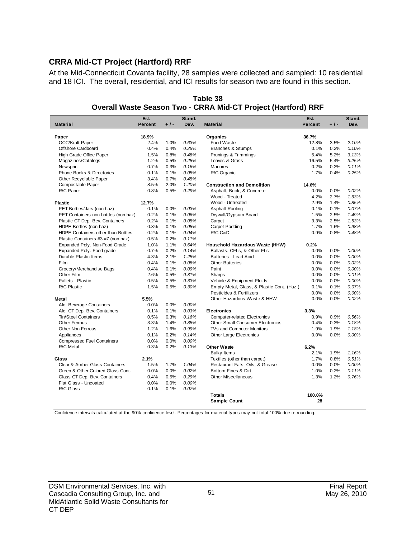# **CRRA Mid-CT Project (Hartford) RRF**

At the Mid-Connecticut Covanta facility, 28 samples were collected and sampled: 10 residential and 18 ICI. The overall, residential, and ICI results for season two are found in this section.

|                                      | Est.           |       | Stand. |                                            | Est.           |       | Stand. |
|--------------------------------------|----------------|-------|--------|--------------------------------------------|----------------|-------|--------|
| <b>Material</b>                      | <b>Percent</b> | $+1-$ | Dev.   | <b>Material</b>                            | <b>Percent</b> | $+1-$ | Dev.   |
|                                      |                |       |        |                                            |                |       |        |
| Paper                                | 18.9%          |       |        | Organics                                   | 36.7%          |       |        |
| OCC/Kraft Paper                      | 2.4%           | 1.0%  | 0.63%  | Food Waste                                 | 12.8%          | 3.5%  | 2.10%  |
| Offshore Cardboard                   | 0.4%           | 0.4%  | 0.25%  | <b>Branches &amp; Stumps</b>               | 0.1%           | 0.2%  | 0.10%  |
| High Grade Office Paper              | 1.5%           | 0.8%  | 0.48%  | Prunings & Trimmings                       | 5.4%           | 5.2%  | 3.13%  |
| Magazines/Catalogs                   | 1.2%           | 0.5%  | 0.28%  | Leaves & Grass                             | 16.5%          | 5.4%  | 3.25%  |
| Newsprint                            | 0.7%           | 0.3%  | 0.16%  | <b>Manures</b>                             | 0.2%           | 0.2%  | 0.11%  |
| Phone Books & Directories            | 0.1%           | 0.1%  | 0.05%  | R/C Organic                                | 1.7%           | 0.4%  | 0.25%  |
| Other Recyclable Paper               | 3.4%           | 0.7%  | 0.45%  |                                            |                |       |        |
| Compostable Paper                    | 8.5%           | 2.0%  | 1.20%  | <b>Construction and Demolition</b>         | 14.6%          |       |        |
| R/C Paper                            | 0.8%           | 0.5%  | 0.29%  | Asphalt, Brick, & Concrete                 | 0.0%           | 0.0%  | 0.02%  |
|                                      |                |       |        | Wood - Treated                             | 4.2%           | 2.7%  | 1.63%  |
| Plastic                              | 12.7%          |       |        | Wood - Untreated                           | 2.9%           | 1.4%  | 0.85%  |
| PET Bottles/Jars (non-haz)           | 0.1%           | 0.0%  | 0.03%  | Asphalt Roofing                            | 0.1%           | 0.1%  | 0.07%  |
| PET Containers-non bottles (non-haz) | 0.2%           | 0.1%  | 0.06%  | Drywall/Gypsum Board                       | 1.5%           | 2.5%  | 1.49%  |
| Plastic CT Dep. Bev. Containers      | 0.2%           | 0.1%  | 0.05%  | Carpet                                     | 3.3%           | 2.5%  | 1.53%  |
| HDPE Bottles (non-haz)               | 0.3%           | 0.1%  | 0.08%  | Carpet Padding                             | 1.7%           | 1.6%  | 0.98%  |
| HDPE Containers other than Bottles   | 0.2%           | 0.1%  | 0.04%  | R/C C&D                                    | 0.9%           | 0.8%  | 0.48%  |
| Plastic Containers #3-#7 (non-haz)   | 0.5%           | 0.2%  | 0.11%  |                                            |                |       |        |
| Expanded Poly. Non-Food Grade        | 1.0%           | 1.1%  | 0.64%  | Household Hazardous Waste (HHW)            | 0.2%           |       |        |
| Expanded Poly. Food-grade            | 0.7%           | 0.2%  | 0.14%  | Ballasts, CFLs, & Other FLs                | 0.0%           | 0.0%  | 0.00%  |
| Durable Plastic Items                | 4.3%           | 2.1%  | 1.25%  | Batteries - Lead Acid                      | 0.0%           | 0.0%  | 0.00%  |
| <b>Film</b>                          | 0.4%           | 0.1%  | 0.08%  | <b>Other Batteries</b>                     | 0.0%           | 0.0%  | 0.02%  |
| Grocery/Merchandise Bags             | 0.4%           | 0.1%  | 0.09%  | Paint                                      | 0.0%           | 0.0%  | 0.00%  |
| Other Film                           | 2.6%           | 0.5%  | 0.31%  | Sharps                                     | 0.0%           | 0.0%  | 0.01%  |
| Pallets - Plastic                    | 0.5%           | 0.5%  | 0.33%  | Vehicle & Equipment Fluids                 | 0.0%           | 0.0%  | 0.00%  |
| R/C Plastic                          | 1.5%           | 0.5%  | 0.30%  | Empty Metal, Glass, & Plastic Cont. (Haz.) | 0.1%           | 0.1%  | 0.07%  |
|                                      |                |       |        | Pesticides & Fertilizers                   | 0.0%           | 0.0%  | 0.00%  |
| Metal                                | 5.5%           |       |        | Other Hazardous Waste & HHW                | 0.0%           | 0.0%  | 0.02%  |
| Alc. Beverage Containers             | 0.0%           | 0.0%  | 0.00%  |                                            |                |       |        |
| Alc. CT Dep. Bev. Containers         | 0.1%           | 0.1%  | 0.03%  | <b>Electronics</b>                         | 3.3%           |       |        |
| <b>Tin/Steel Containers</b>          | 0.5%           | 0.3%  | 0.16%  | <b>Computer-related Electronics</b>        | 0.9%           | 0.9%  | 0.56%  |
| <b>Other Ferrous</b>                 | 3.3%           | 1.4%  | 0.88%  | <b>Other Small Consumer Electronics</b>    | 0.4%           | 0.3%  | 0.18%  |
| <b>Other Non-Ferrous</b>             | 1.2%           | 1.6%  | 0.99%  | TVs and Computer Monitors                  | 1.9%           | 1.9%  | 1.18%  |
| Appliances                           | 0.1%           | 0.2%  | 0.14%  | <b>Other Large Electronics</b>             | 0.0%           | 0.0%  | 0.00%  |
| <b>Compressed Fuel Containers</b>    | 0.0%           | 0.0%  | 0.00%  |                                            |                |       |        |
| R/C Metal                            | 0.3%           | 0.2%  | 0.13%  | <b>Other Waste</b>                         | 6.2%           |       |        |
|                                      |                |       |        | <b>Bulky Items</b>                         | 2.1%           | 1.9%  | 1.16%  |
| Glass                                | 2.1%           |       |        | Textiles (other than carpet)               | 1.7%           | 0.8%  | 0.51%  |
| Clear & Amber Glass Containers       | 1.5%           | 1.7%  | 1.04%  | Restaurant Fats, Oils, & Grease            | 0.0%           | 0.0%  | 0.00%  |
| Green & Other Colored Glass Cont.    | 0.0%           | 0.0%  | 0.02%  | Bottom Fines & Dirt                        | 1.0%           | 0.2%  | 0.11%  |
| Glass CT Dep. Bev. Containers        | 0.4%           | 0.5%  | 0.29%  | <b>Other Miscellaneous</b>                 | 1.3%           | 1.2%  | 0.76%  |
| Flat Glass - Uncoated                | 0.0%           | 0.0%  | 0.00%  |                                            |                |       |        |
| R/C Glass                            | 0.1%           | 0.1%  | 0.07%  |                                            |                |       |        |
|                                      |                |       |        | <b>Totals</b>                              | 100.0%         |       |        |
|                                      |                |       |        | <b>Sample Count</b>                        | 28             |       |        |
|                                      |                |       |        |                                            |                |       |        |

**Table 38 Overall Waste Season Two - CRRA Mid-CT Project (Hartford) RRF**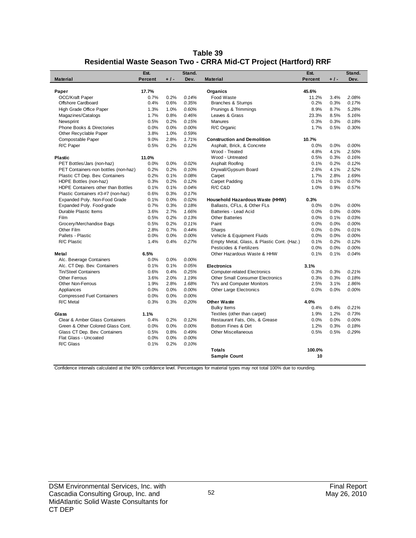| Table 39                                                          |
|-------------------------------------------------------------------|
| Residential Waste Season Two - CRRA Mid-CT Project (Hartford) RRF |

|                                      | Est.           |       | Stand. |                                            | Est.    |       | Stand. |
|--------------------------------------|----------------|-------|--------|--------------------------------------------|---------|-------|--------|
| <b>Material</b>                      | <b>Percent</b> | $+1-$ | Dev.   | <b>Material</b>                            | Percent | $+1-$ | Dev.   |
|                                      |                |       |        |                                            |         |       |        |
| Paper                                | 17.7%          |       |        | Organics                                   | 45.6%   |       |        |
| OCC/Kraft Paper                      | 0.7%           | 0.2%  | 0.14%  | Food Waste                                 | 11.2%   | 3.4%  | 2.08%  |
| Offshore Cardboard                   | 0.4%           | 0.6%  | 0.35%  | Branches & Stumps                          | 0.2%    | 0.3%  | 0.17%  |
| High Grade Office Paper              | 1.3%           | 1.0%  | 0.60%  | Prunings & Trimmings                       | 8.9%    | 8.7%  | 5.28%  |
| Magazines/Catalogs                   | 1.7%           | 0.8%  | 0.46%  | Leaves & Grass                             | 23.3%   | 8.5%  | 5.16%  |
| Newsprint                            | 0.5%           | 0.2%  | 0.15%  | <b>Manures</b>                             | 0.3%    | 0.3%  | 0.18%  |
| Phone Books & Directories            | 0.0%           | 0.0%  | 0.00%  | R/C Organic                                | 1.7%    | 0.5%  | 0.30%  |
| Other Recyclable Paper               | 3.8%           | 1.0%  | 0.59%  |                                            |         |       |        |
| Compostable Paper                    | 9.0%           | 2.8%  | 1.71%  | <b>Construction and Demolition</b>         | 10.7%   |       |        |
| R/C Paper                            | 0.5%           | 0.2%  | 0.12%  | Asphalt, Brick, & Concrete                 | 0.0%    | 0.0%  | 0.00%  |
|                                      |                |       |        | Wood - Treated                             | 4.8%    | 4.1%  | 2.50%  |
| <b>Plastic</b>                       | 11.0%          |       |        | Wood - Untreated                           | 0.5%    | 0.3%  | 0.16%  |
| PET Bottles/Jars (non-haz)           | 0.0%           | 0.0%  | 0.02%  | Asphalt Roofing                            | 0.1%    | 0.2%  | 0.12%  |
| PET Containers-non bottles (non-haz) | 0.2%           | 0.2%  | 0.10%  | Drywall/Gypsum Board                       | 2.6%    | 4.1%  | 2.52%  |
| Plastic CT Dep. Bev. Containers      | 0.2%           | 0.1%  | 0.08%  | Carpet                                     | 1.7%    | 2.8%  | 1.69%  |
| HDPE Bottles (non-haz)               | 0.3%           | 0.2%  | 0.12%  | Carpet Padding                             | 0.1%    | 0.1%  | 0.07%  |
| HDPE Containers other than Bottles   | 0.1%           | 0.1%  | 0.04%  | R/C C&D                                    | 1.0%    | 0.9%  | 0.57%  |
| Plastic Containers #3-#7 (non-haz)   | 0.6%           | 0.3%  | 0.17%  |                                            |         |       |        |
| Expanded Poly. Non-Food Grade        | 0.1%           | 0.0%  | 0.02%  | Household Hazardous Waste (HHW)            | 0.3%    |       |        |
| Expanded Poly. Food-grade            | 0.7%           | 0.3%  | 0.18%  | Ballasts, CFLs, & Other FLs                | 0.0%    | 0.0%  | 0.00%  |
| Durable Plastic Items                | 3.6%           | 2.7%  | 1.66%  | Batteries - Lead Acid                      | 0.0%    | 0.0%  | 0.00%  |
| Film                                 | 0.5%           | 0.2%  | 0.13%  | <b>Other Batteries</b>                     | 0.0%    | 0.1%  | 0.03%  |
| Grocery/Merchandise Bags             | 0.5%           | 0.2%  | 0.11%  | Paint                                      | 0.0%    | 0.0%  | 0.00%  |
| Other Film                           | 2.8%           | 0.7%  | 0.44%  | Sharps                                     | 0.0%    | 0.0%  | 0.01%  |
| Pallets - Plastic                    | 0.0%           | 0.0%  | 0.00%  | Vehicle & Equipment Fluids                 | 0.0%    | 0.0%  | 0.00%  |
| R/C Plastic                          | 1.4%           | 0.4%  | 0.27%  | Empty Metal, Glass, & Plastic Cont. (Haz.) | 0.1%    | 0.2%  | 0.12%  |
|                                      |                |       |        | Pesticides & Fertilizers                   | 0.0%    | 0.0%  | 0.00%  |
| Metal                                | 6.5%           |       |        | Other Hazardous Waste & HHW                | 0.1%    | 0.1%  | 0.04%  |
| Alc. Beverage Containers             | 0.0%           | 0.0%  | 0.00%  |                                            |         |       |        |
| Alc. CT Dep. Bev. Containers         | 0.1%           | 0.1%  | 0.05%  | <b>Electronics</b>                         | 3.1%    |       |        |
| Tin/Steel Containers                 | 0.6%           | 0.4%  | 0.25%  | <b>Computer-related Electronics</b>        | 0.3%    | 0.3%  | 0.21%  |
| <b>Other Ferrous</b>                 | 3.6%           | 2.0%  | 1.19%  | <b>Other Small Consumer Electronics</b>    | 0.3%    | 0.3%  | 0.18%  |
| <b>Other Non-Ferrous</b>             | 1.9%           | 2.8%  | 1.68%  | TVs and Computer Monitors                  | 2.5%    | 3.1%  | 1.86%  |
| Appliances                           | 0.0%           | 0.0%  | 0.00%  | <b>Other Large Electronics</b>             | 0.0%    | 0.0%  | 0.00%  |
| <b>Compressed Fuel Containers</b>    | 0.0%           | 0.0%  | 0.00%  |                                            |         |       |        |
| R/C Metal                            | 0.3%           | 0.3%  | 0.20%  | <b>Other Waste</b>                         | 4.0%    |       |        |
|                                      |                |       |        | <b>Bulky Items</b>                         | 0.4%    | 0.4%  | 0.21%  |
| Glass                                | 1.1%           |       |        | Textiles (other than carpet)               | 1.9%    | 1.2%  | 0.73%  |
| Clear & Amber Glass Containers       | 0.4%           | 0.2%  | 0.12%  | Restaurant Fats, Oils, & Grease            | 0.0%    | 0.0%  | 0.00%  |
| Green & Other Colored Glass Cont.    | 0.0%           | 0.0%  | 0.00%  | Bottom Fines & Dirt                        | 1.2%    | 0.3%  | 0.18%  |
| Glass CT Dep. Bev. Containers        | 0.5%           | 0.8%  | 0.49%  | <b>Other Miscellaneous</b>                 | 0.5%    | 0.5%  | 0.29%  |
| Flat Glass - Uncoated                | 0.0%           | 0.0%  | 0.00%  |                                            |         |       |        |
| R/C Glass                            | 0.1%           | 0.2%  | 0.10%  |                                            |         |       |        |
|                                      |                |       |        | <b>Totals</b>                              | 100.0%  |       |        |
|                                      |                |       |        | <b>Sample Count</b>                        | 10      |       |        |
|                                      |                |       |        |                                            |         |       |        |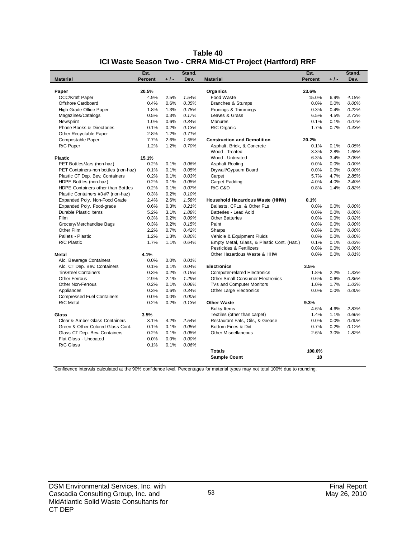|                                              | Est.          |              | Stand.         |                                            | Est.           |              | Stand. |
|----------------------------------------------|---------------|--------------|----------------|--------------------------------------------|----------------|--------------|--------|
| <b>Material</b>                              | Percent       | $+1-$        | Dev.           | <b>Material</b>                            | Percent        | $+1-$        | Dev.   |
|                                              |               |              |                |                                            |                |              |        |
| Paper                                        | 20.5%<br>4.9% |              |                | Organics<br>Food Waste                     | 23.6%<br>15.0% |              | 4.18%  |
| <b>OCC/Kraft Paper</b><br>Offshore Cardboard | 0.4%          | 2.5%<br>0.6% | 1.54%<br>0.35% |                                            | 0.0%           | 6.9%<br>0.0% | 0.00%  |
|                                              |               |              |                | Branches & Stumps                          |                |              |        |
| High Grade Office Paper                      | 1.8%          | 1.3%         | 0.78%          | Prunings & Trimmings                       | 0.3%           | 0.4%         | 0.22%  |
| Magazines/Catalogs                           | 0.5%          | 0.3%         | 0.17%          | Leaves & Grass                             | 6.5%           | 4.5%         | 2.73%  |
| Newsprint                                    | 1.0%          | 0.6%         | 0.34%          | <b>Manures</b>                             | 0.1%           | 0.1%         | 0.07%  |
| Phone Books & Directories                    | 0.1%          | 0.2%         | 0.13%          | R/C Organic                                | 1.7%           | 0.7%         | 0.43%  |
| Other Recyclable Paper                       | 2.8%          | 1.2%         | 0.71%          |                                            |                |              |        |
| Compostable Paper                            | 7.7%          | 2.6%         | 1.58%          | <b>Construction and Demolition</b>         | 20.2%          |              |        |
| R/C Paper                                    | 1.2%          | 1.2%         | 0.70%          | Asphalt, Brick, & Concrete                 | 0.1%           | 0.1%         | 0.05%  |
|                                              |               |              |                | Wood - Treated                             | 3.3%           | 2.8%         | 1.68%  |
| <b>Plastic</b>                               | 15.1%         |              |                | Wood - Untreated                           | 6.3%           | 3.4%         | 2.09%  |
| PET Bottles/Jars (non-haz)                   | 0.2%          | 0.1%         | 0.06%          | Asphalt Roofing                            | 0.0%           | 0.0%         | 0.00%  |
| PET Containers-non bottles (non-haz)         | 0.1%          | 0.1%         | 0.05%          | Drywall/Gypsum Board                       | 0.0%           | 0.0%         | 0.00%  |
| Plastic CT Dep. Bev. Containers              | 0.2%          | 0.1%         | 0.03%          | Carpet                                     | 5.7%           | 4.7%         | 2.85%  |
| HDPE Bottles (non-haz)                       | 0.2%          | 0.1%         | 0.08%          | Carpet Padding                             | 4.0%           | 4.0%         | 2.40%  |
| HDPE Containers other than Bottles           | 0.2%          | 0.1%         | 0.07%          | R/C C&D                                    | 0.8%           | 1.4%         | 0.82%  |
| Plastic Containers #3-#7 (non-haz)           | 0.3%          | 0.2%         | 0.10%          |                                            |                |              |        |
| Expanded Poly. Non-Food Grade                | 2.4%          | 2.6%         | 1.58%          | Household Hazardous Waste (HHW)            | 0.1%           |              |        |
| Expanded Poly. Food-grade                    | 0.6%          | 0.3%         | 0.21%          | Ballasts, CFLs, & Other FLs                | 0.0%           | 0.0%         | 0.00%  |
| Durable Plastic Items                        | 5.2%          | 3.1%         | 1.88%          | Batteries - Lead Acid                      | 0.0%           | 0.0%         | 0.00%  |
| Film                                         | 0.3%          | 0.2%         | 0.09%          | <b>Other Batteries</b>                     | 0.0%           | 0.0%         | 0.02%  |
| Grocery/Merchandise Bags                     | 0.3%          | 0.2%         | 0.15%          | Paint                                      | 0.0%           | 0.0%         | 0.00%  |
| Other Film                                   | 2.2%          | 0.7%         | 0.42%          | Sharps                                     | 0.0%           | 0.0%         | 0.00%  |
| Pallets - Plastic                            | 1.2%          | 1.3%         | 0.80%          | Vehicle & Equipment Fluids                 | 0.0%           | 0.0%         | 0.00%  |
| R/C Plastic                                  | 1.7%          | 1.1%         | 0.64%          | Empty Metal, Glass, & Plastic Cont. (Haz.) | 0.1%           | 0.1%         | 0.03%  |
|                                              |               |              |                | Pesticides & Fertilizers                   | 0.0%           | 0.0%         | 0.00%  |
| Metal                                        | 4.1%          |              |                | Other Hazardous Waste & HHW                | 0.0%           | 0.0%         | 0.01%  |
| Alc. Beverage Containers                     | 0.0%          | 0.0%         | 0.01%          |                                            |                |              |        |
| Alc. CT Dep. Bev. Containers                 | 0.1%          | 0.1%         | 0.04%          | <b>Electronics</b>                         | 3.5%           |              |        |
| Tin/Steel Containers                         | 0.3%          | 0.2%         | 0.15%          | <b>Computer-related Electronics</b>        | 1.8%           | 2.2%         | 1.33%  |
| Other Ferrous                                | 2.9%          | 2.1%         | 1.29%          | <b>Other Small Consumer Electronics</b>    | 0.6%           | 0.6%         | 0.36%  |
| <b>Other Non-Ferrous</b>                     | 0.2%          | 0.1%         | 0.06%          | TVs and Computer Monitors                  | 1.0%           | 1.7%         | 1.03%  |
| Appliances                                   | 0.3%          | 0.6%         | 0.34%          | <b>Other Large Electronics</b>             | 0.0%           | 0.0%         | 0.00%  |
| <b>Compressed Fuel Containers</b>            | 0.0%          | 0.0%         | 0.00%          |                                            |                |              |        |
| R/C Metal                                    | 0.2%          | 0.2%         | 0.13%          | <b>Other Waste</b>                         | 9.3%           |              |        |
|                                              |               |              |                | <b>Bulky Items</b>                         | 4.6%           | 4.6%         | 2.83%  |
| Glass                                        | 3.5%          |              |                | Textiles (other than carpet)               | 1.4%           | 1.1%         | 0.66%  |
| Clear & Amber Glass Containers               | 3.1%          | 4.2%         | 2.54%          | Restaurant Fats, Oils, & Grease            | 0.0%           | 0.0%         | 0.00%  |
| Green & Other Colored Glass Cont.            | 0.1%          | 0.1%         | 0.05%          | Bottom Fines & Dirt                        | 0.7%           | 0.2%         | 0.12%  |
| Glass CT Dep. Bev. Containers                | 0.2%          | 0.1%         | 0.08%          | <b>Other Miscellaneous</b>                 | 2.6%           | 3.0%         | 1.82%  |
| Flat Glass - Uncoated                        | 0.0%          | 0.0%         | 0.00%          |                                            |                |              |        |
| R/C Glass                                    | 0.1%          | 0.1%         | 0.06%          |                                            |                |              |        |
|                                              |               |              |                | <b>Totals</b>                              | 100.0%         |              |        |
|                                              |               |              |                | <b>Sample Count</b>                        | 18             |              |        |
|                                              |               |              |                |                                            |                |              |        |

| Table 40                                                  |  |
|-----------------------------------------------------------|--|
| ICI Waste Season Two - CRRA Mid-CT Project (Hartford) RRF |  |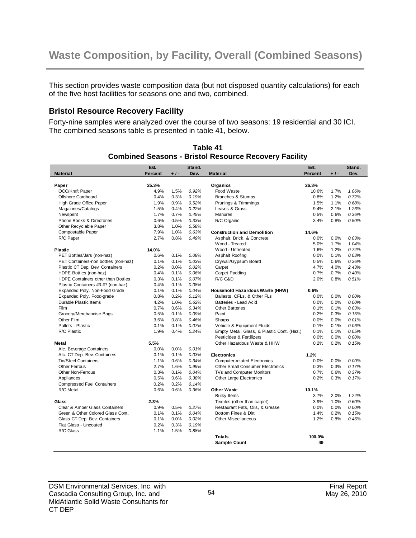This section provides waste composition data (but not disposed quantity calculations) for each of the five host facilities for seasons one and two, combined.

#### **Bristol Resource Recovery Facility**

Forty-nine samples were analyzed over the course of two seasons: 19 residential and 30 ICI. The combined seasons table is presented in table 41, below.

| <b>Percent</b><br>Dev.<br><b>Percent</b><br>Dev.<br><b>Material</b><br>+1-<br><b>Material</b><br>$+1-$<br>25.3%<br>26.3%<br>Paper<br>Organics<br>OCC/Kraft Paper<br>4.9%<br>1.5%<br>0.92%<br>Food Waste<br>1.7%<br>1.06%<br>10.6%<br>Offshore Cardboard<br>0.4%<br>0.19%<br>Branches & Stumps<br>0.8%<br>1.2%<br>0.72%<br>0.3%<br>High Grade Office Paper<br>1.9%<br>0.9%<br>0.52%<br>Prunings & Trimmings<br>1.5%<br>1.1%<br>0.68%<br>0.22%<br>Leaves & Grass<br>9.4%<br>2.1%<br>1.26%<br>Magazines/Catalogs<br>1.5%<br>0.4%<br>Newsprint<br>1.7%<br>0.45%<br>Manures<br>0.6%<br>0.36%<br>0.7%<br>0.5% |  |
|---------------------------------------------------------------------------------------------------------------------------------------------------------------------------------------------------------------------------------------------------------------------------------------------------------------------------------------------------------------------------------------------------------------------------------------------------------------------------------------------------------------------------------------------------------------------------------------------------------|--|
|                                                                                                                                                                                                                                                                                                                                                                                                                                                                                                                                                                                                         |  |
|                                                                                                                                                                                                                                                                                                                                                                                                                                                                                                                                                                                                         |  |
|                                                                                                                                                                                                                                                                                                                                                                                                                                                                                                                                                                                                         |  |
|                                                                                                                                                                                                                                                                                                                                                                                                                                                                                                                                                                                                         |  |
|                                                                                                                                                                                                                                                                                                                                                                                                                                                                                                                                                                                                         |  |
|                                                                                                                                                                                                                                                                                                                                                                                                                                                                                                                                                                                                         |  |
|                                                                                                                                                                                                                                                                                                                                                                                                                                                                                                                                                                                                         |  |
|                                                                                                                                                                                                                                                                                                                                                                                                                                                                                                                                                                                                         |  |
| Phone Books & Directories<br>0.6%<br>0.33%<br>R/C Organic<br>0.8%<br>0.50%<br>0.5%<br>3.4%                                                                                                                                                                                                                                                                                                                                                                                                                                                                                                              |  |
| Other Recyclable Paper<br>3.8%<br>1.0%<br>0.58%                                                                                                                                                                                                                                                                                                                                                                                                                                                                                                                                                         |  |
| 0.63%<br>Compostable Paper<br>7.9%<br>1.0%<br><b>Construction and Demolition</b><br>14.6%                                                                                                                                                                                                                                                                                                                                                                                                                                                                                                               |  |
| 0.49%<br>R/C Paper<br>2.7%<br>0.8%<br>Asphalt, Brick, & Concrete<br>0.0%<br>0.0%<br>0.03%                                                                                                                                                                                                                                                                                                                                                                                                                                                                                                               |  |
| Wood - Treated<br>5.0%<br>1.7%<br>1.04%                                                                                                                                                                                                                                                                                                                                                                                                                                                                                                                                                                 |  |
| Wood - Untreated<br>0.74%<br><b>Plastic</b><br>14.0%<br>1.6%<br>1.2%                                                                                                                                                                                                                                                                                                                                                                                                                                                                                                                                    |  |
| 0.0%<br>PET Bottles/Jars (non-haz)<br>0.6%<br>0.1%<br>0.08%<br>Asphalt Roofing<br>0.1%<br>0.03%                                                                                                                                                                                                                                                                                                                                                                                                                                                                                                         |  |
| PET Containers-non bottles (non-haz)<br>0.1%<br>0.03%<br>Drywall/Gypsum Board<br>0.6%<br>0.36%<br>0.1%<br>0.5%                                                                                                                                                                                                                                                                                                                                                                                                                                                                                          |  |
| Plastic CT Dep. Bev. Containers<br>0.2%<br>0.0%<br>0.02%<br>4.7%<br>4.0%<br>2.43%<br>Carpet                                                                                                                                                                                                                                                                                                                                                                                                                                                                                                             |  |
| 0.7%<br>0.7%<br>0.40%<br>HDPE Bottles (non-haz)<br>0.4%<br>0.1%<br>0.06%<br>Carpet Padding                                                                                                                                                                                                                                                                                                                                                                                                                                                                                                              |  |
| HDPE Containers other than Bottles<br>0.3%<br>0.07%<br>R/C C&D<br>2.0%<br>0.8%<br>0.51%<br>0.1%                                                                                                                                                                                                                                                                                                                                                                                                                                                                                                         |  |
| 0.08%<br>Plastic Containers #3-#7 (non-haz)<br>0.4%<br>0.1%                                                                                                                                                                                                                                                                                                                                                                                                                                                                                                                                             |  |
| Expanded Poly. Non-Food Grade<br>0.04%<br>0.1%<br>0.1%<br>Household Hazardous Waste (HHW)<br>0.6%                                                                                                                                                                                                                                                                                                                                                                                                                                                                                                       |  |
| Expanded Poly. Food-grade<br>0.8%<br>0.2%<br>0.12%<br>Ballasts, CFLs, & Other FLs<br>0.0%<br>0.0%<br>0.00%                                                                                                                                                                                                                                                                                                                                                                                                                                                                                              |  |
| Durable Plastic Items<br>0.62%<br>Batteries - Lead Acid<br>4.2%<br>1.0%<br>0.0%<br>0.0%<br>0.00%                                                                                                                                                                                                                                                                                                                                                                                                                                                                                                        |  |
| Film<br>0.6%<br>0.34%<br><b>Other Batteries</b><br>0.1%<br>0.1%<br>0.03%                                                                                                                                                                                                                                                                                                                                                                                                                                                                                                                                |  |
| 0.7%                                                                                                                                                                                                                                                                                                                                                                                                                                                                                                                                                                                                    |  |
| Grocery/Merchandise Bags<br>0.5%<br>0.1%<br>0.09%<br>Paint<br>0.2%<br>0.3%<br>0.15%                                                                                                                                                                                                                                                                                                                                                                                                                                                                                                                     |  |
| Other Film<br>0.46%<br>0.0%<br>3.6%<br>0.8%<br>Sharps<br>0.0%<br>0.01%                                                                                                                                                                                                                                                                                                                                                                                                                                                                                                                                  |  |
| Pallets - Plastic<br>0.1%<br>0.07%<br>Vehicle & Equipment Fluids<br>0.1%<br>0.1%<br>0.06%<br>0.1%                                                                                                                                                                                                                                                                                                                                                                                                                                                                                                       |  |
| R/C Plastic<br>1.9%<br>0.4%<br>0.24%<br>Empty Metal, Glass, & Plastic Cont. (Haz.)<br>0.1%<br>0.1%<br>0.05%                                                                                                                                                                                                                                                                                                                                                                                                                                                                                             |  |
| Pesticides & Fertilizers<br>0.0%<br>0.0%<br>0.00%                                                                                                                                                                                                                                                                                                                                                                                                                                                                                                                                                       |  |
| Other Hazardous Waste & HHW<br>0.2%<br>0.2%<br>0.15%<br>5.5%<br>Metal                                                                                                                                                                                                                                                                                                                                                                                                                                                                                                                                   |  |
| Alc. Beverage Containers<br>0.0%<br>0.0%<br>0.01%                                                                                                                                                                                                                                                                                                                                                                                                                                                                                                                                                       |  |
| Alc. CT Dep. Bev. Containers<br>0.1%<br>0.03%<br>0.1%<br>1.2%<br><b>Electronics</b>                                                                                                                                                                                                                                                                                                                                                                                                                                                                                                                     |  |
| Tin/Steel Containers<br>1.1%<br>0.6%<br>0.34%<br><b>Computer-related Electronics</b><br>0.0%<br>0.0%<br>0.00%                                                                                                                                                                                                                                                                                                                                                                                                                                                                                           |  |
| Other Ferrous<br>2.7%<br>0.99%<br><b>Other Small Consumer Electronics</b><br>0.3%<br>0.3%<br>0.17%<br>1.6%                                                                                                                                                                                                                                                                                                                                                                                                                                                                                              |  |
| Other Non-Ferrous<br>0.3%<br>0.04%<br>TVs and Computer Monitors<br>0.7%<br>0.6%<br>0.37%<br>0.1%                                                                                                                                                                                                                                                                                                                                                                                                                                                                                                        |  |
| 0.5%<br>0.38%<br><b>Other Large Electronics</b><br>0.2%<br>0.3%<br>0.17%<br>Appliances<br>0.6%                                                                                                                                                                                                                                                                                                                                                                                                                                                                                                          |  |
| 0.2%<br><b>Compressed Fuel Containers</b><br>0.2%<br>0.14%                                                                                                                                                                                                                                                                                                                                                                                                                                                                                                                                              |  |
| R/C Metal<br>0.6%<br>0.6%<br>0.36%<br><b>Other Waste</b><br>10.1%                                                                                                                                                                                                                                                                                                                                                                                                                                                                                                                                       |  |
| 3.7%<br>1.24%<br><b>Bulky Items</b><br>2.0%                                                                                                                                                                                                                                                                                                                                                                                                                                                                                                                                                             |  |
| 2.3%<br>Textiles (other than carpet)<br>1.0%<br>0.60%<br>Glass<br>3.9%                                                                                                                                                                                                                                                                                                                                                                                                                                                                                                                                  |  |
| Clear & Amber Glass Containers<br>0.9%<br>0.27%<br>Restaurant Fats, Oils, & Grease<br>0.0%<br>0.0%<br>0.00%<br>0.5%                                                                                                                                                                                                                                                                                                                                                                                                                                                                                     |  |
| Green & Other Colored Glass Cont.<br>0.1%<br>0.1%<br>0.04%<br>Bottom Fines & Dirt<br>1.4%<br>0.2%<br>0.15%                                                                                                                                                                                                                                                                                                                                                                                                                                                                                              |  |
| Glass CT Dep. Bev. Containers<br>0.02%<br>1.2%<br>0.1%<br>0.0%<br>Other Miscellaneous<br>0.8%<br>0.46%                                                                                                                                                                                                                                                                                                                                                                                                                                                                                                  |  |
| Flat Glass - Uncoated<br>0.2%<br>0.19%<br>0.3%                                                                                                                                                                                                                                                                                                                                                                                                                                                                                                                                                          |  |
| R/C Glass<br>1.1%<br>1.5%<br>0.88%                                                                                                                                                                                                                                                                                                                                                                                                                                                                                                                                                                      |  |
| 100.0%<br><b>Totals</b>                                                                                                                                                                                                                                                                                                                                                                                                                                                                                                                                                                                 |  |
| 49<br><b>Sample Count</b>                                                                                                                                                                                                                                                                                                                                                                                                                                                                                                                                                                               |  |

**Table 41 Combined Seasons - Bristol Resource Recovery Facility**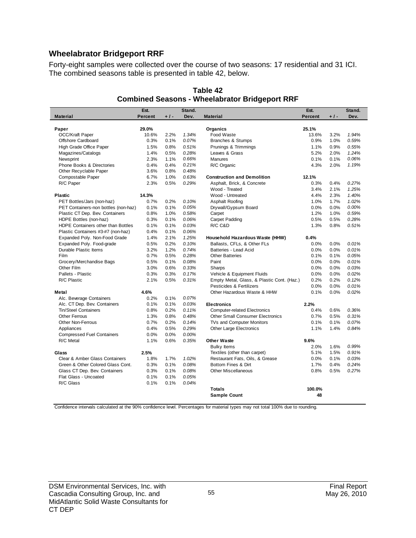## **Wheelabrator Bridgeport RRF**

Forty-eight samples were collected over the course of two seasons: 17 residential and 31 ICI. The combined seasons table is presented in table 42, below.

|                                      | Est.    |       | Stand. |                                            | Est.           |       | Stand. |
|--------------------------------------|---------|-------|--------|--------------------------------------------|----------------|-------|--------|
| <b>Material</b>                      | Percent | $+1-$ | Dev.   | <b>Material</b>                            | <b>Percent</b> | $+1-$ | Dev.   |
|                                      |         |       |        |                                            |                |       |        |
| Paper                                | 29.0%   |       |        | Organics                                   | 25.1%          |       |        |
| <b>OCC/Kraft Paper</b>               | 10.6%   | 2.2%  | 1.34%  | Food Waste                                 | 13.6%          | 3.2%  | 1.94%  |
| Offshore Cardboard                   | 0.3%    | 0.1%  | 0.07%  | <b>Branches &amp; Stumps</b>               | 0.9%           | 1.0%  | 0.59%  |
| High Grade Office Paper              | 1.5%    | 0.8%  | 0.51%  | Prunings & Trimmings                       | 1.1%           | 0.9%  | 0.55%  |
| Magazines/Catalogs                   | 1.4%    | 0.5%  | 0.28%  | Leaves & Grass                             | 5.2%           | 2.0%  | 1.24%  |
| Newsprint                            | 2.3%    | 1.1%  | 0.66%  | <b>Manures</b>                             | 0.1%           | 0.1%  | 0.06%  |
| Phone Books & Directories            | 0.4%    | 0.4%  | 0.21%  | R/C Organic                                | 4.3%           | 2.0%  | 1.19%  |
| Other Recyclable Paper               | 3.6%    | 0.8%  | 0.48%  |                                            |                |       |        |
| Compostable Paper                    | 6.7%    | 1.0%  | 0.63%  | <b>Construction and Demolition</b>         | 12.1%          |       |        |
| R/C Paper                            | 2.3%    | 0.5%  | 0.29%  | Asphalt, Brick, & Concrete                 | 0.3%           | 0.4%  | 0.27%  |
|                                      |         |       |        | Wood - Treated                             | 3.4%           | 2.1%  | 1.25%  |
| <b>Plastic</b>                       | 14.3%   |       |        | Wood - Untreated                           | 4.4%           | 2.3%  | 1.40%  |
| PET Bottles/Jars (non-haz)           | 0.7%    | 0.2%  | 0.10%  | Asphalt Roofing                            | 1.0%           | 1.7%  | 1.02%  |
| PET Containers-non bottles (non-haz) | 0.1%    | 0.1%  | 0.05%  | Drywall/Gypsum Board                       | 0.0%           | 0.0%  | 0.00%  |
| Plastic CT Dep. Bev. Containers      | 0.8%    | 1.0%  | 0.58%  | Carpet                                     | 1.2%           | 1.0%  | 0.59%  |
| HDPE Bottles (non-haz)               | 0.3%    | 0.1%  | 0.06%  | Carpet Padding                             | 0.5%           | 0.5%  | 0.28%  |
| HDPE Containers other than Bottles   | 0.1%    | 0.1%  | 0.03%  | R/C C&D                                    | 1.3%           | 0.8%  | 0.51%  |
| Plastic Containers #3-#7 (non-haz)   | 0.4%    | 0.1%  | 0.06%  |                                            |                |       |        |
| Expanded Poly. Non-Food Grade        | 1.4%    | 2.1%  | 1.25%  | Household Hazardous Waste (HHW)            | 0.4%           |       |        |
| Expanded Poly. Food-grade            | 0.5%    | 0.2%  | 0.10%  | Ballasts, CFLs, & Other FLs                | 0.0%           | 0.0%  | 0.01%  |
| Durable Plastic Items                | 3.2%    | 1.2%  | 0.74%  | Batteries - Lead Acid                      | 0.0%           | 0.0%  | 0.01%  |
| Film                                 | 0.7%    | 0.5%  | 0.28%  | <b>Other Batteries</b>                     | 0.1%           | 0.1%  | 0.05%  |
| Grocery/Merchandise Bags             | 0.5%    | 0.1%  | 0.08%  | Paint                                      | 0.0%           | 0.0%  | 0.01%  |
| Other Film                           | 3.0%    | 0.6%  | 0.33%  | Sharps                                     | 0.0%           | 0.0%  | 0.03%  |
| Pallets - Plastic                    | 0.3%    | 0.3%  | 0.17%  | Vehicle & Equipment Fluids                 | 0.0%           | 0.0%  | 0.02%  |
| R/C Plastic                          | 2.1%    | 0.5%  | 0.31%  | Empty Metal, Glass, & Plastic Cont. (Haz.) | 0.2%           | 0.2%  | 0.12%  |
|                                      |         |       |        | Pesticides & Fertilizers                   | 0.0%           | 0.0%  | 0.01%  |
| Metal                                | 4.6%    |       |        | Other Hazardous Waste & HHW                | 0.1%           | 0.0%  | 0.02%  |
| Alc. Beverage Containers             | 0.2%    | 0.1%  | 0.07%  |                                            |                |       |        |
| Alc. CT Dep. Bev. Containers         | 0.1%    | 0.1%  | 0.03%  | <b>Electronics</b>                         | 2.2%           |       |        |
| <b>Tin/Steel Containers</b>          | 0.8%    | 0.2%  | 0.11%  | <b>Computer-related Electronics</b>        | 0.4%           | 0.6%  | 0.36%  |
| <b>Other Ferrous</b>                 | 1.3%    | 0.8%  | 0.48%  | <b>Other Small Consumer Electronics</b>    | 0.7%           | 0.5%  | 0.31%  |
| <b>Other Non-Ferrous</b>             | 0.7%    | 0.2%  | 0.14%  | TVs and Computer Monitors                  | 0.1%           | 0.1%  | 0.07%  |
| Appliances                           | 0.4%    | 0.5%  | 0.29%  | <b>Other Large Electronics</b>             | 1.1%           | 1.4%  | 0.84%  |
| <b>Compressed Fuel Containers</b>    | 0.0%    | 0.0%  | 0.00%  |                                            |                |       |        |
| R/C Metal                            | 1.1%    | 0.6%  | 0.35%  | <b>Other Waste</b>                         | 9.6%           |       |        |
|                                      |         |       |        | <b>Bulky Items</b>                         | 2.0%           | 1.6%  | 0.99%  |
| Glass                                | 2.5%    |       |        | Textiles (other than carpet)               | 5.1%           | 1.5%  | 0.91%  |
| Clear & Amber Glass Containers       | 1.8%    | 1.7%  | 1.02%  | Restaurant Fats, Oils, & Grease            | 0.0%           | 0.1%  | 0.03%  |
| Green & Other Colored Glass Cont.    | 0.3%    | 0.1%  | 0.08%  | Bottom Fines & Dirt                        | 1.7%           | 0.4%  | 0.24%  |
| Glass CT Dep. Bev. Containers        | 0.3%    | 0.1%  | 0.08%  | <b>Other Miscellaneous</b>                 | 0.8%           | 0.5%  | 0.27%  |
| Flat Glass - Uncoated                | 0.1%    | 0.1%  | 0.05%  |                                            |                |       |        |
| R/C Glass                            | 0.1%    | 0.1%  | 0.04%  |                                            |                |       |        |
|                                      |         |       |        | <b>Totals</b>                              | 100.0%         |       |        |
|                                      |         |       |        | <b>Sample Count</b>                        | 48             |       |        |

**Table 42 Combined Seasons - Wheelabrator Bridgeport RRF**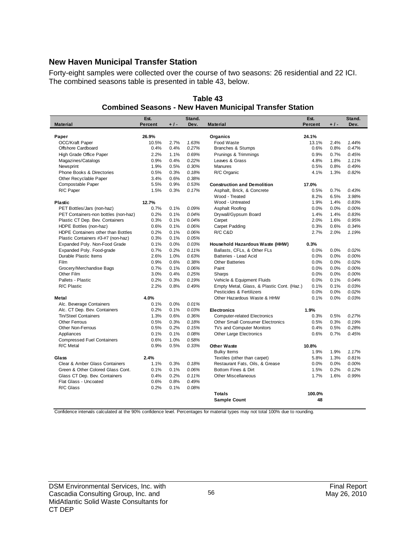#### **New Haven Municipal Transfer Station**

Forty-eight samples were collected over the course of two seasons: 26 residential and 22 ICI. The combined seasons table is presented in table 43, below.

|                                           | Est.           |       | Stand.<br>Dev. |                                            | Est.           |       | Stand.<br>Dev. |
|-------------------------------------------|----------------|-------|----------------|--------------------------------------------|----------------|-------|----------------|
| <b>Material</b>                           | <b>Percent</b> | $+1-$ |                | <b>Material</b>                            | <b>Percent</b> | $+1-$ |                |
| Paper                                     | 26.9%          |       |                | Organics                                   | 24.1%          |       |                |
| OCC/Kraft Paper                           | 10.5%          | 2.7%  | 1.63%          | Food Waste                                 | 13.1%          | 2.4%  | 1.44%          |
| Offshore Cardboard                        | 0.4%           | 0.4%  | 0.27%          | <b>Branches &amp; Stumps</b>               | 0.6%           | 0.8%  | 0.47%          |
| High Grade Office Paper                   | 2.2%           | 1.1%  | 0.69%          | Prunings & Trimmings                       | 0.9%           | 0.7%  | 0.45%          |
| Magazines/Catalogs                        | 0.9%           | 0.4%  | 0.22%          | Leaves & Grass                             | 4.8%           | 1.8%  | 1.11%          |
| Newsprint                                 | 1.9%           | 0.5%  | 0.30%          | Manures                                    | 0.5%           | 0.8%  | 0.49%          |
| Phone Books & Directories                 | 0.5%           | 0.3%  | 0.18%          | R/C Organic                                | 4.1%           | 1.3%  | 0.82%          |
| Other Recyclable Paper                    | 3.4%           | 0.6%  | 0.38%          |                                            |                |       |                |
| Compostable Paper                         | 5.5%           | 0.9%  | 0.53%          | <b>Construction and Demolition</b>         | 17.0%          |       |                |
| R/C Paper                                 | 1.5%           | 0.3%  | 0.17%          | Asphalt, Brick, & Concrete                 | 0.5%           | 0.7%  | 0.43%          |
|                                           |                |       |                | Wood - Treated                             | 8.2%           | 6.5%  | 3.98%          |
| <b>Plastic</b>                            | 12.7%          |       |                | Wood - Untreated                           | 1.9%           | 1.4%  | 0.83%          |
| PET Bottles/Jars (non-haz)                | 0.7%           | 0.1%  | 0.09%          | Asphalt Roofing                            | 0.0%           | 0.0%  | 0.00%          |
| PET Containers-non bottles (non-haz)      | 0.2%           | 0.1%  | 0.04%          | Drywall/Gypsum Board                       | 1.4%           | 1.4%  | 0.83%          |
| Plastic CT Dep. Bev. Containers           | 0.3%           | 0.1%  | 0.04%          | Carpet                                     | 2.0%           | 1.6%  | 0.95%          |
| HDPE Bottles (non-haz)                    | 0.6%           | 0.1%  | 0.06%          | Carpet Padding                             | 0.3%           | 0.6%  | 0.34%          |
| <b>HDPE Containers other than Bottles</b> | 0.2%           | 0.1%  | 0.06%          | R/C C&D                                    | 2.7%           | 2.0%  | 1.19%          |
| Plastic Containers #3-#7 (non-haz)        | 0.3%           | 0.1%  | 0.05%          |                                            |                |       |                |
| Expanded Poly. Non-Food Grade             | 0.1%           | 0.0%  | 0.03%          | Household Hazardous Waste (HHW)            | 0.3%           |       |                |
| Expanded Poly. Food-grade                 | 0.7%           | 0.2%  | 0.11%          | Ballasts, CFLs, & Other FLs                | 0.0%           | 0.0%  | 0.02%          |
| Durable Plastic Items                     | 2.6%           | 1.0%  | 0.63%          | Batteries - Lead Acid                      | 0.0%           | 0.0%  | 0.00%          |
| Film                                      | 0.9%           | 0.6%  | 0.38%          | <b>Other Batteries</b>                     | 0.0%           | 0.0%  | 0.02%          |
| Grocery/Merchandise Bags                  | 0.7%           | 0.1%  | 0.06%          | Paint                                      | 0.0%           | 0.0%  | 0.00%          |
| Other Film                                | 3.0%           | 0.4%  | 0.25%          | Sharps                                     | 0.0%           | 0.0%  | 0.00%          |
| Pallets - Plastic                         | 0.2%           | 0.3%  | 0.19%          | Vehicle & Equipment Fluids                 | 0.0%           | 0.1%  | 0.04%          |
| R/C Plastic                               | 2.2%           | 0.8%  | 0.49%          | Empty Metal, Glass, & Plastic Cont. (Haz.) | 0.1%           | 0.1%  | 0.03%          |
|                                           |                |       |                | Pesticides & Fertilizers                   | 0.0%           | 0.0%  | 0.02%          |
| Metal                                     | 4.0%           |       |                | Other Hazardous Waste & HHW                | 0.1%           | 0.0%  | 0.03%          |
| Alc. Beverage Containers                  | 0.1%           | 0.0%  | 0.01%          |                                            |                |       |                |
| Alc. CT Dep. Bev. Containers              | 0.2%           | 0.1%  | 0.03%          | <b>Electronics</b>                         | 1.9%           |       |                |
| Tin/Steel Containers                      | 1.3%           | 0.6%  | 0.36%          | <b>Computer-related Electronics</b>        | 0.3%           | 0.5%  | 0.27%          |
| Other Ferrous                             | 0.5%           | 0.3%  | 0.18%          | <b>Other Small Consumer Electronics</b>    | 0.5%           | 0.3%  | 0.19%          |
| <b>Other Non-Ferrous</b>                  | 0.5%           | 0.2%  | 0.15%          | TVs and Computer Monitors                  | 0.4%           | 0.5%  | 0.28%          |
| Appliances                                | 0.1%           | 0.1%  | 0.08%          | Other Large Electronics                    | 0.6%           | 0.7%  | 0.45%          |
| <b>Compressed Fuel Containers</b>         | 0.6%           | 1.0%  | 0.58%          |                                            |                |       |                |
| R/C Metal                                 | 0.9%           | 0.5%  | 0.33%          | <b>Other Waste</b>                         | 10.8%          |       |                |
|                                           |                |       |                | <b>Bulky Items</b>                         | 1.9%           | 1.9%  | 1.17%          |
| Glass                                     | 2.4%           |       |                | Textiles (other than carpet)               | 5.8%           | 1.3%  | 0.81%          |
| Clear & Amber Glass Containers            | 1.1%           | 0.3%  | 0.18%          | Restaurant Fats, Oils, & Grease            | 0.0%           | 0.0%  | 0.00%          |
| Green & Other Colored Glass Cont.         | 0.1%           | 0.1%  | 0.06%          | Bottom Fines & Dirt                        | 1.5%           | 0.2%  | 0.12%          |
| Glass CT Dep. Bev. Containers             | 0.4%           | 0.2%  | 0.11%          | <b>Other Miscellaneous</b>                 | 1.7%           | 1.6%  | 0.99%          |
| Flat Glass - Uncoated                     | 0.6%           | 0.8%  | 0.49%          |                                            |                |       |                |
| R/C Glass                                 | 0.2%           | 0.1%  | 0.08%          |                                            |                |       |                |
|                                           |                |       |                | <b>Totals</b>                              | 100.0%         |       |                |
|                                           |                |       |                | <b>Sample Count</b>                        | 48             |       |                |

**Table 43 Combined Seasons - New Haven Municipal Transfer Station**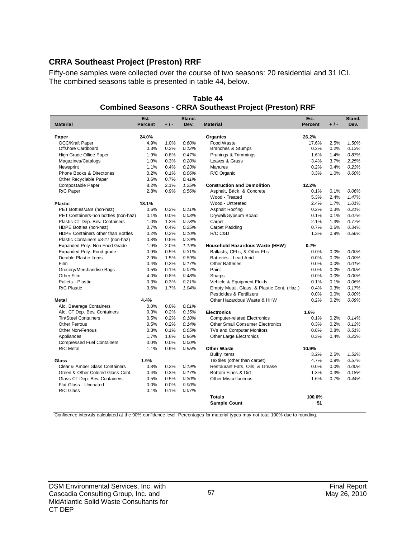## **CRRA Southeast Project (Preston) RRF**

Fifty-one samples were collected over the course of two seasons: 20 residential and 31 ICI. The combined seasons table is presented in table 44, below.

|                                      | Est.           |       | Stand. |                                            | Est.    |      | Stand. |
|--------------------------------------|----------------|-------|--------|--------------------------------------------|---------|------|--------|
| <b>Material</b>                      | <b>Percent</b> | $+1-$ | Dev.   | <b>Material</b>                            | Percent | +1-  | Dev.   |
|                                      |                |       |        |                                            |         |      |        |
| Paper                                | 24.0%          |       |        | Organics                                   | 26.2%   |      |        |
| <b>OCC/Kraft Paper</b>               | 4.9%           | 1.0%  | 0.60%  | Food Waste                                 | 17.6%   | 2.5% | 1.50%  |
| Offshore Cardboard                   | 0.3%           | 0.2%  | 0.12%  | Branches & Stumps                          | 0.2%    | 0.2% | 0.13%  |
| High Grade Office Paper              | 1.9%           | 0.8%  | 0.47%  | Prunings & Trimmings                       | 1.6%    | 1.4% | 0.87%  |
| Magazines/Catalogs                   | 1.0%           | 0.3%  | 0.20%  | Leaves & Grass                             | 3.4%    | 3.7% | 2.25%  |
| Newsprint                            | 1.1%           | 0.4%  | 0.23%  | <b>Manures</b>                             | 0.2%    | 0.4% | 0.23%  |
| Phone Books & Directories            | 0.2%           | 0.1%  | 0.06%  | R/C Organic                                | 3.3%    | 1.0% | 0.60%  |
| Other Recyclable Paper               | 3.6%           | 0.7%  | 0.41%  |                                            |         |      |        |
| Compostable Paper                    | 8.2%           | 2.1%  | 1.25%  | <b>Construction and Demolition</b>         | 12.2%   |      |        |
| R/C Paper                            | 2.8%           | 0.9%  | 0.56%  | Asphalt, Brick, & Concrete                 | 0.1%    | 0.1% | 0.06%  |
|                                      |                |       |        | Wood - Treated                             | 5.3%    | 2.4% | 1.47%  |
| <b>Plastic</b>                       | 18.1%          |       |        | Wood - Untreated                           | 2.4%    | 1.7% | 1.01%  |
| PET Bottles/Jars (non-haz)           | 0.6%           | 0.2%  | 0.11%  | Asphalt Roofing                            | 0.2%    | 0.3% | 0.21%  |
| PET Containers-non bottles (non-haz) | 0.1%           | 0.0%  | 0.03%  | Drywall/Gypsum Board                       | 0.1%    | 0.1% | 0.07%  |
| Plastic CT Dep. Bev. Containers      | 1.0%           | 1.3%  | 0.78%  | Carpet                                     | 2.1%    | 1.3% | 0.77%  |
| HDPE Bottles (non-haz)               | 0.7%           | 0.4%  | 0.25%  | <b>Carpet Padding</b>                      | 0.7%    | 0.6% | 0.34%  |
| HDPE Containers other than Bottles   | 0.2%           | 0.2%  | 0.10%  | R/C C&D                                    | 1.3%    | 0.9% | 0.56%  |
| Plastic Containers #3-#7 (non-haz)   | 0.8%           | 0.5%  | 0.29%  |                                            |         |      |        |
| Expanded Poly. Non-Food Grade        | 1.9%           | 2.0%  | 1.19%  | Household Hazardous Waste (HHW)            | 0.7%    |      |        |
| Expanded Poly. Food-grade            | 0.9%           | 0.5%  | 0.31%  | Ballasts, CFLs, & Other FLs                | 0.0%    | 0.0% | 0.00%  |
| Durable Plastic Items                | 2.9%           | 1.5%  | 0.89%  | Batteries - Lead Acid                      | 0.0%    | 0.0% | 0.00%  |
| Film                                 | 0.4%           | 0.3%  | 0.17%  | <b>Other Batteries</b>                     | 0.0%    | 0.0% | 0.01%  |
| Grocery/Merchandise Bags             | 0.5%           | 0.1%  | 0.07%  | Paint                                      | 0.0%    | 0.0% | 0.00%  |
| Other Film                           | 4.0%           | 0.8%  | 0.48%  | Sharps                                     | 0.0%    | 0.0% | 0.00%  |
| Pallets - Plastic                    | 0.3%           | 0.3%  | 0.21%  | Vehicle & Equipment Fluids                 | 0.1%    | 0.1% | 0.06%  |
| R/C Plastic                          | 3.6%           | 1.7%  | 1.04%  | Empty Metal, Glass, & Plastic Cont. (Haz.) | 0.4%    | 0.3% | 0.17%  |
|                                      |                |       |        | Pesticides & Fertilizers                   | 0.0%    | 0.0% | 0.00%  |
| Metal                                | 4.4%           |       |        | Other Hazardous Waste & HHW                | 0.2%    | 0.2% | 0.09%  |
| Alc. Beverage Containers             | 0.0%           | 0.0%  | 0.01%  |                                            |         |      |        |
| Alc. CT Dep. Bev. Containers         | 0.3%           | 0.2%  | 0.15%  | <b>Electronics</b>                         | 1.6%    |      |        |
| <b>Tin/Steel Containers</b>          | 0.5%           | 0.2%  | 0.10%  | <b>Computer-related Electronics</b>        | 0.1%    | 0.2% | 0.14%  |
| <b>Other Ferrous</b>                 | 0.5%           | 0.2%  | 0.14%  | <b>Other Small Consumer Electronics</b>    | 0.3%    | 0.2% | 0.13%  |
| <b>Other Non-Ferrous</b>             | 0.3%           | 0.1%  | 0.05%  | TVs and Computer Monitors                  | 0.8%    | 0.8% | 0.51%  |
| Appliances                           | 1.7%           | 1.6%  | 0.96%  | <b>Other Large Electronics</b>             | 0.3%    | 0.4% | 0.23%  |
| <b>Compressed Fuel Containers</b>    | 0.0%           | 0.0%  | 0.00%  |                                            |         |      |        |
| R/C Metal                            | 1.1%           | 0.9%  | 0.55%  | <b>Other Waste</b>                         | 10.9%   |      |        |
|                                      |                |       |        | <b>Bulky Items</b>                         | 3.2%    | 2.5% | 1.52%  |
| Glass                                | 1.9%           |       |        | Textiles (other than carpet)               | 4.7%    | 0.9% | 0.57%  |
| Clear & Amber Glass Containers       | 0.8%           | 0.3%  | 0.19%  | Restaurant Fats, Oils, & Grease            | 0.0%    | 0.0% | 0.00%  |
| Green & Other Colored Glass Cont.    | 0.4%           | 0.3%  | 0.17%  | Bottom Fines & Dirt                        | 1.3%    | 0.3% | 0.18%  |
| Glass CT Dep. Bev. Containers        | 0.5%           | 0.5%  | 0.30%  | <b>Other Miscellaneous</b>                 | 1.6%    | 0.7% | 0.44%  |
| Flat Glass - Uncoated                | 0.0%           | 0.0%  | 0.00%  |                                            |         |      |        |
| R/C Glass                            | 0.1%           | 0.1%  | 0.07%  |                                            |         |      |        |
|                                      |                |       |        | <b>Totals</b>                              | 100.0%  |      |        |
|                                      |                |       |        | <b>Sample Count</b>                        | 51      |      |        |

#### **Table 44 Combined Seasons - CRRA Southeast Project (Preston) RRF**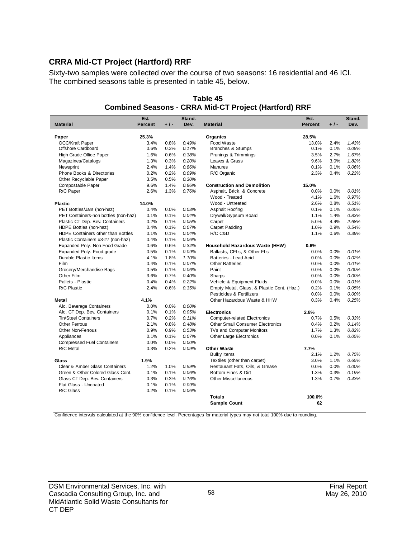# **CRRA Mid-CT Project (Hartford) RRF**

Sixty-two samples were collected over the course of two seasons: 16 residential and 46 ICI. The combined seasons table is presented in table 45, below.

|                                      | Est.    |       | Stand. |                                            | Est.           |       | Stand. |
|--------------------------------------|---------|-------|--------|--------------------------------------------|----------------|-------|--------|
| <b>Material</b>                      | Percent | $+1-$ | Dev.   | <b>Material</b>                            | <b>Percent</b> | $+1-$ | Dev.   |
|                                      |         |       |        |                                            |                |       |        |
| Paper                                | 25.3%   |       |        | Organics                                   | 28.5%          |       |        |
| <b>OCC/Kraft Paper</b>               | 3.4%    | 0.8%  | 0.49%  | Food Waste                                 | 13.0%          | 2.4%  | 1.43%  |
| Offshore Cardboard                   | 0.6%    | 0.3%  | 0.17%  | <b>Branches &amp; Stumps</b>               | 0.1%           | 0.1%  | 0.08%  |
| High Grade Office Paper              | 1.6%    | 0.6%  | 0.38%  | Prunings & Trimmings                       | 3.5%           | 2.7%  | 1.67%  |
| Magazines/Catalogs                   | 1.3%    | 0.3%  | 0.20%  | Leaves & Grass                             | 9.6%           | 3.0%  | 1.82%  |
| Newsprint                            | 2.4%    | 1.4%  | 0.86%  | <b>Manures</b>                             | 0.1%           | 0.1%  | 0.06%  |
| Phone Books & Directories            | 0.2%    | 0.2%  | 0.09%  | R/C Organic                                | 2.3%           | 0.4%  | 0.23%  |
| Other Recyclable Paper               | 3.5%    | 0.5%  | 0.30%  |                                            |                |       |        |
| Compostable Paper                    | 9.6%    | 1.4%  | 0.86%  | <b>Construction and Demolition</b>         | 15.0%          |       |        |
| R/C Paper                            | 2.6%    | 1.3%  | 0.76%  | Asphalt, Brick, & Concrete                 | 0.0%           | 0.0%  | 0.01%  |
|                                      |         |       |        | Wood - Treated                             | 4.1%           | 1.6%  | 0.97%  |
| <b>Plastic</b>                       | 14.0%   |       |        | Wood - Untreated                           | 2.6%           | 0.8%  | 0.51%  |
| PET Bottles/Jars (non-haz)           | 0.4%    | 0.0%  | 0.03%  | Asphalt Roofing                            | 0.1%           | 0.1%  | 0.05%  |
| PET Containers-non bottles (non-haz) | 0.1%    | 0.1%  | 0.04%  | Drywall/Gypsum Board                       | 1.1%           | 1.4%  | 0.83%  |
| Plastic CT Dep. Bev. Containers      | 0.2%    | 0.1%  | 0.05%  | Carpet                                     | 5.0%           | 4.4%  | 2.68%  |
| HDPE Bottles (non-haz)               | 0.4%    | 0.1%  | 0.07%  | Carpet Padding                             | 1.0%           | 0.9%  | 0.54%  |
| HDPE Containers other than Bottles   | 0.1%    | 0.1%  | 0.04%  | R/C C&D                                    | 1.1%           | 0.6%  | 0.39%  |
| Plastic Containers #3-#7 (non-haz)   | 0.4%    | 0.1%  | 0.06%  |                                            |                |       |        |
| Expanded Poly. Non-Food Grade        | 0.6%    | 0.6%  | 0.34%  | Household Hazardous Waste (HHW)            | 0.6%           |       |        |
| Expanded Poly. Food-grade            | 0.5%    | 0.1%  | 0.09%  | Ballasts, CFLs, & Other FLs                | 0.0%           | 0.0%  | 0.01%  |
| Durable Plastic Items                | 4.1%    | 1.8%  | 1.10%  | Batteries - Lead Acid                      | 0.0%           | 0.0%  | 0.02%  |
| Film                                 | 0.4%    | 0.1%  | 0.07%  | <b>Other Batteries</b>                     | 0.0%           | 0.0%  | 0.01%  |
| Grocery/Merchandise Bags             | 0.5%    | 0.1%  | 0.06%  | Paint                                      | 0.0%           | 0.0%  | 0.00%  |
| Other Film                           | 3.6%    | 0.7%  | 0.40%  | Sharps                                     | 0.0%           | 0.0%  | 0.00%  |
| Pallets - Plastic                    | 0.4%    | 0.4%  | 0.22%  | Vehicle & Equipment Fluids                 | 0.0%           | 0.0%  | 0.01%  |
| R/C Plastic                          | 2.4%    | 0.6%  | 0.35%  | Empty Metal, Glass, & Plastic Cont. (Haz.) | 0.2%           | 0.1%  | 0.05%  |
|                                      |         |       |        | Pesticides & Fertilizers                   | 0.0%           | 0.0%  | 0.00%  |
| Metal                                | 4.1%    |       |        | Other Hazardous Waste & HHW                | 0.3%           | 0.4%  | 0.25%  |
| Alc. Beverage Containers             | 0.0%    | 0.0%  | 0.00%  |                                            |                |       |        |
| Alc. CT Dep. Bev. Containers         | 0.1%    | 0.1%  | 0.05%  | <b>Electronics</b>                         | 2.8%           |       |        |
| Tin/Steel Containers                 | 0.7%    | 0.2%  | 0.11%  | <b>Computer-related Electronics</b>        | 0.7%           | 0.5%  | 0.33%  |
| <b>Other Ferrous</b>                 | 2.1%    | 0.8%  | 0.48%  | Other Small Consumer Electronics           | 0.4%           | 0.2%  | 0.14%  |
| <b>Other Non-Ferrous</b>             | 0.9%    | 0.9%  | 0.53%  | TVs and Computer Monitors                  | 1.7%           | 1.3%  | 0.82%  |
| Appliances                           | 0.1%    | 0.1%  | 0.07%  | Other Large Electronics                    | 0.0%           | 0.1%  | 0.05%  |
| <b>Compressed Fuel Containers</b>    | 0.0%    | 0.0%  | 0.00%  |                                            |                |       |        |
| R/C Metal                            | 0.3%    | 0.2%  | 0.09%  | <b>Other Waste</b>                         | 7.7%           |       |        |
|                                      |         |       |        | Bulky Items                                | 2.1%           | 1.2%  | 0.75%  |
| Glass                                | 1.9%    |       |        | Textiles (other than carpet)               | 3.0%           | 1.1%  | 0.65%  |
| Clear & Amber Glass Containers       | 1.2%    | 1.0%  | 0.59%  | Restaurant Fats, Oils, & Grease            | 0.0%           | 0.0%  | 0.00%  |
| Green & Other Colored Glass Cont.    | 0.1%    | 0.1%  | 0.06%  | Bottom Fines & Dirt                        | 1.3%           | 0.3%  | 0.19%  |
| Glass CT Dep. Bev. Containers        | 0.3%    | 0.3%  | 0.16%  | <b>Other Miscellaneous</b>                 | 1.3%           | 0.7%  | 0.43%  |
| Flat Glass - Uncoated                | 0.1%    | 0.1%  | 0.09%  |                                            |                |       |        |
| R/C Glass                            | 0.2%    | 0.1%  | 0.06%  |                                            |                |       |        |
|                                      |         |       |        | <b>Totals</b>                              | 100.0%         |       |        |
|                                      |         |       |        | <b>Sample Count</b>                        | 62             |       |        |

#### **Table 45 Combined Seasons - CRRA Mid-CT Project (Hartford) RRF**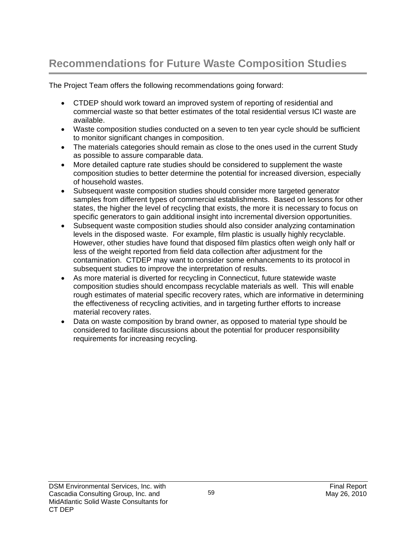# **Recommendations for Future Waste Composition Studies**

The Project Team offers the following recommendations going forward:

- CTDEP should work toward an improved system of reporting of residential and commercial waste so that better estimates of the total residential versus ICI waste are available.
- Waste composition studies conducted on a seven to ten year cycle should be sufficient to monitor significant changes in composition.
- The materials categories should remain as close to the ones used in the current Study as possible to assure comparable data.
- More detailed capture rate studies should be considered to supplement the waste composition studies to better determine the potential for increased diversion, especially of household wastes.
- Subsequent waste composition studies should consider more targeted generator samples from different types of commercial establishments. Based on lessons for other states, the higher the level of recycling that exists, the more it is necessary to focus on specific generators to gain additional insight into incremental diversion opportunities.
- Subsequent waste composition studies should also consider analyzing contamination levels in the disposed waste. For example, film plastic is usually highly recyclable. However, other studies have found that disposed film plastics often weigh only half or less of the weight reported from field data collection after adjustment for the contamination. CTDEP may want to consider some enhancements to its protocol in subsequent studies to improve the interpretation of results.
- As more material is diverted for recycling in Connecticut, future statewide waste composition studies should encompass recyclable materials as well. This will enable rough estimates of material specific recovery rates, which are informative in determining the effectiveness of recycling activities, and in targeting further efforts to increase material recovery rates.
- Data on waste composition by brand owner, as opposed to material type should be considered to facilitate discussions about the potential for producer responsibility requirements for increasing recycling.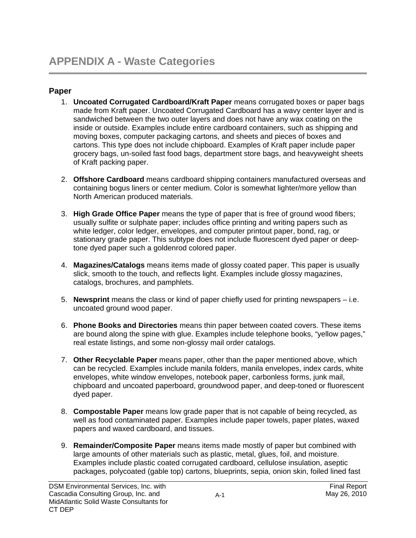## **Paper**

- 1. **Uncoated Corrugated Cardboard/Kraft Paper** means corrugated boxes or paper bags made from Kraft paper. Uncoated Corrugated Cardboard has a wavy center layer and is sandwiched between the two outer layers and does not have any wax coating on the inside or outside. Examples include entire cardboard containers, such as shipping and moving boxes, computer packaging cartons, and sheets and pieces of boxes and cartons. This type does not include chipboard. Examples of Kraft paper include paper grocery bags, un-soiled fast food bags, department store bags, and heavyweight sheets of Kraft packing paper.
- 2. **Offshore Cardboard** means cardboard shipping containers manufactured overseas and containing bogus liners or center medium. Color is somewhat lighter/more yellow than North American produced materials.
- 3. **High Grade Office Paper** means the type of paper that is free of ground wood fibers; usually sulfite or sulphate paper; includes office printing and writing papers such as white ledger, color ledger, envelopes, and computer printout paper, bond, rag, or stationary grade paper. This subtype does not include fluorescent dyed paper or deeptone dyed paper such a goldenrod colored paper.
- 4. **Magazines/Catalogs** means items made of glossy coated paper. This paper is usually slick, smooth to the touch, and reflects light. Examples include glossy magazines, catalogs, brochures, and pamphlets.
- 5. **Newsprint** means the class or kind of paper chiefly used for printing newspapers i.e. uncoated ground wood paper.
- 6. **Phone Books and Directories** means thin paper between coated covers. These items are bound along the spine with glue. Examples include telephone books, "yellow pages," real estate listings, and some non-glossy mail order catalogs.
- 7. **Other Recyclable Paper** means paper, other than the paper mentioned above, which can be recycled. Examples include manila folders, manila envelopes, index cards, white envelopes, white window envelopes, notebook paper, carbonless forms, junk mail, chipboard and uncoated paperboard, groundwood paper, and deep-toned or fluorescent dyed paper.
- 8. **Compostable Paper** means low grade paper that is not capable of being recycled, as well as food contaminated paper. Examples include paper towels, paper plates, waxed papers and waxed cardboard, and tissues.
- 9. **Remainder/Composite Paper** means items made mostly of paper but combined with large amounts of other materials such as plastic, metal, glues, foil, and moisture. Examples include plastic coated corrugated cardboard, cellulose insulation, aseptic packages, polycoated (gable top) cartons, blueprints, sepia, onion skin, foiled lined fast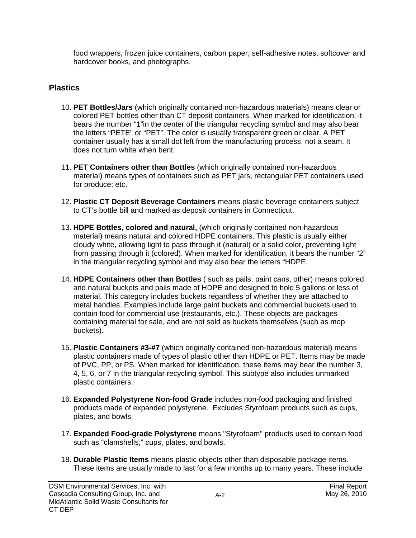food wrappers, frozen juice containers, carbon paper, self-adhesive notes, softcover and hardcover books, and photographs.

# **Plastics**

- 10. **PET Bottles/Jars** (which originally contained non-hazardous materials) means clear or colored PET bottles other than CT deposit containers. When marked for identification, it bears the number "1"in the center of the triangular recycling symbol and may also bear the letters "PETE" or "PET". The color is usually transparent green or clear. A PET container usually has a small dot left from the manufacturing process, not a seam. It does not turn white when bent.
- 11. **PET Containers other than Bottles** (which originally contained non-hazardous material) means types of containers such as PET jars, rectangular PET containers used for produce; etc.
- 12. **Plastic CT Deposit Beverage Containers** means plastic beverage containers subject to CT's bottle bill and marked as deposit containers in Connecticut.
- 13. **HDPE Bottles, colored and natural,** (which originally contained non-hazardous material) means natural and colored HDPE containers. This plastic is usually either cloudy white, allowing light to pass through it (natural) or a solid color, preventing light from passing through it (colored). When marked for identification, it bears the number "2" in the triangular recycling symbol and may also bear the letters "HDPE.
- 14. **HDPE Containers other than Bottles** ( such as pails, paint cans, other) means colored and natural buckets and pails made of HDPE and designed to hold 5 gallons or less of material. This category includes buckets regardless of whether they are attached to metal handles. Examples include large paint buckets and commercial buckets used to contain food for commercial use (restaurants, etc.). These objects are packages containing material for sale, and are not sold as buckets themselves (such as mop buckets).
- 15. **Plastic Containers #3-#7** (which originally contained non-hazardous material) means plastic containers made of types of plastic other than HDPE or PET. Items may be made of PVC, PP, or PS. When marked for identification, these items may bear the number 3, 4, 5, 6, or 7 in the triangular recycling symbol. This subtype also includes unmarked plastic containers.
- 16. **Expanded Polystyrene Non-food Grade** includes non-food packaging and finished products made of expanded polystyrene. Excludes Styrofoam products such as cups, plates, and bowls.
- 17. **Expanded Food-grade Polystyrene** means "Styrofoam" products used to contain food such as "clamshells," cups, plates, and bowls.
- 18. **Durable Plastic Items** means plastic objects other than disposable package items. These items are usually made to last for a few months up to many years. These include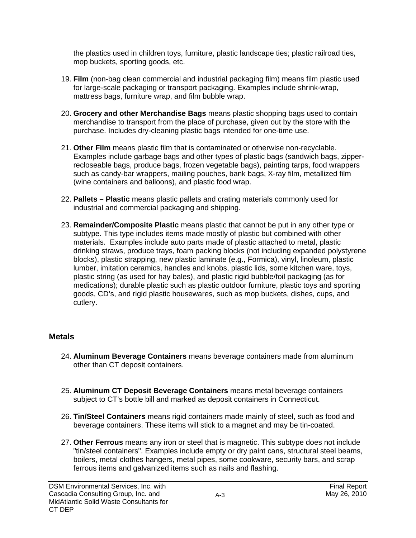the plastics used in children toys, furniture, plastic landscape ties; plastic railroad ties, mop buckets, sporting goods, etc.

- 19. **Film** (non-bag clean commercial and industrial packaging film) means film plastic used for large-scale packaging or transport packaging. Examples include shrink-wrap, mattress bags, furniture wrap, and film bubble wrap.
- 20. **Grocery and other Merchandise Bags** means plastic shopping bags used to contain merchandise to transport from the place of purchase, given out by the store with the purchase. Includes dry-cleaning plastic bags intended for one-time use.
- 21. **Other Film** means plastic film that is contaminated or otherwise non-recyclable. Examples include garbage bags and other types of plastic bags (sandwich bags, zipperrecloseable bags, produce bags, frozen vegetable bags), painting tarps, food wrappers such as candy-bar wrappers, mailing pouches, bank bags, X-ray film, metallized film (wine containers and balloons), and plastic food wrap.
- 22. **Pallets Plastic** means plastic pallets and crating materials commonly used for industrial and commercial packaging and shipping.
- 23. **Remainder/Composite Plastic** means plastic that cannot be put in any other type or subtype. This type includes items made mostly of plastic but combined with other materials. Examples include auto parts made of plastic attached to metal, plastic drinking straws, produce trays, foam packing blocks (not including expanded polystyrene blocks), plastic strapping, new plastic laminate (e.g., Formica), vinyl, linoleum, plastic lumber, imitation ceramics, handles and knobs, plastic lids, some kitchen ware, toys, plastic string (as used for hay bales), and plastic rigid bubble/foil packaging (as for medications); durable plastic such as plastic outdoor furniture, plastic toys and sporting goods, CD's, and rigid plastic housewares, such as mop buckets, dishes, cups, and cutlery.

## **Metals**

- 24. **Aluminum Beverage Containers** means beverage containers made from aluminum other than CT deposit containers.
- 25. **Aluminum CT Deposit Beverage Containers** means metal beverage containers subject to CT's bottle bill and marked as deposit containers in Connecticut.
- 26. **Tin/Steel Containers** means rigid containers made mainly of steel, such as food and beverage containers. These items will stick to a magnet and may be tin-coated.
- 27. **Other Ferrous** means any iron or steel that is magnetic. This subtype does not include "tin/steel containers". Examples include empty or dry paint cans, structural steel beams, boilers, metal clothes hangers, metal pipes, some cookware, security bars, and scrap ferrous items and galvanized items such as nails and flashing.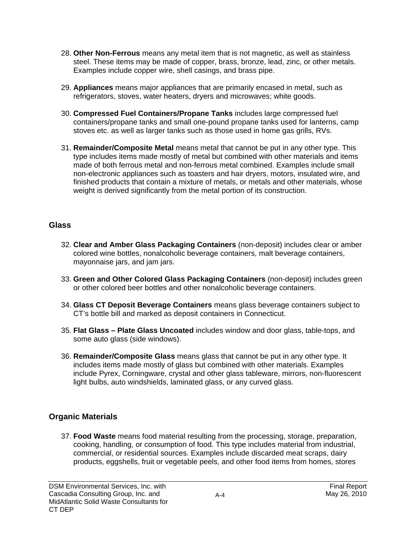- 28. **Other Non-Ferrous** means any metal item that is not magnetic, as well as stainless steel. These items may be made of copper, brass, bronze, lead, zinc, or other metals. Examples include copper wire, shell casings, and brass pipe.
- 29. **Appliances** means major appliances that are primarily encased in metal, such as refrigerators, stoves, water heaters, dryers and microwaves; white goods.
- 30. **Compressed Fuel Containers/Propane Tanks** includes large compressed fuel containers/propane tanks and small one-pound propane tanks used for lanterns, camp stoves etc. as well as larger tanks such as those used in home gas grills, RVs.
- 31. **Remainder/Composite Metal** means metal that cannot be put in any other type. This type includes items made mostly of metal but combined with other materials and items made of both ferrous metal and non-ferrous metal combined. Examples include small non-electronic appliances such as toasters and hair dryers, motors, insulated wire, and finished products that contain a mixture of metals, or metals and other materials, whose weight is derived significantly from the metal portion of its construction.

## **Glass**

- 32. **Clear and Amber Glass Packaging Containers** (non-deposit) includes clear or amber colored wine bottles, nonalcoholic beverage containers, malt beverage containers, mayonnaise jars, and jam jars.
- 33. **Green and Other Colored Glass Packaging Containers** (non-deposit) includes green or other colored beer bottles and other nonalcoholic beverage containers.
- 34. **Glass CT Deposit Beverage Containers** means glass beverage containers subject to CT's bottle bill and marked as deposit containers in Connecticut.
- 35. **Flat Glass Plate Glass Uncoated** includes window and door glass, table-tops, and some auto glass (side windows).
- 36. **Remainder/Composite Glass** means glass that cannot be put in any other type. It includes items made mostly of glass but combined with other materials. Examples include Pyrex, Corningware, crystal and other glass tableware, mirrors, non-fluorescent light bulbs, auto windshields, laminated glass, or any curved glass.

# **Organic Materials**

37. **Food Waste** means food material resulting from the processing, storage, preparation, cooking, handling, or consumption of food. This type includes material from industrial, commercial, or residential sources. Examples include discarded meat scraps, dairy products, eggshells, fruit or vegetable peels, and other food items from homes, stores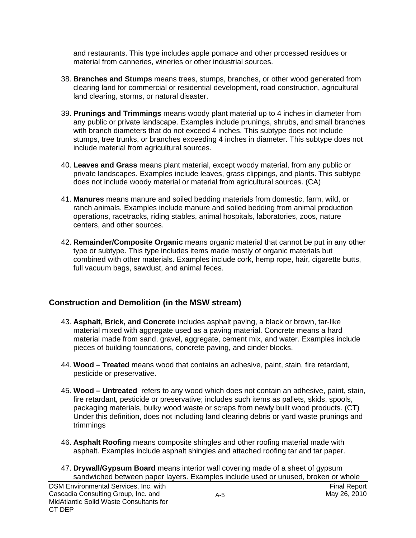and restaurants. This type includes apple pomace and other processed residues or material from canneries, wineries or other industrial sources.

- 38. **Branches and Stumps** means trees, stumps, branches, or other wood generated from clearing land for commercial or residential development, road construction, agricultural land clearing, storms, or natural disaster.
- 39. **Prunings and Trimmings** means woody plant material up to 4 inches in diameter from any public or private landscape. Examples include prunings, shrubs, and small branches with branch diameters that do not exceed 4 inches. This subtype does not include stumps, tree trunks, or branches exceeding 4 inches in diameter. This subtype does not include material from agricultural sources.
- 40. **Leaves and Grass** means plant material, except woody material, from any public or private landscapes. Examples include leaves, grass clippings, and plants. This subtype does not include woody material or material from agricultural sources. (CA)
- 41. **Manures** means manure and soiled bedding materials from domestic, farm, wild, or ranch animals. Examples include manure and soiled bedding from animal production operations, racetracks, riding stables, animal hospitals, laboratories, zoos, nature centers, and other sources.
- 42. **Remainder/Composite Organic** means organic material that cannot be put in any other type or subtype. This type includes items made mostly of organic materials but combined with other materials. Examples include cork, hemp rope, hair, cigarette butts, full vacuum bags, sawdust, and animal feces.

## **Construction and Demolition (in the MSW stream)**

- 43. **Asphalt, Brick, and Concrete** includes asphalt paving, a black or brown, tar-like material mixed with aggregate used as a paving material. Concrete means a hard material made from sand, gravel, aggregate, cement mix, and water. Examples include pieces of building foundations, concrete paving, and cinder blocks.
- 44. **Wood Treated** means wood that contains an adhesive, paint, stain, fire retardant, pesticide or preservative.
- 45. **Wood Untreated** refers to any wood which does not contain an adhesive, paint, stain, fire retardant, pesticide or preservative; includes such items as pallets, skids, spools, packaging materials, bulky wood waste or scraps from newly built wood products. (CT) Under this definition, does not including land clearing debris or yard waste prunings and trimmings
- 46. **Asphalt Roofing** means composite shingles and other roofing material made with asphalt. Examples include asphalt shingles and attached roofing tar and tar paper.
- 47. **Drywall/Gypsum Board** means interior wall covering made of a sheet of gypsum sandwiched between paper layers. Examples include used or unused, broken or whole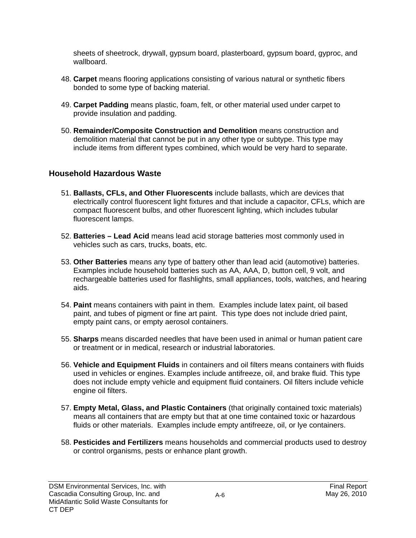sheets of sheetrock, drywall, gypsum board, plasterboard, gypsum board, gyproc, and wallboard.

- 48. **Carpet** means flooring applications consisting of various natural or synthetic fibers bonded to some type of backing material.
- 49. **Carpet Padding** means plastic, foam, felt, or other material used under carpet to provide insulation and padding.
- 50. **Remainder/Composite Construction and Demolition** means construction and demolition material that cannot be put in any other type or subtype. This type may include items from different types combined, which would be very hard to separate.

# **Household Hazardous Waste**

- 51. **Ballasts, CFLs, and Other Fluorescents** include ballasts, which are devices that electrically control fluorescent light fixtures and that include a capacitor, CFLs, which are compact fluorescent bulbs, and other fluorescent lighting, which includes tubular fluorescent lamps.
- 52. **Batteries Lead Acid** means lead acid storage batteries most commonly used in vehicles such as cars, trucks, boats, etc.
- 53. **Other Batteries** means any type of battery other than lead acid (automotive) batteries. Examples include household batteries such as AA, AAA, D, button cell, 9 volt, and rechargeable batteries used for flashlights, small appliances, tools, watches, and hearing aids.
- 54. **Paint** means containers with paint in them. Examples include latex paint, oil based paint, and tubes of pigment or fine art paint. This type does not include dried paint, empty paint cans, or empty aerosol containers.
- 55. **Sharps** means discarded needles that have been used in animal or human patient care or treatment or in medical, research or industrial laboratories.
- 56. **Vehicle and Equipment Fluids** in containers and oil filters means containers with fluids used in vehicles or engines. Examples include antifreeze, oil, and brake fluid. This type does not include empty vehicle and equipment fluid containers. Oil filters include vehicle engine oil filters.
- 57. **Empty Metal, Glass, and Plastic Containers** (that originally contained toxic materials) means all containers that are empty but that at one time contained toxic or hazardous fluids or other materials. Examples include empty antifreeze, oil, or lye containers.
- 58. **Pesticides and Fertilizers** means households and commercial products used to destroy or control organisms, pests or enhance plant growth.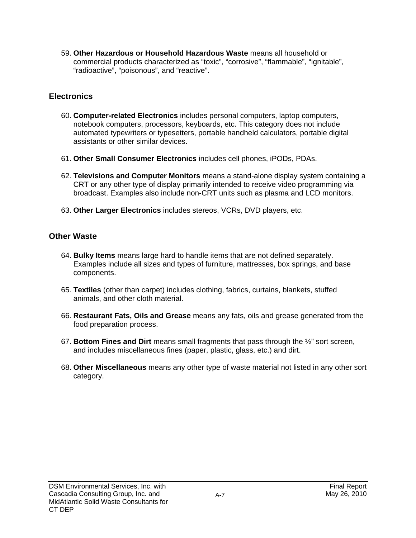59. **Other Hazardous or Household Hazardous Waste** means all household or commercial products characterized as "toxic", "corrosive", "flammable", "ignitable", "radioactive", "poisonous", and "reactive".

## **Electronics**

- 60. **Computer-related Electronics** includes personal computers, laptop computers, notebook computers, processors, keyboards, etc. This category does not include automated typewriters or typesetters, portable handheld calculators, portable digital assistants or other similar devices.
- 61. **Other Small Consumer Electronics** includes cell phones, iPODs, PDAs.
- 62. **Televisions and Computer Monitors** means a stand-alone display system containing a CRT or any other type of display primarily intended to receive video programming via broadcast. Examples also include non-CRT units such as plasma and LCD monitors.
- 63. **Other Larger Electronics** includes stereos, VCRs, DVD players, etc.

## **Other Waste**

- 64. **Bulky Items** means large hard to handle items that are not defined separately. Examples include all sizes and types of furniture, mattresses, box springs, and base components.
- 65. **Textiles** (other than carpet) includes clothing, fabrics, curtains, blankets, stuffed animals, and other cloth material.
- 66. **Restaurant Fats, Oils and Grease** means any fats, oils and grease generated from the food preparation process.
- 67. **Bottom Fines and Dirt** means small fragments that pass through the ½" sort screen, and includes miscellaneous fines (paper, plastic, glass, etc.) and dirt.
- 68. **Other Miscellaneous** means any other type of waste material not listed in any other sort category.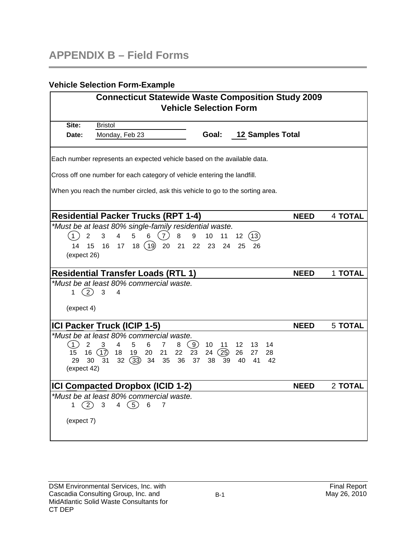## **Vehicle Selection Form-Example**

|                       | <b>Connecticut Statewide Waste Composition Study 2009</b><br><b>Vehicle Selection Form</b> |                         |                |
|-----------------------|--------------------------------------------------------------------------------------------|-------------------------|----------------|
| Site:                 | <b>Bristol</b>                                                                             |                         |                |
| Date:                 | Goal:<br>Monday, Feb 23                                                                    | <b>12 Samples Total</b> |                |
|                       | Each number represents an expected vehicle based on the available data.                    |                         |                |
|                       | Cross off one number for each category of vehicle entering the landfill.                   |                         |                |
|                       | When you reach the number circled, ask this vehicle to go to the sorting area.             |                         |                |
|                       | <b>Residential Packer Trucks (RPT 1-4)</b>                                                 | <b>NEED</b>             | <b>4 TOTAL</b> |
|                       | *Must be at least 80% single-family residential waste.                                     |                         |                |
| (1)<br>$\overline{2}$ | 3<br>(7)<br>4<br>5<br>6<br>8<br>9<br>10<br>11<br>12                                        | (13)                    |                |
| 14<br>15              | 18(19)20<br>16<br>22<br>17 <sup>7</sup><br>21<br>23<br>24<br>25                            | -26                     |                |
| (expect 26)           |                                                                                            |                         |                |
|                       | <b>Residential Transfer Loads (RTL 1)</b>                                                  | <b>NEED</b>             | 1 TOTAL        |
|                       | *Must be at least 80% commercial waste.                                                    |                         |                |
| (2)<br>1.             | 3<br>4                                                                                     |                         |                |
| (expect 4)            |                                                                                            |                         |                |
|                       | ICI Packer Truck (ICIP 1-5)                                                                | <b>NEED</b>             | <b>5 TOTAL</b> |
|                       | *Must be at least 80% commercial waste.                                                    |                         |                |
| (1)<br>2              | $\left( 9\right)$<br>4<br>5<br>6<br>3<br>$\overline{7}$<br>8<br>10<br>12<br>11             | 14<br>13                |                |
| 15                    | 16(17)<br>22<br>23<br>24<br>(25)<br>26<br>18<br>- 19<br>20<br>21                           | 28<br>27                |                |
| 29<br>30              | $32(33)$ 34 35<br>37<br>31<br>36<br>38<br>- 39<br>40                                       | 41<br>42                |                |
| (expect 42)           |                                                                                            |                         |                |
|                       | <b>ICI Compacted Dropbox (ICID 1-2)</b>                                                    | <b>NEED</b>             | 2 TOTAL        |
|                       | *Must be at least 80% commercial waste.                                                    |                         |                |
| (2)<br>1.             | 4 $(5)$<br>$\mathbf{3}$<br>6<br>7                                                          |                         |                |
| (expect 7)            |                                                                                            |                         |                |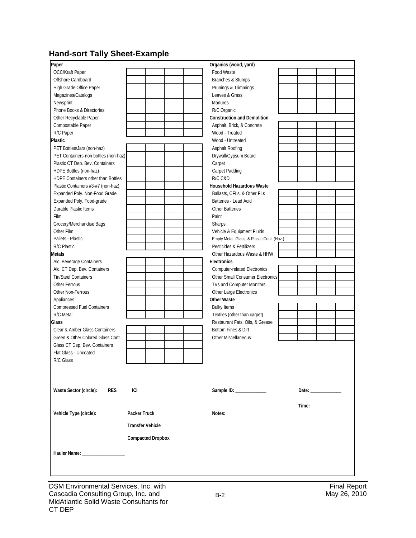# **Hand-sort Tally Sheet-Example**

| Paper                                |                          | Organics (wood, yard)                      |                       |
|--------------------------------------|--------------------------|--------------------------------------------|-----------------------|
| OCC/Kraft Paper                      |                          | Food Waste                                 |                       |
| Offshore Cardboard                   |                          | Branches & Stumps                          |                       |
| High Grade Office Paper              |                          | Prunings & Trimmings                       |                       |
| Magazines/Catalogs                   |                          | Leaves & Grass                             |                       |
| Newsprint                            |                          | <b>Manures</b>                             |                       |
| Phone Books & Directories            |                          | R/C Organic                                |                       |
| Other Recyclable Paper               |                          | <b>Construction and Demolition</b>         |                       |
| Compostable Paper                    |                          | Asphalt, Brick, & Concrete                 |                       |
| R/C Paper                            |                          | Wood - Treated                             |                       |
| <b>Plastic</b>                       |                          | Wood - Untreated                           |                       |
| PET Bottles/Jars (non-haz)           |                          | Asphalt Roofing                            |                       |
| PET Containers-non bottles (non-haz) |                          | Drywall/Gypsum Board                       |                       |
| Plastic CT Dep. Bev. Containers      |                          | Carpet                                     |                       |
| HDPE Bottles (non-haz)               |                          | Carpet Padding                             |                       |
| HDPE Containers other than Bottles   |                          | R/C C&D                                    |                       |
| Plastic Containers #3-#7 (non-haz)   |                          | <b>Household Hazardous Waste</b>           |                       |
| Expanded Poly. Non-Food Grade        |                          | Ballasts, CFLs, & Other FLs                |                       |
| Expanded Poly. Food-grade            |                          | Batteries - Lead Acid                      |                       |
| Durable Plastic Items                |                          | <b>Other Batteries</b>                     |                       |
| Film                                 |                          | Paint                                      |                       |
| Grocery/Merchandise Bags             |                          | Sharps                                     |                       |
| Other Film                           |                          | Vehicle & Equipment Fluids                 |                       |
| Pallets - Plastic                    |                          | Empty Metal, Glass, & Plastic Cont. (Haz.) |                       |
| R/C Plastic                          |                          | Pesticides & Fertilizers                   |                       |
| Metals                               |                          | Other Hazardous Waste & HHW                |                       |
| Alc. Beverage Containers             |                          | Electronics                                |                       |
| Alc. CT Dep. Bev. Containers         |                          | <b>Computer-related Electronics</b>        |                       |
| <b>Tin/Steel Containers</b>          |                          | Other Small Consumer Electronics           |                       |
| Other Ferrous                        |                          | TVs and Computer Monitors                  |                       |
| Other Non-Ferrous                    |                          | Other Large Electronics                    |                       |
| Appliances                           |                          | <b>Other Waste</b>                         |                       |
| <b>Compressed Fuel Containers</b>    |                          | <b>Bulky Items</b>                         |                       |
| R/C Metal                            |                          | Textiles (other than carpet)               |                       |
| Glass                                |                          | Restaurant Fats, Oils, & Grease            |                       |
| Clear & Amber Glass Containers       |                          | Bottom Fines & Dirt                        |                       |
| Green & Other Colored Glass Cont.    |                          | Other Miscellaneous                        |                       |
| Glass CT Dep. Bev. Containers        |                          |                                            |                       |
| Flat Glass - Uncoated                |                          |                                            |                       |
| R/C Glass                            |                          |                                            |                       |
|                                      |                          |                                            |                       |
|                                      |                          |                                            |                       |
|                                      |                          |                                            |                       |
| Waste Sector (circle):<br><b>RES</b> | <b>ICI</b>               | Sample ID: _____________                   | Date: $\frac{1}{2}$   |
|                                      |                          |                                            |                       |
|                                      |                          |                                            | Time: _______________ |
| Vehicle Type (circle):               | Packer Truck             | Notes:                                     |                       |
|                                      | <b>Transfer Vehicle</b>  |                                            |                       |
|                                      | <b>Compacted Dropbox</b> |                                            |                       |
| Hauler Name: _____________________   |                          |                                            |                       |
|                                      |                          |                                            |                       |
|                                      |                          |                                            |                       |
|                                      |                          |                                            |                       |
|                                      |                          |                                            |                       |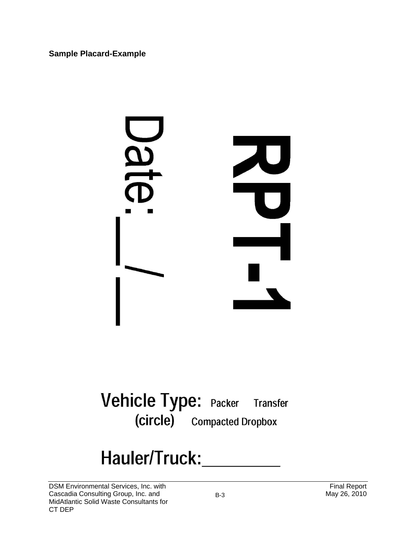**Sample Placard-Example** 



Vehicle Type: Packer Transfer (circle) Compacted Dropbox

# Hauler/Truck:\_\_\_\_\_\_\_\_\_\_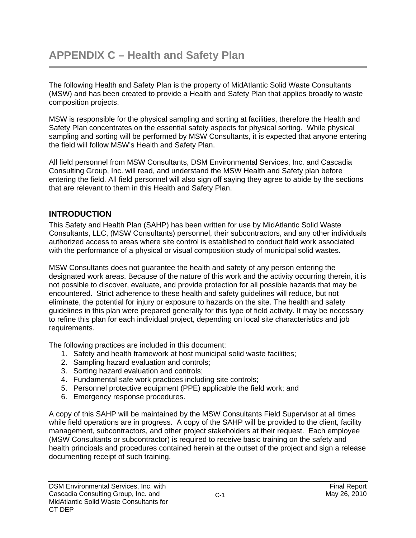The following Health and Safety Plan is the property of MidAtlantic Solid Waste Consultants (MSW) and has been created to provide a Health and Safety Plan that applies broadly to waste composition projects.

MSW is responsible for the physical sampling and sorting at facilities, therefore the Health and Safety Plan concentrates on the essential safety aspects for physical sorting. While physical sampling and sorting will be performed by MSW Consultants, it is expected that anyone entering the field will follow MSW's Health and Safety Plan.

All field personnel from MSW Consultants, DSM Environmental Services, Inc. and Cascadia Consulting Group, Inc. will read, and understand the MSW Health and Safety plan before entering the field. All field personnel will also sign off saying they agree to abide by the sections that are relevant to them in this Health and Safety Plan.

# **INTRODUCTION**

This Safety and Health Plan (SAHP) has been written for use by MidAtlantic Solid Waste Consultants, LLC, (MSW Consultants) personnel, their subcontractors, and any other individuals authorized access to areas where site control is established to conduct field work associated with the performance of a physical or visual composition study of municipal solid wastes.

MSW Consultants does not guarantee the health and safety of any person entering the designated work areas. Because of the nature of this work and the activity occurring therein, it is not possible to discover, evaluate, and provide protection for all possible hazards that may be encountered. Strict adherence to these health and safety guidelines will reduce, but not eliminate, the potential for injury or exposure to hazards on the site. The health and safety guidelines in this plan were prepared generally for this type of field activity. It may be necessary to refine this plan for each individual project, depending on local site characteristics and job requirements.

The following practices are included in this document:

- 1. Safety and health framework at host municipal solid waste facilities;
- 2. Sampling hazard evaluation and controls;
- 3. Sorting hazard evaluation and controls;
- 4. Fundamental safe work practices including site controls;
- 5. Personnel protective equipment (PPE) applicable the field work; and
- 6. Emergency response procedures.

A copy of this SAHP will be maintained by the MSW Consultants Field Supervisor at all times while field operations are in progress. A copy of the SAHP will be provided to the client, facility management, subcontractors, and other project stakeholders at their request. Each employee (MSW Consultants or subcontractor) is required to receive basic training on the safety and health principals and procedures contained herein at the outset of the project and sign a release documenting receipt of such training.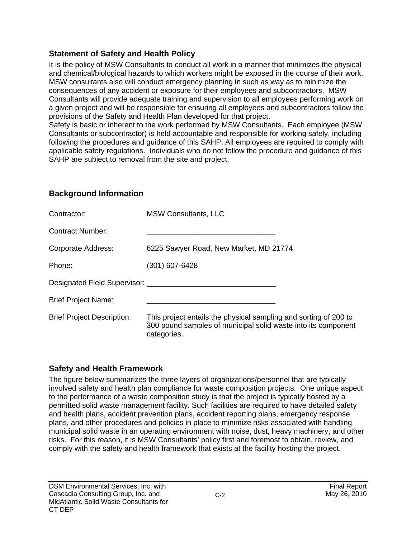## **Statement of Safety and Health Policy**

It is the policy of MSW Consultants to conduct all work in a manner that minimizes the physical and chemical/biological hazards to which workers might be exposed in the course of their work. MSW consultants also will conduct emergency planning in such as way as to minimize the consequences of any accident or exposure for their employees and subcontractors. MSW Consultants will provide adequate training and supervision to all employees performing work on a given project and will be responsible for ensuring all employees and subcontractors follow the provisions of the Safety and Health Plan developed for that project.

Safety is basic or inherent to the work performed by MSW Consultants. Each employee (MSW Consultants or subcontractor) is held accountable and responsible for working safely, including following the procedures and guidance of this SAHP. All employees are required to comply with applicable safety regulations. Individuals who do not follow the procedure and guidance of this SAHP are subject to removal from the site and project.

# **Background Information**

| Contractor:                       | <b>MSW Consultants, LLC</b>                                                                                                                      |
|-----------------------------------|--------------------------------------------------------------------------------------------------------------------------------------------------|
| <b>Contract Number:</b>           |                                                                                                                                                  |
| Corporate Address:                | 6225 Sawyer Road, New Market, MD 21774                                                                                                           |
| Phone:                            | (301) 607-6428                                                                                                                                   |
|                                   | Designated Field Supervisor: New York 1997                                                                                                       |
| <b>Brief Project Name:</b>        |                                                                                                                                                  |
| <b>Brief Project Description:</b> | This project entails the physical sampling and sorting of 200 to<br>300 pound samples of municipal solid waste into its component<br>categories. |

# **Safety and Health Framework**

The figure below summarizes the three layers of organizations/personnel that are typically involved safety and health plan compliance for waste composition projects. One unique aspect to the performance of a waste composition study is that the project is typically hosted by a permitted solid waste management facility. Such facilities are required to have detailed safety and health plans, accident prevention plans, accident reporting plans, emergency response plans, and other procedures and policies in place to minimize risks associated with handling municipal solid waste in an operating environment with noise, dust, heavy machinery, and other risks. For this reason, it is MSW Consultants' policy first and foremost to obtain, review, and comply with the safety and health framework that exists at the facility hosting the project.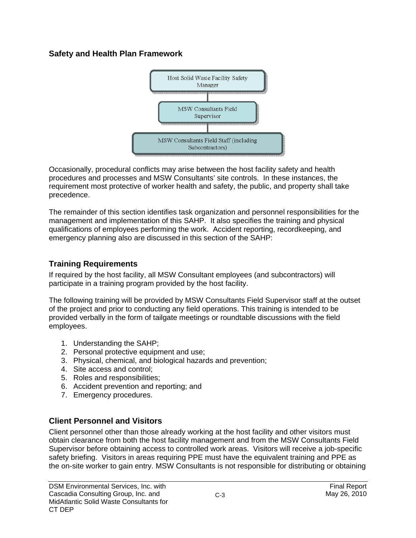## **Safety and Health Plan Framework**



Occasionally, procedural conflicts may arise between the host facility safety and health procedures and processes and MSW Consultants' site controls. In these instances, the requirement most protective of worker health and safety, the public, and property shall take precedence.

The remainder of this section identifies task organization and personnel responsibilities for the management and implementation of this SAHP. It also specifies the training and physical qualifications of employees performing the work. Accident reporting, recordkeeping, and emergency planning also are discussed in this section of the SAHP:

# **Training Requirements**

If required by the host facility, all MSW Consultant employees (and subcontractors) will participate in a training program provided by the host facility.

The following training will be provided by MSW Consultants Field Supervisor staff at the outset of the project and prior to conducting any field operations. This training is intended to be provided verbally in the form of tailgate meetings or roundtable discussions with the field employees.

- 1. Understanding the SAHP;
- 2. Personal protective equipment and use;
- 3. Physical, chemical, and biological hazards and prevention;
- 4. Site access and control;
- 5. Roles and responsibilities;
- 6. Accident prevention and reporting; and
- 7. Emergency procedures.

# **Client Personnel and Visitors**

Client personnel other than those already working at the host facility and other visitors must obtain clearance from both the host facility management and from the MSW Consultants Field Supervisor before obtaining access to controlled work areas. Visitors will receive a job-specific safety briefing. Visitors in areas requiring PPE must have the equivalent training and PPE as the on-site worker to gain entry. MSW Consultants is not responsible for distributing or obtaining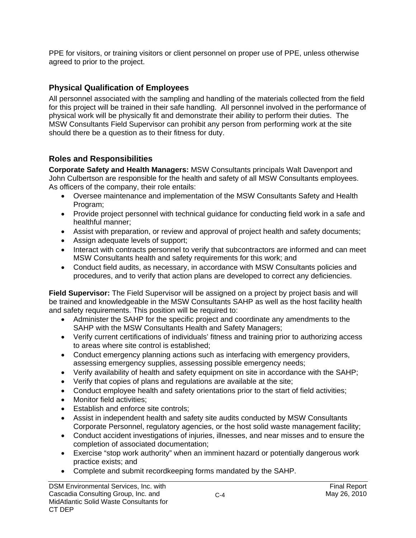PPE for visitors, or training visitors or client personnel on proper use of PPE, unless otherwise agreed to prior to the project.

## **Physical Qualification of Employees**

All personnel associated with the sampling and handling of the materials collected from the field for this project will be trained in their safe handling. All personnel involved in the performance of physical work will be physically fit and demonstrate their ability to perform their duties. The MSW Consultants Field Supervisor can prohibit any person from performing work at the site should there be a question as to their fitness for duty.

## **Roles and Responsibilities**

**Corporate Safety and Health Managers:** MSW Consultants principals Walt Davenport and John Culbertson are responsible for the health and safety of all MSW Consultants employees. As officers of the company, their role entails:

- Oversee maintenance and implementation of the MSW Consultants Safety and Health Program;
- Provide project personnel with technical guidance for conducting field work in a safe and healthful manner;
- Assist with preparation, or review and approval of project health and safety documents;
- Assign adequate levels of support:
- Interact with contracts personnel to verify that subcontractors are informed and can meet MSW Consultants health and safety requirements for this work; and
- Conduct field audits, as necessary, in accordance with MSW Consultants policies and procedures, and to verify that action plans are developed to correct any deficiencies.

**Field Supervisor:** The Field Supervisor will be assigned on a project by project basis and will be trained and knowledgeable in the MSW Consultants SAHP as well as the host facility health and safety requirements. This position will be required to:

- Administer the SAHP for the specific project and coordinate any amendments to the SAHP with the MSW Consultants Health and Safety Managers;
- Verify current certifications of individuals' fitness and training prior to authorizing access to areas where site control is established;
- Conduct emergency planning actions such as interfacing with emergency providers, assessing emergency supplies, assessing possible emergency needs;
- Verify availability of health and safety equipment on site in accordance with the SAHP;
- Verify that copies of plans and regulations are available at the site;
- Conduct employee health and safety orientations prior to the start of field activities;
- Monitor field activities;
- Establish and enforce site controls;
- Assist in independent health and safety site audits conducted by MSW Consultants Corporate Personnel, regulatory agencies, or the host solid waste management facility;
- Conduct accident investigations of injuries, illnesses, and near misses and to ensure the completion of associated documentation;
- Exercise "stop work authority" when an imminent hazard or potentially dangerous work practice exists; and
- Complete and submit recordkeeping forms mandated by the SAHP.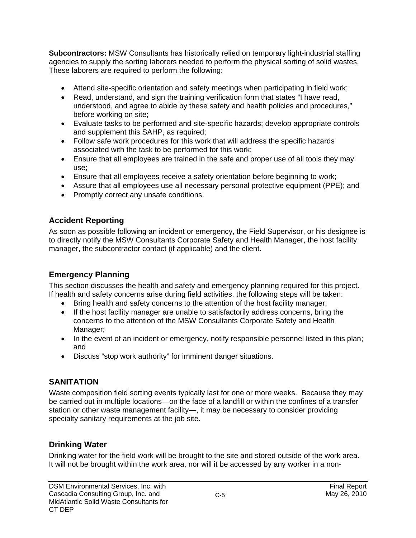**Subcontractors:** MSW Consultants has historically relied on temporary light-industrial staffing agencies to supply the sorting laborers needed to perform the physical sorting of solid wastes. These laborers are required to perform the following:

- Attend site-specific orientation and safety meetings when participating in field work;
- Read, understand, and sign the training verification form that states "I have read, understood, and agree to abide by these safety and health policies and procedures," before working on site;
- Evaluate tasks to be performed and site-specific hazards; develop appropriate controls and supplement this SAHP, as required;
- Follow safe work procedures for this work that will address the specific hazards associated with the task to be performed for this work;
- Ensure that all employees are trained in the safe and proper use of all tools they may use;
- Ensure that all employees receive a safety orientation before beginning to work;
- Assure that all employees use all necessary personal protective equipment (PPE); and
- Promptly correct any unsafe conditions.

# **Accident Reporting**

As soon as possible following an incident or emergency, the Field Supervisor, or his designee is to directly notify the MSW Consultants Corporate Safety and Health Manager, the host facility manager, the subcontractor contact (if applicable) and the client.

# **Emergency Planning**

This section discusses the health and safety and emergency planning required for this project. If health and safety concerns arise during field activities, the following steps will be taken:

- Bring health and safety concerns to the attention of the host facility manager;
- If the host facility manager are unable to satisfactorily address concerns, bring the concerns to the attention of the MSW Consultants Corporate Safety and Health Manager;
- In the event of an incident or emergency, notify responsible personnel listed in this plan; and
- Discuss "stop work authority" for imminent danger situations.

# **SANITATION**

Waste composition field sorting events typically last for one or more weeks. Because they may be carried out in multiple locations—on the face of a landfill or within the confines of a transfer station or other waste management facility—, it may be necessary to consider providing specialty sanitary requirements at the job site.

# **Drinking Water**

Drinking water for the field work will be brought to the site and stored outside of the work area. It will not be brought within the work area, nor will it be accessed by any worker in a non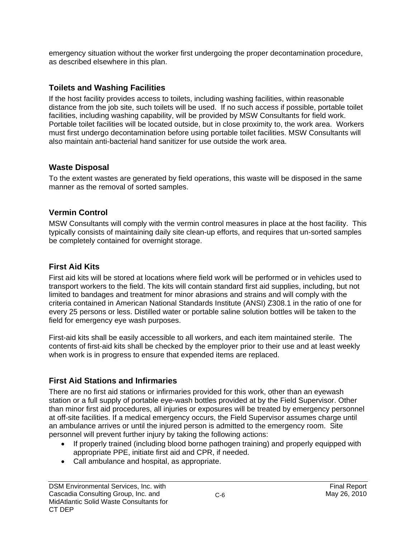emergency situation without the worker first undergoing the proper decontamination procedure, as described elsewhere in this plan.

# **Toilets and Washing Facilities**

If the host facility provides access to toilets, including washing facilities, within reasonable distance from the job site, such toilets will be used. If no such access if possible, portable toilet facilities, including washing capability, will be provided by MSW Consultants for field work. Portable toilet facilities will be located outside, but in close proximity to, the work area. Workers must first undergo decontamination before using portable toilet facilities. MSW Consultants will also maintain anti-bacterial hand sanitizer for use outside the work area.

# **Waste Disposal**

To the extent wastes are generated by field operations, this waste will be disposed in the same manner as the removal of sorted samples.

# **Vermin Control**

MSW Consultants will comply with the vermin control measures in place at the host facility. This typically consists of maintaining daily site clean-up efforts, and requires that un-sorted samples be completely contained for overnight storage.

# **First Aid Kits**

First aid kits will be stored at locations where field work will be performed or in vehicles used to transport workers to the field. The kits will contain standard first aid supplies, including, but not limited to bandages and treatment for minor abrasions and strains and will comply with the criteria contained in American National Standards Institute (ANSI) Z308.1 in the ratio of one for every 25 persons or less. Distilled water or portable saline solution bottles will be taken to the field for emergency eye wash purposes.

First-aid kits shall be easily accessible to all workers, and each item maintained sterile. The contents of first-aid kits shall be checked by the employer prior to their use and at least weekly when work is in progress to ensure that expended items are replaced.

# **First Aid Stations and Infirmaries**

There are no first aid stations or infirmaries provided for this work, other than an eyewash station or a full supply of portable eye-wash bottles provided at by the Field Supervisor. Other than minor first aid procedures, all injuries or exposures will be treated by emergency personnel at off-site facilities. If a medical emergency occurs, the Field Supervisor assumes charge until an ambulance arrives or until the injured person is admitted to the emergency room. Site personnel will prevent further injury by taking the following actions:

- If properly trained (including blood borne pathogen training) and properly equipped with appropriate PPE, initiate first aid and CPR, if needed.
- Call ambulance and hospital, as appropriate.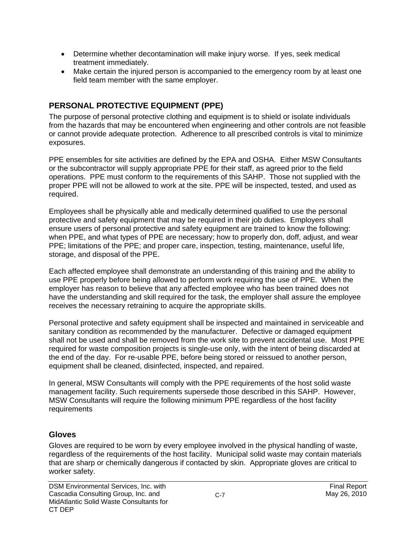- Determine whether decontamination will make injury worse. If yes, seek medical treatment immediately.
- Make certain the injured person is accompanied to the emergency room by at least one field team member with the same employer.

# **PERSONAL PROTECTIVE EQUIPMENT (PPE)**

The purpose of personal protective clothing and equipment is to shield or isolate individuals from the hazards that may be encountered when engineering and other controls are not feasible or cannot provide adequate protection. Adherence to all prescribed controls is vital to minimize exposures.

PPE ensembles for site activities are defined by the EPA and OSHA. Either MSW Consultants or the subcontractor will supply appropriate PPE for their staff, as agreed prior to the field operations. PPE must conform to the requirements of this SAHP. Those not supplied with the proper PPE will not be allowed to work at the site. PPE will be inspected, tested, and used as required.

Employees shall be physically able and medically determined qualified to use the personal protective and safety equipment that may be required in their job duties. Employers shall ensure users of personal protective and safety equipment are trained to know the following: when PPE, and what types of PPE are necessary; how to properly don, doff, adjust, and wear PPE; limitations of the PPE; and proper care, inspection, testing, maintenance, useful life, storage, and disposal of the PPE.

Each affected employee shall demonstrate an understanding of this training and the ability to use PPE properly before being allowed to perform work requiring the use of PPE. When the employer has reason to believe that any affected employee who has been trained does not have the understanding and skill required for the task, the employer shall assure the employee receives the necessary retraining to acquire the appropriate skills.

Personal protective and safety equipment shall be inspected and maintained in serviceable and sanitary condition as recommended by the manufacturer. Defective or damaged equipment shall not be used and shall be removed from the work site to prevent accidental use. Most PPE required for waste composition projects is single-use only, with the intent of being discarded at the end of the day. For re-usable PPE, before being stored or reissued to another person, equipment shall be cleaned, disinfected, inspected, and repaired.

In general, MSW Consultants will comply with the PPE requirements of the host solid waste management facility. Such requirements supersede those described in this SAHP. However, MSW Consultants will require the following minimum PPE regardless of the host facility requirements

#### **Gloves**

Gloves are required to be worn by every employee involved in the physical handling of waste, regardless of the requirements of the host facility. Municipal solid waste may contain materials that are sharp or chemically dangerous if contacted by skin. Appropriate gloves are critical to worker safety.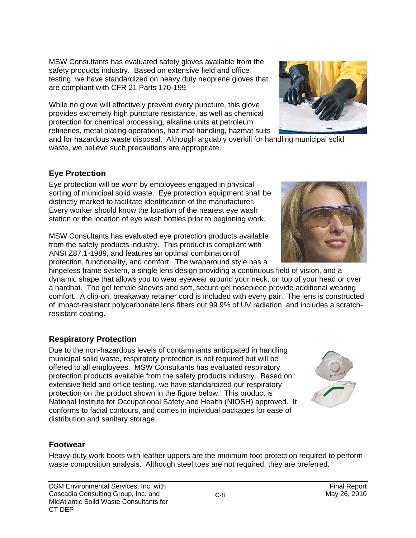MSW Consultants has evaluated safety gloves available from the safety products industry. Based on extensive field and office testing, we have standardized on heavy duty neoprene gloves that are compliant with CFR 21 Parts 170-199.

While no glove will effectively prevent every puncture, this glove provides extremely high puncture resistance, as well as chemical protection for chemical processing, alkaline units at petroleum refineries, metal plating operations, haz-mat handling, hazmat suits

and for hazardous waste disposal. Although arguably overkill for handling municipal solid waste, we believe such precautions are appropriate.

### **Eye Protection**

Eye protection will be worn by employees engaged in physical sorting of municipal solid waste. Eye protection equipment shall be distinctly marked to facilitate identification of the manufacturer. Every worker should know the location of the nearest eye wash station or the location of eye wash bottles prior to beginning work.

MSW Consultants has evaluated eye protection products available from the safety products industry. This product is compliant with ANSI Z87.1-1989, and features an optimal combination of protection, functionality, and comfort. The wraparound style has a

hingeless frame system, a single lens design providing a continuous field of vision, and a dynamic shape that allows you to wear eyewear around your neck, on top of your head or over a hardhat. The gel temple sleeves and soft, secure gel nosepiece provide additional wearing comfort. A clip-on, breakaway retainer cord is included with every pair. The lens is constructed of impact-resistant polycarbonate lens filters out 99.9% of UV radiation, and includes a scratchresistant coating.

## **Respiratory Protection**

Due to the non-hazardous levels of contaminants anticipated in handling municipal solid waste, respiratory protection is not required but will be offered to all employees. MSW Consultants has evaluated respiratory protection products available from the safety products industry. Based on extensive field and office testing, we have standardized our respiratory protection on the product shown in the figure below. This product is National Institute for Occupational Safety and Health (NIOSH) approved. It conforms to facial contours, and comes in individual packages for ease of distribution and sanitary storage.

#### **Footwear**

Heavy-duty work boots with leather uppers are the minimum foot protection required to perform waste composition analysis. Although steel toes are not required, they are preferred.





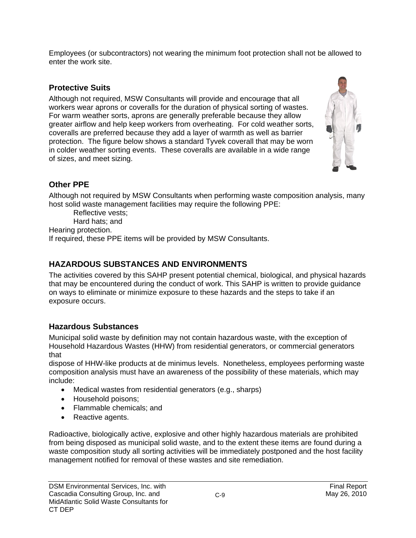Employees (or subcontractors) not wearing the minimum foot protection shall not be allowed to enter the work site.

## **Protective Suits**

Although not required, MSW Consultants will provide and encourage that all workers wear aprons or coveralls for the duration of physical sorting of wastes. For warm weather sorts, aprons are generally preferable because they allow greater airflow and help keep workers from overheating. For cold weather sorts, coveralls are preferred because they add a layer of warmth as well as barrier protection. The figure below shows a standard Tyvek coverall that may be worn in colder weather sorting events. These coveralls are available in a wide range of sizes, and meet sizing.



# **Other PPE**

Although not required by MSW Consultants when performing waste composition analysis, many host solid waste management facilities may require the following PPE:

 Reflective vests; Hard hats; and

Hearing protection.

If required, these PPE items will be provided by MSW Consultants.

# **HAZARDOUS SUBSTANCES AND ENVIRONMENTS**

The activities covered by this SAHP present potential chemical, biological, and physical hazards that may be encountered during the conduct of work. This SAHP is written to provide guidance on ways to eliminate or minimize exposure to these hazards and the steps to take if an exposure occurs.

## **Hazardous Substances**

Municipal solid waste by definition may not contain hazardous waste, with the exception of Household Hazardous Wastes (HHW) from residential generators, or commercial generators that

dispose of HHW-like products at de minimus levels. Nonetheless, employees performing waste composition analysis must have an awareness of the possibility of these materials, which may include:

- Medical wastes from residential generators (e.g., sharps)
- Household poisons;
- Flammable chemicals; and
- Reactive agents.

Radioactive, biologically active, explosive and other highly hazardous materials are prohibited from being disposed as municipal solid waste, and to the extent these items are found during a waste composition study all sorting activities will be immediately postponed and the host facility management notified for removal of these wastes and site remediation.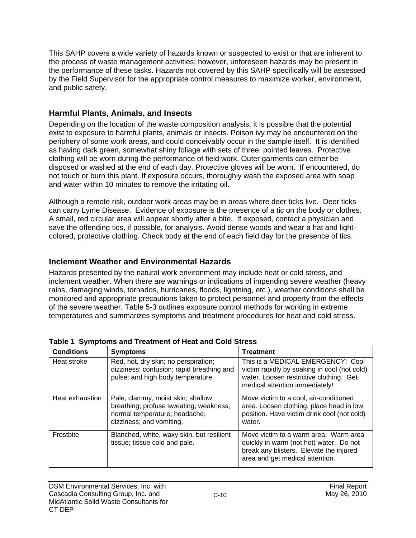This SAHP covers a wide variety of hazards known or suspected to exist or that are inherent to the process of waste management activities; however, unforeseen hazards may be present in the performance of these tasks. Hazards not covered by this SAHP specifically will be assessed by the Field Supervisor for the appropriate control measures to maximize worker, environment, and public safety.

## **Harmful Plants, Animals, and Insects**

Depending on the location of the waste composition analysis, it is possible that the potential exist to exposure to harmful plants, animals or insects. Poison ivy may be encountered on the periphery of some work areas, and could conceivably occur in the sample itself. It is identified as having dark green, somewhat shiny foliage with sets of three, pointed leaves. Protective clothing will be worn during the performance of field work. Outer garments can either be disposed or washed at the end of each day. Protective gloves will be worn. If encountered, do not touch or burn this plant. If exposure occurs, thoroughly wash the exposed area with soap and water within 10 minutes to remove the irritating oil.

Although a remote risk, outdoor work areas may be in areas where deer ticks live. Deer ticks can carry Lyme Disease. Evidence of exposure is the presence of a tic on the body or clothes. A small, red circular area will appear shortly after a bite. If exposed, contact a physician and save the offending tics, if possible, for analysis. Avoid dense woods and wear a hat and lightcolored, protective clothing. Check body at the end of each field day for the presence of tics.

## **Inclement Weather and Environmental Hazards**

Hazards presented by the natural work environment may include heat or cold stress, and inclement weather. When there are warnings or indications of impending severe weather (heavy rains, damaging winds, tornados, hurricanes, floods, lightning, etc.), weather conditions shall be monitored and appropriate precautions taken to protect personnel and property from the effects of the severe weather. Table 5-3 outlines exposure control methods for working in extreme temperatures and summarizes symptoms and treatment procedures for heat and cold stress.

| <b>Conditions</b> | <b>Symptoms</b>                                                                                                                          | <b>Treatment</b>                                                                                                                                               |
|-------------------|------------------------------------------------------------------------------------------------------------------------------------------|----------------------------------------------------------------------------------------------------------------------------------------------------------------|
| Heat stroke       | Red, hot, dry skin; no perspiration;<br>dizziness; confusion; rapid breathing and<br>pulse; and high body temperature.                   | This is a MEDICAL EMERGENCY! Cool<br>victim rapidly by soaking in cool (not cold)<br>water. Loosen restrictive clothing. Get<br>medical attention immediately! |
| Heat exhaustion   | Pale, clammy, moist skin; shallow<br>breathing; profuse sweating; weakness;<br>normal temperature; headache;<br>dizziness; and vomiting. | Move victim to a cool, air-conditioned<br>area. Loosen clothing, place head in low<br>position. Have victim drink cool (not cold)<br>water.                    |
| <b>Frostbite</b>  | Blanched, white, waxy skin, but resilient<br>tissue; tissue cold and pale.                                                               | Move victim to a warm area. Warm area<br>quickly in warm (not hot) water. Do not<br>break any blisters. Elevate the injured<br>area and get medical attention. |

**Table 1 Symptoms and Treatment of Heat and Cold Stress**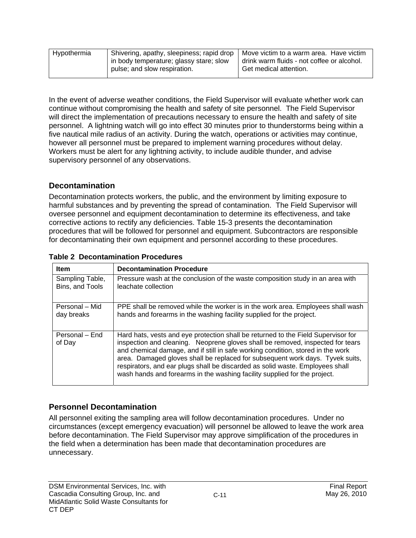| Hypothermia | Shivering, apathy, sleepiness; rapid drop<br>in body temperature; glassy stare; slow<br>pulse; and slow respiration. | Move victim to a warm area. Have victim<br>drink warm fluids - not coffee or alcohol.<br>Get medical attention. |
|-------------|----------------------------------------------------------------------------------------------------------------------|-----------------------------------------------------------------------------------------------------------------|
|             |                                                                                                                      |                                                                                                                 |

In the event of adverse weather conditions, the Field Supervisor will evaluate whether work can continue without compromising the health and safety of site personnel. The Field Supervisor will direct the implementation of precautions necessary to ensure the health and safety of site personnel. A lightning watch will go into effect 30 minutes prior to thunderstorms being within a five nautical mile radius of an activity. During the watch, operations or activities may continue, however all personnel must be prepared to implement warning procedures without delay. Workers must be alert for any lightning activity, to include audible thunder, and advise supervisory personnel of any observations.

#### **Decontamination**

Decontamination protects workers, the public, and the environment by limiting exposure to harmful substances and by preventing the spread of contamination. The Field Supervisor will oversee personnel and equipment decontamination to determine its effectiveness, and take corrective actions to rectify any deficiencies. Table 15-3 presents the decontamination procedures that will be followed for personnel and equipment. Subcontractors are responsible for decontaminating their own equipment and personnel according to these procedures.

| <b>Item</b>              | <b>Decontamination Procedure</b>                                                                                                                                                                                                                                                                                                                                                                                                                                                                      |
|--------------------------|-------------------------------------------------------------------------------------------------------------------------------------------------------------------------------------------------------------------------------------------------------------------------------------------------------------------------------------------------------------------------------------------------------------------------------------------------------------------------------------------------------|
| Sampling Table,          | Pressure wash at the conclusion of the waste composition study in an area with                                                                                                                                                                                                                                                                                                                                                                                                                        |
| Bins, and Tools          | leachate collection                                                                                                                                                                                                                                                                                                                                                                                                                                                                                   |
| Personal – Mid           | PPE shall be removed while the worker is in the work area. Employees shall wash                                                                                                                                                                                                                                                                                                                                                                                                                       |
| day breaks               | hands and forearms in the washing facility supplied for the project.                                                                                                                                                                                                                                                                                                                                                                                                                                  |
| Personal – End<br>of Day | Hard hats, vests and eye protection shall be returned to the Field Supervisor for<br>inspection and cleaning. Neoprene gloves shall be removed, inspected for tears<br>and chemical damage, and if still in safe working condition, stored in the work<br>area. Damaged gloves shall be replaced for subsequent work days. Tyvek suits,<br>respirators, and ear plugs shall be discarded as solid waste. Employees shall<br>wash hands and forearms in the washing facility supplied for the project. |

#### **Table 2 Decontamination Procedures**

## **Personnel Decontamination**

All personnel exiting the sampling area will follow decontamination procedures. Under no circumstances (except emergency evacuation) will personnel be allowed to leave the work area before decontamination. The Field Supervisor may approve simplification of the procedures in the field when a determination has been made that decontamination procedures are unnecessary.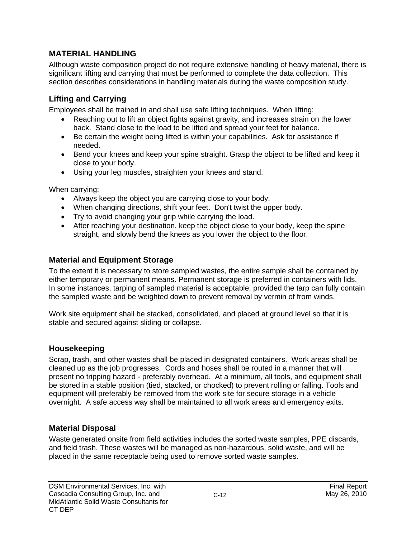## **MATERIAL HANDLING**

Although waste composition project do not require extensive handling of heavy material, there is significant lifting and carrying that must be performed to complete the data collection. This section describes considerations in handling materials during the waste composition study.

## **Lifting and Carrying**

Employees shall be trained in and shall use safe lifting techniques. When lifting:

- Reaching out to lift an object fights against gravity, and increases strain on the lower back. Stand close to the load to be lifted and spread your feet for balance.
- Be certain the weight being lifted is within your capabilities. Ask for assistance if needed.
- Bend your knees and keep your spine straight. Grasp the object to be lifted and keep it close to your body.
- Using your leg muscles, straighten your knees and stand.

When carrying:

- Always keep the object you are carrying close to your body.
- When changing directions, shift your feet. Don't twist the upper body.
- Try to avoid changing your grip while carrying the load.
- After reaching your destination, keep the object close to your body, keep the spine straight, and slowly bend the knees as you lower the object to the floor.

## **Material and Equipment Storage**

To the extent it is necessary to store sampled wastes, the entire sample shall be contained by either temporary or permanent means. Permanent storage is preferred in containers with lids. In some instances, tarping of sampled material is acceptable, provided the tarp can fully contain the sampled waste and be weighted down to prevent removal by vermin of from winds.

Work site equipment shall be stacked, consolidated, and placed at ground level so that it is stable and secured against sliding or collapse.

#### **Housekeeping**

Scrap, trash, and other wastes shall be placed in designated containers. Work areas shall be cleaned up as the job progresses. Cords and hoses shall be routed in a manner that will present no tripping hazard - preferably overhead. At a minimum, all tools, and equipment shall be stored in a stable position (tied, stacked, or chocked) to prevent rolling or falling. Tools and equipment will preferably be removed from the work site for secure storage in a vehicle overnight. A safe access way shall be maintained to all work areas and emergency exits.

## **Material Disposal**

Waste generated onsite from field activities includes the sorted waste samples, PPE discards, and field trash. These wastes will be managed as non-hazardous, solid waste, and will be placed in the same receptacle being used to remove sorted waste samples.